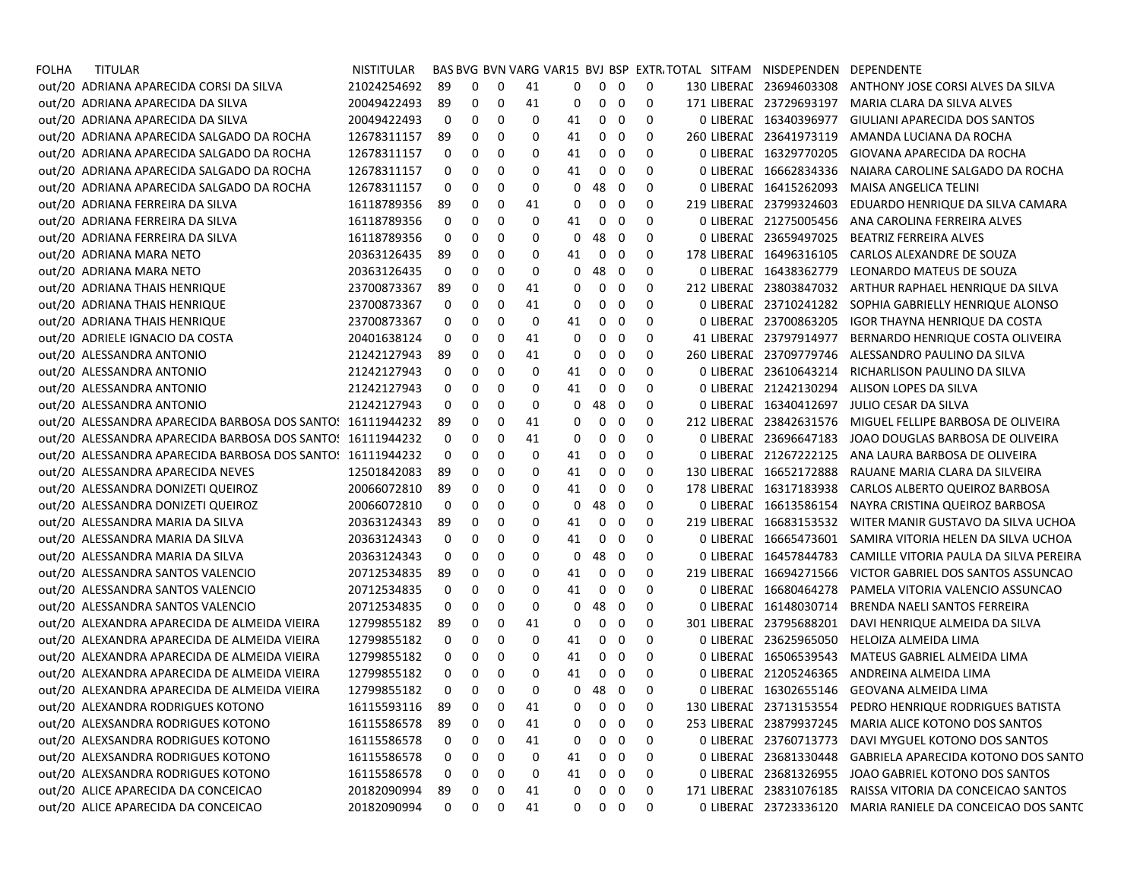| FOLHA | TITULAR                                                    | <b>NISTITULAR</b> |              |            |             |    |    |                   |                         |             | BAS BVG BVN VARG VAR15 BVJ BSP EXTR/TOTAL SITFAM NISDEPENDEN |                         | DEPENDENTE                                                 |
|-------|------------------------------------------------------------|-------------------|--------------|------------|-------------|----|----|-------------------|-------------------------|-------------|--------------------------------------------------------------|-------------------------|------------------------------------------------------------|
|       | out/20 ADRIANA APARECIDA CORSI DA SILVA                    | 21024254692       | 89           | 0          | $\mathbf 0$ | 41 | 0  | $\mathbf{0}$      | 0                       | 0           |                                                              | 130 LIBERAL 23694603308 | ANTHONY JOSE CORSI ALVES DA SILVA                          |
|       | out/20 ADRIANA APARECIDA DA SILVA                          | 20049422493       | 89           | 0          | 0           | 41 | 0  | $\mathbf 0$       | $\mathbf 0$             | 0           |                                                              | 171 LIBERAL 23729693197 | MARIA CLARA DA SILVA ALVES                                 |
|       | out/20 ADRIANA APARECIDA DA SILVA                          | 20049422493       | 0            | 0          | 0           | 0  | 41 | 0                 | 0                       | 0           |                                                              | 0 LIBERAL 16340396977   | GIULIANI APARECIDA DOS SANTOS                              |
|       | out/20 ADRIANA APARECIDA SALGADO DA ROCHA                  | 12678311157       | 89           | 0          | 0           | 0  | 41 | 0                 | 0                       | 0           |                                                              | 260 LIBERAL 23641973119 | AMANDA LUCIANA DA ROCHA                                    |
|       | out/20 ADRIANA APARECIDA SALGADO DA ROCHA                  | 12678311157       | 0            | 0          | 0           | 0  | 41 | 0                 | 0                       | 0           |                                                              | 0 LIBERAL 16329770205   | GIOVANA APARECIDA DA ROCHA                                 |
|       | out/20 ADRIANA APARECIDA SALGADO DA ROCHA                  | 12678311157       | 0            | 0          | 0           | 0  | 41 | 0                 | 0                       | 0           |                                                              | 0 LIBERAL 16662834336   | NAIARA CAROLINE SALGADO DA ROCHA                           |
|       | out/20 ADRIANA APARECIDA SALGADO DA ROCHA                  | 12678311157       | 0            | 0          | 0           | 0  | 0  | 48                | - 0                     | 0           |                                                              | 0 LIBERAL 16415262093   | MAISA ANGELICA TELINI                                      |
|       | out/20 ADRIANA FERREIRA DA SILVA                           | 16118789356       | 89           | 0          | 0           | 41 | 0  | 0                 | $\mathbf 0$             | 0           |                                                              | 219 LIBERAL 23799324603 | EDUARDO HENRIQUE DA SILVA CAMARA                           |
|       | out/20 ADRIANA FERREIRA DA SILVA                           | 16118789356       | 0            | 0          | 0           | 0  | 41 | 0                 | 0                       | 0           |                                                              | 0 LIBERAL 21275005456   | ANA CAROLINA FERREIRA ALVES                                |
|       | out/20 ADRIANA FERREIRA DA SILVA                           | 16118789356       | 0            | 0          | 0           | 0  | 0  | 48                | - 0                     | 0           |                                                              | 0 LIBERAL 23659497025   | <b>BEATRIZ FERREIRA ALVES</b>                              |
|       | out/20 ADRIANA MARA NETO                                   | 20363126435       | 89           | 0          | 0           | 0  | 41 | 0                 | 0                       | 0           |                                                              | 178 LIBERAL 16496316105 | CARLOS ALEXANDRE DE SOUZA                                  |
|       | out/20 ADRIANA MARA NETO                                   | 20363126435       | 0            | 0          | 0           | 0  | 0  | 48                | 0                       | 0           |                                                              | 0 LIBERAL 16438362779   | LEONARDO MATEUS DE SOUZA                                   |
|       | out/20 ADRIANA THAIS HENRIQUE                              | 23700873367       | 89           | 0          | 0           | 41 | 0  | 0                 | 0                       | 0           |                                                              | 212 LIBERAL 23803847032 | ARTHUR RAPHAEL HENRIQUE DA SILVA                           |
|       | out/20 ADRIANA THAIS HENRIQUE                              | 23700873367       | 0            | 0          | 0           | 41 | 0  | 0                 | 0                       | 0           |                                                              | 0 LIBERAL 23710241282   | SOPHIA GABRIELLY HENRIQUE ALONSO                           |
|       | out/20 ADRIANA THAIS HENRIQUE                              | 23700873367       | 0            | 0          | 0           | 0  | 41 | 0                 | 0                       | 0           |                                                              | 0 LIBERAL 23700863205   | IGOR THAYNA HENRIQUE DA COSTA                              |
|       | out/20 ADRIELE IGNACIO DA COSTA                            | 20401638124       | 0            | 0          | 0           | 41 | 0  | 0                 | 0                       | 0           |                                                              | 41 LIBERAL 23797914977  | BERNARDO HENRIQUE COSTA OLIVEIRA                           |
|       | out/20 ALESSANDRA ANTONIO                                  | 21242127943       | 89           | 0          | 0           | 41 | 0  | 0                 | 0                       | 0           |                                                              | 260 LIBERAL 23709779746 | ALESSANDRO PAULINO DA SILVA                                |
|       | out/20 ALESSANDRA ANTONIO                                  | 21242127943       | 0            | 0          | 0           | 0  | 41 | 0                 | 0                       | 0           |                                                              | 0 LIBERAL 23610643214   | RICHARLISON PAULINO DA SILVA                               |
|       | out/20 ALESSANDRA ANTONIO                                  | 21242127943       | 0            | 0          | 0           | 0  | 41 | 0                 | 0                       | 0           |                                                              | 0 LIBERAC 21242130294   | ALISON LOPES DA SILVA                                      |
|       | out/20 ALESSANDRA ANTONIO                                  | 21242127943       | 0            | 0          | 0           | 0  | 0  | 48                | $\mathbf 0$             | 0           |                                                              | 0 LIBERAL 16340412697   | JULIO CESAR DA SILVA                                       |
|       | out/20 ALESSANDRA APARECIDA BARBOSA DOS SANTO: 16111944232 |                   | 89           | 0          | 0           | 41 | 0  | 0                 | 0                       | 0           |                                                              | 212 LIBERAL 23842631576 | MIGUEL FELLIPE BARBOSA DE OLIVEIRA                         |
|       | out/20 ALESSANDRA APARECIDA BARBOSA DOS SANTO: 16111944232 |                   | 0            | 0          | 0           | 41 | 0  | 0                 | 0                       | 0           |                                                              | 0 LIBERAL 23696647183   | JOAO DOUGLAS BARBOSA DE OLIVEIRA                           |
|       | out/20 ALESSANDRA APARECIDA BARBOSA DOS SANTO: 16111944232 |                   | 0            | 0          | 0           | 0  | 41 | 0                 | 0                       | 0           |                                                              | 0 LIBERAC 21267222125   | ANA LAURA BARBOSA DE OLIVEIRA                              |
|       | out/20 ALESSANDRA APARECIDA NEVES                          | 12501842083       | 89           | 0          | 0           | 0  | 41 | 0                 | 0                       | 0           |                                                              | 130 LIBERAL 16652172888 | RAUANE MARIA CLARA DA SILVEIRA                             |
|       | out/20 ALESSANDRA DONIZETI QUEIROZ                         | 20066072810       | 89           | 0          | 0           | 0  | 41 | 0                 | 0                       | 0           |                                                              | 178 LIBERAL 16317183938 | CARLOS ALBERTO QUEIROZ BARBOSA                             |
|       | out/20 ALESSANDRA DONIZETI QUEIROZ                         | 20066072810       | 0            | 0          | 0           | 0  | 0  | 48                | 0                       | 0           |                                                              | 0 LIBERAL 16613586154   | NAYRA CRISTINA QUEIROZ BARBOSA                             |
|       | out/20 ALESSANDRA MARIA DA SILVA                           | 20363124343       | 89           | 0          | 0           | 0  | 41 | 0                 | 0                       | 0           |                                                              | 219 LIBERAL 16683153532 | WITER MANIR GUSTAVO DA SILVA UCHOA                         |
|       | out/20 ALESSANDRA MARIA DA SILVA                           | 20363124343       | 0            | 0          | 0           | 0  | 41 | 0                 | 0                       | 0           |                                                              | 0 LIBERAL 16665473601   | SAMIRA VITORIA HELEN DA SILVA UCHOA                        |
|       | out/20 ALESSANDRA MARIA DA SILVA                           | 20363124343       | 0            | 0          | 0           | 0  | 0  | 48                | 0                       | 0           |                                                              | 0 LIBERAL 16457844783   | CAMILLE VITORIA PAULA DA SILVA PEREIRA                     |
|       | out/20 ALESSANDRA SANTOS VALENCIO                          | 20712534835       | 89           | 0          | 0           | 0  | 41 | 0                 | 0                       | 0           |                                                              | 219 LIBERAL 16694271566 | VICTOR GABRIEL DOS SANTOS ASSUNCAO                         |
|       | out/20 ALESSANDRA SANTOS VALENCIO                          | 20712534835       | 0            | 0          | 0           | 0  | 41 | 0                 | 0                       | 0           |                                                              | 0 LIBERAL 16680464278   | PAMELA VITORIA VALENCIO ASSUNCAO                           |
|       | out/20 ALESSANDRA SANTOS VALENCIO                          | 20712534835       | 0            | 0          | 0           | 0  | 0  | 48                | $\mathbf 0$             | 0           |                                                              | 0 LIBERAL 16148030714   | BRENDA NAELI SANTOS FERREIRA                               |
|       | out/20 ALEXANDRA APARECIDA DE ALMEIDA VIEIRA               | 12799855182       | 89           | 0          | 0           | 41 | 0  | 0                 | 0                       | 0           |                                                              | 301 LIBERAL 23795688201 | DAVI HENRIQUE ALMEIDA DA SILVA                             |
|       | out/20 ALEXANDRA APARECIDA DE ALMEIDA VIEIRA               | 12799855182       | 0            | 0          | 0           | 0  | 41 | 0                 | 0                       | 0           |                                                              | 0 LIBERAL 23625965050   | HELOIZA ALMEIDA LIMA                                       |
|       | out/20 ALEXANDRA APARECIDA DE ALMEIDA VIEIRA               | 12799855182       | 0            | 0          | 0           | 0  | 41 | 0                 | 0                       | 0           |                                                              | 0 LIBERAL 16506539543   | MATEUS GABRIEL ALMEIDA LIMA                                |
|       | out/20 ALEXANDRA APARECIDA DE ALMEIDA VIEIRA               | 12799855182       | 0            | 0          | 0           | 0  | 41 | $\mathbf 0$       | 0                       | 0           |                                                              | 0 LIBERAL 21205246365   | ANDREINA ALMEIDA LIMA                                      |
|       | out/20 ALEXANDRA APARECIDA DE ALMEIDA VIEIRA               | 12799855182       | 0            | 0          | 0           | 0  | 0  | 48 0              |                         | 0           |                                                              |                         | 0 LIBERAL 16302655146 GEOVANA ALMEIDA LIMA                 |
|       | out/20 ALEXANDRA RODRIGUES KOTONO                          | 16115593116 89    |              | $0\quad 0$ |             | 41 |    | $0\quad 0\quad 0$ |                         | $\mathbf 0$ |                                                              |                         | 130 LIBERAE 23713153554 PEDRO HENRIQUE RODRIGUES BATISTA   |
|       | out/20 ALEXSANDRA RODRIGUES KOTONO                         | 16115586578       | 89           | 0          | 0           | 41 | 0  | $\mathbf{0}$      | 0                       | 0           |                                                              |                         | 253 LIBERAL 23879937245 MARIA ALICE KOTONO DOS SANTOS      |
|       | out/20 ALEXSANDRA RODRIGUES KOTONO                         | 16115586578       | 0            | 0          | 0           | 41 | 0  | 0                 | 0                       | 0           |                                                              | 0 LIBERAL 23760713773   | DAVI MYGUEL KOTONO DOS SANTOS                              |
|       | out/20 ALEXSANDRA RODRIGUES KOTONO                         | 16115586578       | 0            | 0          | 0           | 0  | 41 | 0                 | 0                       | 0           |                                                              | 0 LIBERAL 23681330448   | GABRIELA APARECIDA KOTONO DOS SANTO                        |
|       | out/20 ALEXSANDRA RODRIGUES KOTONO                         | 16115586578       | 0            | 0          | 0           | 0  | 41 | 0                 | 0                       | 0           |                                                              | 0 LIBERAL 23681326955   | JOAO GABRIEL KOTONO DOS SANTOS                             |
|       | out/20 ALICE APARECIDA DA CONCEICAO                        | 20182090994       | 89           | 0          | 0           | 41 | 0  | $\mathbf{0}$      | $\overline{\mathbf{0}}$ | 0           |                                                              | 171 LIBERAL 23831076185 | RAISSA VITORIA DA CONCEICAO SANTOS                         |
|       | out/20 ALICE APARECIDA DA CONCEICAO                        | 20182090994       | $\mathbf{0}$ | 0          | 0           | 41 | 0  | $0\quad 0$        |                         | 0           |                                                              |                         | 0 LIBERAE 23723336120 MARIA RANIELE DA CONCEICAO DOS SANTO |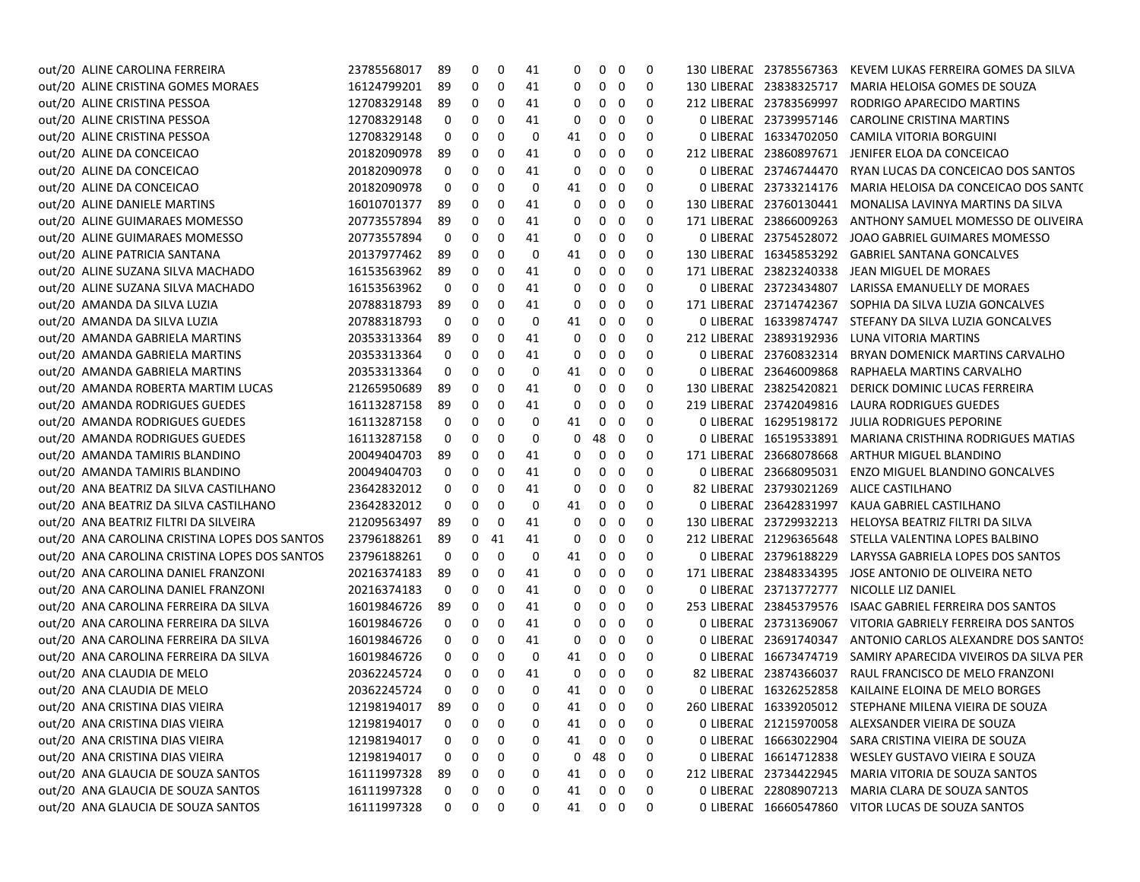| out/20 ALINE CAROLINA FERREIRA                | 23785568017 | 89  | 0  | 0  | 41       | 0  | 0              | $\mathbf 0$             | 0 |             | 130 LIBERAL 23785567363 | KEVEM LUKAS FERREIRA GOMES DA SILVA                     |
|-----------------------------------------------|-------------|-----|----|----|----------|----|----------------|-------------------------|---|-------------|-------------------------|---------------------------------------------------------|
| out/20 ALINE CRISTINA GOMES MORAES            | 16124799201 | 89  | 0  | 0  | 41       | 0  | $0\quad 0$     |                         | 0 |             | 130 LIBERAL 23838325717 | MARIA HELOISA GOMES DE SOUZA                            |
| out/20 ALINE CRISTINA PESSOA                  | 12708329148 | -89 | 0  | 0  | 41       | 0  | 0              | 0                       | 0 |             | 212 LIBERAL 23783569997 | RODRIGO APARECIDO MARTINS                               |
| out/20 ALINE CRISTINA PESSOA                  | 12708329148 | 0   | 0  | 0  | 41       | 0  | 0              | 0                       | 0 |             | 0 LIBERAL 23739957146   | CAROLINE CRISTINA MARTINS                               |
| out/20 ALINE CRISTINA PESSOA                  | 12708329148 | 0   | 0  | 0  | 0        | 41 | 0              | 0                       | 0 |             | 0 LIBERAL 16334702050   | <b>CAMILA VITORIA BORGUINI</b>                          |
| out/20 ALINE DA CONCEICAO                     | 20182090978 | -89 | 0  | 0  | 41       | 0  | 0              | 0                       | 0 |             | 212 LIBERAL 23860897671 | JENIFER ELOA DA CONCEICAO                               |
| out/20 ALINE DA CONCEICAO                     | 20182090978 | 0   | 0  | 0  | 41       | 0  | 0              | 0                       | 0 |             | 0 LIBERAL 23746744470   | RYAN LUCAS DA CONCEICAO DOS SANTOS                      |
| out/20 ALINE DA CONCEICAO                     | 20182090978 | 0   | 0  | 0  | 0        | 41 | $\overline{0}$ | - 0                     | 0 |             | 0 LIBERAL 23733214176   | MARIA HELOISA DA CONCEICAO DOS SANTO                    |
| out/20 ALINE DANIELE MARTINS                  | 16010701377 | -89 | 0  | 0  | 41       | 0  | 0              | 0                       | 0 |             | 130 LIBERAL 23760130441 | MONALISA LAVINYA MARTINS DA SILVA                       |
| out/20 ALINE GUIMARAES MOMESSO                | 20773557894 | -89 | 0  | 0  | 41       | 0  | 0              | 0                       | 0 |             | 171 LIBERAL 23866009263 | ANTHONY SAMUEL MOMESSO DE OLIVEIRA                      |
| out/20 ALINE GUIMARAES MOMESSO                | 20773557894 | 0   | 0  | 0  | 41       | 0  | 0              | 0                       | 0 |             | 0 LIBERAL 23754528072   | JOAO GABRIEL GUIMARES MOMESSO                           |
| out/20 ALINE PATRICIA SANTANA                 | 20137977462 | -89 | 0  | 0  | 0        | 41 | 0              | 0                       | 0 |             | 130 LIBERAL 16345853292 | <b>GABRIEL SANTANA GONCALVES</b>                        |
| out/20 ALINE SUZANA SILVA MACHADO             | 16153563962 | -89 | 0  | 0  | 41       | 0  | 0              | 0                       | 0 | 171 LIBERAC | 23823240338             | JEAN MIGUEL DE MORAES                                   |
| out/20 ALINE SUZANA SILVA MACHADO             | 16153563962 | 0   | 0  | 0  | 41       | 0  | 0              | 0                       | 0 |             | 0 LIBERAL 23723434807   | LARISSA EMANUELLY DE MORAES                             |
| out/20 AMANDA DA SILVA LUZIA                  | 20788318793 | -89 | 0  | 0  | 41       | 0  | 0              | 0                       | 0 |             | 171 LIBERAL 23714742367 | SOPHIA DA SILVA LUZIA GONCALVES                         |
| out/20 AMANDA DA SILVA LUZIA                  | 20788318793 | 0   | 0  | 0  | 0        | 41 | $\mathbf{0}$   | $\mathbf 0$             | 0 |             | 0 LIBERAL 16339874747   | STEFANY DA SILVA LUZIA GONCALVES                        |
| out/20 AMANDA GABRIELA MARTINS                | 20353313364 | 89  | 0  | 0  | 41       | 0  | 0              | $\mathbf 0$             | 0 |             | 212 LIBERAL 23893192936 | LUNA VITORIA MARTINS                                    |
| out/20 AMANDA GABRIELA MARTINS                | 20353313364 | 0   | 0  | 0  | 41       | 0  | 0              | 0                       | 0 |             | 0 LIBERAL 23760832314   | BRYAN DOMENICK MARTINS CARVALHO                         |
| out/20 AMANDA GABRIELA MARTINS                | 20353313364 | 0   | 0  | 0  | 0        | 41 | 0              | 0                       | 0 | 0 LIBERAD   | 23646009868             | RAPHAELA MARTINS CARVALHO                               |
| out/20 AMANDA ROBERTA MARTIM LUCAS            | 21265950689 | -89 | 0  | 0  | 41       | 0  | 0              | $\mathbf 0$             | 0 |             | 130 LIBERAL 23825420821 | DERICK DOMINIC LUCAS FERREIRA                           |
| out/20 AMANDA RODRIGUES GUEDES                | 16113287158 | -89 | 0  | 0  | 41       | 0  | 0              | 0                       | 0 |             | 219 LIBERAL 23742049816 | LAURA RODRIGUES GUEDES                                  |
| out/20 AMANDA RODRIGUES GUEDES                | 16113287158 | 0   | 0  | 0  | 0        | 41 | 0              | 0                       | 0 |             | 0 LIBERAL 16295198172   | <b>JULIA RODRIGUES PEPORINE</b>                         |
| out/20 AMANDA RODRIGUES GUEDES                | 16113287158 | 0   | 0  | 0  | 0        | 0  | 48             | $\overline{\mathbf{0}}$ | 0 |             | 0 LIBERAL 16519533891   | MARIANA CRISTHINA RODRIGUES MATIAS                      |
| out/20 AMANDA TAMIRIS BLANDINO                | 20049404703 | 89  | 0  | 0  | 41       | 0  | 0              | $\mathbf 0$             | 0 |             | 171 LIBERAL 23668078668 | ARTHUR MIGUEL BLANDINO                                  |
| out/20 AMANDA TAMIRIS BLANDINO                | 20049404703 | 0   | 0  | 0  | 41       | 0  | 0              | 0                       | 0 |             | 0 LIBERAL 23668095031   | <b>ENZO MIGUEL BLANDINO GONCALVES</b>                   |
| out/20 ANA BEATRIZ DA SILVA CASTILHANO        | 23642832012 | 0   | 0  | 0  | 41       | 0  | 0              | - 0                     | 0 |             | 82 LIBERAL 23793021269  | ALICE CASTILHANO                                        |
| out/20 ANA BEATRIZ DA SILVA CASTILHANO        | 23642832012 | 0   | 0  | 0  | 0        | 41 | 0              | 0                       | 0 |             | 0 LIBERAL 23642831997   | KAUA GABRIEL CASTILHANO                                 |
| out/20 ANA BEATRIZ FILTRI DA SILVEIRA         | 21209563497 | -89 | 0  | 0  | 41       | 0  | 0              | 0                       | 0 |             | 130 LIBERAL 23729932213 | HELOYSA BEATRIZ FILTRI DA SILVA                         |
| out/20 ANA CAROLINA CRISTINA LOPES DOS SANTOS | 23796188261 | -89 | 0  | 41 | 41       | 0  | 0              | 0                       | 0 |             | 212 LIBERAL 21296365648 | STELLA VALENTINA LOPES BALBINO                          |
| out/20 ANA CAROLINA CRISTINA LOPES DOS SANTOS | 23796188261 | 0   | 0  | 0  | 0        | 41 | 0              | 0                       | 0 | 0 LIBERAD   | 23796188229             | LARYSSA GABRIELA LOPES DOS SANTOS                       |
| out/20 ANA CAROLINA DANIEL FRANZONI           | 20216374183 | -89 | 0  | 0  | 41       | 0  | 0              | 0                       | 0 |             | 171 LIBERAL 23848334395 | JOSE ANTONIO DE OLIVEIRA NETO                           |
| out/20 ANA CAROLINA DANIEL FRANZONI           | 20216374183 | 0   | 0  | 0  | 41       | 0  | 0              | 0                       | 0 |             | 0 LIBERAL 23713772777   | NICOLLE LIZ DANIEL                                      |
| out/20 ANA CAROLINA FERREIRA DA SILVA         | 16019846726 | 89  | 0  | 0  | 41       | 0  | 0              | $\mathbf 0$             | 0 |             | 253 LIBERAL 23845379576 | ISAAC GABRIEL FERREIRA DOS SANTOS                       |
| out/20 ANA CAROLINA FERREIRA DA SILVA         | 16019846726 | 0   | 0  | 0  | 41       | 0  | 0              | $\mathbf 0$             | 0 |             | 0 LIBERAL 23731369067   | VITORIA GABRIELY FERREIRA DOS SANTOS                    |
| out/20 ANA CAROLINA FERREIRA DA SILVA         | 16019846726 | 0   | 0  | 0  | 41       | 0  | 0              | 0                       | 0 |             | 0 LIBERAL 23691740347   | ANTONIO CARLOS ALEXANDRE DOS SANTOS                     |
| out/20 ANA CAROLINA FERREIRA DA SILVA         | 16019846726 | 0   | 0  | 0  | 0        | 41 | 0              | 0                       | 0 |             | 0 LIBERAL 16673474719   | SAMIRY APARECIDA VIVEIROS DA SILVA PER                  |
| out/20 ANA CLAUDIA DE MELO                    | 20362245724 | 0   | 0  | 0  | 41       | 0  | 0              | $\mathbf 0$             | 0 |             | 82 LIBERAL 23874366037  | RAUL FRANCISCO DE MELO FRANZONI                         |
| out/20 ANA CLAUDIA DE MELO                    | 20362245724 | 0   | 0  | 0  | 0        | 41 | $0\quad 0$     |                         | 0 |             | 0 LIBERAL 16326252858   | KAILAINE ELOINA DE MELO BORGES                          |
| out/20 ANA CRISTINA DIAS VIEIRA               | 12198194017 | 89  | n. | 0  | $\Omega$ | 41 | $0\quad 0$     |                         | 0 |             |                         | 260 LIBERAL 16339205012 STEPHANE MILENA VIEIRA DE SOUZA |
| out/20 ANA CRISTINA DIAS VIEIRA               | 12198194017 | 0   | 0  | 0  | 0        | 41 | $0\quad 0$     |                         | 0 |             |                         | 0 LIBERAL 21215970058 ALEXSANDER VIEIRA DE SOUZA        |
| out/20 ANA CRISTINA DIAS VIEIRA               | 12198194017 | 0   | 0  | 0  | 0        | 41 | $0\quad 0$     |                         | 0 |             |                         | 0 LIBERAL 16663022904 SARA CRISTINA VIEIRA DE SOUZA     |
| out/20 ANA CRISTINA DIAS VIEIRA               | 12198194017 | 0   | 0  | 0  | 0        | 0  | 48 0           |                         | 0 |             | 0 LIBERAL 16614712838   | WESLEY GUSTAVO VIEIRA E SOUZA                           |
| out/20 ANA GLAUCIA DE SOUZA SANTOS            | 16111997328 | 89  | 0  | 0  | 0        | 41 | $0\quad 0$     |                         | 0 |             |                         | 212 LIBERAE 23734422945 MARIA VITORIA DE SOUZA SANTOS   |
| out/20 ANA GLAUCIA DE SOUZA SANTOS            | 16111997328 | 0   | 0  | 0  | 0        | 41 | $0\quad 0$     |                         | 0 |             | 0 LIBERAL 22808907213   | MARIA CLARA DE SOUZA SANTOS                             |
| out/20 ANA GLAUCIA DE SOUZA SANTOS            | 16111997328 | 0   | 0  | 0  | 0        | 41 | $0\quad 0$     |                         | 0 |             |                         | 0 LIBERAL 16660547860 VITOR LUCAS DE SOUZA SANTOS       |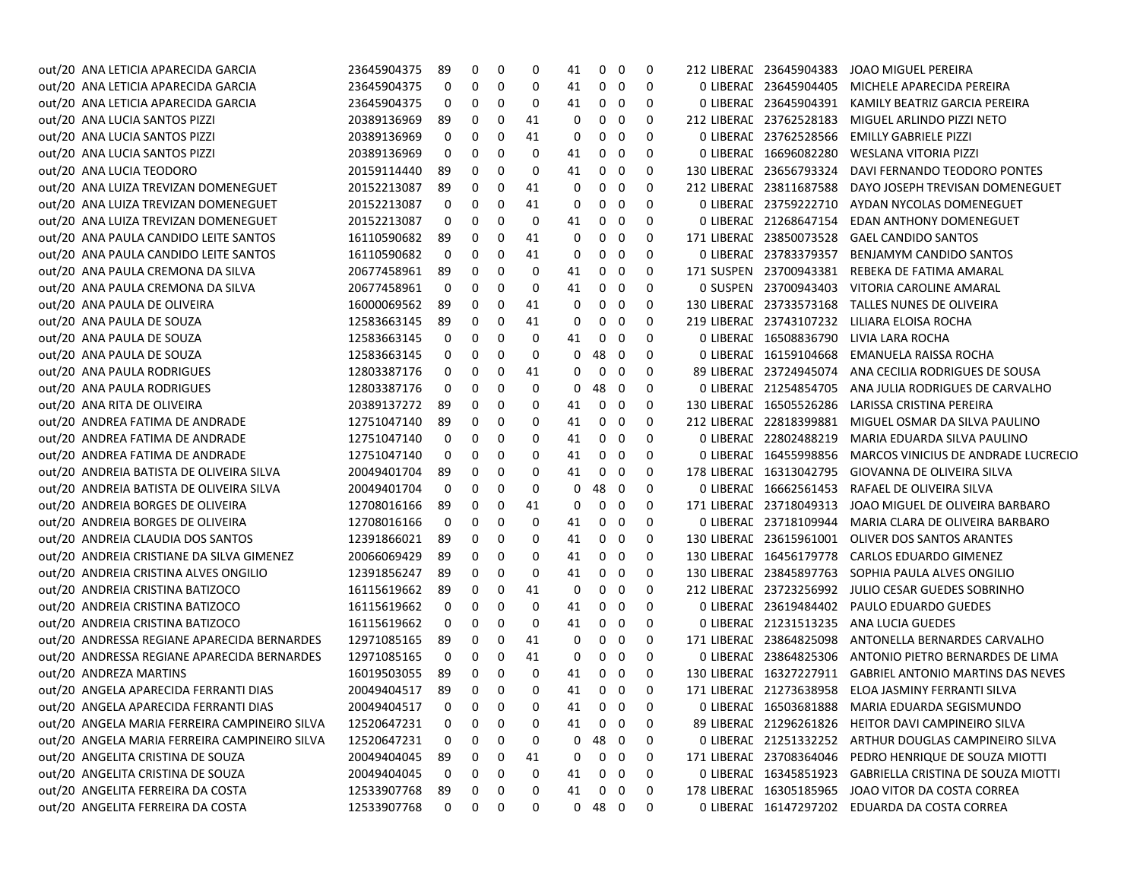| out/20 ANA LETICIA APARECIDA GARCIA           | 23645904375 | 89           | 0            | 0 | 0  | 41 | 0            | 0 | 0 | 212 LIBERAL 23645904383 | JOAO MIGUEL PEREIRA                                    |
|-----------------------------------------------|-------------|--------------|--------------|---|----|----|--------------|---|---|-------------------------|--------------------------------------------------------|
| out/20 ANA LETICIA APARECIDA GARCIA           | 23645904375 | 0            | 0            | 0 | 0  | 41 | 0            | 0 | 0 | 0 LIBERAL 23645904405   | MICHELE APARECIDA PEREIRA                              |
| out/20 ANA LETICIA APARECIDA GARCIA           | 23645904375 | 0            | 0            | 0 | 0  | 41 | 0            | 0 | 0 | 0 LIBERAL 23645904391   | KAMILY BEATRIZ GARCIA PEREIRA                          |
| out/20 ANA LUCIA SANTOS PIZZI                 | 20389136969 | 89           | 0            | 0 | 41 | 0  | 0            | 0 | 0 | 212 LIBERAL 23762528183 | MIGUEL ARLINDO PIZZI NETO                              |
| out/20 ANA LUCIA SANTOS PIZZI                 | 20389136969 | 0            | 0            | 0 | 41 | 0  | 0            | 0 | 0 | 0 LIBERAL 23762528566   | EMILLY GABRIELE PIZZI                                  |
| out/20 ANA LUCIA SANTOS PIZZI                 | 20389136969 | 0            | 0            | 0 | 0  | 41 | 0            | 0 | 0 | 0 LIBERAL 16696082280   | WESLANA VITORIA PIZZI                                  |
| out/20 ANA LUCIA TEODORO                      | 20159114440 | 89           | 0            | 0 | 0  | 41 | 0            | 0 | 0 | 130 LIBERAL 23656793324 | DAVI FERNANDO TEODORO PONTES                           |
| out/20 ANA LUIZA TREVIZAN DOMENEGUET          | 20152213087 | 89           | 0            | 0 | 41 | 0  | 0            | 0 | 0 | 212 LIBERAL 23811687588 | DAYO JOSEPH TREVISAN DOMENEGUET                        |
| out/20 ANA LUIZA TREVIZAN DOMENEGUET          | 20152213087 | 0            | 0            | 0 | 41 | 0  | 0            | 0 | 0 | 0 LIBERAL 23759222710   | AYDAN NYCOLAS DOMENEGUET                               |
| out/20 ANA LUIZA TREVIZAN DOMENEGUET          | 20152213087 | 0            | 0            | 0 | 0  | 41 | 0            | 0 | 0 | 0 LIBERAL 21268647154   | <b>EDAN ANTHONY DOMENEGUET</b>                         |
| out/20 ANA PAULA CANDIDO LEITE SANTOS         | 16110590682 | 89           | 0            | 0 | 41 | 0  | 0            | 0 | 0 | 171 LIBERAL 23850073528 | <b>GAEL CANDIDO SANTOS</b>                             |
| out/20 ANA PAULA CANDIDO LEITE SANTOS         | 16110590682 | 0            | 0            | 0 | 41 | 0  | 0            | 0 | 0 | 0 LIBERAL 23783379357   | <b>BENJAMYM CANDIDO SANTOS</b>                         |
| out/20 ANA PAULA CREMONA DA SILVA             | 20677458961 | 89           | 0            | 0 | 0  | 41 | 0            | 0 | 0 | 171 SUSPEN 23700943381  | REBEKA DE FATIMA AMARAL                                |
| out/20 ANA PAULA CREMONA DA SILVA             | 20677458961 | 0            | 0            | 0 | 0  | 41 | 0            | 0 | 0 | 0 SUSPEN 23700943403    | VITORIA CAROLINE AMARAL                                |
| out/20 ANA PAULA DE OLIVEIRA                  | 16000069562 | 89           | 0            | 0 | 41 | 0  | 0            | 0 | 0 | 130 LIBERAL 23733573168 | TALLES NUNES DE OLIVEIRA                               |
| out/20 ANA PAULA DE SOUZA                     | 12583663145 | 89           | 0            | 0 | 41 | 0  | 0            | 0 | 0 | 219 LIBERAL 23743107232 | LILIARA ELOISA ROCHA                                   |
| out/20 ANA PAULA DE SOUZA                     | 12583663145 | 0            | 0            | 0 | 0  | 41 | 0            | 0 | 0 | 0 LIBERAL 16508836790   | LIVIA LARA ROCHA                                       |
| out/20 ANA PAULA DE SOUZA                     | 12583663145 | 0            | 0            | 0 | 0  | 0  | 48           | 0 | 0 | 0 LIBERAL 16159104668   | EMANUELA RAISSA ROCHA                                  |
| out/20 ANA PAULA RODRIGUES                    | 12803387176 | 0            | 0            | 0 | 41 | 0  | $\mathbf 0$  | 0 | 0 | 89 LIBERAL 23724945074  | ANA CECILIA RODRIGUES DE SOUSA                         |
| out/20 ANA PAULA RODRIGUES                    | 12803387176 | 0            | 0            | 0 | 0  | 0  | 48           | 0 | 0 | 0 LIBERAC 21254854705   | ANA JULIA RODRIGUES DE CARVALHO                        |
| out/20 ANA RITA DE OLIVEIRA                   | 20389137272 | 89           | 0            | 0 | 0  | 41 | 0            | 0 | 0 | 130 LIBERAL 16505526286 | LARISSA CRISTINA PEREIRA                               |
| out/20 ANDREA FATIMA DE ANDRADE               | 12751047140 | 89           | 0            | 0 | 0  | 41 | 0            | 0 | 0 | 212 LIBERAL 22818399881 | MIGUEL OSMAR DA SILVA PAULINO                          |
| out/20 ANDREA FATIMA DE ANDRADE               | 12751047140 | 0            | 0            | 0 | 0  | 41 | 0            | 0 | 0 | 0 LIBERAL 22802488219   | MARIA EDUARDA SILVA PAULINO                            |
| out/20 ANDREA FATIMA DE ANDRADE               | 12751047140 | 0            | 0            | 0 | 0  | 41 | 0            | 0 | 0 | 0 LIBERAL 16455998856   | MARCOS VINICIUS DE ANDRADE LUCRECIO                    |
| out/20 ANDREIA BATISTA DE OLIVEIRA SILVA      | 20049401704 | 89           | 0            | 0 | 0  | 41 | 0            | 0 | 0 | 178 LIBERAL 16313042795 | GIOVANNA DE OLIVEIRA SILVA                             |
| out/20 ANDREIA BATISTA DE OLIVEIRA SILVA      | 20049401704 | 0            | 0            | 0 | 0  | 0  | 48           | 0 | 0 | 0 LIBERAL 16662561453   | RAFAEL DE OLIVEIRA SILVA                               |
| out/20 ANDREIA BORGES DE OLIVEIRA             | 12708016166 | 89           | 0            | 0 | 41 | 0  | 0            | 0 | 0 | 171 LIBERAL 23718049313 | JOAO MIGUEL DE OLIVEIRA BARBARO                        |
| out/20 ANDREIA BORGES DE OLIVEIRA             | 12708016166 | 0            | 0            | 0 | 0  | 41 | 0            | 0 | 0 | 0 LIBERAL 23718109944   | MARIA CLARA DE OLIVEIRA BARBARO                        |
| out/20 ANDREIA CLAUDIA DOS SANTOS             | 12391866021 | 89           | 0            | 0 | 0  | 41 | 0            | 0 | 0 | 130 LIBERAL 23615961001 | <b>OLIVER DOS SANTOS ARANTES</b>                       |
| out/20 ANDREIA CRISTIANE DA SILVA GIMENEZ     | 20066069429 | 89           | 0            | 0 | 0  | 41 | 0            | 0 | 0 | 130 LIBERAL 16456179778 | <b>CARLOS EDUARDO GIMENEZ</b>                          |
| out/20 ANDREIA CRISTINA ALVES ONGILIO         | 12391856247 | 89           | 0            | 0 | 0  | 41 | 0            | 0 | 0 | 130 LIBERAL 23845897763 | SOPHIA PAULA ALVES ONGILIO                             |
| out/20 ANDREIA CRISTINA BATIZOCO              | 16115619662 | 89           | 0            | 0 | 41 | 0  | 0            | 0 | 0 | 212 LIBERAL 23723256992 | JULIO CESAR GUEDES SOBRINHO                            |
| out/20 ANDREIA CRISTINA BATIZOCO              | 16115619662 | 0            | 0            | 0 | 0  | 41 | 0            | 0 | 0 | 0 LIBERAL 23619484402   | PAULO EDUARDO GUEDES                                   |
| out/20 ANDREIA CRISTINA BATIZOCO              | 16115619662 | 0            | 0            | 0 | 0  | 41 | 0            | 0 | 0 | 0 LIBERAL 21231513235   | ANA LUCIA GUEDES                                       |
| out/20 ANDRESSA REGIANE APARECIDA BERNARDES   | 12971085165 | 89           | 0            | 0 | 41 | 0  | 0            | 0 | 0 | 171 LIBERAL 23864825098 | ANTONELLA BERNARDES CARVALHO                           |
| out/20 ANDRESSA REGIANE APARECIDA BERNARDES   | 12971085165 | 0            | 0            | 0 | 41 | 0  | 0            | 0 | 0 | 0 LIBERAL 23864825306   | ANTONIO PIETRO BERNARDES DE LIMA                       |
| out/20 ANDREZA MARTINS                        | 16019503055 | 89           | 0            | 0 | 0  | 41 | 0            | 0 | 0 | 130 LIBERAL 16327227911 | <b>GABRIEL ANTONIO MARTINS DAS NEVES</b>               |
| out/20 ANGELA APARECIDA FERRANTI DIAS         | 20049404517 | 89           | 0            | 0 | 0  | 41 | 0            | 0 | 0 |                         | 171 LIBERAC 21273638958 ELOA JASMINY FERRANTI SILVA    |
| out/20 ANGELA APARECIDA FERRANTI DIAS         | 20049404517 | $\mathbf{0}$ | $\mathbf{0}$ | 0 | 0  | 41 | $0\quad 0$   |   | 0 |                         | 0 LIBERAE 16503681888 MARIA EDUARDA SEGISMUNDO         |
| out/20 ANGELA MARIA FERREIRA CAMPINEIRO SILVA | 12520647231 | 0            | 0            | 0 | 0  | 41 | $\mathbf{0}$ | 0 | 0 |                         | 89 LIBERAE 21296261826 HEITOR DAVI CAMPINEIRO SILVA    |
| out/20 ANGELA MARIA FERREIRA CAMPINEIRO SILVA | 12520647231 | 0            | 0            | 0 | 0  | 0  | 48 0         |   | 0 |                         | 0 LIBERAL 21251332252 ARTHUR DOUGLAS CAMPINEIRO SILVA  |
| out/20 ANGELITA CRISTINA DE SOUZA             | 20049404045 | 89           | 0            | 0 | 41 | 0  | $\mathbf{0}$ | 0 | 0 |                         | 171 LIBERAE 23708364046 PEDRO HENRIQUE DE SOUZA MIOTTI |
| out/20 ANGELITA CRISTINA DE SOUZA             | 20049404045 | 0            | 0            | 0 | 0  | 41 | 0            | 0 | 0 | 0 LIBERAL 16345851923   | GABRIELLA CRISTINA DE SOUZA MIOTTI                     |
| out/20 ANGELITA FERREIRA DA COSTA             | 12533907768 | 89           | 0            | 0 | 0  | 41 | 0            | 0 | 0 |                         | 178 LIBERAE 16305185965 JOAO VITOR DA COSTA CORREA     |
| out/20 ANGELITA FERREIRA DA COSTA             | 12533907768 | 0            | 0            | 0 | 0  |    | $0$ 48 $0$   |   | 0 |                         | 0 LIBERAL 16147297202 EDUARDA DA COSTA CORREA          |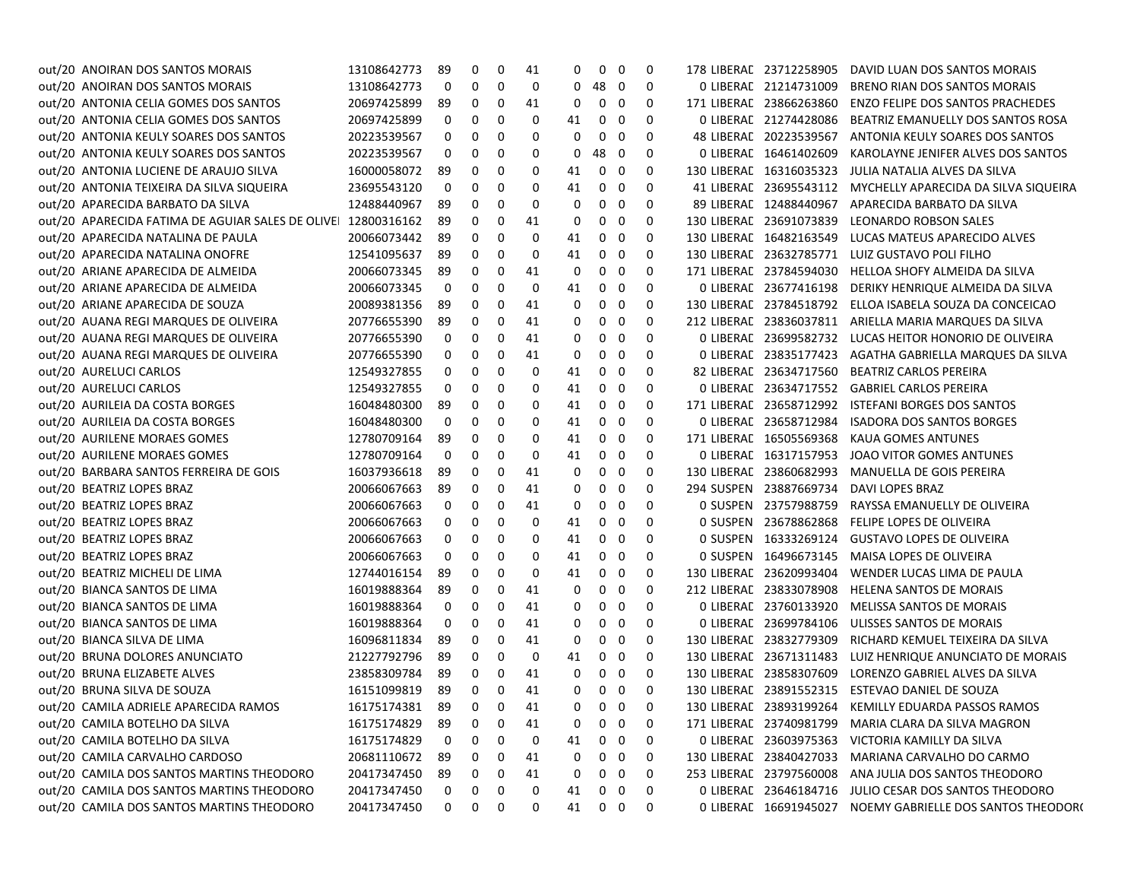| out/20 ANOIRAN DOS SANTOS MORAIS                             | 13108642773    | 89           | 0                       | 0                       | 41 | 0  | 0                 | 0           | 0 | 178 LIBERAL 23712258905 | DAVID LUAN DOS SANTOS MORAIS                              |
|--------------------------------------------------------------|----------------|--------------|-------------------------|-------------------------|----|----|-------------------|-------------|---|-------------------------|-----------------------------------------------------------|
| out/20 ANOIRAN DOS SANTOS MORAIS                             | 13108642773    | 0            | 0                       | 0                       | 0  | 0  | 48                | 0           | 0 | 0 LIBERAL 21214731009   | BRENO RIAN DOS SANTOS MORAIS                              |
| out/20 ANTONIA CELIA GOMES DOS SANTOS                        | 20697425899    | 89           | 0                       | 0                       | 41 | 0  | 0                 | 0           | 0 | 171 LIBERAL 23866263860 | <b>ENZO FELIPE DOS SANTOS PRACHEDES</b>                   |
| out/20 ANTONIA CELIA GOMES DOS SANTOS                        | 20697425899    | 0            | 0                       | 0                       | 0  | 41 | 0                 | 0           | 0 | 0 LIBERAL 21274428086   | BEATRIZ EMANUELLY DOS SANTOS ROSA                         |
| out/20 ANTONIA KEULY SOARES DOS SANTOS                       | 20223539567    | 0            | 0                       | 0                       | 0  | 0  | 0                 | 0           | 0 | 48 LIBERAL 20223539567  | ANTONIA KEULY SOARES DOS SANTOS                           |
| out/20 ANTONIA KEULY SOARES DOS SANTOS                       | 20223539567    | 0            | 0                       | 0                       | 0  | 0  | 48                | 0           | 0 | 0 LIBERAL 16461402609   | KAROLAYNE JENIFER ALVES DOS SANTOS                        |
| out/20 ANTONIA LUCIENE DE ARAUJO SILVA                       | 16000058072    | 89           | 0                       | 0                       | 0  | 41 | 0                 | 0           | 0 | 130 LIBERAL 16316035323 | JULIA NATALIA ALVES DA SILVA                              |
| out/20 ANTONIA TEIXEIRA DA SILVA SIQUEIRA                    | 23695543120    | 0            | 0                       | 0                       | 0  | 41 | 0                 | 0           | 0 | 41 LIBERAL 23695543112  | MYCHELLY APARECIDA DA SILVA SIQUEIRA                      |
| out/20 APARECIDA BARBATO DA SILVA                            | 12488440967    | 89           | 0                       | 0                       | 0  | 0  | 0                 | 0           | 0 | 89 LIBERAL 12488440967  | APARECIDA BARBATO DA SILVA                                |
| out/20 APARECIDA FATIMA DE AGUIAR SALES DE OLIVE 12800316162 |                | 89           | 0                       | 0                       | 41 | 0  | 0                 | 0           | 0 | 130 LIBERAL 23691073839 | LEONARDO ROBSON SALES                                     |
| out/20 APARECIDA NATALINA DE PAULA                           | 20066073442    | 89           | 0                       | 0                       | 0  | 41 | 0                 | 0           | 0 | 130 LIBERAL 16482163549 | LUCAS MATEUS APARECIDO ALVES                              |
| out/20 APARECIDA NATALINA ONOFRE                             | 12541095637    | 89           | 0                       | 0                       | 0  | 41 | 0                 | 0           | 0 |                         | 130 LIBERAL 23632785771 LUIZ GUSTAVO POLI FILHO           |
| out/20 ARIANE APARECIDA DE ALMEIDA                           | 20066073345    | 89           | 0                       | 0                       | 41 | 0  | 0                 | 0           | 0 | 171 LIBERAL 23784594030 | HELLOA SHOFY ALMEIDA DA SILVA                             |
| out/20 ARIANE APARECIDA DE ALMEIDA                           | 20066073345    | 0            | 0                       | 0                       | 0  | 41 | 0                 | 0           | 0 | 0 LIBERAL 23677416198   | DERIKY HENRIQUE ALMEIDA DA SILVA                          |
| out/20 ARIANE APARECIDA DE SOUZA                             | 20089381356    | 89           | 0                       | 0                       | 41 | 0  | 0                 | 0           | 0 | 130 LIBERAL 23784518792 | ELLOA ISABELA SOUZA DA CONCEICAO                          |
| out/20 AUANA REGI MARQUES DE OLIVEIRA                        | 20776655390    | 89           | 0                       | 0                       | 41 | 0  | 0                 | 0           | 0 | 212 LIBERAL 23836037811 | ARIELLA MARIA MARQUES DA SILVA                            |
| out/20 AUANA REGI MARQUES DE OLIVEIRA                        | 20776655390    | 0            | 0                       | 0                       | 41 | 0  | 0                 | 0           | 0 | 0 LIBERAL 23699582732   | LUCAS HEITOR HONORIO DE OLIVEIRA                          |
| out/20 AUANA REGI MARQUES DE OLIVEIRA                        | 20776655390    | 0            | 0                       | 0                       | 41 | 0  | 0                 | 0           | 0 | 0 LIBERAL 23835177423   | AGATHA GABRIELLA MARQUES DA SILVA                         |
| out/20 AURELUCI CARLOS                                       | 12549327855    | 0            | 0                       | 0                       | 0  | 41 | 0                 | 0           | 0 | 82 LIBERAL 23634717560  | <b>BEATRIZ CARLOS PEREIRA</b>                             |
| out/20 AURELUCI CARLOS                                       | 12549327855    | 0            | 0                       | 0                       | 0  | 41 | 0                 | 0           | 0 | 0 LIBERAL 23634717552   | <b>GABRIEL CARLOS PEREIRA</b>                             |
| out/20 AURILEIA DA COSTA BORGES                              | 16048480300    | 89           | 0                       | 0                       | 0  | 41 | 0                 | 0           | 0 | 171 LIBERAL 23658712992 | <b>ISTEFANI BORGES DOS SANTOS</b>                         |
| out/20 AURILEIA DA COSTA BORGES                              | 16048480300    | 0            | 0                       | 0                       | 0  | 41 | 0                 | 0           | 0 | 0 LIBERAE 23658712984   | <b>ISADORA DOS SANTOS BORGES</b>                          |
| out/20 AURILENE MORAES GOMES                                 | 12780709164    | 89           | 0                       | 0                       | 0  | 41 | 0                 | 0           | 0 | 171 LIBERAL 16505569368 | KAUA GOMES ANTUNES                                        |
| out/20 AURILENE MORAES GOMES                                 | 12780709164    | 0            | 0                       | 0                       | 0  | 41 | 0                 | 0           | 0 | 0 LIBERAE 16317157953   | JOAO VITOR GOMES ANTUNES                                  |
| out/20 BARBARA SANTOS FERREIRA DE GOIS                       | 16037936618    | 89           | 0                       | 0                       | 41 | 0  | 0                 | 0           | 0 | 130 LIBERAL 23860682993 | MANUELLA DE GOIS PEREIRA                                  |
| out/20 BEATRIZ LOPES BRAZ                                    | 20066067663    | 89           | 0                       | 0                       | 41 | 0  | 0                 | 0           | 0 | 294 SUSPEN 23887669734  | DAVI LOPES BRAZ                                           |
| out/20 BEATRIZ LOPES BRAZ                                    | 20066067663    | 0            | 0                       | 0                       | 41 | 0  | 0                 | 0           | 0 | 0 SUSPEN 23757988759    | RAYSSA EMANUELLY DE OLIVEIRA                              |
| out/20 BEATRIZ LOPES BRAZ                                    | 20066067663    | 0            | 0                       | 0                       | 0  | 41 | 0                 | 0           | 0 | 0 SUSPEN 23678862868    | FELIPE LOPES DE OLIVEIRA                                  |
| out/20 BEATRIZ LOPES BRAZ                                    | 20066067663    | 0            | 0                       | 0                       | 0  | 41 | 0                 | 0           | 0 | 0 SUSPEN 16333269124    | <b>GUSTAVO LOPES DE OLIVEIRA</b>                          |
| out/20 BEATRIZ LOPES BRAZ                                    | 20066067663    | 0            | 0                       | 0                       | 0  | 41 | 0                 | 0           | 0 | 0 SUSPEN 16496673145    | MAISA LOPES DE OLIVEIRA                                   |
| out/20 BEATRIZ MICHELI DE LIMA                               | 12744016154    | 89           | 0                       | 0                       | 0  | 41 | 0                 | 0           | 0 | 130 LIBERAL 23620993404 | WENDER LUCAS LIMA DE PAULA                                |
| out/20 BIANCA SANTOS DE LIMA                                 | 16019888364    | 89           | 0                       | 0                       | 41 | 0  | 0                 | 0           | 0 | 212 LIBERAL 23833078908 | HELENA SANTOS DE MORAIS                                   |
| out/20 BIANCA SANTOS DE LIMA                                 | 16019888364    | 0            | 0                       | 0                       | 41 | 0  | 0                 | 0           | 0 | 0 LIBERAL 23760133920   | MELISSA SANTOS DE MORAIS                                  |
| out/20 BIANCA SANTOS DE LIMA                                 | 16019888364    | 0            | 0                       | 0                       | 41 | 0  | 0                 | 0           | 0 | 0 LIBERAL 23699784106   | ULISSES SANTOS DE MORAIS                                  |
| out/20 BIANCA SILVA DE LIMA                                  | 16096811834    | 89           | 0                       | 0                       | 41 | 0  | 0                 | 0           | 0 | 130 LIBERAL 23832779309 | RICHARD KEMUEL TEIXEIRA DA SILVA                          |
| out/20 BRUNA DOLORES ANUNCIATO                               | 21227792796    | -89          | 0                       | 0                       | 0  | 41 | 0                 | 0           | 0 | 130 LIBERAL 23671311483 | LUIZ HENRIQUE ANUNCIATO DE MORAIS                         |
| out/20 BRUNA ELIZABETE ALVES                                 | 23858309784    | -89          | 0                       | 0                       | 41 | 0  | 0                 | 0           | 0 | 130 LIBERAL 23858307609 | LORENZO GABRIEL ALVES DA SILVA                            |
| out/20 BRUNA SILVA DE SOUZA                                  | 16151099819    | 89           | $\mathbf{0}$            | $\Omega$                | 41 | 0  | $\mathbf 0$       | 0           | 0 |                         | 130 LIBERAL 23891552315 ESTEVAO DANIEL DE SOUZA           |
| out/20 CAMILA ADRIELE APARECIDA RAMOS                        | 16175174381 89 |              | $\overline{\mathbf{0}}$ | $\overline{\mathbf{0}}$ | 41 |    | $0\quad 0\quad 0$ |             | 0 |                         | 130 LIBERAE 23893199264 KEMILLY EDUARDA PASSOS RAMOS      |
| out/20 CAMILA BOTELHO DA SILVA                               | 16175174829    | 89           | 0                       | 0                       | 41 | 0  | 0                 | 0           | 0 |                         | 171 LIBERAE 23740981799 MARIA CLARA DA SILVA MAGRON       |
| out/20 CAMILA BOTELHO DA SILVA                               | 16175174829    | 0            | 0                       | 0                       | 0  | 41 | 0                 | $\mathbf 0$ | 0 |                         | 0 LIBERAE 23603975363 VICTORIA KAMILLY DA SILVA           |
| out/20 CAMILA CARVALHO CARDOSO                               | 20681110672    | 89           | 0                       | 0                       | 41 | 0  | 0                 | 0           | 0 |                         | 130 LIBERAL 23840427033 MARIANA CARVALHO DO CARMO         |
| out/20 CAMILA DOS SANTOS MARTINS THEODORO                    | 20417347450    | 89           | 0                       | 0                       | 41 | 0  | 0                 | 0           | 0 |                         | 253 LIBERAE 23797560008 ANA JULIA DOS SANTOS THEODORO     |
| out/20 CAMILA DOS SANTOS MARTINS THEODORO                    | 20417347450    | 0            | 0                       | 0                       | 0  | 41 | 0                 | $\mathbf 0$ | 0 |                         | 0 LIBERAL 23646184716 JULIO CESAR DOS SANTOS THEODORO     |
| out/20 CAMILA DOS SANTOS MARTINS THEODORO                    | 20417347450    | $\mathbf{0}$ | 0                       | 0                       | 0  | 41 | $0\quad 0$        |             | 0 |                         | 0 LIBERAE 16691945027 NOEMY GABRIELLE DOS SANTOS THEODOR( |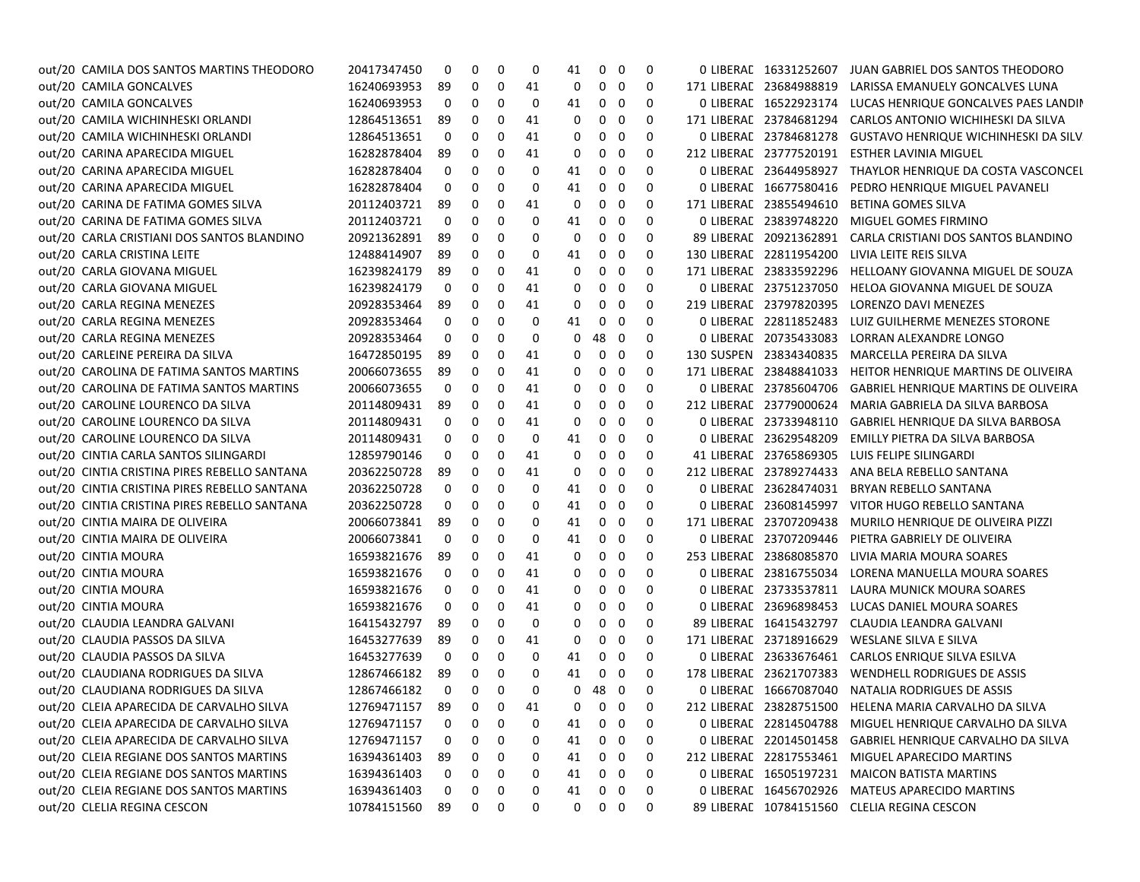| out/20 CAMILA DOS SANTOS MARTINS THEODORO    | 20417347450 | 0  | 0        | 0        | 0  | 41 | $\mathbf 0$ | 0           | 0   | 0 LIBERAL 16331252607   | JUAN GABRIEL DOS SANTOS THEODORO                           |
|----------------------------------------------|-------------|----|----------|----------|----|----|-------------|-------------|-----|-------------------------|------------------------------------------------------------|
| out/20 CAMILA GONCALVES                      | 16240693953 | 89 | 0        | 0        | 41 | 0  | 0           | 0           | 0   | 171 LIBERAL 23684988819 | LARISSA EMANUELY GONCALVES LUNA                            |
| out/20 CAMILA GONCALVES                      | 16240693953 | 0  | 0        | 0        | 0  | 41 | 0           | 0           | 0   |                         | 0 LIBERAE 16522923174 LUCAS HENRIQUE GONCALVES PAES LANDIN |
| out/20 CAMILA WICHINHESKI ORLANDI            | 12864513651 | 89 | 0        | 0        | 41 | 0  | 0           | 0           | 0   |                         | 171 LIBERAL 23784681294 CARLOS ANTONIO WICHIHESKI DA SILVA |
| out/20 CAMILA WICHINHESKI ORLANDI            | 12864513651 | 0  | 0        | 0        | 41 | 0  | 0           | 0           | 0   | 0 LIBERAL 23784681278   | GUSTAVO HENRIQUE WICHINHESKI DA SILV                       |
| out/20 CARINA APARECIDA MIGUEL               | 16282878404 | 89 | 0        | 0        | 41 | 0  | 0           | 0           | 0   | 212 LIBERAL 23777520191 | <b>ESTHER LAVINIA MIGUEL</b>                               |
| out/20 CARINA APARECIDA MIGUEL               | 16282878404 | 0  | 0        | 0        | 0  | 41 | 0           | 0           | 0   | 0 LIBERAL 23644958927   | THAYLOR HENRIQUE DA COSTA VASCONCEL                        |
| out/20 CARINA APARECIDA MIGUEL               | 16282878404 | 0  | 0        | 0        | 0  | 41 | 0           | 0           | 0   | 0 LIBERAE 16677580416   | PEDRO HENRIQUE MIGUEL PAVANELI                             |
| out/20 CARINA DE FATIMA GOMES SILVA          | 20112403721 | 89 | 0        | 0        | 41 | 0  | 0           | 0           | 0   | 171 LIBERAL 23855494610 | <b>BETINA GOMES SILVA</b>                                  |
| out/20 CARINA DE FATIMA GOMES SILVA          | 20112403721 | 0  | 0        | 0        | 0  | 41 | 0           | 0           | 0   | 0 LIBERAL 23839748220   | MIGUEL GOMES FIRMINO                                       |
| out/20 CARLA CRISTIANI DOS SANTOS BLANDINO   | 20921362891 | 89 | 0        | 0        | 0  | 0  | 0           | 0           | 0   | 89 LIBERAL 20921362891  | CARLA CRISTIANI DOS SANTOS BLANDINO                        |
| out/20 CARLA CRISTINA LEITE                  | 12488414907 | 89 | 0        | 0        | 0  | 41 | 0           | 0           | 0   | 130 LIBERAL 22811954200 | LIVIA LEITE REIS SILVA                                     |
| out/20 CARLA GIOVANA MIGUEL                  | 16239824179 | 89 | 0        | 0        | 41 | 0  | 0           | 0           | 0   | 171 LIBERAL 23833592296 | HELLOANY GIOVANNA MIGUEL DE SOUZA                          |
| out/20 CARLA GIOVANA MIGUEL                  | 16239824179 | 0  | 0        | 0        | 41 | 0  | 0           | 0           | 0   | 0 LIBERAL 23751237050   | HELOA GIOVANNA MIGUEL DE SOUZA                             |
| out/20 CARLA REGINA MENEZES                  | 20928353464 | 89 | 0        | 0        | 41 | 0  | 0           | 0           | 0   | 219 LIBERAL 23797820395 | LORENZO DAVI MENEZES                                       |
| out/20 CARLA REGINA MENEZES                  | 20928353464 | 0  | 0        | 0        | 0  | 41 | 0           | 0           | 0   | 0 LIBERAL 22811852483   | LUIZ GUILHERME MENEZES STORONE                             |
| out/20 CARLA REGINA MENEZES                  | 20928353464 | 0  | 0        | 0        | 0  | 0  | 48          | 0           | 0   | 0 LIBERAL 20735433083   | LORRAN ALEXANDRE LONGO                                     |
| out/20 CARLEINE PEREIRA DA SILVA             | 16472850195 | 89 | 0        | 0        | 41 | 0  | 0           | 0           | 0   | 130 SUSPEN 23834340835  | MARCELLA PEREIRA DA SILVA                                  |
| out/20 CAROLINA DE FATIMA SANTOS MARTINS     | 20066073655 | 89 | 0        | 0        | 41 | 0  | 0           | 0           | 0   | 171 LIBERAL 23848841033 | HEITOR HENRIQUE MARTINS DE OLIVEIRA                        |
| out/20 CAROLINA DE FATIMA SANTOS MARTINS     | 20066073655 | 0  | 0        | 0        | 41 | 0  | 0           | 0           | 0   | 0 LIBERAL 23785604706   | GABRIEL HENRIQUE MARTINS DE OLIVEIRA                       |
| out/20 CAROLINE LOURENCO DA SILVA            | 20114809431 | 89 | 0        | 0        | 41 | 0  | 0           | 0           | 0   | 212 LIBERAL 23779000624 | MARIA GABRIELA DA SILVA BARBOSA                            |
| out/20 CAROLINE LOURENCO DA SILVA            | 20114809431 | 0  | 0        | 0        | 41 | 0  | 0           | 0           | 0   | 0 LIBERAE 23733948110   | GABRIEL HENRIQUE DA SILVA BARBOSA                          |
| out/20 CAROLINE LOURENCO DA SILVA            | 20114809431 | 0  | 0        | 0        | 0  | 41 | 0           | 0           | 0   | 0 LIBERAL 23629548209   | EMILLY PIETRA DA SILVA BARBOSA                             |
| out/20 CINTIA CARLA SANTOS SILINGARDI        | 12859790146 | 0  | 0        | 0        | 41 | 0  | 0           | 0           | 0   | 41 LIBERAL 23765869305  | LUIS FELIPE SILINGARDI                                     |
| out/20 CINTIA CRISTINA PIRES REBELLO SANTANA | 20362250728 | 89 | 0        | 0        | 41 | 0  | 0           | 0           | 0   | 212 LIBERAL 23789274433 | ANA BELA REBELLO SANTANA                                   |
| out/20 CINTIA CRISTINA PIRES REBELLO SANTANA | 20362250728 | 0  | 0        | 0        | 0  | 41 | 0           | 0           | 0   | 0 LIBERAE 23628474031   | BRYAN REBELLO SANTANA                                      |
| out/20 CINTIA CRISTINA PIRES REBELLO SANTANA | 20362250728 | 0  | 0        | 0        | 0  | 41 | 0           | 0           | 0   | 0 LIBERAE 23608145997   | VITOR HUGO REBELLO SANTANA                                 |
| out/20 CINTIA MAIRA DE OLIVEIRA              | 20066073841 | 89 | 0        | 0        | 0  | 41 | 0           | 0           | 0   | 171 LIBERAL 23707209438 | MURILO HENRIQUE DE OLIVEIRA PIZZI                          |
| out/20 CINTIA MAIRA DE OLIVEIRA              | 20066073841 | 0  | 0        | 0        | 0  | 41 | 0           | 0           | 0   | 0 LIBERAE 23707209446   | PIETRA GABRIELY DE OLIVEIRA                                |
| out/20 CINTIA MOURA                          | 16593821676 | 89 | 0        | 0        | 41 | 0  | 0           | 0           | 0   | 253 LIBERAL 23868085870 | LIVIA MARIA MOURA SOARES                                   |
| out/20 CINTIA MOURA                          | 16593821676 | 0  | 0        | 0        | 41 | 0  | 0           | 0           | 0   | 0 LIBERAL 23816755034   | LORENA MANUELLA MOURA SOARES                               |
| out/20 CINTIA MOURA                          | 16593821676 | 0  | 0        | 0        | 41 | 0  | 0           | 0           | 0   |                         | 0 LIBERAL 23733537811 LAURA MUNICK MOURA SOARES            |
| out/20 CINTIA MOURA                          | 16593821676 | 0  | 0        | 0        | 41 | 0  | 0           | 0           | 0   | 0 LIBERAL 23696898453   | LUCAS DANIEL MOURA SOARES                                  |
| out/20 CLAUDIA LEANDRA GALVANI               | 16415432797 | 89 | 0        | 0        | 0  | 0  | 0           | 0           | 0   | 89 LIBERAL 16415432797  | CLAUDIA LEANDRA GALVANI                                    |
| out/20 CLAUDIA PASSOS DA SILVA               | 16453277639 | 89 | 0        | 0        | 41 | 0  | 0           | 0           | 0   | 171 LIBERAL 23718916629 | WESLANE SILVA E SILVA                                      |
| out/20 CLAUDIA PASSOS DA SILVA               | 16453277639 | 0  | 0        | 0        | 0  | 41 | 0           | 0           | 0   |                         | 0 LIBERAL 23633676461 CARLOS ENRIQUE SILVA ESILVA          |
| out/20 CLAUDIANA RODRIGUES DA SILVA          | 12867466182 | 89 | 0        | 0        | 0  | 41 | 0           | 0           | 0   | 178 LIBERAL 23621707383 | WENDHELL RODRIGUES DE ASSIS                                |
| out/20 CLAUDIANA RODRIGUES DA SILVA          | 12867466182 | 0  | 0        | 0        | 0  |    | $0$ 48 $0$  |             | 0   |                         | 0 LIBERAL 16667087040 NATALIA RODRIGUES DE ASSIS           |
| out/20 CLEIA APARECIDA DE CARVALHO SILVA     | 12769471157 | 89 | $\Omega$ | $\Omega$ | 41 |    | 000         |             | - 0 |                         | 212 LIBERAE 23828751500 HELENA MARIA CARVALHO DA SILVA     |
| out/20 CLEIA APARECIDA DE CARVALHO SILVA     | 12769471157 | 0  | 0        | 0        | 0  | 41 | $\mathbf 0$ | $\mathbf 0$ | 0   |                         | 0 LIBERAE 22814504788 MIGUEL HENRIQUE CARVALHO DA SILVA    |
| out/20 CLEIA APARECIDA DE CARVALHO SILVA     | 12769471157 | 0  | 0        | 0        | 0  | 41 | 0           | 0           | 0   |                         | 0 LIBERAL 22014501458 GABRIEL HENRIQUE CARVALHO DA SILVA   |
| out/20 CLEIA REGIANE DOS SANTOS MARTINS      | 16394361403 | 89 | 0        | 0        | 0  | 41 | 0           | 0           | 0   |                         | 212 LIBERAE 22817553461 MIGUEL APARECIDO MARTINS           |
| out/20 CLEIA REGIANE DOS SANTOS MARTINS      | 16394361403 | 0  | 0        | 0        | 0  | 41 | 0           | 0           | 0   |                         | 0 LIBERAE 16505197231 MAICON BATISTA MARTINS               |
| out/20 CLEIA REGIANE DOS SANTOS MARTINS      | 16394361403 | 0  | 0        | 0        | 0  | 41 | 0           | 0           | 0   |                         | 0 LIBERAL 16456702926 MATEUS APARECIDO MARTINS             |
| out/20 CLELIA REGINA CESCON                  | 10784151560 | 89 | 0        | 0        | 0  | 0  | 0           | 0           | 0   |                         | 89 LIBERAE 10784151560 CLELIA REGINA CESCON                |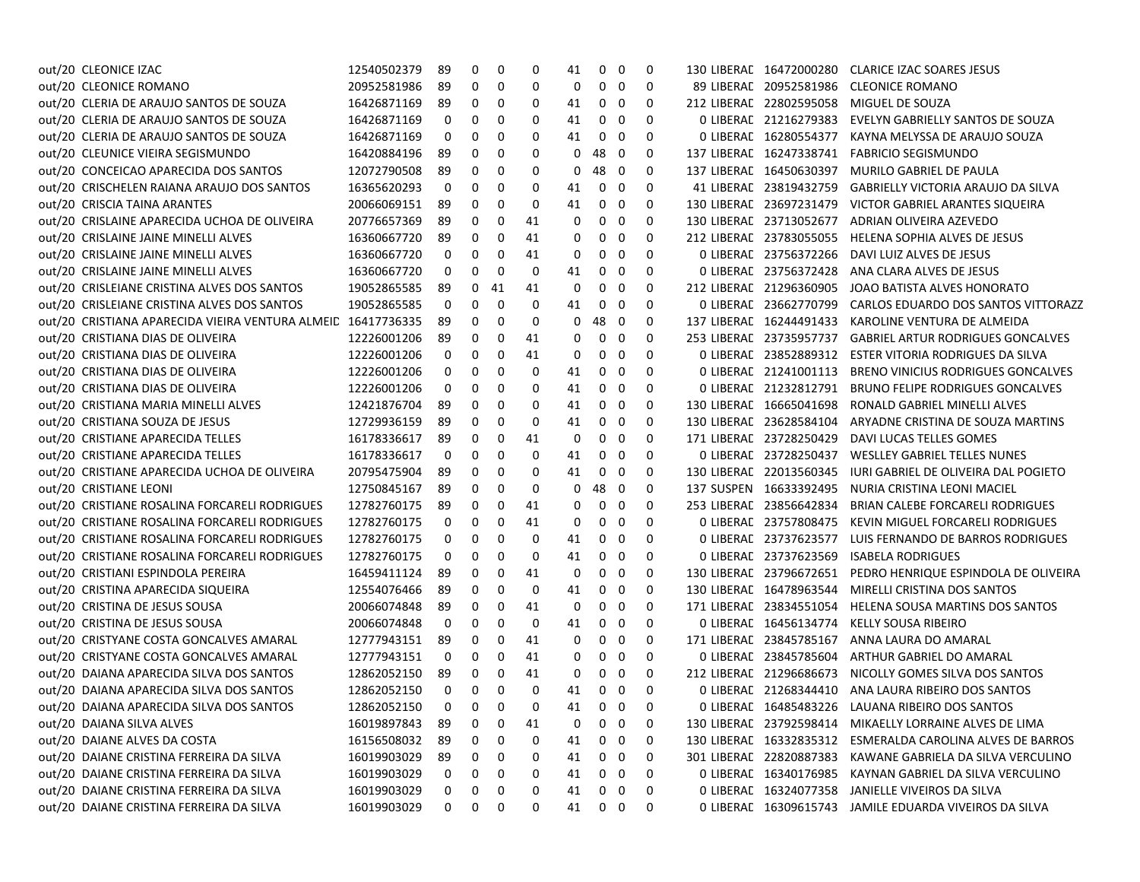| out/20 CLEONICE IZAC                                         | 12540502379          | 89 | 0           | 0  | 0  | 41 | 0           | 0                       | 0        | 130 LIBERAL 16472000280 | CLARICE IZAC SOARES JESUS                                  |
|--------------------------------------------------------------|----------------------|----|-------------|----|----|----|-------------|-------------------------|----------|-------------------------|------------------------------------------------------------|
| out/20 CLEONICE ROMANO                                       | 20952581986          | 89 | 0           | 0  | 0  | 0  | 0           | 0                       | 0        | 89 LIBERAL 20952581986  | CLEONICE ROMANO                                            |
| out/20 CLERIA DE ARAUJO SANTOS DE SOUZA                      | 16426871169          | 89 | 0           | 0  | 0  | 41 | 0           | - 0                     | 0        | 212 LIBERAL 22802595058 | MIGUEL DE SOUZA                                            |
| out/20 CLERIA DE ARAUJO SANTOS DE SOUZA                      | 16426871169          | 0  | 0           | 0  | 0  | 41 | 0           | 0                       | 0        | 0 LIBERAL 21216279383   | EVELYN GABRIELLY SANTOS DE SOUZA                           |
| out/20 CLERIA DE ARAUJO SANTOS DE SOUZA                      | 16426871169          | 0  | 0           | 0  | 0  | 41 | 0           | - 0                     | 0        | 0 LIBERAL 16280554377   | KAYNA MELYSSA DE ARAUJO SOUZA                              |
| out/20 CLEUNICE VIEIRA SEGISMUNDO                            | 16420884196          | 89 | 0           | 0  | 0  | 0  | 48          | - 0                     | 0        | 137 LIBERAL 16247338741 | <b>FABRICIO SEGISMUNDO</b>                                 |
| out/20 CONCEICAO APARECIDA DOS SANTOS                        | 12072790508          | 89 | 0           | 0  | 0  | 0  | 48          | 0                       | 0        | 137 LIBERAL 16450630397 | MURILO GABRIEL DE PAULA                                    |
| out/20 CRISCHELEN RAIANA ARAUJO DOS SANTOS                   | 16365620293          | 0  | 0           | 0  | 0  | 41 | 0           | 0                       | 0        | 41 LIBERAL 23819432759  | <b>GABRIELLY VICTORIA ARAUJO DA SILVA</b>                  |
| out/20 CRISCIA TAINA ARANTES                                 | 20066069151          | 89 | 0           | 0  | 0  | 41 | 0           | - 0                     | 0        | 130 LIBERAL 23697231479 | VICTOR GABRIEL ARANTES SIQUEIRA                            |
| out/20 CRISLAINE APARECIDA UCHOA DE OLIVEIRA                 | 20776657369          | 89 | 0           | 0  | 41 | 0  | 0           | 0                       | 0        | 130 LIBERAL 23713052677 | ADRIAN OLIVEIRA AZEVEDO                                    |
| out/20 CRISLAINE JAINE MINELLI ALVES                         | 16360667720          | 89 | 0           | 0  | 41 | 0  | 0           | 0                       | 0        | 212 LIBERAL 23783055055 | <b>HELENA SOPHIA ALVES DE JESUS</b>                        |
| out/20 CRISLAINE JAINE MINELLI ALVES                         | 16360667720          | 0  | 0           | 0  | 41 | 0  | 0           | 0                       | 0        | 0 LIBERAL 23756372266   | DAVI LUIZ ALVES DE JESUS                                   |
| out/20 CRISLAINE JAINE MINELLI ALVES                         | 16360667720          | 0  | 0           | 0  | 0  | 41 | 0           | 0                       | 0        | 0 LIBERAL 23756372428   | ANA CLARA ALVES DE JESUS                                   |
| out/20 CRISLEIANE CRISTINA ALVES DOS SANTOS                  | 19052865585          | 89 | 0           | 41 | 41 | 0  | 0           | 0                       | 0        | 212 LIBERAL 21296360905 | JOAO BATISTA ALVES HONORATO                                |
| out/20 CRISLEIANE CRISTINA ALVES DOS SANTOS                  | 19052865585          | 0  | 0           | 0  | 0  | 41 | 0           | 0                       | 0        | 0 LIBERAL 23662770799   | CARLOS EDUARDO DOS SANTOS VITTORAZZ                        |
| out/20 CRISTIANA APARECIDA VIEIRA VENTURA ALMEIL 16417736335 |                      | 89 | 0           | 0  | 0  | 0  | 48          | 0                       | 0        | 137 LIBERAL 16244491433 | KAROLINE VENTURA DE ALMEIDA                                |
| out/20 CRISTIANA DIAS DE OLIVEIRA                            | 12226001206          | 89 | 0           | 0  | 41 | 0  | 0           | 0                       | 0        | 253 LIBERAL 23735957737 | <b>GABRIEL ARTUR RODRIGUES GONCALVES</b>                   |
| out/20 CRISTIANA DIAS DE OLIVEIRA                            | 12226001206          | 0  | 0           | 0  | 41 | 0  | 0           | 0                       | 0        | 0 LIBERAL 23852889312   | ESTER VITORIA RODRIGUES DA SILVA                           |
| out/20 CRISTIANA DIAS DE OLIVEIRA                            | 12226001206          | 0  | 0           | 0  | 0  | 41 | 0           | 0                       | 0        | 0 LIBERAL 21241001113   | BRENO VINICIUS RODRIGUES GONCALVES                         |
| out/20 CRISTIANA DIAS DE OLIVEIRA                            | 12226001206          | 0  | 0           | 0  | 0  | 41 | 0           | 0                       | 0        | 0 LIBERAL 21232812791   | <b>BRUNO FELIPE RODRIGUES GONCALVES</b>                    |
| out/20 CRISTIANA MARIA MINELLI ALVES                         | 12421876704          | 89 | 0           | 0  | 0  | 41 | 0           | - 0                     | 0        | 130 LIBERAL 16665041698 | RONALD GABRIEL MINELLI ALVES                               |
| out/20 CRISTIANA SOUZA DE JESUS                              | 12729936159          | 89 | 0           | 0  | 0  | 41 | 0           | 0                       | 0        | 130 LIBERAL 23628584104 | ARYADNE CRISTINA DE SOUZA MARTINS                          |
| out/20 CRISTIANE APARECIDA TELLES                            | 16178336617          | 89 | 0           | 0  | 41 | 0  | 0           | 0                       | 0        | 171 LIBERAL 23728250429 | DAVI LUCAS TELLES GOMES                                    |
| out/20 CRISTIANE APARECIDA TELLES                            | 16178336617          | 0  | 0           | 0  | 0  | 41 | 0           | 0                       | 0        | 0 LIBERAL 23728250437   | <b>WESLLEY GABRIEL TELLES NUNES</b>                        |
| out/20 CRISTIANE APARECIDA UCHOA DE OLIVEIRA                 | 20795475904          | 89 | 0           | 0  | 0  | 41 | 0           | 0                       | 0        | 130 LIBERAL 22013560345 | <b>IURI GABRIEL DE OLIVEIRA DAL POGIETO</b>                |
| out/20 CRISTIANE LEONI                                       | 12750845167          | 89 | 0           | 0  | 0  | 0  | 48          | - 0                     | 0        | 137 SUSPEN 16633392495  | NURIA CRISTINA LEONI MACIEL                                |
| out/20 CRISTIANE ROSALINA FORCARELI RODRIGUES                | 12782760175          | 89 | 0           | 0  | 41 | 0  | 0           | - 0                     | 0        | 253 LIBERAL 23856642834 | <b>BRIAN CALEBE FORCARELI RODRIGUES</b>                    |
| out/20 CRISTIANE ROSALINA FORCARELI RODRIGUES                | 12782760175          | 0  | 0           | 0  | 41 | 0  | 0           | 0                       | 0        | 0 LIBERAL 23757808475   | KEVIN MIGUEL FORCARELI RODRIGUES                           |
| out/20 CRISTIANE ROSALINA FORCARELI RODRIGUES                | 12782760175          | 0  | 0           | 0  | 0  | 41 | 0           | 0                       | O        | 0 LIBERAL 23737623577   | LUIS FERNANDO DE BARROS RODRIGUES                          |
| out/20 CRISTIANE ROSALINA FORCARELI RODRIGUES                | 12782760175          | 0  | 0           | 0  | 0  | 41 | 0           | 0                       | 0        | 0 LIBERAL 23737623569   | <b>ISABELA RODRIGUES</b>                                   |
| out/20 CRISTIANI ESPINDOLA PEREIRA                           | 16459411124          | 89 | 0           | 0  | 41 | 0  | 0           | 0                       | 0        | 130 LIBERAL 23796672651 | PEDRO HENRIQUE ESPINDOLA DE OLIVEIRA                       |
| out/20 CRISTINA APARECIDA SIQUEIRA                           | 12554076466          | 89 | 0           | 0  | 0  | 41 | 0           | 0                       | 0        | 130 LIBERAL 16478963544 | MIRELLI CRISTINA DOS SANTOS                                |
| out/20 CRISTINA DE JESUS SOUSA                               | 20066074848          | 89 | 0           | 0  | 41 | 0  | 0           | 0                       | 0        | 171 LIBERAL 23834551054 | HELENA SOUSA MARTINS DOS SANTOS                            |
| out/20 CRISTINA DE JESUS SOUSA                               | 20066074848          | 0  | 0           | 0  | 0  | 41 | 0           | 0                       | 0        | 0 LIBERAL 16456134774   | KELLY SOUSA RIBEIRO                                        |
| out/20 CRISTYANE COSTA GONCALVES AMARAL                      | 12777943151          | 89 | 0           | 0  | 41 | 0  | 0           | - 0                     | 0        | 171 LIBERAL 23845785167 | ANNA LAURA DO AMARAL                                       |
| out/20 CRISTYANE COSTA GONCALVES AMARAL                      | 12777943151          | 0  | 0           | 0  | 41 | 0  | 0           | 0                       | 0        | 0 LIBERAL 23845785604   | ARTHUR GABRIEL DO AMARAL                                   |
| out/20 DAIANA APARECIDA SILVA DOS SANTOS                     | 12862052150          | 89 | 0           | 0  | 41 | 0  | 0           | - 0                     | $\Omega$ | 212 LIBERAL 21296686673 | NICOLLY GOMES SILVA DOS SANTOS                             |
| out/20 DAIANA APARECIDA SILVA DOS SANTOS                     | 12862052150          | 0  | $\mathbf 0$ | 0  | 0  | 41 | $\mathbf 0$ | $\overline{\mathbf{0}}$ | 0        |                         | 0 LIBERAL 21268344410 ANA LAURA RIBEIRO DOS SANTOS         |
| out/20 DAIANA APARECIDA SILVA DOS SANTOS                     | 12862052150  0  0  0 |    |             |    | 0  |    | 41 0 0      |                         | 0        |                         | 0 LIBERAL 16485483226 LAUANA RIBEIRO DOS SANTOS            |
| out/20 DAIANA SILVA ALVES                                    | 16019897843          | 89 | 0           | 0  | 41 | 0  | 0           | $\overline{\mathbf{0}}$ | 0        |                         | 130 LIBERAE 23792598414 MIKAELLY LORRAINE ALVES DE LIMA    |
| out/20 DAIANE ALVES DA COSTA                                 | 16156508032          | 89 | 0           | 0  | 0  | 41 | 0           | 0                       | 0        |                         | 130 LIBERAL 16332835312 ESMERALDA CAROLINA ALVES DE BARROS |
| out/20 DAIANE CRISTINA FERREIRA DA SILVA                     | 16019903029          | 89 | 0           | 0  | 0  | 41 | 0           | $\overline{\mathbf{0}}$ | 0        |                         | 301 LIBERAL 22820887383 KAWANE GABRIELA DA SILVA VERCULINO |
| out/20 DAIANE CRISTINA FERREIRA DA SILVA                     | 16019903029          | 0  | 0           | 0  | 0  | 41 | 0           | $\overline{\mathbf{0}}$ | 0        |                         | 0 LIBERAL 16340176985 KAYNAN GABRIEL DA SILVA VERCULINO    |
| out/20 DAIANE CRISTINA FERREIRA DA SILVA                     | 16019903029          | 0  | 0           | 0  | 0  | 41 | $0\quad 0$  |                         | 0        |                         | 0 LIBERAL 16324077358 JANIELLE VIVEIROS DA SILVA           |
| out/20 DAIANE CRISTINA FERREIRA DA SILVA                     | 16019903029          | 0  | 0           | 0  | 0  |    | 41 0 0      |                         | 0        |                         | O LIBERAE 16309615743 JAMILE EDUARDA VIVEIROS DA SILVA     |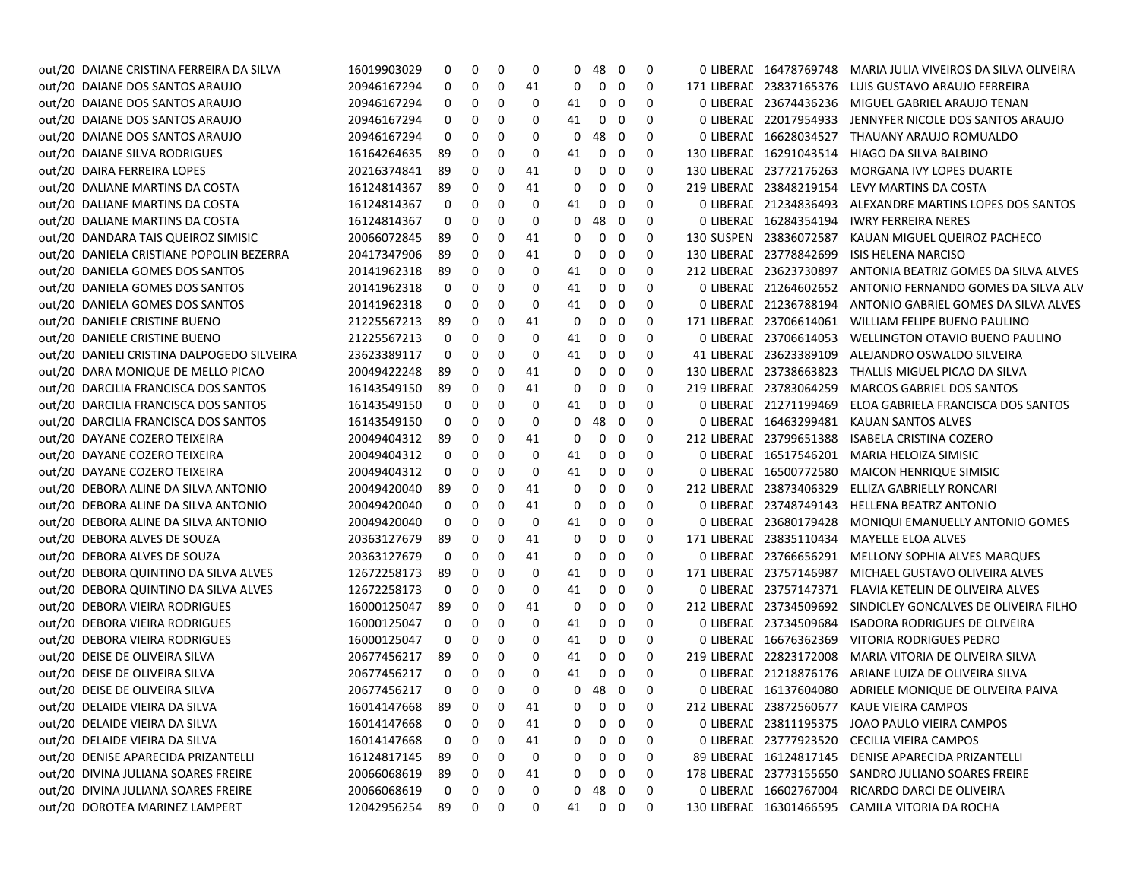| out/20 DAIANE CRISTINA FERREIRA DA SILVA   | 16019903029    | 0        | 0              | 0           | 0        | 0  | 48                | - 0                     | 0                        | 0 LIBERAL 16478769748   | MARIA JULIA VIVEIROS DA SILVA OLIVEIRA                  |
|--------------------------------------------|----------------|----------|----------------|-------------|----------|----|-------------------|-------------------------|--------------------------|-------------------------|---------------------------------------------------------|
| out/20 DAIANE DOS SANTOS ARAUJO            | 20946167294    | 0        | 0              | 0           | 41       | 0  | 0                 | 0                       | 0                        | 171 LIBERAL 23837165376 | LUIS GUSTAVO ARAUJO FERREIRA                            |
| out/20 DAIANE DOS SANTOS ARAUJO            | 20946167294    | 0        | 0              | 0           | 0        | 41 | 0                 | 0                       | 0                        | 0 LIBERAL 23674436236   | MIGUEL GABRIEL ARAUJO TENAN                             |
| out/20 DAIANE DOS SANTOS ARAUJO            | 20946167294    | 0        | 0              | 0           | 0        | 41 | 0                 | 0                       | 0                        | 0 LIBERAL 22017954933   | JENNYFER NICOLE DOS SANTOS ARAUJO                       |
| out/20 DAIANE DOS SANTOS ARAUJO            | 20946167294    | 0        | 0              | 0           | 0        | 0  | 48                | 0                       | 0                        | 0 LIBERAL 16628034527   | THAUANY ARAUJO ROMUALDO                                 |
| out/20 DAIANE SILVA RODRIGUES              | 16164264635    | -89      | 0              | 0           | 0        | 41 | 0                 | 0                       | 0                        | 130 LIBERAL 16291043514 | HIAGO DA SILVA BALBINO                                  |
| out/20 DAIRA FERREIRA LOPES                | 20216374841    | 89       | 0              | 0           | 41       | 0  | 0                 | 0                       | 0                        | 130 LIBERAL 23772176263 | MORGANA IVY LOPES DUARTE                                |
| out/20 DALIANE MARTINS DA COSTA            | 16124814367    | 89       | 0              | 0           | 41       | 0  | 0                 | 0                       | 0                        | 219 LIBERAL 23848219154 | LEVY MARTINS DA COSTA                                   |
| out/20 DALIANE MARTINS DA COSTA            | 16124814367    | 0        | 0              | 0           | 0        | 41 | 0                 | 0                       | 0                        | 0 LIBERAL 21234836493   | ALEXANDRE MARTINS LOPES DOS SANTOS                      |
| out/20 DALIANE MARTINS DA COSTA            | 16124814367    | 0        | 0              | 0           | 0        | 0  | 48                | 0                       | 0                        | 0 LIBERAL 16284354194   | <b>IWRY FERREIRA NERES</b>                              |
| out/20 DANDARA TAIS QUEIROZ SIMISIC        | 20066072845    | 89       | 0              | 0           | 41       | 0  | 0                 | 0                       | 0                        | 130 SUSPEN 23836072587  | KAUAN MIGUEL QUEIROZ PACHECO                            |
| out/20 DANIELA CRISTIANE POPOLIN BEZERRA   | 20417347906    | 89       | 0              | 0           | 41       | 0  | 0                 | 0                       | 0                        | 130 LIBERAL 23778842699 | <b>ISIS HELENA NARCISO</b>                              |
| out/20 DANIELA GOMES DOS SANTOS            | 20141962318    | -89      | 0              | 0           | 0        | 41 | 0                 | 0                       | 0                        | 212 LIBERAL 23623730897 | ANTONIA BEATRIZ GOMES DA SILVA ALVES                    |
| out/20 DANIELA GOMES DOS SANTOS            | 20141962318    | 0        | 0              | 0           | 0        | 41 | 0                 | 0                       | 0                        | 0 LIBERAL 21264602652   | ANTONIO FERNANDO GOMES DA SILVA ALV                     |
| out/20 DANIELA GOMES DOS SANTOS            | 20141962318    | 0        | 0              | 0           | 0        | 41 | 0                 | 0                       | 0                        | 0 LIBERAL 21236788194   | ANTONIO GABRIEL GOMES DA SILVA ALVES                    |
| out/20 DANIELE CRISTINE BUENO              | 21225567213    | 89       | 0              | 0           | 41       | 0  | 0                 | 0                       | 0                        | 171 LIBERAL 23706614061 | WILLIAM FELIPE BUENO PAULINO                            |
| out/20 DANIELE CRISTINE BUENO              | 21225567213    | 0        | 0              | 0           | 0        | 41 | 0                 | 0                       | 0                        | 0 LIBERAL 23706614053   | WELLINGTON OTAVIO BUENO PAULINO                         |
| out/20 DANIELI CRISTINA DALPOGEDO SILVEIRA | 23623389117    | 0        | 0              | 0           | 0        | 41 | 0                 | 0                       | 0                        | 41 LIBERAL 23623389109  | ALEJANDRO OSWALDO SILVEIRA                              |
| out/20 DARA MONIQUE DE MELLO PICAO         | 20049422248    | 89       | 0              | 0           | 41       | 0  | 0                 | 0                       | 0                        | 130 LIBERAL 23738663823 | THALLIS MIGUEL PICAO DA SILVA                           |
| out/20 DARCILIA FRANCISCA DOS SANTOS       | 16143549150    | 89       | 0              | 0           | 41       | 0  | 0                 | 0                       | 0                        | 219 LIBERAL 23783064259 | <b>MARCOS GABRIEL DOS SANTOS</b>                        |
| out/20 DARCILIA FRANCISCA DOS SANTOS       | 16143549150    | 0        | 0              | 0           | 0        | 41 | 0                 | 0                       | 0                        | 0 LIBERAL 21271199469   | ELOA GABRIELA FRANCISCA DOS SANTOS                      |
| out/20 DARCILIA FRANCISCA DOS SANTOS       | 16143549150    | 0        | 0              | 0           | 0        | 0  | 48                | 0                       | 0                        | 0 LIBERAL 16463299481   | KAUAN SANTOS ALVES                                      |
| out/20 DAYANE COZERO TEIXEIRA              | 20049404312    | 89       | 0              | 0           | 41       | 0  | 0                 | 0                       | 0                        | 212 LIBERAL 23799651388 | <b>ISABELA CRISTINA COZERO</b>                          |
| out/20 DAYANE COZERO TEIXEIRA              | 20049404312    | 0        | 0              | 0           | 0        | 41 | 0                 | 0                       | 0                        | 0 LIBERAL 16517546201   | MARIA HELOIZA SIMISIC                                   |
| out/20 DAYANE COZERO TEIXEIRA              | 20049404312    | 0        | 0              | 0           | 0        | 41 | 0                 | 0                       | 0                        | 0 LIBERAL 16500772580   | MAICON HENRIQUE SIMISIC                                 |
| out/20 DEBORA ALINE DA SILVA ANTONIO       | 20049420040    | 89       | 0              | 0           | 41       | 0  | 0                 | 0                       | 0                        | 212 LIBERAL 23873406329 | ELLIZA GABRIELLY RONCARI                                |
| out/20 DEBORA ALINE DA SILVA ANTONIO       | 20049420040    | 0        | 0              | 0           | 41       | 0  | 0                 | 0                       | 0                        | 0 LIBERAL 23748749143   | <b>HELLENA BEATRZ ANTONIO</b>                           |
| out/20 DEBORA ALINE DA SILVA ANTONIO       | 20049420040    | 0        | 0              | 0           | 0        | 41 | 0                 | 0                       | 0                        | 0 LIBERAL 23680179428   | MONIQUI EMANUELLY ANTONIO GOMES                         |
| out/20 DEBORA ALVES DE SOUZA               | 20363127679    | -89      | 0              | 0           | 41       | 0  | 0                 | 0                       | 0                        | 171 LIBERAL 23835110434 | <b>MAYELLE ELOA ALVES</b>                               |
| out/20 DEBORA ALVES DE SOUZA               | 20363127679    | 0        | 0              | 0           | 41       | 0  | 0                 | 0                       | 0                        | 0 LIBERAL 23766656291   | MELLONY SOPHIA ALVES MARQUES                            |
| out/20 DEBORA QUINTINO DA SILVA ALVES      | 12672258173    | 89       | 0              | 0           | 0        | 41 | 0                 | 0                       | 0                        | 171 LIBERAL 23757146987 | MICHAEL GUSTAVO OLIVEIRA ALVES                          |
| out/20 DEBORA QUINTINO DA SILVA ALVES      | 12672258173    | 0        | 0              | 0           | 0        | 41 | 0                 | 0                       | 0                        | 0 LIBERAL 23757147371   | FLAVIA KETELIN DE OLIVEIRA ALVES                        |
| out/20 DEBORA VIEIRA RODRIGUES             | 16000125047    | 89       | 0              | 0           | 41       | 0  | 0                 | 0                       | 0                        | 212 LIBERAL 23734509692 | SINDICLEY GONCALVES DE OLIVEIRA FILHO                   |
| out/20 DEBORA VIEIRA RODRIGUES             | 16000125047    | 0        | 0              | 0           | 0        | 41 | 0                 | 0                       | 0                        | 0 LIBERAL 23734509684   | ISADORA RODRIGUES DE OLIVEIRA                           |
| out/20 DEBORA VIEIRA RODRIGUES             | 16000125047    | 0        | 0              | 0           | 0        | 41 | 0                 | 0                       | 0                        | 0 LIBERAL 16676362369   | VITORIA RODRIGUES PEDRO                                 |
| out/20 DEISE DE OLIVEIRA SILVA             | 20677456217    | 89       | 0              | 0           | 0        | 41 | 0                 | 0                       | 0                        | 219 LIBERAL 22823172008 | MARIA VITORIA DE OLIVEIRA SILVA                         |
| out/20 DEISE DE OLIVEIRA SILVA             | 20677456217    | $\Omega$ | 0              | 0           | $\Omega$ | 41 | 0                 | 0                       | $\Omega$                 | 0 LIBERAL 21218876176   | ARIANE LUIZA DE OLIVEIRA SILVA                          |
| out/20 DEISE DE OLIVEIRA SILVA             | 20677456217    | $\Omega$ | 0              | 0           | $\Omega$ | 0  | 48                | - 0                     | $\Omega$                 |                         | 0 LIBERAL 16137604080 ADRIELE MONIQUE DE OLIVEIRA PAIVA |
| out/20 DELAIDE VIEIRA DA SILVA             | 16014147668    | 89       | $\overline{0}$ | $\mathbf 0$ | 41       |    | $0\quad 0\quad 0$ |                         | $\overline{\phantom{0}}$ |                         | 212 LIBERAE 23872560677 KAUE VIEIRA CAMPOS              |
| out/20 DELAIDE VIEIRA DA SILVA             | 16014147668    | 0        | 0              | 0           | 41       | 0  | 0                 | $\mathbf 0$             | 0                        |                         | 0 LIBERAE 23811195375 JOAO PAULO VIEIRA CAMPOS          |
| out/20 DELAIDE VIEIRA DA SILVA             | 16014147668    | 0        | 0              | 0           | 41       | 0  | 0                 | 0                       | 0                        | 0 LIBERAL 23777923520   | CECILIA VIEIRA CAMPOS                                   |
| out/20 DENISE APARECIDA PRIZANTELLI        | 16124817145    | 89       | 0              | 0           | 0        | 0  | 0                 | 0                       | 0                        | 89 LIBERAL 16124817145  | DENISE APARECIDA PRIZANTELLI                            |
| out/20 DIVINA JULIANA SOARES FREIRE        | 20066068619    | 89       | 0              | 0           | 41       | 0  | 0                 | 0                       | 0                        |                         | 178 LIBERAE 23773155650 SANDRO JULIANO SOARES FREIRE    |
| out/20 DIVINA JULIANA SOARES FREIRE        | 20066068619    | 0        | 0              | 0           | 0        |    | 0 48              | $\overline{\mathbf{0}}$ | 0                        |                         | 0 LIBERAE 16602767004 RICARDO DARCI DE OLIVEIRA         |
| out/20 DOROTEA MARINEZ LAMPERT             | 12042956254 89 |          | $\mathbf{0}$   | 0           | 0        |    | 41 0 0            |                         | 0                        |                         | 130 LIBERAE 16301466595 CAMILA VITORIA DA ROCHA         |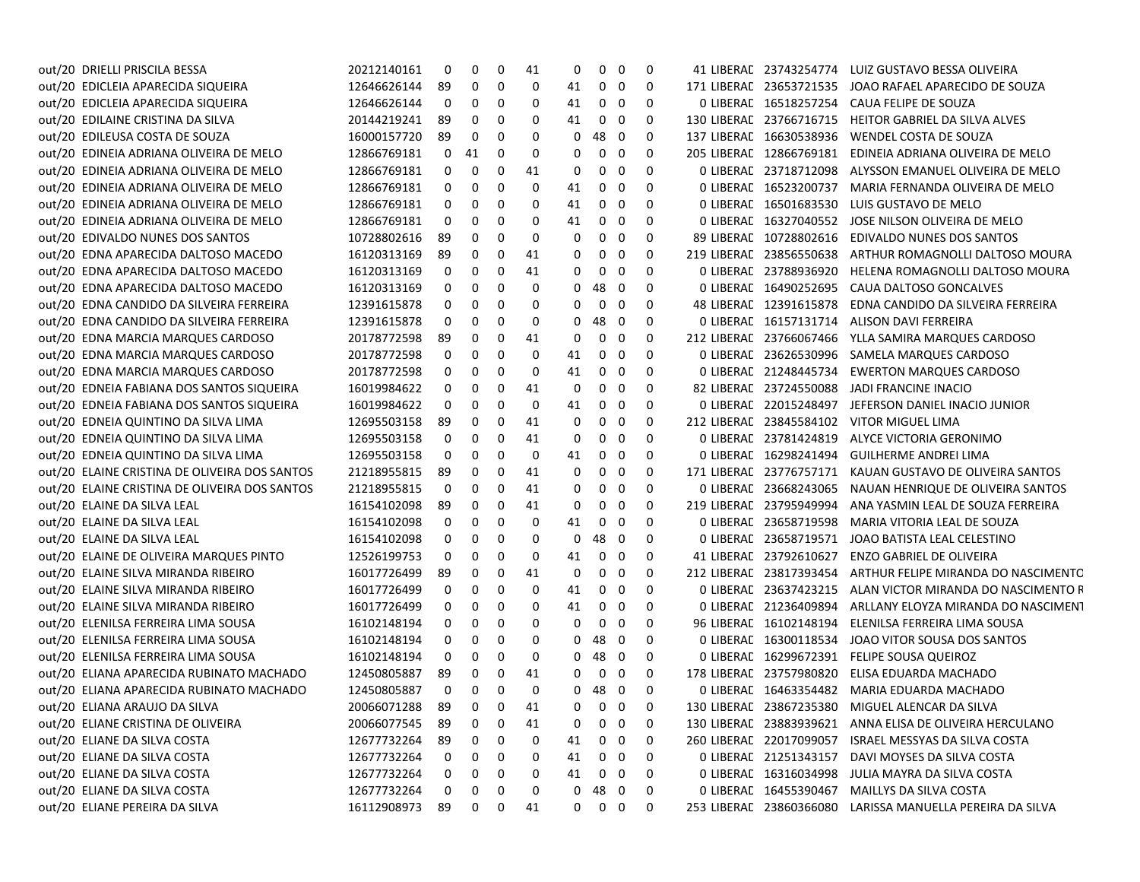| out/20 DRIELLI PRISCILA BESSA                 | 20212140161      | 0   | 0            | 0            | 41 | 0  | 0                 | - 0                      | 0 |                         | 41 LIBERAE 23743254774 LUIZ GUSTAVO BESSA OLIVEIRA        |
|-----------------------------------------------|------------------|-----|--------------|--------------|----|----|-------------------|--------------------------|---|-------------------------|-----------------------------------------------------------|
| out/20 EDICLEIA APARECIDA SIQUEIRA            | 12646626144      | 89  | 0            | 0            | 0  | 41 | $0\quad 0$        |                          | 0 |                         | 171 LIBERAL 23653721535 JOAO RAFAEL APARECIDO DE SOUZA    |
| out/20 EDICLEIA APARECIDA SIQUEIRA            | 12646626144      | 0   | 0            | 0            | 0  | 41 | $0\quad 0$        |                          | 0 |                         | 0 LIBERAL 16518257254 CAUA FELIPE DE SOUZA                |
| out/20 EDILAINE CRISTINA DA SILVA             | 20144219241      | -89 | 0            | 0            | 0  | 41 | $0\quad 0$        |                          | 0 |                         | 130 LIBERAL 23766716715 HEITOR GABRIEL DA SILVA ALVES     |
| out/20 EDILEUSA COSTA DE SOUZA                | 16000157720      | 89  | 0            | 0            | 0  | 0  | 48                | - 0                      | 0 | 137 LIBERAL 16630538936 | WENDEL COSTA DE SOUZA                                     |
| out/20 EDINEIA ADRIANA OLIVEIRA DE MELO       | 12866769181      | 0   | 41           | 0            | 0  | 0  | $\mathbf 0$       | - 0                      | 0 | 205 LIBERAL 12866769181 | EDINEIA ADRIANA OLIVEIRA DE MELO                          |
| out/20 EDINEIA ADRIANA OLIVEIRA DE MELO       | 12866769181      | 0   | 0            | 0            | 41 | 0  | 0                 | 0                        | 0 | 0 LIBERAL 23718712098   | ALYSSON EMANUEL OLIVEIRA DE MELO                          |
| out/20 EDINEIA ADRIANA OLIVEIRA DE MELO       | 12866769181      | 0   | 0            | 0            | 0  | 41 | 0                 | - 0                      | 0 | 0 LIBERAL 16523200737   | MARIA FERNANDA OLIVEIRA DE MELO                           |
| out/20 EDINEIA ADRIANA OLIVEIRA DE MELO       | 12866769181      | 0   | 0            | 0            | 0  | 41 | 0                 | - 0                      | 0 | 0 LIBERAL 16501683530   | LUIS GUSTAVO DE MELO                                      |
| EDINEIA ADRIANA OLIVEIRA DE MELO<br>out/20    | 12866769181      | 0   | 0            | 0            | 0  | 41 | $\mathbf{0}$      | - 0                      | 0 | 0 LIBERAL 16327040552   | JOSE NILSON OLIVEIRA DE MELO                              |
| out/20 EDIVALDO NUNES DOS SANTOS              | 10728802616      | 89  | 0            | 0            | 0  | 0  | 0                 | - 0                      | 0 | 89 LIBERAL 10728802616  | EDIVALDO NUNES DOS SANTOS                                 |
| out/20 EDNA APARECIDA DALTOSO MACEDO          | 16120313169      | 89  | 0            | 0            | 41 | 0  | 0                 | - 0                      | 0 | 219 LIBERAL 23856550638 | ARTHUR ROMAGNOLLI DALTOSO MOURA                           |
| out/20 EDNA APARECIDA DALTOSO MACEDO          | 16120313169      | 0   | 0            | 0            | 41 | 0  | 0                 | 0                        | 0 | 0 LIBERAL 23788936920   | HELENA ROMAGNOLLI DALTOSO MOURA                           |
| out/20 EDNA APARECIDA DALTOSO MACEDO          | 16120313169      | 0   | 0            | 0            | 0  | 0  | 48                | - 0                      | 0 | 0 LIBERAL 16490252695   | CAUA DALTOSO GONCALVES                                    |
| out/20 EDNA CANDIDO DA SILVEIRA FERREIRA      | 12391615878      | 0   | 0            | 0            | 0  | 0  | 0                 | - 0                      | 0 | 48 LIBERAL 12391615878  | EDNA CANDIDO DA SILVEIRA FERREIRA                         |
| out/20 EDNA CANDIDO DA SILVEIRA FERREIRA      | 12391615878      | 0   | 0            | 0            | 0  | 0  | 48                | - 0                      | 0 | 0 LIBERAL 16157131714   | ALISON DAVI FERREIRA                                      |
| out/20 EDNA MARCIA MARQUES CARDOSO            | 20178772598      | 89  | 0            | 0            | 41 | 0  | 0                 | - 0                      | 0 | 212 LIBERAL 23766067466 | YLLA SAMIRA MARQUES CARDOSO                               |
| out/20 EDNA MARCIA MARQUES CARDOSO            | 20178772598      | 0   | 0            | 0            | 0  | 41 | $0\quad 0$        |                          | 0 | 0 LIBERAL 23626530996   | SAMELA MARQUES CARDOSO                                    |
| out/20 EDNA MARCIA MARQUES CARDOSO            | 20178772598      | 0   | 0            | 0            | 0  | 41 | 0                 | - 0                      | 0 | 0 LIBERAL 21248445734   | <b>EWERTON MARQUES CARDOSO</b>                            |
| out/20 EDNEIA FABIANA DOS SANTOS SIQUEIRA     | 16019984622      | 0   | 0            | 0            | 41 | 0  | 0                 | - 0                      | 0 | 82 LIBERAL 23724550088  | JADI FRANCINE INACIO                                      |
| out/20 EDNEIA FABIANA DOS SANTOS SIQUEIRA     | 16019984622      | 0   | 0            | 0            | 0  | 41 | 0                 | - 0                      | 0 | 0 LIBERAL 22015248497   | JEFERSON DANIEL INACIO JUNIOR                             |
| out/20 EDNEIA QUINTINO DA SILVA LIMA          | 12695503158      | 89  | 0            | 0            | 41 | 0  | 0                 | - 0                      | 0 | 212 LIBERAL 23845584102 | VITOR MIGUEL LIMA                                         |
| out/20 EDNEIA QUINTINO DA SILVA LIMA          | 12695503158      | 0   | 0            | 0            | 41 | 0  | 0                 | - 0                      | 0 | 0 LIBERAL 23781424819   | ALYCE VICTORIA GERONIMO                                   |
| out/20 EDNEIA QUINTINO DA SILVA LIMA          | 12695503158      | 0   | 0            | 0            | 0  | 41 | 0                 | - 0                      | 0 | 0 LIBERAL 16298241494   | GUILHERME ANDREI LIMA                                     |
| out/20 ELAINE CRISTINA DE OLIVEIRA DOS SANTOS | 21218955815      | 89  | 0            | 0            | 41 | 0  | 0                 | - 0                      | 0 | 171 LIBERAL 23776757171 | KAUAN GUSTAVO DE OLIVEIRA SANTOS                          |
| out/20 ELAINE CRISTINA DE OLIVEIRA DOS SANTOS | 21218955815      | 0   | 0            | 0            | 41 | 0  | 0                 | - 0                      | 0 | 0 LIBERAL 23668243065   | NAUAN HENRIQUE DE OLIVEIRA SANTOS                         |
| out/20 ELAINE DA SILVA LEAL                   | 16154102098      | 89  | 0            | 0            | 41 | 0  | $0\quad 0$        |                          | 0 | 219 LIBERAL 23795949994 | ANA YASMIN LEAL DE SOUZA FERREIRA                         |
| out/20 ELAINE DA SILVA LEAL                   | 16154102098      | 0   | 0            | 0            | 0  | 41 | $\mathbf{0}$      | - 0                      | 0 | 0 LIBERAL 23658719598   | MARIA VITORIA LEAL DE SOUZA                               |
| out/20 ELAINE DA SILVA LEAL                   | 16154102098      | 0   | 0            | 0            | 0  | 0  | 48                | $\overline{\phantom{0}}$ | 0 | 0 LIBERAL 23658719571   | JOAO BATISTA LEAL CELESTINO                               |
| out/20 ELAINE DE OLIVEIRA MARQUES PINTO       | 12526199753      | 0   | 0            | 0            | 0  | 41 | $\mathbf{0}$      | - 0                      | 0 | 41 LIBERAL 23792610627  | ENZO GABRIEL DE OLIVEIRA                                  |
| out/20 ELAINE SILVA MIRANDA RIBEIRO           | 16017726499      | 89  | 0            | 0            | 41 | 0  | 0                 | - 0                      | 0 | 212 LIBERAL 23817393454 | ARTHUR FELIPE MIRANDA DO NASCIMENTC                       |
| out/20 ELAINE SILVA MIRANDA RIBEIRO           | 16017726499      | 0   | 0            | 0            | 0  | 41 | 0                 | - 0                      | 0 | 0 LIBERAL 23637423215   | ALAN VICTOR MIRANDA DO NASCIMENTO R                       |
| out/20 ELAINE SILVA MIRANDA RIBEIRO           | 16017726499      | 0   | 0            | 0            | 0  | 41 | $\mathbf 0$       | - 0                      | 0 | 0 LIBERAL 21236409894   | ARLLANY ELOYZA MIRANDA DO NASCIMENT                       |
| out/20 ELENILSA FERREIRA LIMA SOUSA           | 16102148194      | 0   | 0            | 0            | 0  | 0  | 0                 | - 0                      | 0 | 96 LIBERAL 16102148194  | ELENILSA FERREIRA LIMA SOUSA                              |
| out/20 ELENILSA FERREIRA LIMA SOUSA           | 16102148194      | 0   | 0            | 0            | 0  | 0  | 48                | $\overline{\phantom{0}}$ | 0 |                         | 0 LIBERAL 16300118534 JOAO VITOR SOUSA DOS SANTOS         |
| out/20 ELENILSA FERREIRA LIMA SOUSA           | 16102148194      | 0   | 0            | 0            | 0  | 0  | 48                | - 0                      | 0 |                         | 0 LIBERAE 16299672391 FELIPE SOUSA QUEIROZ                |
| out/20 ELIANA APARECIDA RUBINATO MACHADO      | 12450805887      | 89  | 0            | 0            | 41 | 0  | $0\quad 0$        |                          | 0 |                         | 178 LIBERAE 23757980820 ELISA EDUARDA MACHADO             |
| out/20 ELIANA APARECIDA RUBINATO MACHADO      | 12450805887      | 0   | 0            | 0            | 0  | 0  | 48 0              |                          | 0 |                         | 0 LIBERAL 16463354482 MARIA EDUARDA MACHADO               |
| out/20 ELIANA ARAUJO DA SILVA                 | 20066071288 89 0 |     |              | $\mathbf{0}$ | 41 |    | $0\quad 0\quad 0$ |                          | 0 |                         | 130 LIBERAL 23867235380 MIGUEL ALENCAR DA SILVA           |
| out/20 ELIANE CRISTINA DE OLIVEIRA            | 20066077545      | 89  | 0            | 0            | 41 | 0  | 0                 | $\overline{\mathbf{0}}$  | 0 |                         | 130 LIBERAE 23883939621 ANNA ELISA DE OLIVEIRA HERCULANO  |
| out/20 ELIANE DA SILVA COSTA                  | 12677732264      | 89  | 0            | 0            | 0  | 41 | $0\quad 0$        |                          | 0 |                         | 260 LIBERAL 22017099057 ISRAEL MESSYAS DA SILVA COSTA     |
| out/20 ELIANE DA SILVA COSTA                  | 12677732264      | 0   | 0            | 0            | 0  | 41 | 0                 | $\overline{\mathbf{0}}$  | 0 | 0 LIBERAL 21251343157   | DAVI MOYSES DA SILVA COSTA                                |
| out/20 ELIANE DA SILVA COSTA                  | 12677732264      | 0   | 0            | 0            | 0  | 41 | $0\quad 0$        |                          | 0 |                         | 0 LIBERAL 16316034998 JULIA MAYRA DA SILVA COSTA          |
| out/20 ELIANE DA SILVA COSTA                  | 12677732264      | 0   | 0            | 0            | 0  | 0  | 48                | $\overline{\mathbf{0}}$  | 0 |                         | 0 LIBERAE 16455390467 MAILLYS DA SILVA COSTA              |
| out/20 ELIANE PEREIRA DA SILVA                | 16112908973 89   |     | $\mathbf{0}$ | 0            | 41 |    | $0\quad 0\quad 0$ |                          | 0 |                         | 253 LIBERAE 23860366080 LARISSA MANUELLA PEREIRA DA SILVA |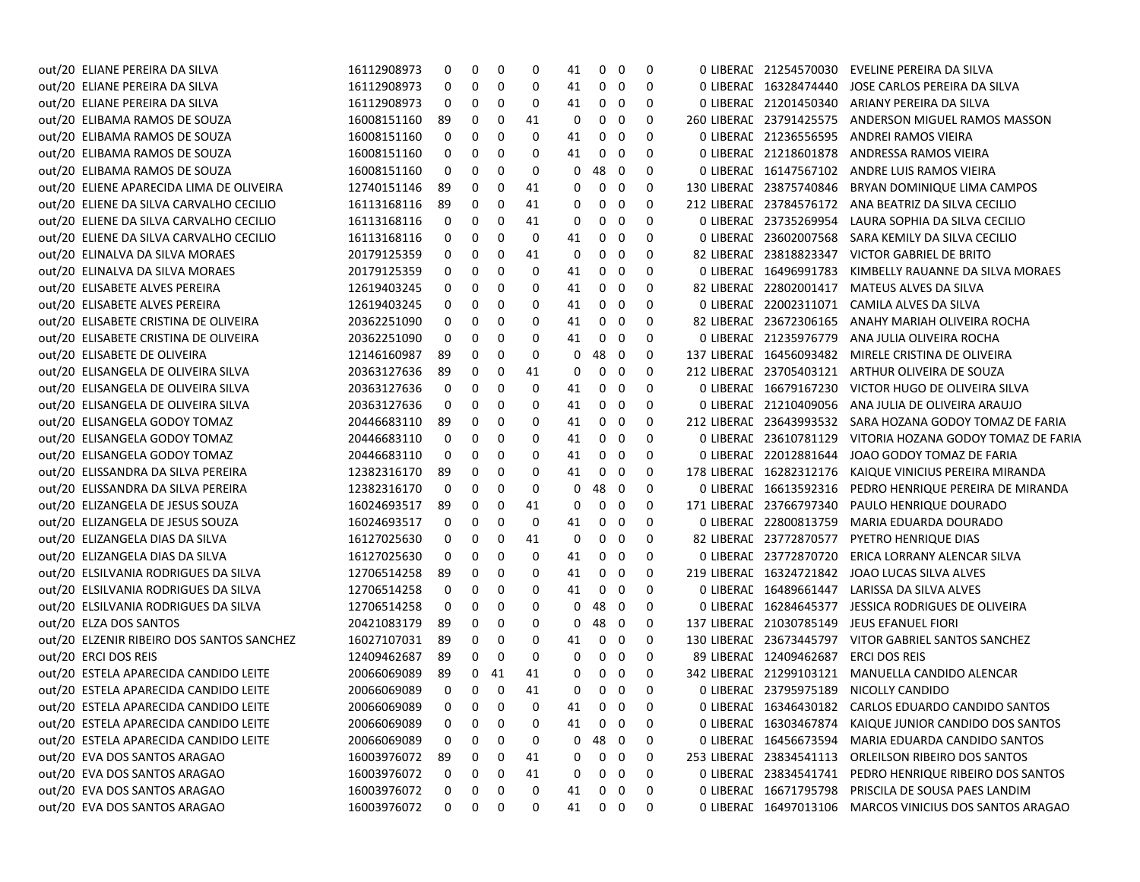| out/20 ELIANE PEREIRA DA SILVA            | 16112908973 | 0            | 0                 | 0  | 0  | 41 | 0            | 0           | 0           |                         | 0 LIBERAC 21254570030 EVELINE PEREIRA DA SILVA           |
|-------------------------------------------|-------------|--------------|-------------------|----|----|----|--------------|-------------|-------------|-------------------------|----------------------------------------------------------|
| out/20 ELIANE PEREIRA DA SILVA            | 16112908973 | 0            | 0                 | 0  | 0  | 41 | 0            | 0           | 0           | 0 LIBERAL 16328474440   | JOSE CARLOS PEREIRA DA SILVA                             |
| out/20 ELIANE PEREIRA DA SILVA            | 16112908973 | 0            | 0                 | 0  | 0  | 41 | 0            | 0           | 0           | 0 LIBERAC 21201450340   | ARIANY PEREIRA DA SILVA                                  |
| out/20 ELIBAMA RAMOS DE SOUZA             | 16008151160 | 89           | 0                 | 0  | 41 | 0  | 0            | 0           | 0           | 260 LIBERAL 23791425575 | ANDERSON MIGUEL RAMOS MASSON                             |
| out/20 ELIBAMA RAMOS DE SOUZA             | 16008151160 | 0            | 0                 | 0  | 0  | 41 | 0            | 0           | 0           | 0 LIBERAL 21236556595   | ANDREI RAMOS VIEIRA                                      |
| out/20 ELIBAMA RAMOS DE SOUZA             | 16008151160 | 0            | 0                 | 0  | 0  | 41 | 0            | 0           | 0           | 0 LIBERAL 21218601878   | ANDRESSA RAMOS VIEIRA                                    |
| out/20 ELIBAMA RAMOS DE SOUZA             | 16008151160 | 0            | 0                 | 0  | 0  | 0  | 48           | $\mathbf 0$ | 0           | 0 LIBERAL 16147567102   | ANDRE LUIS RAMOS VIEIRA                                  |
| out/20 ELIENE APARECIDA LIMA DE OLIVEIRA  | 12740151146 | 89           | 0                 | 0  | 41 | 0  | 0            | 0           | 0           | 130 LIBERAL 23875740846 | BRYAN DOMINIQUE LIMA CAMPOS                              |
| out/20 ELIENE DA SILVA CARVALHO CECILIO   | 16113168116 | 89           | 0                 | 0  | 41 | 0  | 0            | 0           | 0           |                         | 212 LIBERAC 23784576172 ANA BEATRIZ DA SILVA CECILIO     |
| out/20 ELIENE DA SILVA CARVALHO CECILIO   | 16113168116 | 0            | 0                 | 0  | 41 | 0  | 0            | 0           | 0           |                         | O LIBERAC 23735269954 LAURA SOPHIA DA SILVA CECILIO      |
| out/20 ELIENE DA SILVA CARVALHO CECILIO   | 16113168116 | 0            | 0                 | 0  | 0  | 41 | 0            | 0           | 0           | 0 LIBERAL 23602007568   | SARA KEMILY DA SILVA CECILIO                             |
| out/20 ELINALVA DA SILVA MORAES           | 20179125359 | 0            | 0                 | 0  | 41 | 0  | 0            | 0           | 0           | 82 LIBERAL 23818823347  | VICTOR GABRIEL DE BRITO                                  |
| out/20 ELINALVA DA SILVA MORAES           | 20179125359 | 0            | 0                 | 0  | 0  | 41 | 0            | 0           | 0           | 0 LIBERAL 16496991783   | KIMBELLY RAUANNE DA SILVA MORAES                         |
| out/20 ELISABETE ALVES PEREIRA            | 12619403245 | 0            | 0                 | 0  | 0  | 41 | 0            | 0           | 0           | 82 LIBERAL 22802001417  | MATEUS ALVES DA SILVA                                    |
| out/20 ELISABETE ALVES PEREIRA            | 12619403245 | 0            | 0                 | 0  | 0  | 41 | 0            | 0           | 0           | 0 LIBERAL 22002311071   | CAMILA ALVES DA SILVA                                    |
| out/20 ELISABETE CRISTINA DE OLIVEIRA     | 20362251090 | 0            | 0                 | 0  | 0  | 41 | 0            | 0           | 0           | 82 LIBERAL 23672306165  | ANAHY MARIAH OLIVEIRA ROCHA                              |
| out/20 ELISABETE CRISTINA DE OLIVEIRA     | 20362251090 | 0            | 0                 | 0  | 0  | 41 | 0            | 0           | 0           | 0 LIBERAL 21235976779   | ANA JULIA OLIVEIRA ROCHA                                 |
| out/20 ELISABETE DE OLIVEIRA              | 12146160987 | 89           | 0                 | 0  | 0  | 0  | 48           | 0           | 0           | 137 LIBERAL 16456093482 | MIRELE CRISTINA DE OLIVEIRA                              |
| out/20 ELISANGELA DE OLIVEIRA SILVA       | 20363127636 | 89           | 0                 | 0  | 41 | 0  | 0            | 0           | 0           | 212 LIBERAL 23705403121 | ARTHUR OLIVEIRA DE SOUZA                                 |
| out/20 ELISANGELA DE OLIVEIRA SILVA       | 20363127636 | 0            | 0                 | 0  | 0  | 41 | 0            | 0           | 0           | 0 LIBERAL 16679167230   | VICTOR HUGO DE OLIVEIRA SILVA                            |
| out/20 ELISANGELA DE OLIVEIRA SILVA       | 20363127636 | 0            | 0                 | 0  | 0  | 41 | 0            | 0           | 0           | 0 LIBERAL 21210409056   | ANA JULIA DE OLIVEIRA ARAUJO                             |
| out/20 ELISANGELA GODOY TOMAZ             | 20446683110 | 89           | 0                 | 0  | 0  | 41 | 0            | 0           | 0           |                         | 212 LIBERAE 23643993532 SARA HOZANA GODOY TOMAZ DE FARIA |
| out/20 ELISANGELA GODOY TOMAZ             | 20446683110 | 0            | 0                 | 0  | 0  | 41 | 0            | 0           | 0           | 0 LIBERAL 23610781129   | VITORIA HOZANA GODOY TOMAZ DE FARIA                      |
| out/20 ELISANGELA GODOY TOMAZ             | 20446683110 | 0            | 0                 | 0  | 0  | 41 | 0            | 0           | 0           | 0 LIBERAL 22012881644   | JOAO GODOY TOMAZ DE FARIA                                |
| out/20 ELISSANDRA DA SILVA PEREIRA        | 12382316170 | 89           | 0                 | 0  | 0  | 41 | 0            | 0           | 0           | 178 LIBERAL 16282312176 | KAIQUE VINICIUS PEREIRA MIRANDA                          |
| out/20 ELISSANDRA DA SILVA PEREIRA        | 12382316170 | 0            | 0                 | 0  | 0  | 0  | 48           | 0           | 0           | 0 LIBERAL 16613592316   | PEDRO HENRIQUE PEREIRA DE MIRANDA                        |
| out/20 ELIZANGELA DE JESUS SOUZA          | 16024693517 | 89           | 0                 | 0  | 41 | 0  | 0            | 0           | 0           | 171 LIBERAL 23766797340 | PAULO HENRIQUE DOURADO                                   |
| out/20 ELIZANGELA DE JESUS SOUZA          | 16024693517 | 0            | 0                 | 0  | 0  | 41 | 0            | 0           | 0           | 0 LIBERAL 22800813759   | MARIA EDUARDA DOURADO                                    |
| out/20 ELIZANGELA DIAS DA SILVA           | 16127025630 | 0            | 0                 | 0  | 41 | 0  | 0            | $\mathbf 0$ | 0           | 82 LIBERAL 23772870577  | PYETRO HENRIQUE DIAS                                     |
| out/20 ELIZANGELA DIAS DA SILVA           | 16127025630 | 0            | 0                 | 0  | 0  | 41 | 0            | $\mathbf 0$ | 0           | 0 LIBERAL 23772870720   | ERICA LORRANY ALENCAR SILVA                              |
| out/20 ELSILVANIA RODRIGUES DA SILVA      | 12706514258 | 89           | 0                 | 0  | 0  | 41 | 0            | 0           | 0           |                         | 219 LIBERAE 16324721842 JOAO LUCAS SILVA ALVES           |
| out/20 ELSILVANIA RODRIGUES DA SILVA      | 12706514258 | 0            | 0                 | 0  | 0  | 41 | 0            | 0           | 0           | 0 LIBERAL 16489661447   | LARISSA DA SILVA ALVES                                   |
| out/20 ELSILVANIA RODRIGUES DA SILVA      | 12706514258 | 0            | 0                 | 0  | 0  | 0  | 48           | 0           | 0           | 0 LIBERAL 16284645377   | JESSICA RODRIGUES DE OLIVEIRA                            |
| out/20 ELZA DOS SANTOS                    | 20421083179 | 89           | 0                 | 0  | 0  | 0  | 48           | 0           | 0           | 137 LIBERAL 21030785149 | <b>JEUS EFANUEL FIORI</b>                                |
| out/20 ELZENIR RIBEIRO DOS SANTOS SANCHEZ | 16027107031 | 89           | 0                 | 0  | 0  | 41 | 0            | 0           | 0           | 130 LIBERAL 23673445797 | VITOR GABRIEL SANTOS SANCHEZ                             |
| out/20 ERCI DOS REIS                      | 12409462687 | 89           | 0                 | 0  | 0  | 0  | 0            | 0           | 0           | 89 LIBERAL 12409462687  | ERCI DOS REIS                                            |
| out/20 ESTELA APARECIDA CANDIDO LEITE     | 20066069089 | 89           | 0                 | 41 | 41 | 0  | 0            | 0           | 0           |                         | 342 LIBERAL 21299103121 MANUELLA CANDIDO ALENCAR         |
| out/20 ESTELA APARECIDA CANDIDO LEITE     | 20066069089 | 0            | 0                 | 0  | 41 | 0  | $\mathbf{0}$ | - 0         | 0           |                         | 0 LIBERAL 23795975189 NICOLLY CANDIDO                    |
| out/20 ESTELA APARECIDA CANDIDO LEITE     | 20066069089 |              | $0\quad 0\quad 0$ |    | 0  | 41 | $0\quad 0$   |             | $\mathbf 0$ |                         | 0 LIBERAE 16346430182 CARLOS EDUARDO CANDIDO SANTOS      |
| out/20 ESTELA APARECIDA CANDIDO LEITE     | 20066069089 | 0            | 0                 | 0  | 0  | 41 | 0            | $\mathbf 0$ | 0           |                         | 0 LIBERAE 16303467874 KAIQUE JUNIOR CANDIDO DOS SANTOS   |
| out/20 ESTELA APARECIDA CANDIDO LEITE     | 20066069089 | 0            | 0                 | 0  | 0  | 0  | 48           | 0           | 0           |                         | 0 LIBERAE 16456673594 MARIA EDUARDA CANDIDO SANTOS       |
| out/20 EVA DOS SANTOS ARAGAO              | 16003976072 | 89           | 0                 | 0  | 41 | 0  | 0            | 0           | 0           | 253 LIBERAL 23834541113 | ORLEILSON RIBEIRO DOS SANTOS                             |
| out/20 EVA DOS SANTOS ARAGAO              | 16003976072 | 0            | 0                 | 0  | 41 | 0  | 0            | 0           | 0           | 0 LIBERAC 23834541741   | PEDRO HENRIQUE RIBEIRO DOS SANTOS                        |
| out/20 EVA DOS SANTOS ARAGAO              | 16003976072 | 0            | 0                 | 0  | 0  | 41 | 0            | 0           | 0           | 0 LIBERAL 16671795798   | PRISCILA DE SOUSA PAES LANDIM                            |
| out/20 EVA DOS SANTOS ARAGAO              | 16003976072 | $\mathbf{0}$ | $\mathbf{0}$      | 0  | 0  | 41 |              | $0\quad 0$  | 0           |                         | 0 LIBERAL 16497013106 MARCOS VINICIUS DOS SANTOS ARAGAO  |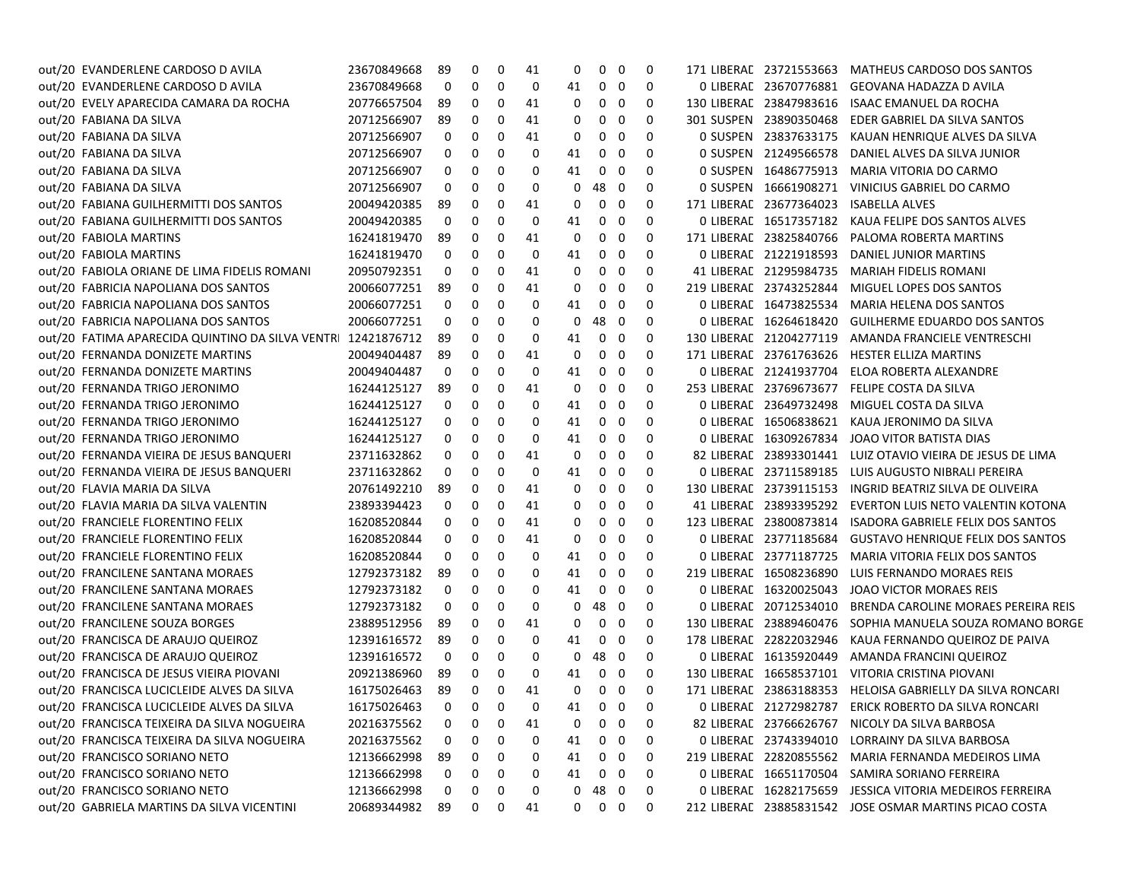| out/20 EVANDERLENE CARDOSO D AVILA                          | 23670849668 | 89             | 0          | 0 | 41 | 0           | 0                 | 0           | 0            | 171 LIBERAL 23721553663 | <b>MATHEUS CARDOSO DOS SANTOS</b>                          |
|-------------------------------------------------------------|-------------|----------------|------------|---|----|-------------|-------------------|-------------|--------------|-------------------------|------------------------------------------------------------|
| out/20 EVANDERLENE CARDOSO D AVILA                          | 23670849668 | 0              | 0          | 0 | 0  | 41          | 0                 | 0           | 0            | 0 LIBERAL 23670776881   | GEOVANA HADAZZA D AVILA                                    |
| out/20 EVELY APARECIDA CAMARA DA ROCHA                      | 20776657504 | 89             | 0          | 0 | 41 | 0           | 0                 | 0           | 0            | 130 LIBERAL 23847983616 | ISAAC EMANUEL DA ROCHA                                     |
| out/20 FABIANA DA SILVA                                     | 20712566907 | 89             | 0          | 0 | 41 | 0           | 0                 | 0           | 0            | 301 SUSPEN 23890350468  | EDER GABRIEL DA SILVA SANTOS                               |
| out/20 FABIANA DA SILVA                                     | 20712566907 | 0              | 0          | 0 | 41 | 0           | 0                 | 0           | 0            | 0 SUSPEN 23837633175    | KAUAN HENRIQUE ALVES DA SILVA                              |
| out/20 FABIANA DA SILVA                                     | 20712566907 | 0              | 0          | 0 | 0  | 41          | 0                 | 0           | 0            | 0 SUSPEN 21249566578    | DANIEL ALVES DA SILVA JUNIOR                               |
| out/20 FABIANA DA SILVA                                     | 20712566907 | 0              | 0          | 0 | 0  | 41          | 0                 | 0           | 0            | 0 SUSPEN 16486775913    | MARIA VITORIA DO CARMO                                     |
| out/20 FABIANA DA SILVA                                     | 20712566907 | 0              | 0          | 0 | 0  | 0           | 48 0              |             | 0            | 0 SUSPEN 16661908271    | VINICIUS GABRIEL DO CARMO                                  |
| out/20 FABIANA GUILHERMITTI DOS SANTOS                      | 20049420385 | 89             | 0          | 0 | 41 | 0           | 0                 | 0           | 0            | 171 LIBERAL 23677364023 | <b>ISABELLA ALVES</b>                                      |
| out/20 FABIANA GUILHERMITTI DOS SANTOS                      | 20049420385 | 0              | 0          | 0 | 0  | 41          | 0                 | 0           | 0            | 0 LIBERAL 16517357182   | KAUA FELIPE DOS SANTOS ALVES                               |
| out/20 FABIOLA MARTINS                                      | 16241819470 | 89             | 0          | 0 | 41 | 0           | 0                 | 0           | 0            | 171 LIBERAL 23825840766 | PALOMA ROBERTA MARTINS                                     |
| out/20 FABIOLA MARTINS                                      | 16241819470 | 0              | 0          | 0 | 0  | 41          | 0                 | 0           | 0            | 0 LIBERAL 21221918593   | DANIEL JUNIOR MARTINS                                      |
| out/20 FABIOLA ORIANE DE LIMA FIDELIS ROMANI                | 20950792351 | 0              | 0          | 0 | 41 | 0           | 0                 | 0           | 0            | 41 LIBERAL 21295984735  | <b>MARIAH FIDELIS ROMANI</b>                               |
| out/20 FABRICIA NAPOLIANA DOS SANTOS                        | 20066077251 | 89             | 0          | 0 | 41 | 0           | 0                 | 0           | 0            | 219 LIBERAL 23743252844 | MIGUEL LOPES DOS SANTOS                                    |
| out/20 FABRICIA NAPOLIANA DOS SANTOS                        | 20066077251 | 0              | 0          | 0 | 0  | 41          | 0                 | 0           | 0            | 0 LIBERAL 16473825534   | MARIA HELENA DOS SANTOS                                    |
| out/20 FABRICIA NAPOLIANA DOS SANTOS                        | 20066077251 | 0              | 0          | 0 | 0  | 0           | 48                | 0           | 0            | 0 LIBERAL 16264618420   | <b>GUILHERME EDUARDO DOS SANTOS</b>                        |
| out/20 FATIMA APARECIDA QUINTINO DA SILVA VENTR 12421876712 |             | 89             | 0          | 0 | 0  | 41          | 0                 | 0           | 0            | 130 LIBERAL 21204277119 | AMANDA FRANCIELE VENTRESCHI                                |
| out/20 FERNANDA DONIZETE MARTINS                            | 20049404487 | 89             | 0          | 0 | 41 | 0           | 0                 | 0           | 0            | 171 LIBERAL 23761763626 | HESTER ELLIZA MARTINS                                      |
| out/20 FERNANDA DONIZETE MARTINS                            | 20049404487 | 0              | 0          | 0 | 0  | 41          | 0                 | 0           | 0            | 0 LIBERAL 21241937704   | ELOA ROBERTA ALEXANDRE                                     |
| out/20 FERNANDA TRIGO JERONIMO                              | 16244125127 | 89             | 0          | 0 | 41 | 0           | 0                 | 0           | 0            | 253 LIBERAL 23769673677 | FELIPE COSTA DA SILVA                                      |
| out/20 FERNANDA TRIGO JERONIMO                              | 16244125127 | 0              | 0          | 0 | 0  | 41          | 0                 | 0           | 0            | 0 LIBERAL 23649732498   | MIGUEL COSTA DA SILVA                                      |
| out/20 FERNANDA TRIGO JERONIMO                              | 16244125127 | 0              | 0          | 0 | 0  | 41          | 0                 | 0           | 0            | 0 LIBERAL 16506838621   | KAUA JERONIMO DA SILVA                                     |
| out/20 FERNANDA TRIGO JERONIMO                              | 16244125127 | 0              | 0          | 0 | 0  | 41          | 0                 | 0           | 0            | 0 LIBERAL 16309267834   | <b>JOAO VITOR BATISTA DIAS</b>                             |
| out/20 FERNANDA VIEIRA DE JESUS BANQUERI                    | 23711632862 | 0              | 0          | 0 | 41 | 0           | 0                 | 0           | 0            | 82 LIBERAL 23893301441  | LUIZ OTAVIO VIEIRA DE JESUS DE LIMA                        |
| out/20 FERNANDA VIEIRA DE JESUS BANQUERI                    | 23711632862 | 0              | 0          | 0 | 0  | 41          | 0                 | 0           | 0            | 0 LIBERAL 23711589185   | LUIS AUGUSTO NIBRALI PEREIRA                               |
| out/20 FLAVIA MARIA DA SILVA                                | 20761492210 | 89             | 0          | 0 | 41 | 0           | 0                 | 0           | 0            | 130 LIBERAL 23739115153 | INGRID BEATRIZ SILVA DE OLIVEIRA                           |
| out/20 FLAVIA MARIA DA SILVA VALENTIN                       | 23893394423 | 0              | 0          | 0 | 41 | 0           | 0                 | 0           | 0            | 41 LIBERAL 23893395292  | EVERTON LUIS NETO VALENTIN KOTONA                          |
| out/20 FRANCIELE FLORENTINO FELIX                           | 16208520844 | 0              | 0          | 0 | 41 | 0           | 0                 | 0           | 0            | 123 LIBERAL 23800873814 | ISADORA GABRIELE FELIX DOS SANTOS                          |
| out/20 FRANCIELE FLORENTINO FELIX                           | 16208520844 | 0              | 0          | 0 | 41 | 0           | 0                 | 0           | 0            | 0 LIBERAL 23771185684   | <b>GUSTAVO HENRIQUE FELIX DOS SANTOS</b>                   |
| out/20 FRANCIELE FLORENTINO FELIX                           | 16208520844 | 0              | 0          | 0 | 0  | 41          | 0                 | 0           | 0            | 0 LIBERAL 23771187725   | MARIA VITORIA FELIX DOS SANTOS                             |
| out/20 FRANCILENE SANTANA MORAES                            | 12792373182 | 89             | 0          | 0 | 0  | 41          | 0                 | 0           | 0            | 219 LIBERAL 16508236890 | LUIS FERNANDO MORAES REIS                                  |
| out/20 FRANCILENE SANTANA MORAES                            | 12792373182 | 0              | 0          | 0 | 0  | 41          | 0                 | 0           | 0            | 0 LIBERAL 16320025043   | JOAO VICTOR MORAES REIS                                    |
| out/20 FRANCILENE SANTANA MORAES                            | 12792373182 | 0              | 0          | 0 | 0  | 0           | 48                | - 0         | 0            | 0 LIBERAL 20712534010   | BRENDA CAROLINE MORAES PEREIRA REIS                        |
| out/20 FRANCILENE SOUZA BORGES                              | 23889512956 | 89             | 0          | 0 | 41 | 0           | 0                 | 0           | 0            | 130 LIBERAL 23889460476 | SOPHIA MANUELA SOUZA ROMANO BORGE                          |
| out/20 FRANCISCA DE ARAUJO QUEIROZ                          | 12391616572 | 89             | 0          | 0 | 0  | 41          | 0                 | 0           | 0            | 178 LIBERAL 22822032946 | KAUA FERNANDO QUEIROZ DE PAIVA                             |
| out/20 FRANCISCA DE ARAUJO QUEIROZ                          | 12391616572 | 0              | 0          | 0 | 0  | 0           | 48                | 0           | 0            | 0 LIBERAL 16135920449   | AMANDA FRANCINI QUEIROZ                                    |
| out/20 FRANCISCA DE JESUS VIEIRA PIOVANI                    | 20921386960 | 89             | 0          | 0 | 0  | 41          | 0                 | $\mathbf 0$ | 0            |                         | 130 LIBERAL 16658537101 VITORIA CRISTINA PIOVANI           |
| out/20 FRANCISCA LUCICLEIDE ALVES DA SILVA                  | 16175026463 | 89             | 0          | 0 | 41 | $\mathbf 0$ | $0\quad 0$        |             | 0            |                         | 171 LIBERAL 23863188353 HELOISA GABRIELLY DA SILVA RONCARI |
| out/20 FRANCISCA LUCICLEIDE ALVES DA SILVA                  | 16175026463 | $\overline{0}$ | $0\quad 0$ |   | 0  |             |                   | 41 0 0      | $\mathbf{0}$ |                         | 0 LIBERAE 21272982787 ERICK ROBERTO DA SILVA RONCARI       |
| out/20 FRANCISCA TEIXEIRA DA SILVA NOGUEIRA                 | 20216375562 | 0              | 0          | 0 | 41 | 0           | $\mathbf{0}$      | 0           | 0            |                         | 82 LIBERAL 23766626767 NICOLY DA SILVA BARBOSA             |
| out/20 FRANCISCA TEIXEIRA DA SILVA NOGUEIRA                 | 20216375562 | 0              | 0          | 0 | 0  | 41          | $\mathbf{0}$      | 0           | 0            |                         | 0 LIBERAE 23743394010 LORRAINY DA SILVA BARBOSA            |
| out/20 FRANCISCO SORIANO NETO                               | 12136662998 | 89             | 0          | 0 | 0  | 41          |                   | $0\quad 0$  | 0            |                         | 219 LIBERAL 22820855562 MARIA FERNANDA MEDEIROS LIMA       |
| out/20 FRANCISCO SORIANO NETO                               | 12136662998 | 0              | 0          | 0 | 0  | 41          | $\mathbf{0}$      | - 0         | 0            |                         | 0 LIBERAE 16651170504 SAMIRA SORIANO FERREIRA              |
| out/20 FRANCISCO SORIANO NETO                               | 12136662998 | 0              | 0          | 0 | 0  | 0           | 48                | - 0         | 0            |                         | 0 LIBERAL 16282175659 JESSICA VITORIA MEDEIROS FERREIRA    |
| out/20 GABRIELA MARTINS DA SILVA VICENTINI                  | 20689344982 | 89             | 0          | 0 | 41 |             | $0\quad 0\quad 0$ |             | 0            |                         | 212 LIBERAE 23885831542 JOSE OSMAR MARTINS PICAO COSTA     |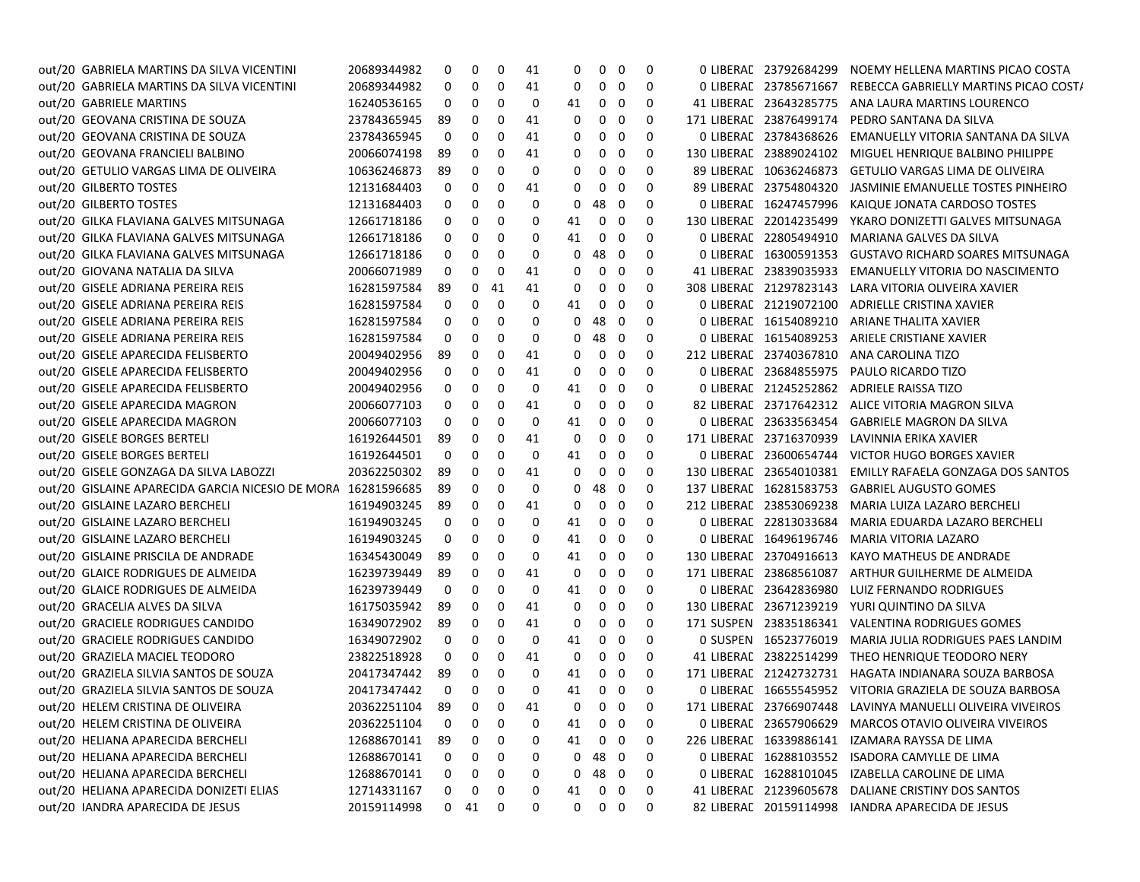| out/20 GABRIELA MARTINS DA SILVA VICENTINI                   | 20689344982 | 0            | 0          | 0  | 41 | 0            | 0                       | 0                       | 0 | 0 LIBERAL 23792684299   | NOEMY HELLENA MARTINS PICAO COSTA                          |
|--------------------------------------------------------------|-------------|--------------|------------|----|----|--------------|-------------------------|-------------------------|---|-------------------------|------------------------------------------------------------|
| out/20 GABRIELA MARTINS DA SILVA VICENTINI                   | 20689344982 | 0            | 0          | 0  | 41 | 0            | 0                       | $\mathbf 0$             | 0 | 0 LIBERAL 23785671667   | REBECCA GABRIELLY MARTINS PICAO COST/                      |
| out/20 GABRIELE MARTINS                                      | 16240536165 | 0            | 0          | 0  | 0  | 41           | 0                       | 0                       | 0 | 41 LIBERAL 23643285775  | ANA LAURA MARTINS LOURENCO                                 |
| out/20 GEOVANA CRISTINA DE SOUZA                             | 23784365945 | 89           | 0          | 0  | 41 | 0            | 0                       | - 0                     | 0 | 171 LIBERAL 23876499174 | PEDRO SANTANA DA SILVA                                     |
| out/20 GEOVANA CRISTINA DE SOUZA                             | 23784365945 | 0            | 0          | 0  | 41 | 0            | 0                       | 0                       | 0 | 0 LIBERAL 23784368626   | EMANUELLY VITORIA SANTANA DA SILVA                         |
| out/20 GEOVANA FRANCIELI BALBINO                             | 20066074198 | 89           | 0          | 0  | 41 | 0            | 0                       | 0                       | 0 | 130 LIBERAL 23889024102 | MIGUEL HENRIQUE BALBINO PHILIPPE                           |
| out/20 GETULIO VARGAS LIMA DE OLIVEIRA                       | 10636246873 | 89           | 0          | 0  | 0  | 0            | 0                       | 0                       | 0 | 89 LIBERAL 10636246873  | GETULIO VARGAS LIMA DE OLIVEIRA                            |
| out/20 GILBERTO TOSTES                                       | 12131684403 | 0            | 0          | 0  | 41 | 0            | 0                       | - 0                     | 0 | 89 LIBERAL 23754804320  | JASMINIE EMANUELLE TOSTES PINHEIRO                         |
| out/20 GILBERTO TOSTES                                       | 12131684403 | 0            | 0          | 0  | 0  | 0            | 48                      | - 0                     | 0 | 0 LIBERAL 16247457996   | KAIQUE JONATA CARDOSO TOSTES                               |
| out/20 GILKA FLAVIANA GALVES MITSUNAGA                       | 12661718186 | 0            | 0          | 0  | 0  | 41           | 0                       | - 0                     | 0 | 130 LIBERAL 22014235499 | YKARO DONIZETTI GALVES MITSUNAGA                           |
| out/20 GILKA FLAVIANA GALVES MITSUNAGA                       | 12661718186 | 0            | 0          | 0  | 0  | 41           | 0                       | - 0                     | 0 | 0 LIBERAL 22805494910   | MARIANA GALVES DA SILVA                                    |
| out/20 GILKA FLAVIANA GALVES MITSUNAGA                       | 12661718186 | 0            | 0          | 0  | 0  | 0            | 48                      | - 0                     | 0 | 0 LIBERAL 16300591353   | <b>GUSTAVO RICHARD SOARES MITSUNAGA</b>                    |
| out/20 GIOVANA NATALIA DA SILVA                              | 20066071989 | 0            | 0          | 0  | 41 | 0            | 0                       | 0                       | 0 | 41 LIBERAL 23839035933  | EMANUELLY VITORIA DO NASCIMENTO                            |
| out/20 GISELE ADRIANA PEREIRA REIS                           | 16281597584 | 89           | 0          | 41 | 41 | 0            | 0                       | 0                       | 0 | 308 LIBERAL 21297823143 | LARA VITORIA OLIVEIRA XAVIER                               |
| out/20 GISELE ADRIANA PEREIRA REIS                           | 16281597584 | 0            | 0          | 0  | 0  | 41           | 0                       | 0                       | 0 | 0 LIBERAL 21219072100   | ADRIELLE CRISTINA XAVIER                                   |
| out/20 GISELE ADRIANA PEREIRA REIS                           | 16281597584 | 0            | 0          | 0  | 0  | 0            | 48                      | 0                       | 0 | 0 LIBERAL 16154089210   | ARIANE THALITA XAVIER                                      |
| out/20 GISELE ADRIANA PEREIRA REIS                           | 16281597584 | 0            | 0          | 0  | 0  | 0            | 48                      | - 0                     | 0 | 0 LIBERAL 16154089253   | ARIELE CRISTIANE XAVIER                                    |
| out/20 GISELE APARECIDA FELISBERTO                           | 20049402956 | 89           | 0          | 0  | 41 | 0            | 0                       | 0                       | 0 | 212 LIBERAL 23740367810 | ANA CAROLINA TIZO                                          |
| out/20 GISELE APARECIDA FELISBERTO                           | 20049402956 | 0            | 0          | 0  | 41 | 0            | 0                       | 0                       | 0 | 0 LIBERAL 23684855975   | PAULO RICARDO TIZO                                         |
| out/20 GISELE APARECIDA FELISBERTO                           | 20049402956 | 0            | 0          | 0  | 0  | 41           | 0                       | - 0                     | 0 | 0 LIBERAL 21245252862   | ADRIELE RAISSA TIZO                                        |
| out/20 GISELE APARECIDA MAGRON                               | 20066077103 | 0            | 0          | 0  | 41 | 0            | 0                       | 0                       | 0 | 82 LIBERAL 23717642312  | ALICE VITORIA MAGRON SILVA                                 |
| out/20 GISELE APARECIDA MAGRON                               | 20066077103 | 0            | 0          | 0  | 0  | 41           | 0                       | 0                       | 0 | 0 LIBERAL 23633563454   | <b>GABRIELE MAGRON DA SILVA</b>                            |
| out/20 GISELE BORGES BERTELI                                 | 16192644501 | 89           | 0          | 0  | 41 | 0            | 0                       | 0                       | 0 | 171 LIBERAL 23716370939 | LAVINNIA ERIKA XAVIER                                      |
| out/20 GISELE BORGES BERTELI                                 | 16192644501 | 0            | 0          | 0  | 0  | 41           | 0                       | 0                       | 0 | 0 LIBERAL 23600654744   | VICTOR HUGO BORGES XAVIER                                  |
| out/20 GISELE GONZAGA DA SILVA LABOZZI                       | 20362250302 | 89           | 0          | 0  | 41 | 0            | 0                       | - 0                     | 0 | 130 LIBERAL 23654010381 | EMILLY RAFAELA GONZAGA DOS SANTOS                          |
| out/20 GISLAINE APARECIDA GARCIA NICESIO DE MORA 16281596685 |             | 89           | 0          | 0  | 0  | 0            | 48                      | - 0                     | 0 | 137 LIBERAL 16281583753 | <b>GABRIEL AUGUSTO GOMES</b>                               |
| out/20 GISLAINE LAZARO BERCHELI                              | 16194903245 | 89           | 0          | 0  | 41 | 0            | 0                       | - 0                     | 0 | 212 LIBERAL 23853069238 | MARIA LUIZA LAZARO BERCHELI                                |
| out/20 GISLAINE LAZARO BERCHELI                              | 16194903245 | 0            | 0          | 0  | 0  | 41           | 0                       | - 0                     | 0 | 0 LIBERAL 22813033684   | MARIA EDUARDA LAZARO BERCHELI                              |
| out/20 GISLAINE LAZARO BERCHELI                              | 16194903245 | 0            | 0          | 0  | 0  | 41           | 0                       | - 0                     | 0 | 0 LIBERAL 16496196746   | MARIA VITORIA LAZARO                                       |
| out/20 GISLAINE PRISCILA DE ANDRADE                          | 16345430049 | 89           | 0          | 0  | 0  | 41           | 0                       | - 0                     | 0 | 130 LIBERAL 23704916613 | KAYO MATHEUS DE ANDRADE                                    |
| out/20 GLAICE RODRIGUES DE ALMEIDA                           | 16239739449 | 89           | 0          | 0  | 41 | 0            | 0                       | 0                       | 0 | 171 LIBERAL 23868561087 | ARTHUR GUILHERME DE ALMEIDA                                |
| out/20 GLAICE RODRIGUES DE ALMEIDA                           | 16239739449 | 0            | 0          | 0  | 0  | 41           | 0                       | 0                       | 0 | 0 LIBERAL 23642836980   | LUIZ FERNANDO RODRIGUES                                    |
| out/20 GRACELIA ALVES DA SILVA                               | 16175035942 | 89           | 0          | 0  | 41 | 0            | 0                       | - 0                     | 0 | 130 LIBERAL 23671239219 | YURI QUINTINO DA SILVA                                     |
| out/20 GRACIELE RODRIGUES CANDIDO                            | 16349072902 | 89           | 0          | 0  | 41 | 0            | 0                       | - 0                     | 0 | 171 SUSPEN 23835186341  | VALENTINA RODRIGUES GOMES                                  |
| out/20 GRACIELE RODRIGUES CANDIDO                            | 16349072902 | 0            | 0          | 0  | 0  | 41           | 0                       | - 0                     | 0 | 0 SUSPEN 16523776019    | MARIA JULIA RODRIGUES PAES LANDIM                          |
| out/20 GRAZIELA MACIEL TEODORO                               | 23822518928 | 0            | 0          | 0  | 41 | 0            | 0                       | 0                       | 0 | 41 LIBERAL 23822514299  | THEO HENRIQUE TEODORO NERY                                 |
| out/20 GRAZIELA SILVIA SANTOS DE SOUZA                       | 20417347442 | -89          | 0          | 0  | 0  | 41           | 0                       | - 0                     | 0 |                         | 171 LIBERAL 21242732731 HAGATA INDIANARA SOUZA BARBOSA     |
| out/20 GRAZIELA SILVIA SANTOS DE SOUZA                       | 20417347442 | 0            | 0          | 0  | 0  | 41           | $\mathbf 0$             | $\overline{\mathbf{0}}$ | 0 |                         | 0 LIBERAL 16655545952 VITORIA GRAZIELA DE SOUZA BARBOSA    |
| out/20 HELEM CRISTINA DE OLIVEIRA                            | 20362251104 | 89           | $0\quad 0$ |    | 41 |              | $0\quad 0\quad 0$       |                         | 0 |                         | 171 LIBERAE 23766907448 LAVINYA MANUELLI OLIVEIRA VIVEIROS |
| out/20 HELEM CRISTINA DE OLIVEIRA                            | 20362251104 | 0            | 0          | 0  | 0  | 41           | 0                       | $\mathbf 0$             | 0 |                         | 0 LIBERAE 23657906629 MARCOS OTAVIO OLIVEIRA VIVEIROS      |
| out/20 HELIANA APARECIDA BERCHELI                            | 12688670141 | 89           | 0          | 0  | 0  | 41           | $0\quad 0$              |                         | 0 |                         | 226 LIBERAL 16339886141 IZAMARA RAYSSA DE LIMA             |
| out/20 HELIANA APARECIDA BERCHELI                            | 12688670141 | 0            | 0          | 0  | 0  | $\mathbf{0}$ | 48                      | $\overline{\mathbf{0}}$ | 0 |                         | 0 LIBERAL 16288103552 ISADORA CAMYLLE DE LIMA              |
| out/20 HELIANA APARECIDA BERCHELI                            | 12688670141 | 0            | 0          | 0  | 0  | 0            | 48 0                    |                         | 0 |                         | 0 LIBERAL 16288101045 IZABELLA CAROLINE DE LIMA            |
| out/20 HELIANA APARECIDA DONIZETI ELIAS                      | 12714331167 | 0            | 0          | 0  | 0  | 41           | $\mathbf{0}$            | $\overline{\mathbf{0}}$ | 0 | 41 LIBERAL 21239605678  | DALIANE CRISTINY DOS SANTOS                                |
| out/20 IANDRA APARECIDA DE JESUS                             | 20159114998 | $\mathbf{0}$ | 41         | 0  | 0  | 0            | $\overline{\mathbf{0}}$ | $\overline{\mathbf{0}}$ | 0 |                         | 82 LIBERAC 20159114998 IANDRA APARECIDA DE JESUS           |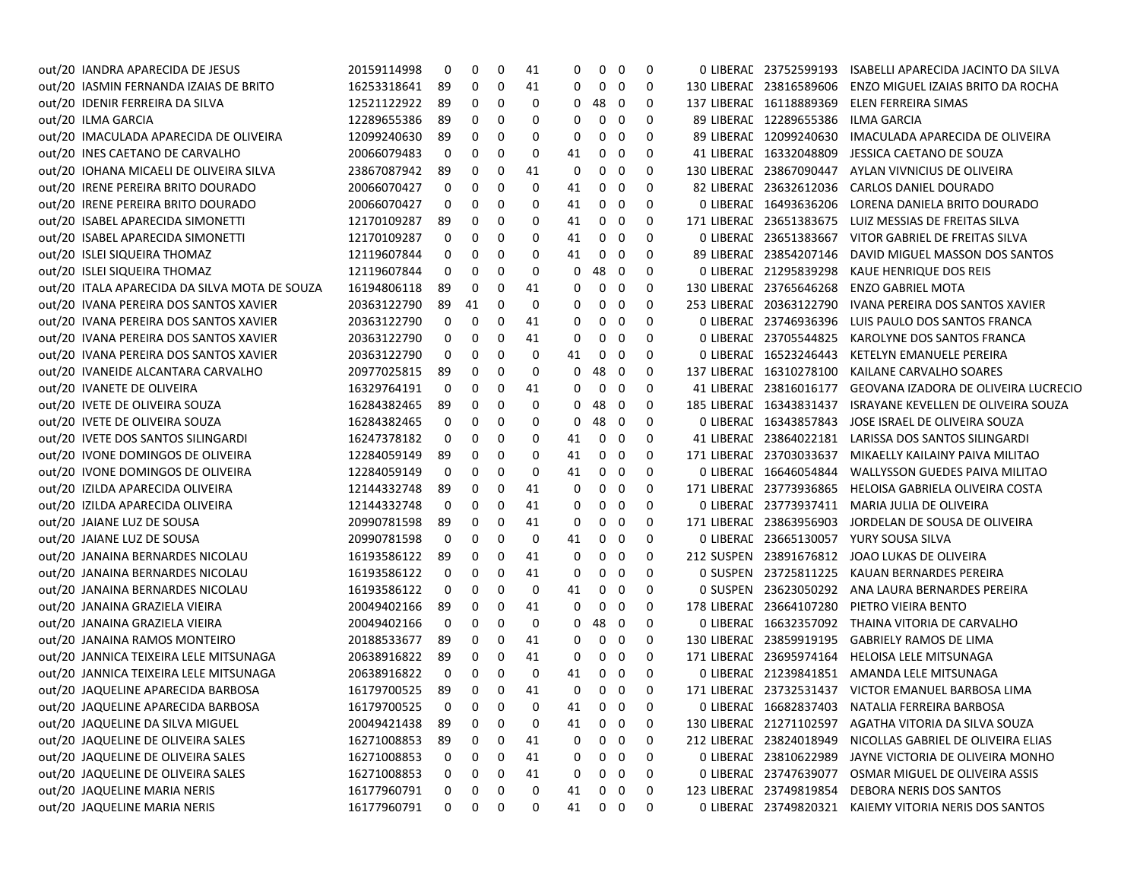| out/20 IANDRA APARECIDA DE JESUS              | 20159114998 | 0              | 0          | 0 | 41 | 0  | $\mathbf{0}$ | 0                       | 0           | 0 LIBERAL 23752599193   | ISABELLI APARECIDA JACINTO DA SILVA                        |
|-----------------------------------------------|-------------|----------------|------------|---|----|----|--------------|-------------------------|-------------|-------------------------|------------------------------------------------------------|
| out/20 IASMIN FERNANDA IZAIAS DE BRITO        | 16253318641 | 89             | 0          | 0 | 41 | 0  | $\mathbf 0$  | 0                       | 0           | 130 LIBERAL 23816589606 | ENZO MIGUEL IZAIAS BRITO DA ROCHA                          |
| out/20 IDENIR FERREIRA DA SILVA               | 12521122922 | 89             | 0          | 0 | 0  | 0  | 48           | - 0                     | 0           | 137 LIBERAL 16118889369 | ELEN FERREIRA SIMAS                                        |
| out/20 ILMA GARCIA                            | 12289655386 | 89             | 0          | 0 | 0  | 0  | 0            | 0                       | 0           | 89 LIBERAL 12289655386  | ILMA GARCIA                                                |
| out/20 IMACULADA APARECIDA DE OLIVEIRA        | 12099240630 | 89             | 0          | 0 | 0  | 0  | 0            | 0                       | 0           | 89 LIBERAL 12099240630  | IMACULADA APARECIDA DE OLIVEIRA                            |
| out/20 INES CAETANO DE CARVALHO               | 20066079483 | 0              | 0          | 0 | 0  | 41 | 0            | 0                       | 0           | 41 LIBERAL 16332048809  | JESSICA CAETANO DE SOUZA                                   |
| out/20 IOHANA MICAELI DE OLIVEIRA SILVA       | 23867087942 | 89             | 0          | 0 | 41 | 0  | 0            | 0                       | 0           | 130 LIBERAL 23867090447 | AYLAN VIVNICIUS DE OLIVEIRA                                |
| out/20 IRENE PEREIRA BRITO DOURADO            | 20066070427 | 0              | 0          | 0 | 0  | 41 | 0            | 0                       | 0           | 82 LIBERAL 23632612036  | CARLOS DANIEL DOURADO                                      |
| out/20 IRENE PEREIRA BRITO DOURADO            | 20066070427 | 0              | 0          | 0 | 0  | 41 | 0            | 0                       | 0           | 0 LIBERAL 16493636206   | LORENA DANIELA BRITO DOURADO                               |
| out/20 ISABEL APARECIDA SIMONETTI             | 12170109287 | 89             | 0          | 0 | 0  | 41 | 0            | 0                       | 0           | 171 LIBERAL 23651383675 | LUIZ MESSIAS DE FREITAS SILVA                              |
| out/20 ISABEL APARECIDA SIMONETTI             | 12170109287 | 0              | 0          | 0 | 0  | 41 | 0            | 0                       | 0           | 0 LIBERAL 23651383667   | VITOR GABRIEL DE FREITAS SILVA                             |
| out/20 ISLEI SIQUEIRA THOMAZ                  | 12119607844 | 0              | 0          | 0 | 0  | 41 | 0            | 0                       | 0           | 89 LIBERAL 23854207146  | DAVID MIGUEL MASSON DOS SANTOS                             |
| out/20 ISLEI SIQUEIRA THOMAZ                  | 12119607844 | 0              | 0          | 0 | 0  | 0  | 48           | - 0                     | 0           | 0 LIBERAL 21295839298   | KAUE HENRIQUE DOS REIS                                     |
| out/20 ITALA APARECIDA DA SILVA MOTA DE SOUZA | 16194806118 | 89             | 0          | 0 | 41 | 0  | 0            | 0                       | 0           | 130 LIBERAL 23765646268 | <b>ENZO GABRIEL MOTA</b>                                   |
| out/20 IVANA PEREIRA DOS SANTOS XAVIER        | 20363122790 | 89             | 41         | 0 | 0  | 0  | 0            | 0                       | 0           | 253 LIBERAL 20363122790 | IVANA PEREIRA DOS SANTOS XAVIER                            |
| out/20 IVANA PEREIRA DOS SANTOS XAVIER        | 20363122790 | 0              | 0          | 0 | 41 | 0  | 0            | 0                       | 0           | 0 LIBERAL 23746936396   | LUIS PAULO DOS SANTOS FRANCA                               |
| out/20 IVANA PEREIRA DOS SANTOS XAVIER        | 20363122790 | 0              | 0          | 0 | 41 | 0  | 0            | 0                       | 0           | 0 LIBERAL 23705544825   | KAROLYNE DOS SANTOS FRANCA                                 |
| out/20 IVANA PEREIRA DOS SANTOS XAVIER        | 20363122790 | 0              | 0          | 0 | 0  | 41 | 0            | 0                       | 0           | 0 LIBERAL 16523246443   | KETELYN EMANUELE PEREIRA                                   |
| out/20 IVANEIDE ALCANTARA CARVALHO            | 20977025815 | 89             | 0          | 0 | 0  | 0  | 48           | $\mathbf 0$             | 0           | 137 LIBERAL 16310278100 | KAILANE CARVALHO SOARES                                    |
| out/20 IVANETE DE OLIVEIRA                    | 16329764191 | 0              | 0          | 0 | 41 | 0  | 0            | 0                       | 0           | 41 LIBERAL 23816016177  | GEOVANA IZADORA DE OLIVEIRA LUCRECIO                       |
| out/20 IVETE DE OLIVEIRA SOUZA                | 16284382465 | 89             | 0          | 0 | 0  | 0  | 48           | - 0                     | 0           | 185 LIBERAL 16343831437 | ISRAYANE KEVELLEN DE OLIVEIRA SOUZA                        |
| out/20 IVETE DE OLIVEIRA SOUZA                | 16284382465 | 0              | 0          | 0 | 0  | 0  | 48           | 0                       | 0           | 0 LIBERAL 16343857843   | JOSE ISRAEL DE OLIVEIRA SOUZA                              |
| out/20 IVETE DOS SANTOS SILINGARDI            | 16247378182 | 0              | 0          | 0 | 0  | 41 | 0            | 0                       | 0           | 41 LIBERAL 23864022181  | LARISSA DOS SANTOS SILINGARDI                              |
| out/20 IVONE DOMINGOS DE OLIVEIRA             | 12284059149 | 89             | 0          | 0 | 0  | 41 | 0            | 0                       | 0           | 171 LIBERAL 23703033637 | MIKAELLY KAILAINY PAIVA MILITAO                            |
| out/20 IVONE DOMINGOS DE OLIVEIRA             | 12284059149 | 0              | 0          | 0 | 0  | 41 | 0            | 0                       | 0           | 0 LIBERAL 16646054844   | WALLYSSON GUEDES PAIVA MILITAO                             |
| out/20 IZILDA APARECIDA OLIVEIRA              | 12144332748 | 89             | 0          | 0 | 41 | 0  | 0            | 0                       | 0           | 171 LIBERAL 23773936865 | HELOISA GABRIELA OLIVEIRA COSTA                            |
| out/20 IZILDA APARECIDA OLIVEIRA              | 12144332748 | 0              | 0          | 0 | 41 | 0  | 0            | 0                       | 0           | 0 LIBERAL 23773937411   | MARIA JULIA DE OLIVEIRA                                    |
| out/20 JAIANE LUZ DE SOUSA                    | 20990781598 | 89             | 0          | 0 | 41 | 0  | 0            | 0                       | 0           | 171 LIBERAL 23863956903 | JORDELAN DE SOUSA DE OLIVEIRA                              |
| out/20 JAIANE LUZ DE SOUSA                    | 20990781598 | 0              | 0          | 0 | 0  | 41 | 0            | 0                       | 0           | 0 LIBERAL 23665130057   | YURY SOUSA SILVA                                           |
| out/20 JANAINA BERNARDES NICOLAU              | 16193586122 | 89             | 0          | 0 | 41 | 0  | 0            | 0                       | 0           | 212 SUSPEN 23891676812  | JOAO LUKAS DE OLIVEIRA                                     |
| out/20 JANAINA BERNARDES NICOLAU              | 16193586122 | 0              | 0          | 0 | 41 | 0  | 0            | 0                       | 0           | 0 SUSPEN 23725811225    | KAUAN BERNARDES PEREIRA                                    |
| out/20 JANAINA BERNARDES NICOLAU              | 16193586122 | 0              | 0          | 0 | 0  | 41 | 0            | 0                       | 0           | 0 SUSPEN 23623050292    | ANA LAURA BERNARDES PEREIRA                                |
| out/20 JANAINA GRAZIELA VIEIRA                | 20049402166 | 89             | 0          | 0 | 41 | 0  | 0            | 0                       | 0           | 178 LIBERAL 23664107280 | PIETRO VIEIRA BENTO                                        |
| out/20 JANAINA GRAZIELA VIEIRA                | 20049402166 | 0              | 0          | 0 | 0  | 0  | 48           | - 0                     | 0           | 0 LIBERAL 16632357092   | THAINA VITORIA DE CARVALHO                                 |
| out/20 JANAINA RAMOS MONTEIRO                 | 20188533677 | 89             | 0          | 0 | 41 | 0  | 0            | 0                       | 0           | 130 LIBERAL 23859919195 | <b>GABRIELY RAMOS DE LIMA</b>                              |
| out/20 JANNICA TEIXEIRA LELE MITSUNAGA        | 20638916822 | 89             | 0          | 0 | 41 | 0  | 0            | 0                       | 0           | 171 LIBERAL 23695974164 | HELOISA LELE MITSUNAGA                                     |
| out/20 JANNICA TEIXEIRA LELE MITSUNAGA        | 20638916822 | 0              | 0          | 0 | 0  | 41 | 0            | 0                       | 0           |                         | 0 LIBERAE 21239841851 AMANDA LELE MITSUNAGA                |
| out/20 JAQUELINE APARECIDA BARBOSA            | 16179700525 | 89             | 0          | 0 | 41 | 0  | $0\quad 0$   |                         | 0           |                         | 171 LIBERAE 23732531437 VICTOR EMANUEL BARBOSA LIMA        |
| out/20 JAQUELINE APARECIDA BARBOSA            | 16179700525 | $\overline{0}$ | $0\quad 0$ |   | 0  |    | 41 0 0       |                         | $\mathbf 0$ |                         | 0 LIBERAL 16682837403 NATALIA FERREIRA BARBOSA             |
| out/20 JAQUELINE DA SILVA MIGUEL              | 20049421438 | 89             | 0          | 0 | 0  | 41 | 0            | 0                       | 0           |                         | 130 LIBERAE 21271102597 AGATHA VITORIA DA SILVA SOUZA      |
| out/20 JAQUELINE DE OLIVEIRA SALES            | 16271008853 | 89             | 0          | 0 | 41 | 0  | 0            | 0                       | 0           |                         | 212 LIBERAE 23824018949 NICOLLAS GABRIEL DE OLIVEIRA ELIAS |
| out/20 JAQUELINE DE OLIVEIRA SALES            | 16271008853 | 0              | 0          | 0 | 41 | 0  | 0            | $\mathbf 0$             | 0           |                         | 0 LIBERAL 23810622989 JAYNE VICTORIA DE OLIVEIRA MONHO     |
| out/20 JAQUELINE DE OLIVEIRA SALES            | 16271008853 | 0              | 0          | 0 | 41 | 0  | 0            | $\overline{\mathbf{0}}$ | 0           |                         | 0 LIBERAL 23747639077 OSMAR MIGUEL DE OLIVEIRA ASSIS       |
| out/20 JAQUELINE MARIA NERIS                  | 16177960791 | 0              | 0          | 0 | 0  | 41 | 0            | $\overline{\mathbf{0}}$ | 0           | 123 LIBERAL 23749819854 | DEBORA NERIS DOS SANTOS                                    |
| out/20 JAQUELINE MARIA NERIS                  | 16177960791 | 0              | 0          | 0 | 0  | 41 | $0\quad 0$   |                         | 0           |                         | 0 LIBERAL 23749820321 KAIEMY VITORIA NERIS DOS SANTOS      |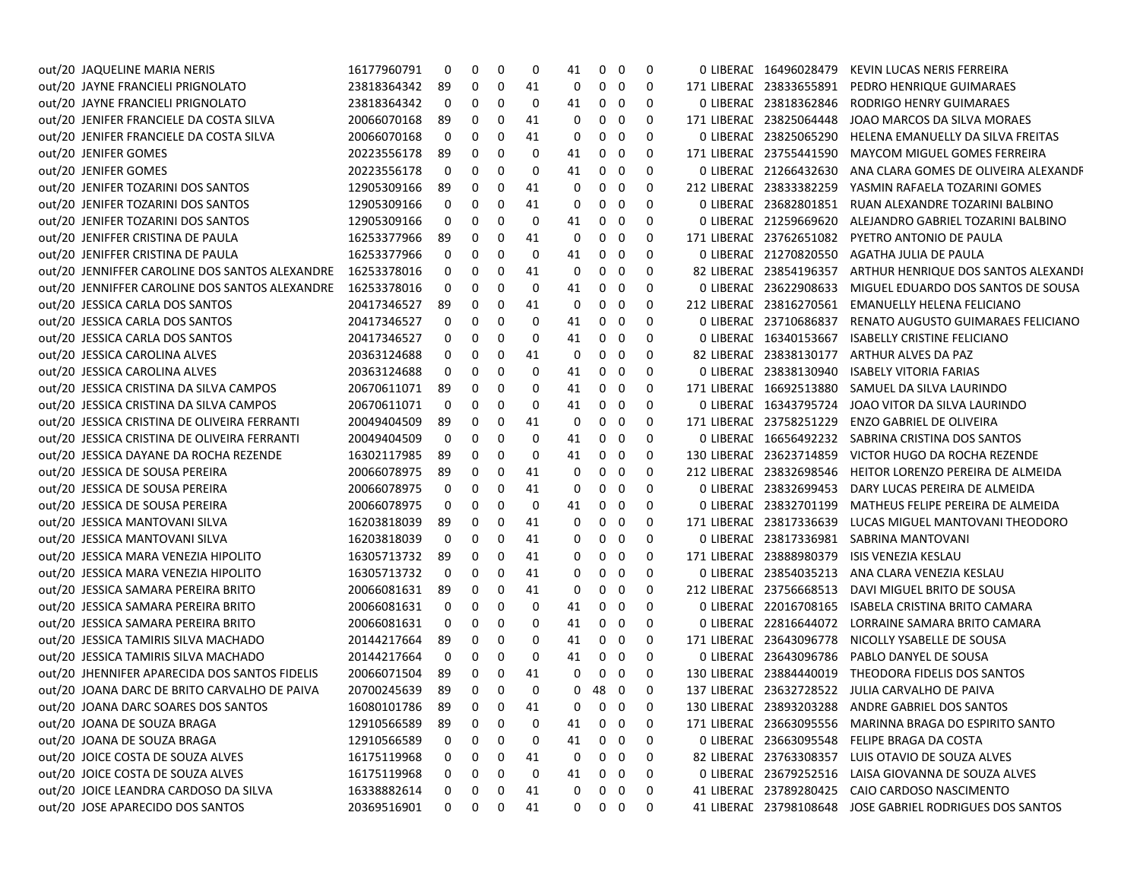| out/20 JAQUELINE MARIA NERIS                   | 16177960791    | 0   | 0          | 0 | 0  | 41           | 0              | 0                        | 0 | 0 LIBERAL 16496028479   | KEVIN LUCAS NERIS FERREIRA                               |
|------------------------------------------------|----------------|-----|------------|---|----|--------------|----------------|--------------------------|---|-------------------------|----------------------------------------------------------|
| out/20 JAYNE FRANCIELI PRIGNOLATO              | 23818364342    | 89  | 0          | 0 | 41 | 0            | 0              | 0                        | 0 | 171 LIBERAL 23833655891 | PEDRO HENRIQUE GUIMARAES                                 |
| out/20 JAYNE FRANCIELI PRIGNOLATO              | 23818364342    | 0   | 0          | 0 | 0  | 41           | 0              | 0                        | 0 | 0 LIBERAL 23818362846   | RODRIGO HENRY GUIMARAES                                  |
| out/20 JENIFER FRANCIELE DA COSTA SILVA        | 20066070168    | 89  | 0          | 0 | 41 | 0            | 0              | 0                        | 0 | 171 LIBERAL 23825064448 | JOAO MARCOS DA SILVA MORAES                              |
| out/20 JENIFER FRANCIELE DA COSTA SILVA        | 20066070168    | 0   | 0          | 0 | 41 | 0            | 0              | 0                        | 0 | 0 LIBERAL 23825065290   | HELENA EMANUELLY DA SILVA FREITAS                        |
| out/20 JENIFER GOMES                           | 20223556178    | 89  | 0          | 0 | 0  | 41           | 0              | 0                        | 0 | 171 LIBERAL 23755441590 | MAYCOM MIGUEL GOMES FERREIRA                             |
| out/20 JENIFER GOMES                           | 20223556178    | 0   | 0          | 0 | 0  | 41           | 0              | 0                        | 0 | 0 LIBERAL 21266432630   | ANA CLARA GOMES DE OLIVEIRA ALEXANDE                     |
| out/20 JENIFER TOZARINI DOS SANTOS             | 12905309166    | 89  | 0          | 0 | 41 | 0            | 0              | 0                        | 0 | 212 LIBERAL 23833382259 | YASMIN RAFAELA TOZARINI GOMES                            |
| out/20 JENIFER TOZARINI DOS SANTOS             | 12905309166    | 0   | 0          | 0 | 41 | 0            | 0              | 0                        | 0 | 0 LIBERAE 23682801851   | RUAN ALEXANDRE TOZARINI BALBINO                          |
| out/20 JENIFER TOZARINI DOS SANTOS             | 12905309166    | 0   | 0          | 0 | 0  | 41           | 0              | 0                        | 0 | 0 LIBERAL 21259669620   | ALEJANDRO GABRIEL TOZARINI BALBINO                       |
| out/20 JENIFFER CRISTINA DE PAULA              | 16253377966    | 89  | 0          | 0 | 41 | 0            | 0              | 0                        | 0 | 171 LIBERAL 23762651082 | PYETRO ANTONIO DE PAULA                                  |
| out/20 JENIFFER CRISTINA DE PAULA              | 16253377966    | 0   | 0          | 0 | 0  | 41           | 0              | 0                        | 0 | 0 LIBERAC 21270820550   | AGATHA JULIA DE PAULA                                    |
| out/20 JENNIFFER CAROLINE DOS SANTOS ALEXANDRE | 16253378016    | 0   | 0          | 0 | 41 | 0            | 0              | 0                        | 0 | 82 LIBERAL 23854196357  | ARTHUR HENRIQUE DOS SANTOS ALEXANDI                      |
| out/20 JENNIFFER CAROLINE DOS SANTOS ALEXANDRE | 16253378016    | 0   | 0          | 0 | 0  | 41           | 0              | 0                        | 0 | 0 LIBERAL 23622908633   | MIGUEL EDUARDO DOS SANTOS DE SOUSA                       |
| out/20 JESSICA CARLA DOS SANTOS                | 20417346527    | 89  | 0          | 0 | 41 | 0            | 0              | 0                        | 0 | 212 LIBERAE 23816270561 | EMANUELLY HELENA FELICIANO                               |
| out/20 JESSICA CARLA DOS SANTOS                | 20417346527    | 0   | 0          | 0 | 0  | 41           | 0              | 0                        | 0 | 0 LIBERAL 23710686837   | RENATO AUGUSTO GUIMARAES FELICIANO                       |
| out/20 JESSICA CARLA DOS SANTOS                | 20417346527    | 0   | 0          | 0 | 0  | 41           | 0              | 0                        | 0 | 0 LIBERAL 16340153667   | <b>ISABELLY CRISTINE FELICIANO</b>                       |
| out/20 JESSICA CAROLINA ALVES                  | 20363124688    | 0   | 0          | 0 | 41 | 0            | 0              | 0                        | 0 | 82 LIBERAL 23838130177  | ARTHUR ALVES DA PAZ                                      |
| out/20 JESSICA CAROLINA ALVES                  | 20363124688    | 0   | 0          | 0 | 0  | 41           | 0              | 0                        | 0 | 0 LIBERAL 23838130940   | <b>ISABELY VITORIA FARIAS</b>                            |
| out/20 JESSICA CRISTINA DA SILVA CAMPOS        | 20670611071    | 89  | 0          | 0 | 0  | 41           | 0              | 0                        | 0 | 171 LIBERAL 16692513880 | SAMUEL DA SILVA LAURINDO                                 |
| out/20 JESSICA CRISTINA DA SILVA CAMPOS        | 20670611071    | 0   | 0          | 0 | 0  | 41           | 0              | 0                        | 0 | 0 LIBERAL 16343795724   | JOAO VITOR DA SILVA LAURINDO                             |
| out/20 JESSICA CRISTINA DE OLIVEIRA FERRANTI   | 20049404509    | 89  | 0          | 0 | 41 | 0            | 0              | 0                        | 0 | 171 LIBERAL 23758251229 | <b>ENZO GABRIEL DE OLIVEIRA</b>                          |
| out/20 JESSICA CRISTINA DE OLIVEIRA FERRANTI   | 20049404509    | 0   | 0          | 0 | 0  | 41           | 0              | 0                        | 0 | 0 LIBERAL 16656492232   | SABRINA CRISTINA DOS SANTOS                              |
| out/20 JESSICA DAYANE DA ROCHA REZENDE         | 16302117985    | 89  | 0          | 0 | 0  | 41           | 0              | 0                        | 0 | 130 LIBERAL 23623714859 | VICTOR HUGO DA ROCHA REZENDE                             |
| out/20 JESSICA DE SOUSA PEREIRA                | 20066078975    | 89  | 0          | 0 | 41 | 0            | 0              | 0                        | 0 | 212 LIBERAL 23832698546 | HEITOR LORENZO PEREIRA DE ALMEIDA                        |
| out/20 JESSICA DE SOUSA PEREIRA                | 20066078975    | 0   | 0          | 0 | 41 | 0            | 0              | 0                        | 0 | 0 LIBERAL 23832699453   | DARY LUCAS PEREIRA DE ALMEIDA                            |
| out/20 JESSICA DE SOUSA PEREIRA                | 20066078975    | 0   | 0          | 0 | 0  | 41           | 0              | 0                        | 0 | 0 LIBERAL 23832701199   | MATHEUS FELIPE PEREIRA DE ALMEIDA                        |
| out/20 JESSICA MANTOVANI SILVA                 | 16203818039    | 89  | 0          | 0 | 41 | 0            | 0              | 0                        | 0 | 171 LIBERAL 23817336639 | LUCAS MIGUEL MANTOVANI THEODORO                          |
| out/20 JESSICA MANTOVANI SILVA                 | 16203818039    | 0   | 0          | 0 | 41 | 0            | 0              | 0                        | 0 | 0 LIBERAC 23817336981   | SABRINA MANTOVANI                                        |
| out/20 JESSICA MARA VENEZIA HIPOLITO           | 16305713732    | 89  | 0          | 0 | 41 | 0            | 0              | 0                        | 0 | 171 LIBERAL 23888980379 | <b>ISIS VENEZIA KESLAU</b>                               |
| out/20 JESSICA MARA VENEZIA HIPOLITO           | 16305713732    | 0   | 0          | 0 | 41 | 0            | 0              | 0                        | 0 | 0 LIBERAL 23854035213   | ANA CLARA VENEZIA KESLAU                                 |
| out/20 JESSICA SAMARA PEREIRA BRITO            | 20066081631    | 89  | 0          | 0 | 41 | 0            | 0              | 0                        | 0 | 212 LIBERAL 23756668513 | DAVI MIGUEL BRITO DE SOUSA                               |
| out/20 JESSICA SAMARA PEREIRA BRITO            | 20066081631    | 0   | 0          | 0 | 0  | 41           | 0              | 0                        | 0 | 0 LIBERAL 22016708165   | ISABELA CRISTINA BRITO CAMARA                            |
| out/20 JESSICA SAMARA PEREIRA BRITO            | 20066081631    | 0   | 0          | 0 | 0  | 41           | 0              | 0                        | 0 | 0 LIBERAL 22816644072   | LORRAINE SAMARA BRITO CAMARA                             |
| out/20 JESSICA TAMIRIS SILVA MACHADO           | 20144217664    | 89  | 0          | 0 | 0  | 41           | 0              | 0                        | 0 | 171 LIBERAL 23643096778 | NICOLLY YSABELLE DE SOUSA                                |
| out/20 JESSICA TAMIRIS SILVA MACHADO           | 20144217664    | 0   | 0          | 0 | 0  | 41           | 0              | 0                        | 0 | 0 LIBERAL 23643096786   | PABLO DANYEL DE SOUSA                                    |
| out/20 JHENNIFER APARECIDA DOS SANTOS FIDELIS  | 20066071504    | 89  | 0          | 0 | 41 | 0            | 0              | 0                        | 0 | 130 LIBERAL 23884440019 | THEODORA FIDELIS DOS SANTOS                              |
| out/20 JOANA DARC DE BRITO CARVALHO DE PAIVA   | 20700245639    | -89 | 0          | 0 | 0  | $\mathbf{0}$ | 48             | $\mathbf 0$              | 0 |                         | 137 LIBERAC 23632728522 JULIA CARVALHO DE PAIVA          |
| out/20 JOANA DARC SOARES DOS SANTOS            | 16080101786 89 |     | $0\quad 0$ |   | 41 |              |                | $0\quad 0\quad 0\quad 0$ |   |                         | 130 LIBERAL 23893203288 ANDRE GABRIEL DOS SANTOS         |
| out/20 JOANA DE SOUZA BRAGA                    | 12910566589 89 |     | 0          | 0 | 0  | 41           | $\mathbf{0}$   | $\mathbf 0$              | 0 |                         | 171 LIBERAE 23663095556 MARINNA BRAGA DO ESPIRITO SANTO  |
| out/20 JOANA DE SOUZA BRAGA                    | 12910566589    | 0   | 0          | 0 | 0  | 41           | 0              | 0                        | 0 |                         | 0 LIBERAL 23663095548 FELIPE BRAGA DA COSTA              |
| out/20 JOICE COSTA DE SOUZA ALVES              | 16175119968    | 0   | 0          | 0 | 41 | 0            | $\mathbf{0}$   | $\mathbf 0$              | 0 |                         | 82 LIBERAL 23763308357 LUIS OTAVIO DE SOUZA ALVES        |
| out/20 JOICE COSTA DE SOUZA ALVES              | 16175119968    | 0   | 0          | 0 | 0  | 41           | $\overline{0}$ | $\mathbf 0$              | 0 |                         | 0 LIBERAE 23679252516 LAISA GIOVANNA DE SOUZA ALVES      |
| out/20 JOICE LEANDRA CARDOSO DA SILVA          | 16338882614    | 0   | 0          | 0 | 41 | 0            | 0              | 0                        | 0 |                         | 41 LIBERAL 23789280425 CAIO CARDOSO NASCIMENTO           |
| out/20 JOSE APARECIDO DOS SANTOS               | 20369516901    | 0   | 0          | 0 | 41 | $\mathbf{0}$ |                | $0\quad 0$               | 0 |                         | 41 LIBERAE 23798108648 JOSE GABRIEL RODRIGUES DOS SANTOS |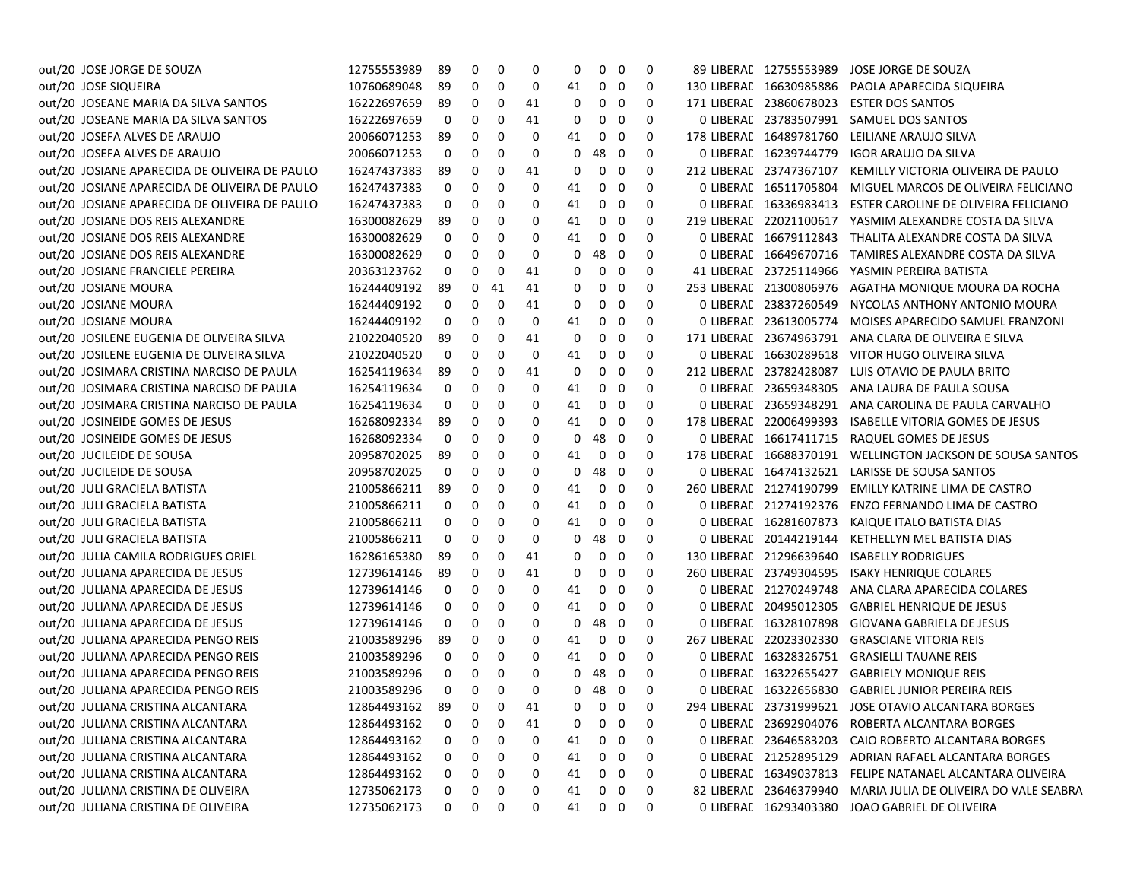| out/20 JOSE JORGE DE SOUZA                    | 12755553989        | 89 | 0 | 0        | 0  | 0  | 0                 | 0           | 0 | 89 LIBERAL 12755553989  | JOSE JORGE DE SOUZA                                  |
|-----------------------------------------------|--------------------|----|---|----------|----|----|-------------------|-------------|---|-------------------------|------------------------------------------------------|
| out/20 JOSE SIQUEIRA                          | 10760689048        | 89 | 0 | 0        | 0  | 41 | $\mathbf 0$       | 0           | 0 | 130 LIBERAL 16630985886 | PAOLA APARECIDA SIQUEIRA                             |
| out/20 JOSEANE MARIA DA SILVA SANTOS          | 16222697659        | 89 | 0 | 0        | 41 | 0  | 0                 | 0           | 0 | 171 LIBERAL 23860678023 | <b>ESTER DOS SANTOS</b>                              |
| out/20 JOSEANE MARIA DA SILVA SANTOS          | 16222697659        | 0  | 0 | 0        | 41 | 0  | 0                 | 0           | 0 | 0 LIBERAL 23783507991   | SAMUEL DOS SANTOS                                    |
| out/20 JOSEFA ALVES DE ARAUJO                 | 20066071253        | 89 | 0 | 0        | 0  | 41 | 0                 | 0           | 0 | 178 LIBERAL 16489781760 | LEILIANE ARAUJO SILVA                                |
| out/20 JOSEFA ALVES DE ARAUJO                 | 20066071253        | 0  | 0 | 0        | 0  | 0  | 48                | - 0         | 0 | 0 LIBERAL 16239744779   | <b>IGOR ARAUJO DA SILVA</b>                          |
| out/20 JOSIANE APARECIDA DE OLIVEIRA DE PAULO | 16247437383        | 89 | 0 | 0        | 41 | 0  | 0                 | 0           | 0 | 212 LIBERAL 23747367107 | KEMILLY VICTORIA OLIVEIRA DE PAULO                   |
| out/20 JOSIANE APARECIDA DE OLIVEIRA DE PAULO | 16247437383        | 0  | 0 | 0        | 0  | 41 | 0                 | 0           | 0 | 0 LIBERAL 16511705804   | MIGUEL MARCOS DE OLIVEIRA FELICIANO                  |
| out/20 JOSIANE APARECIDA DE OLIVEIRA DE PAULO | 16247437383        | 0  | 0 | 0        | 0  | 41 | 0                 | 0           | 0 | 0 LIBERAL 16336983413   | ESTER CAROLINE DE OLIVEIRA FELICIANO                 |
| out/20 JOSIANE DOS REIS ALEXANDRE             | 16300082629        | 89 | 0 | 0        | 0  | 41 | 0                 | 0           | 0 | 219 LIBERAL 22021100617 | YASMIM ALEXANDRE COSTA DA SILVA                      |
| out/20 JOSIANE DOS REIS ALEXANDRE             | 16300082629        | 0  | 0 | 0        | 0  | 41 | 0                 | 0           | 0 | 0 LIBERAL 16679112843   | THALITA ALEXANDRE COSTA DA SILVA                     |
| out/20 JOSIANE DOS REIS ALEXANDRE             | 16300082629        | 0  | 0 | 0        | 0  | 0  | 48                | - 0         | 0 | 0 LIBERAE 16649670716   | TAMIRES ALEXANDRE COSTA DA SILVA                     |
| out/20 JOSIANE FRANCIELE PEREIRA              | 20363123762        | 0  | 0 | 0        | 41 | 0  | 0                 | 0           | 0 | 41 LIBERAL 23725114966  | YASMIN PEREIRA BATISTA                               |
| out/20 JOSIANE MOURA                          | 16244409192        | 89 | 0 | 41       | 41 | 0  | 0                 | 0           | 0 | 253 LIBERAL 21300806976 | AGATHA MONIQUE MOURA DA ROCHA                        |
| out/20 JOSIANE MOURA                          | 16244409192        | 0  | 0 | 0        | 41 | 0  | 0                 | 0           | 0 | 0 LIBERAL 23837260549   | NYCOLAS ANTHONY ANTONIO MOURA                        |
| out/20 JOSIANE MOURA                          | 16244409192        | 0  | 0 | 0        | 0  | 41 | 0                 | 0           | 0 | 0 LIBERAL 23613005774   | MOISES APARECIDO SAMUEL FRANZONI                     |
| out/20 JOSILENE EUGENIA DE OLIVEIRA SILVA     | 21022040520        | 89 | 0 | 0        | 41 | 0  | 0                 | 0           | 0 | 171 LIBERAL 23674963791 | ANA CLARA DE OLIVEIRA E SILVA                        |
| out/20 JOSILENE EUGENIA DE OLIVEIRA SILVA     | 21022040520        | 0  | 0 | 0        | 0  | 41 | 0                 | 0           | 0 | 0 LIBERAL 16630289618   | VITOR HUGO OLIVEIRA SILVA                            |
| out/20 JOSIMARA CRISTINA NARCISO DE PAULA     | 16254119634        | 89 | 0 | 0        | 41 | 0  | 0                 | 0           | 0 | 212 LIBERAL 23782428087 | LUIS OTAVIO DE PAULA BRITO                           |
| out/20 JOSIMARA CRISTINA NARCISO DE PAULA     | 16254119634        | 0  | 0 | 0        | 0  | 41 | 0                 | 0           | 0 | 0 LIBERAL 23659348305   | ANA LAURA DE PAULA SOUSA                             |
| out/20 JOSIMARA CRISTINA NARCISO DE PAULA     | 16254119634        | 0  | 0 | 0        | 0  | 41 | 0                 | 0           | 0 | 0 LIBERAL 23659348291   | ANA CAROLINA DE PAULA CARVALHO                       |
| out/20 JOSINEIDE GOMES DE JESUS               | 16268092334        | 89 | 0 | 0        | 0  | 41 | 0                 | 0           | 0 | 178 LIBERAL 22006499393 | <b>ISABELLE VITORIA GOMES DE JESUS</b>               |
| out/20 JOSINEIDE GOMES DE JESUS               | 16268092334        | 0  | 0 | 0        | 0  | 0  | 48                | 0           | 0 | 0 LIBERAL 16617411715   | RAQUEL GOMES DE JESUS                                |
| out/20 JUCILEIDE DE SOUSA                     | 20958702025        | 89 | 0 | 0        | 0  | 41 | 0                 | 0           | 0 | 178 LIBERAL 16688370191 | WELLINGTON JACKSON DE SOUSA SANTOS                   |
| out/20 JUCILEIDE DE SOUSA                     | 20958702025        | 0  | 0 | 0        | 0  | 0  | 48                | 0           | 0 | 0 LIBERAL 16474132621   | LARISSE DE SOUSA SANTOS                              |
| out/20 JULI GRACIELA BATISTA                  | 21005866211        | 89 | 0 | 0        | 0  | 41 | 0                 | 0           | 0 | 260 LIBERAL 21274190799 | EMILLY KATRINE LIMA DE CASTRO                        |
| out/20 JULI GRACIELA BATISTA                  | 21005866211        | 0  | 0 | 0        | 0  | 41 | 0                 | 0           | 0 | 0 LIBERAL 21274192376   | ENZO FERNANDO LIMA DE CASTRO                         |
| out/20 JULI GRACIELA BATISTA                  | 21005866211        | 0  | 0 | 0        | 0  | 41 | 0                 | 0           | 0 | 0 LIBERAL 16281607873   | KAIQUE ITALO BATISTA DIAS                            |
| out/20 JULI GRACIELA BATISTA                  | 21005866211        | 0  | 0 | 0        | 0  | 0  | 48                | - 0         | 0 | 0 LIBERAC 20144219144   | KETHELLYN MEL BATISTA DIAS                           |
| out/20 JULIA CAMILA RODRIGUES ORIEL           | 16286165380        | 89 | 0 | 0        | 41 | 0  | 0                 | 0           | 0 | 130 LIBERAL 21296639640 | <b>ISABELLY RODRIGUES</b>                            |
| out/20 JULIANA APARECIDA DE JESUS             | 12739614146        | 89 | 0 | 0        | 41 | 0  | 0                 | 0           | 0 | 260 LIBERAL 23749304595 | <b>ISAKY HENRIQUE COLARES</b>                        |
| out/20 JULIANA APARECIDA DE JESUS             | 12739614146        | 0  | 0 | 0        | 0  | 41 | 0                 | 0           | 0 | 0 LIBERAL 21270249748   | ANA CLARA APARECIDA COLARES                          |
| out/20 JULIANA APARECIDA DE JESUS             | 12739614146        | 0  | 0 | 0        | 0  | 41 | 0                 | 0           | 0 | 0 LIBERAL 20495012305   | <b>GABRIEL HENRIQUE DE JESUS</b>                     |
| out/20 JULIANA APARECIDA DE JESUS             | 12739614146        | 0  | 0 | 0        | 0  | 0  | 48                | 0           | 0 | 0 LIBERAL 16328107898   | <b>GIOVANA GABRIELA DE JESUS</b>                     |
| out/20 JULIANA APARECIDA PENGO REIS           | 21003589296        | 89 | 0 | 0        | 0  | 41 | 0                 | 0           | 0 | 267 LIBERAL 22023302330 | <b>GRASCIANE VITORIA REIS</b>                        |
| out/20 JULIANA APARECIDA PENGO REIS           | 21003589296        | 0  | 0 | 0        | 0  | 41 | 0                 | $\mathbf 0$ | 0 | 0 LIBERAL 16328326751   | <b>GRASIELLI TAUANE REIS</b>                         |
| out/20 JULIANA APARECIDA PENGO REIS           | 21003589296        | 0  | 0 | 0        | 0  | 0  | 48 0              |             | 0 | 0 LIBERAL 16322655427   | <b>GABRIELY MONIQUE REIS</b>                         |
| out/20 JULIANA APARECIDA PENGO REIS           | 21003589296        | 0  | 0 | $\Omega$ | 0  | 0  | 48 0              |             | 0 |                         | O LIBERAL 16322656830 GABRIEL JUNIOR PEREIRA REIS    |
| out/20 JULIANA CRISTINA ALCANTARA             | 12864493162 89 0 0 |    |   |          | 41 |    | $0\quad 0\quad 0$ |             | 0 |                         | 294 LIBERAE 23731999621 JOSE OTAVIO ALCANTARA BORGES |
| out/20 JULIANA CRISTINA ALCANTARA             | 12864493162        | 0  | 0 | 0        | 41 | 0  | 0                 | 0           | 0 |                         | 0 LIBERAE 23692904076 ROBERTA ALCANTARA BORGES       |
| out/20 JULIANA CRISTINA ALCANTARA             | 12864493162        | 0  | 0 | 0        | 0  | 41 | 0                 | 0           | 0 | 0 LIBERAL 23646583203   | CAIO ROBERTO ALCANTARA BORGES                        |
| out/20 JULIANA CRISTINA ALCANTARA             | 12864493162        | 0  | 0 | 0        | 0  | 41 | 0                 | 0           | 0 | 0 LIBERAL 21252895129   | ADRIAN RAFAEL ALCANTARA BORGES                       |
| out/20 JULIANA CRISTINA ALCANTARA             | 12864493162        | 0  | 0 | 0        | 0  | 41 | 0                 | 0           | 0 | 0 LIBERAL 16349037813   | FELIPE NATANAEL ALCANTARA OLIVEIRA                   |
| out/20 JULIANA CRISTINA DE OLIVEIRA           | 12735062173        | 0  | 0 | 0        | 0  | 41 | 0                 | 0           | 0 | 82 LIBERAL 23646379940  | MARIA JULIA DE OLIVEIRA DO VALE SEABRA               |
| out/20 JULIANA CRISTINA DE OLIVEIRA           | 12735062173        | 0  | 0 | 0        | 0  | 41 | $0\quad 0$        |             | 0 |                         | 0 LIBERAE 16293403380 JOAO GABRIEL DE OLIVEIRA       |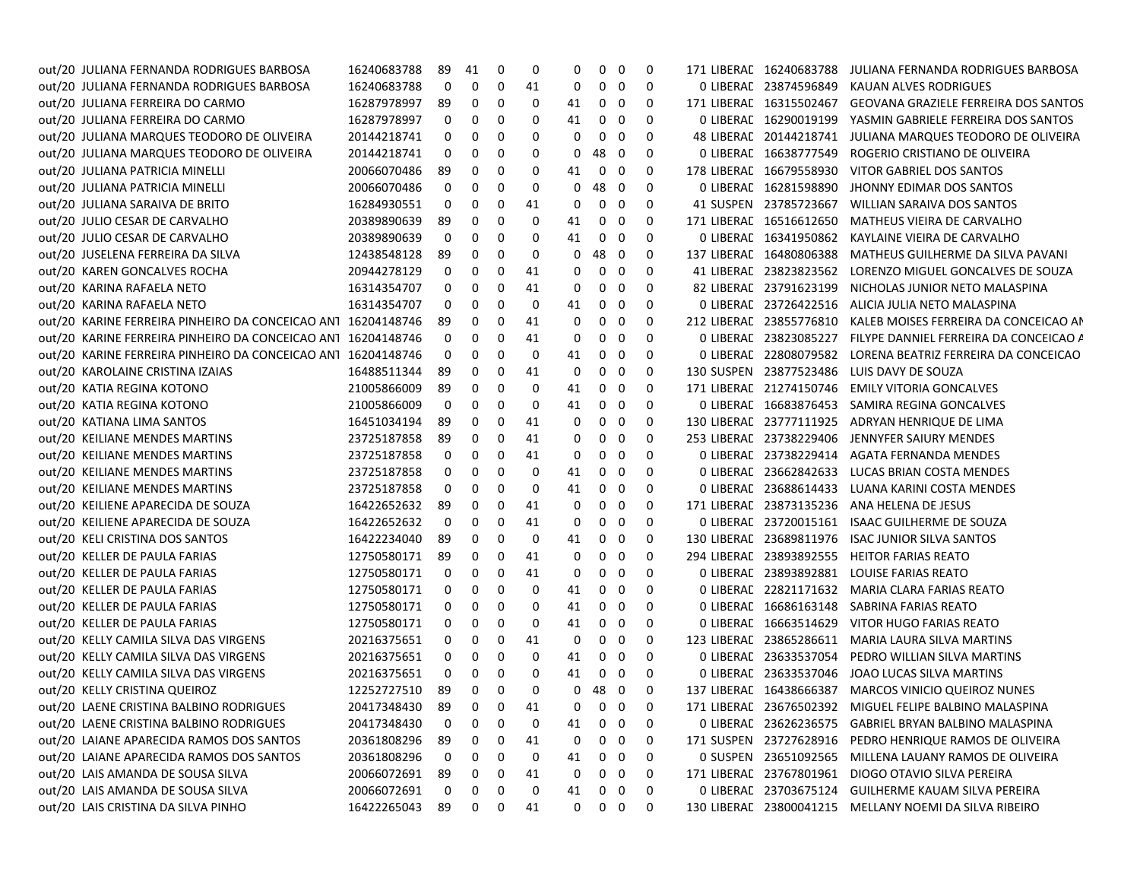| out/20 JULIANA FERNANDA RODRIGUES BARBOSA                    | 16240683788 | 89           | 41       | 0        | 0  | 0  | $\mathbf 0$  | $\mathbf 0$             | 0        |                         | 171 LIBERAL 16240683788 JULIANA FERNANDA RODRIGUES BARBOSA |
|--------------------------------------------------------------|-------------|--------------|----------|----------|----|----|--------------|-------------------------|----------|-------------------------|------------------------------------------------------------|
| out/20 JULIANA FERNANDA RODRIGUES BARBOSA                    | 16240683788 | 0            | 0        | 0        | 41 | 0  |              | $0\quad 0$              | 0        | 0 LIBERAL 23874596849   | KAUAN ALVES RODRIGUES                                      |
| out/20 JULIANA FERREIRA DO CARMO                             | 16287978997 | 89           | 0        | 0        | 0  | 41 | 0            | - 0                     | 0        | 171 LIBERAL 16315502467 | <b>GEOVANA GRAZIELE FERREIRA DOS SANTOS</b>                |
| out/20 JULIANA FERREIRA DO CARMO                             | 16287978997 | 0            | 0        | 0        | 0  | 41 | 0            | 0                       | 0        | 0 LIBERAL 16290019199   | YASMIN GABRIELE FERREIRA DOS SANTOS                        |
| out/20 JULIANA MARQUES TEODORO DE OLIVEIRA                   | 20144218741 | 0            | 0        | 0        | 0  | 0  | 0            | 0                       | 0        | 48 LIBERAL 20144218741  | JULIANA MARQUES TEODORO DE OLIVEIRA                        |
| out/20 JULIANA MARQUES TEODORO DE OLIVEIRA                   | 20144218741 | 0            | 0        | 0        | 0  | 0  | 48           | $\overline{\mathbf{0}}$ | 0        | 0 LIBERAL 16638777549   | ROGERIO CRISTIANO DE OLIVEIRA                              |
| out/20 JULIANA PATRICIA MINELLI                              | 20066070486 | 89           | 0        | 0        | 0  | 41 | $\mathbf{0}$ | 0                       | 0        | 178 LIBERAL 16679558930 | VITOR GABRIEL DOS SANTOS                                   |
| out/20 JULIANA PATRICIA MINELLI                              | 20066070486 | 0            | 0        | 0        | 0  | 0  | 48           | $\overline{\mathbf{0}}$ | 0        | 0 LIBERAL 16281598890   | JHONNY EDIMAR DOS SANTOS                                   |
| out/20 JULIANA SARAIVA DE BRITO                              | 16284930551 | 0            | 0        | 0        | 41 | 0  |              | $0\quad 0$              | 0        | 41 SUSPEN 23785723667   | WILLIAN SARAIVA DOS SANTOS                                 |
| out/20 JULIO CESAR DE CARVALHO                               | 20389890639 | -89          | 0        | 0        | 0  | 41 | 0            | 0                       | 0        | 171 LIBERAL 16516612650 | MATHEUS VIEIRA DE CARVALHO                                 |
| out/20 JULIO CESAR DE CARVALHO                               | 20389890639 | 0            | 0        | 0        | 0  | 41 | 0            | 0                       | 0        | 0 LIBERAL 16341950862   | KAYLAINE VIEIRA DE CARVALHO                                |
| out/20 JUSELENA FERREIRA DA SILVA                            | 12438548128 | 89           | 0        | 0        | 0  | 0  | 48           | $\mathbf 0$             | 0        | 137 LIBERAL 16480806388 | MATHEUS GUILHERME DA SILVA PAVANI                          |
| out/20 KAREN GONCALVES ROCHA                                 | 20944278129 | 0            | 0        | 0        | 41 | 0  | 0            | 0                       | 0        | 41 LIBERAL 23823823562  | LORENZO MIGUEL GONCALVES DE SOUZA                          |
| out/20 KARINA RAFAELA NETO                                   | 16314354707 | 0            | 0        | 0        | 41 | 0  | 0            | 0                       | 0        | 82 LIBERAL 23791623199  | NICHOLAS JUNIOR NETO MALASPINA                             |
| out/20 KARINA RAFAELA NETO                                   | 16314354707 | 0            | 0        | 0        | 0  | 41 | 0            | $\mathbf 0$             | 0        | 0 LIBERAL 23726422516   | ALICIA JULIA NETO MALASPINA                                |
| out/20 KARINE FERREIRA PINHEIRO DA CONCEICAO AN1 16204148746 |             | 89           | 0        | 0        | 41 | 0  | 0            | $\mathbf 0$             | 0        | 212 LIBERAL 23855776810 | KALEB MOISES FERREIRA DA CONCEICAO AN                      |
| out/20 KARINE FERREIRA PINHEIRO DA CONCEICAO ANT 16204148746 |             | 0            | 0        | 0        | 41 | 0  |              | $0\quad 0$              | 0        | 0 LIBERAL 23823085227   | FILYPE DANNIEL FERREIRA DA CONCEICAO A                     |
| out/20 KARINE FERREIRA PINHEIRO DA CONCEICAO ANT 16204148746 |             | 0            | 0        | 0        | 0  | 41 |              | $0\quad 0$              | 0        | 0 LIBERAL 22808079582   | LORENA BEATRIZ FERREIRA DA CONCEICAO                       |
| out/20 KAROLAINE CRISTINA IZAIAS                             | 16488511344 | -89          | 0        | 0        | 41 | 0  | $\mathbf{0}$ | $\overline{\mathbf{0}}$ | 0        | 130 SUSPEN 23877523486  | LUIS DAVY DE SOUZA                                         |
| out/20 KATIA REGINA KOTONO                                   | 21005866009 | -89          | 0        | 0        | 0  | 41 | $\mathbf{0}$ | $\mathbf 0$             | 0        | 171 LIBERAL 21274150746 | <b>EMILY VITORIA GONCALVES</b>                             |
| out/20 KATIA REGINA KOTONO                                   | 21005866009 | 0            | 0        | 0        | 0  | 41 | 0            | 0                       | 0        | 0 LIBERAL 16683876453   | SAMIRA REGINA GONCALVES                                    |
| out/20 KATIANA LIMA SANTOS                                   | 16451034194 | 89           | 0        | 0        | 41 | 0  | 0            | 0                       | 0        | 130 LIBERAL 23777111925 | ADRYAN HENRIQUE DE LIMA                                    |
| out/20 KEILIANE MENDES MARTINS                               | 23725187858 | 89           | 0        | 0        | 41 | 0  | 0            | - 0                     | 0        | 253 LIBERAL 23738229406 | JENNYFER SAIURY MENDES                                     |
| out/20 KEILIANE MENDES MARTINS                               | 23725187858 | 0            | 0        | 0        | 41 | 0  | 0            | - 0                     | 0        | 0 LIBERAL 23738229414   | <b>AGATA FERNANDA MENDES</b>                               |
| out/20 KEILIANE MENDES MARTINS                               | 23725187858 | 0            | 0        | 0        | 0  | 41 |              | $0\quad 0$              | 0        | 0 LIBERAL 23662842633   | LUCAS BRIAN COSTA MENDES                                   |
| out/20 KEILIANE MENDES MARTINS                               | 23725187858 | 0            | 0        | 0        | 0  | 41 | $\mathbf{0}$ | $\overline{\mathbf{0}}$ | 0        | 0 LIBERAL 23688614433   | LUANA KARINI COSTA MENDES                                  |
| out/20 KEILIENE APARECIDA DE SOUZA                           | 16422652632 | -89          | 0        | 0        | 41 | 0  | 0            | 0                       | 0        | 171 LIBERAL 23873135236 | ANA HELENA DE JESUS                                        |
| out/20 KEILIENE APARECIDA DE SOUZA                           | 16422652632 | 0            | 0        | 0        | 41 | 0  | 0            | 0                       | 0        | 0 LIBERAE 23720015161   | ISAAC GUILHERME DE SOUZA                                   |
| out/20 KELI CRISTINA DOS SANTOS                              | 16422234040 | 89           | 0        | 0        | 0  | 41 | 0            | 0                       | 0        | 130 LIBERAL 23689811976 | <b>ISAC JUNIOR SILVA SANTOS</b>                            |
| out/20 KELLER DE PAULA FARIAS                                | 12750580171 | 89           | 0        | 0        | 41 | 0  | 0            | 0                       | 0        | 294 LIBERAL 23893892555 | <b>HEITOR FARIAS REATO</b>                                 |
| out/20 KELLER DE PAULA FARIAS                                | 12750580171 | 0            | 0        | 0        | 41 | 0  | 0            | 0                       | 0        | 0 LIBERAL 23893892881   | LOUISE FARIAS REATO                                        |
| out/20 KELLER DE PAULA FARIAS                                | 12750580171 | 0            | 0        | 0        | 0  | 41 | 0            | $\mathbf 0$             | 0        | 0 LIBERAC 22821171632   | MARIA CLARA FARIAS REATO                                   |
| out/20 KELLER DE PAULA FARIAS                                | 12750580171 | 0            | 0        | 0        | 0  | 41 | $\mathbf 0$  | $\mathbf 0$             | 0        | 0 LIBERAL 16686163148   | SABRINA FARIAS REATO                                       |
| out/20 KELLER DE PAULA FARIAS                                | 12750580171 | 0            | 0        | 0        | 0  | 41 |              | $0\quad 0$              | 0        | 0 LIBERAL 16663514629   | VITOR HUGO FARIAS REATO                                    |
| out/20 KELLY CAMILA SILVA DAS VIRGENS                        | 20216375651 | 0            | 0        | 0        | 41 | 0  | 0            | - 0                     | 0        | 123 LIBERAL 23865286611 | MARIA LAURA SILVA MARTINS                                  |
| out/20 KELLY CAMILA SILVA DAS VIRGENS                        | 20216375651 | 0            | 0        | 0        | 0  | 41 | $\mathbf{0}$ | $\mathbf{0}$            | 0        | 0 LIBERAL 23633537054   | PEDRO WILLIAN SILVA MARTINS                                |
| out/20 KELLY CAMILA SILVA DAS VIRGENS                        | 20216375651 | 0            | 0        | 0        | 0  | 41 |              | $0\quad 0$              | 0        | 0 LIBERAL 23633537046   | JOAO LUCAS SILVA MARTINS                                   |
| out/20 KELLY CRISTINA QUEIROZ                                | 12252727510 | 89           | 0        | 0        | 0  | 0  | 48 0         |                         | 0        |                         | 137 LIBERAE 16438666387 MARCOS VINICIO QUEIROZ NUNES       |
| out/20 LAENE CRISTINA BALBINO RODRIGUES                      | 20417348430 | 89           | $\Omega$ | $\Omega$ | 41 |    | 000          |                         | $\Omega$ |                         | 171 LIBERAL 23676502392 MIGUEL FELIPE BALBINO MALASPINA    |
| out/20 LAENE CRISTINA BALBINO RODRIGUES                      | 20417348430 | 0            | 0        | 0        | 0  | 41 |              | $0\quad 0$              | 0        |                         | 0 LIBERAL 23626236575 GABRIEL BRYAN BALBINO MALASPINA      |
| out/20 LAIANE APARECIDA RAMOS DOS SANTOS                     | 20361808296 | 89           | 0        | 0        | 41 | 0  | 0            | 0                       | 0        |                         | 171 SUSPEN 23727628916 PEDRO HENRIQUE RAMOS DE OLIVEIRA    |
| out/20 LAIANE APARECIDA RAMOS DOS SANTOS                     | 20361808296 | $\mathbf{0}$ | 0        | 0        | 0  | 41 |              | $0\quad 0$              | 0        |                         | 0 SUSPEN 23651092565 MILLENA LAUANY RAMOS DE OLIVEIRA      |
| out/20 LAIS AMANDA DE SOUSA SILVA                            | 20066072691 | 89           | 0        | 0        | 41 | 0  | 0            | $\overline{\mathbf{0}}$ | 0        |                         | 171 LIBERAE 23767801961 DIOGO OTAVIO SILVA PEREIRA         |
| out/20 LAIS AMANDA DE SOUSA SILVA                            | 20066072691 | 0            | 0        | 0        | 0  | 41 | 0            | $\mathbf{0}$            | 0        |                         | 0 LIBERAC 23703675124 GUILHERME KAUAM SILVA PEREIRA        |
| out/20 LAIS CRISTINA DA SILVA PINHO                          | 16422265043 | 89           | 0        | 0        | 41 | 0  |              | $0\quad 0$              | 0        |                         | 130 LIBERAL 23800041215 MELLANY NOEMI DA SILVA RIBEIRO     |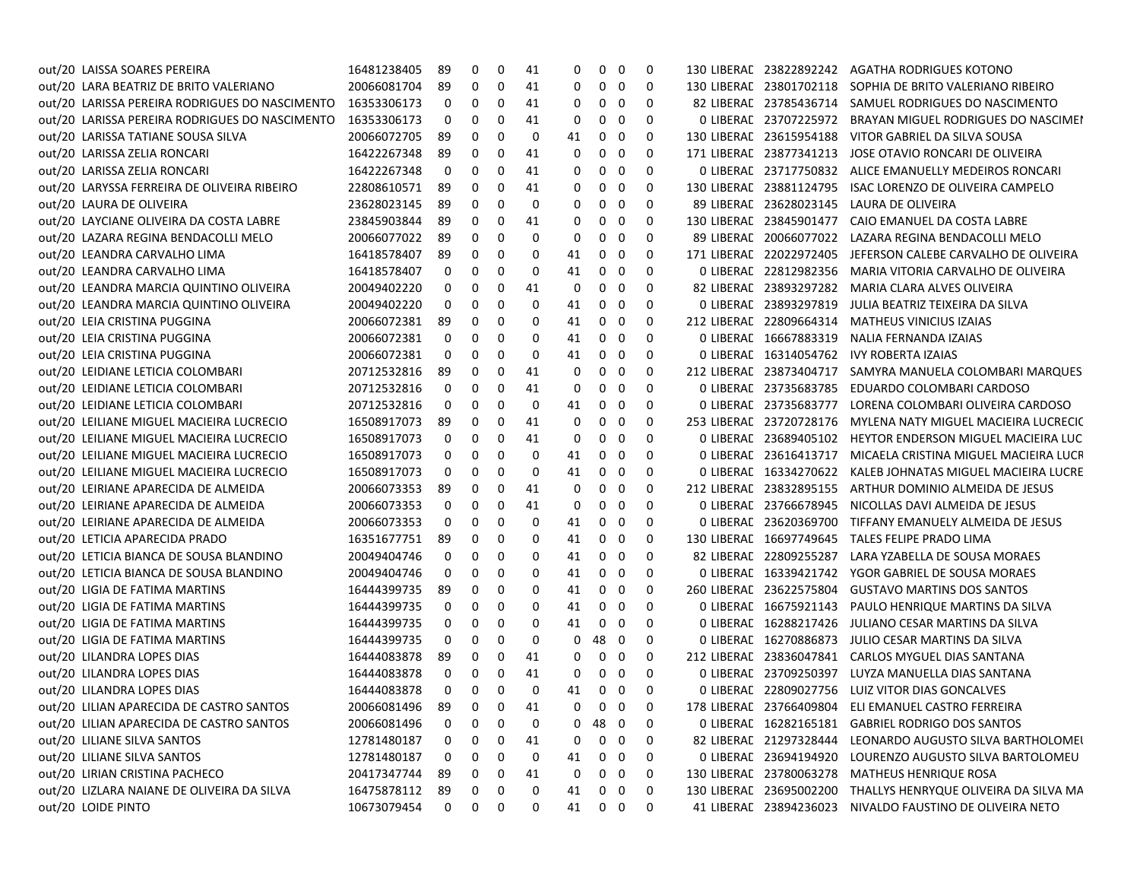| out/20 LAISSA SOARES PEREIRA                   | 16481238405    | 89 | 0 | 0 | 41 | 0  | 0           | 0                      | 0 | 130 LIBERAL 23822892242 | AGATHA RODRIGUES KOTONO                                       |
|------------------------------------------------|----------------|----|---|---|----|----|-------------|------------------------|---|-------------------------|---------------------------------------------------------------|
| out/20 LARA BEATRIZ DE BRITO VALERIANO         | 20066081704    | 89 | 0 | 0 | 41 | 0  | 0           | 0                      | 0 | 130 LIBERAL 23801702118 | SOPHIA DE BRITO VALERIANO RIBEIRO                             |
| out/20 LARISSA PEREIRA RODRIGUES DO NASCIMENTO | 16353306173    | 0  | 0 | 0 | 41 | 0  | 0           | 0                      | 0 | 82 LIBERAL 23785436714  | SAMUEL RODRIGUES DO NASCIMENTO                                |
| out/20 LARISSA PEREIRA RODRIGUES DO NASCIMENTO | 16353306173    | 0  | 0 | 0 | 41 | 0  | 0           | 0                      | 0 | 0 LIBERAL 23707225972   | BRAYAN MIGUEL RODRIGUES DO NASCIMEI                           |
| out/20 LARISSA TATIANE SOUSA SILVA             | 20066072705    | 89 | 0 | 0 | 0  | 41 | 0           | 0                      | 0 | 130 LIBERAL 23615954188 | VITOR GABRIEL DA SILVA SOUSA                                  |
| out/20 LARISSA ZELIA RONCARI                   | 16422267348    | 89 | 0 | 0 | 41 | 0  | 0           | 0                      | 0 | 171 LIBERAL 23877341213 | JOSE OTAVIO RONCARI DE OLIVEIRA                               |
| out/20 LARISSA ZELIA RONCARI                   | 16422267348    | 0  | 0 | 0 | 41 | 0  | 0           | 0                      | 0 | 0 LIBERAL 23717750832   | ALICE EMANUELLY MEDEIROS RONCARI                              |
| out/20 LARYSSA FERREIRA DE OLIVEIRA RIBEIRO    | 22808610571    | 89 | 0 | 0 | 41 | 0  | 0           | 0                      | 0 | 130 LIBERAL 23881124795 | ISAC LORENZO DE OLIVEIRA CAMPELO                              |
| out/20 LAURA DE OLIVEIRA                       | 23628023145    | 89 | 0 | 0 | 0  | 0  | 0           | 0                      | 0 | 89 LIBERAL 23628023145  | LAURA DE OLIVEIRA                                             |
| out/20 LAYCIANE OLIVEIRA DA COSTA LABRE        | 23845903844    | 89 | 0 | 0 | 41 | 0  | 0           | 0                      | 0 | 130 LIBERAL 23845901477 | CAIO EMANUEL DA COSTA LABRE                                   |
| out/20 LAZARA REGINA BENDACOLLI MELO           | 20066077022    | 89 | 0 | 0 | 0  | 0  | 0           | 0                      | 0 | 89 LIBERAL 20066077022  | LAZARA REGINA BENDACOLLI MELO                                 |
| out/20 LEANDRA CARVALHO LIMA                   | 16418578407    | 89 | 0 | 0 | 0  | 41 | 0           | 0                      | 0 | 171 LIBERAL 22022972405 | JEFERSON CALEBE CARVALHO DE OLIVEIRA                          |
| out/20 LEANDRA CARVALHO LIMA                   | 16418578407    | 0  | 0 | 0 | 0  | 41 | 0           | 0                      | 0 | 0 LIBERAL 22812982356   | MARIA VITORIA CARVALHO DE OLIVEIRA                            |
| out/20 LEANDRA MARCIA QUINTINO OLIVEIRA        | 20049402220    | 0  | 0 | 0 | 41 | 0  | 0           | 0                      | 0 | 82 LIBERAL 23893297282  | MARIA CLARA ALVES OLIVEIRA                                    |
| out/20 LEANDRA MARCIA QUINTINO OLIVEIRA        | 20049402220    | 0  | 0 | 0 | 0  | 41 | 0           | 0                      | 0 | 0 LIBERAL 23893297819   | JULIA BEATRIZ TEIXEIRA DA SILVA                               |
| out/20 LEIA CRISTINA PUGGINA                   | 20066072381    | 89 | 0 | 0 | 0  | 41 | 0           | 0                      | 0 | 212 LIBERAL 22809664314 | <b>MATHEUS VINICIUS IZAIAS</b>                                |
| out/20 LEIA CRISTINA PUGGINA                   | 20066072381    | 0  | 0 | 0 | 0  | 41 | 0           | 0                      | 0 | 0 LIBERAL 16667883319   | NALIA FERNANDA IZAIAS                                         |
| out/20 LEIA CRISTINA PUGGINA                   | 20066072381    | 0  | 0 | 0 | 0  | 41 | 0           | 0                      | 0 | 0 LIBERAL 16314054762   | IVY ROBERTA IZAIAS                                            |
| out/20 LEIDIANE LETICIA COLOMBARI              | 20712532816    | 89 | 0 | 0 | 41 | 0  | 0           | 0                      | 0 | 212 LIBERAL 23873404717 | SAMYRA MANUELA COLOMBARI MARQUES                              |
| out/20 LEIDIANE LETICIA COLOMBARI              | 20712532816    | 0  | 0 | 0 | 41 | 0  | 0           | 0                      | 0 | 0 LIBERAL 23735683785   | EDUARDO COLOMBARI CARDOSO                                     |
| out/20 LEIDIANE LETICIA COLOMBARI              | 20712532816    | 0  | 0 | 0 | 0  | 41 | 0           | 0                      | 0 | 0 LIBERAL 23735683777   | LORENA COLOMBARI OLIVEIRA CARDOSO                             |
| out/20 LEILIANE MIGUEL MACIEIRA LUCRECIO       | 16508917073    | 89 | 0 | 0 | 41 | 0  | 0           | 0                      | 0 | 253 LIBERAL 23720728176 | MYLENA NATY MIGUEL MACIEIRA LUCRECIC                          |
| out/20 LEILIANE MIGUEL MACIEIRA LUCRECIO       | 16508917073    | 0  | 0 | 0 | 41 | 0  | 0           | 0                      | 0 | 0 LIBERAL 23689405102   | HEYTOR ENDERSON MIGUEL MACIEIRA LUC                           |
| out/20 LEILIANE MIGUEL MACIEIRA LUCRECIO       | 16508917073    | 0  | 0 | 0 | 0  | 41 | 0           | 0                      | 0 | 0 LIBERAL 23616413717   | MICAELA CRISTINA MIGUEL MACIEIRA LUCR                         |
| out/20 LEILIANE MIGUEL MACIEIRA LUCRECIO       | 16508917073    | 0  | 0 | 0 | 0  | 41 | 0           | 0                      | 0 | 0 LIBERAL 16334270622   | KALEB JOHNATAS MIGUEL MACIEIRA LUCRE                          |
| out/20 LEIRIANE APARECIDA DE ALMEIDA           | 20066073353    | 89 | 0 | 0 | 41 | 0  | 0           | 0                      | 0 | 212 LIBERAL 23832895155 | ARTHUR DOMINIO ALMEIDA DE JESUS                               |
| out/20 LEIRIANE APARECIDA DE ALMEIDA           | 20066073353    | 0  | 0 | 0 | 41 | 0  | 0           | 0                      | 0 | 0 LIBERAL 23766678945   | NICOLLAS DAVI ALMEIDA DE JESUS                                |
| out/20 LEIRIANE APARECIDA DE ALMEIDA           | 20066073353    | 0  | 0 | 0 | 0  | 41 | 0           | 0                      | 0 | 0 LIBERAL 23620369700   | TIFFANY EMANUELY ALMEIDA DE JESUS                             |
| out/20 LETICIA APARECIDA PRADO                 | 16351677751    | 89 | 0 | 0 | 0  | 41 | 0           | 0                      | 0 | 130 LIBERAL 16697749645 | TALES FELIPE PRADO LIMA                                       |
| out/20 LETICIA BIANCA DE SOUSA BLANDINO        | 20049404746    | 0  | 0 | 0 | 0  | 41 | 0           | 0                      | 0 | 82 LIBERAL 22809255287  | LARA YZABELLA DE SOUSA MORAES                                 |
| out/20 LETICIA BIANCA DE SOUSA BLANDINO        | 20049404746    | 0  | 0 | 0 | 0  | 41 | 0           | 0                      | 0 | 0 LIBERAL 16339421742   | YGOR GABRIEL DE SOUSA MORAES                                  |
| out/20 LIGIA DE FATIMA MARTINS                 | 16444399735    | 89 | 0 | 0 | 0  | 41 | 0           | 0                      | 0 | 260 LIBERAL 23622575804 | <b>GUSTAVO MARTINS DOS SANTOS</b>                             |
| out/20 LIGIA DE FATIMA MARTINS                 | 16444399735    | 0  | 0 | 0 | 0  | 41 | 0           | 0                      | 0 | 0 LIBERAL 16675921143   | PAULO HENRIQUE MARTINS DA SILVA                               |
| out/20 LIGIA DE FATIMA MARTINS                 | 16444399735    | 0  | 0 | 0 | 0  | 41 | 0           | 0                      | 0 | 0 LIBERAL 16288217426   | JULIANO CESAR MARTINS DA SILVA                                |
| out/20 LIGIA DE FATIMA MARTINS                 | 16444399735    | 0  | 0 | 0 | 0  | 0  | 48          | 0                      | 0 | 0 LIBERAL 16270886873   | JULIO CESAR MARTINS DA SILVA                                  |
| out/20 LILANDRA LOPES DIAS                     | 16444083878    | 89 | 0 | 0 | 41 | 0  | 0           | 0                      | 0 | 212 LIBERAL 23836047841 | CARLOS MYGUEL DIAS SANTANA                                    |
| out/20 LILANDRA LOPES DIAS                     | 16444083878    | 0  | 0 | 0 | 41 | 0  | 0           | 0                      | 0 | 0 LIBERAL 23709250397   | LUYZA MANUELLA DIAS SANTANA                                   |
| out/20 LILANDRA LOPES DIAS                     | 16444083878    | 0  | 0 | 0 | 0  | 41 | $\mathbf 0$ | 0                      | 0 |                         | 0 LIBERAL 22809027756 LUIZ VITOR DIAS GONCALVES               |
| out/20 LILIAN APARECIDA DE CASTRO SANTOS       | 20066081496 89 |    | റ | 0 | 41 |    |             | $0\quad 0\quad 0\quad$ | 0 |                         | 178 LIBERAL 23766409804 ELI EMANUEL CASTRO FERREIRA           |
| out/20 LILIAN APARECIDA DE CASTRO SANTOS       | 20066081496    | 0  | 0 | 0 | 0  | 0  | 48          | $\mathbf{0}$           | 0 |                         | 0 LIBERAE 16282165181 GABRIEL RODRIGO DOS SANTOS              |
| out/20 LILIANE SILVA SANTOS                    | 12781480187    | 0  | 0 | 0 | 41 | 0  | 0           | 0                      | 0 |                         | 82 LIBERAE 21297328444 LEONARDO AUGUSTO SILVA BARTHOLOMEI     |
| out/20 LILIANE SILVA SANTOS                    | 12781480187    | 0  | 0 | 0 | 0  | 41 | 0           | 0                      | 0 |                         | 0 LIBERAL 23694194920 LOURENZO AUGUSTO SILVA BARTOLOMEU       |
| out/20 LIRIAN CRISTINA PACHECO                 | 20417347744    | 89 | 0 | 0 | 41 | 0  | 0           | 0                      | 0 |                         | 130 LIBERAL 23780063278 MATHEUS HENRIQUE ROSA                 |
| out/20 LIZLARA NAIANE DE OLIVEIRA DA SILVA     | 16475878112    | 89 | 0 | 0 | 0  | 41 | 0           | $\mathbf 0$            | 0 |                         | 130 LIBERAL 23695002200 THALLYS HENRYQUE OLIVEIRA DA SILVA MA |
| out/20 LOIDE PINTO                             | 10673079454    | 0  | 0 | 0 | 0  | 41 |             | $0\quad 0$             | 0 |                         | 41 LIBERAE 23894236023 NIVALDO FAUSTINO DE OLIVEIRA NETO      |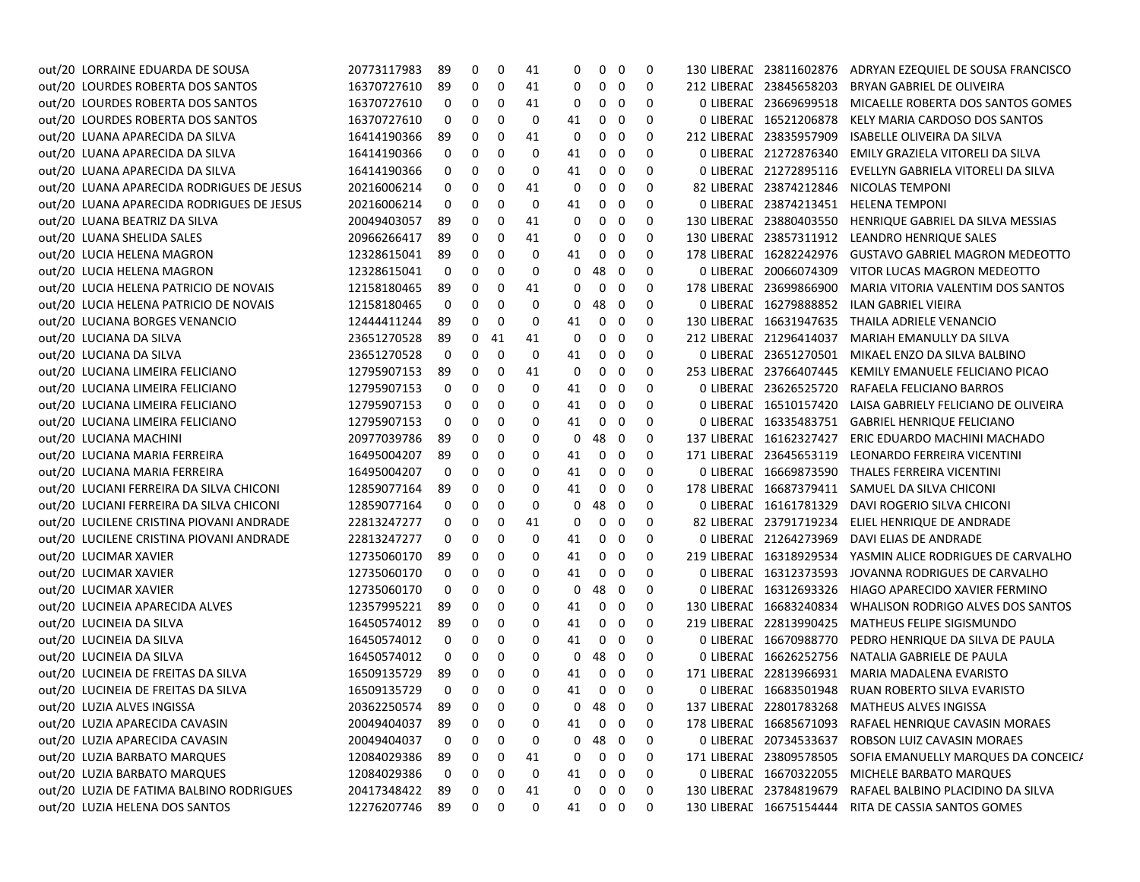| out/20 LORRAINE EDUARDA DE SOUSA          | 20773117983    | 89          | 0            | 0  | 41          | 0  | $\mathbf{0}$   | 0 | 0 |                         | 130 LIBERAL 23811602876 ADRYAN EZEQUIEL DE SOUSA FRANCISCO  |
|-------------------------------------------|----------------|-------------|--------------|----|-------------|----|----------------|---|---|-------------------------|-------------------------------------------------------------|
| out/20 LOURDES ROBERTA DOS SANTOS         | 16370727610    | 89          | 0            | 0  | 41          | 0  | 0              | 0 | 0 | 212 LIBERAL 23845658203 | BRYAN GABRIEL DE OLIVEIRA                                   |
| out/20 LOURDES ROBERTA DOS SANTOS         | 16370727610    | 0           | 0            | 0  | 41          | 0  | 0              | 0 | 0 | 0 LIBERAL 23669699518   | MICAELLE ROBERTA DOS SANTOS GOMES                           |
| out/20 LOURDES ROBERTA DOS SANTOS         | 16370727610    | 0           | 0            | 0  | 0           | 41 | 0              | 0 | 0 | 0 LIBERAL 16521206878   | KELY MARIA CARDOSO DOS SANTOS                               |
| out/20 LUANA APARECIDA DA SILVA           | 16414190366    | 89          | 0            | 0  | 41          | 0  | 0              | 0 | 0 | 212 LIBERAL 23835957909 | <b>ISABELLE OLIVEIRA DA SILVA</b>                           |
| out/20 LUANA APARECIDA DA SILVA           | 16414190366    | 0           | 0            | 0  | 0           | 41 | 0              | 0 | 0 | 0 LIBERAL 21272876340   | EMILY GRAZIELA VITORELI DA SILVA                            |
| out/20 LUANA APARECIDA DA SILVA           | 16414190366    | 0           | 0            | 0  | 0           | 41 | 0              | 0 | 0 | 0 LIBERAL 21272895116   | EVELLYN GABRIELA VITORELI DA SILVA                          |
| out/20 LUANA APARECIDA RODRIGUES DE JESUS | 20216006214    | 0           | 0            | 0  | 41          | 0  | 0              | 0 | 0 | 82 LIBERAL 23874212846  | NICOLAS TEMPONI                                             |
| out/20 LUANA APARECIDA RODRIGUES DE JESUS | 20216006214    | 0           | 0            | 0  | 0           | 41 | 0              | 0 | 0 | 0 LIBERAL 23874213451   | HELENA TEMPONI                                              |
| out/20 LUANA BEATRIZ DA SILVA             | 20049403057    | 89          | 0            | 0  | 41          | 0  | 0              | 0 | 0 | 130 LIBERAL 23880403550 | HENRIQUE GABRIEL DA SILVA MESSIAS                           |
| out/20 LUANA SHELIDA SALES                | 20966266417    | 89          | 0            | 0  | 41          | 0  | 0              | 0 | 0 | 130 LIBERAL 23857311912 | LEANDRO HENRIQUE SALES                                      |
| out/20 LUCIA HELENA MAGRON                | 12328615041    | 89          | 0            | 0  | 0           | 41 | 0              | 0 | 0 | 178 LIBERAL 16282242976 | <b>GUSTAVO GABRIEL MAGRON MEDEOTTO</b>                      |
| out/20 LUCIA HELENA MAGRON                | 12328615041    | 0           | 0            | 0  | 0           | 0  | 48             | 0 | 0 | 0 LIBERAL 20066074309   | VITOR LUCAS MAGRON MEDEOTTO                                 |
| out/20 LUCIA HELENA PATRICIO DE NOVAIS    | 12158180465    | 89          | 0            | 0  | 41          | 0  | 0              | 0 | 0 | 178 LIBERAL 23699866900 | MARIA VITORIA VALENTIM DOS SANTOS                           |
| out/20 LUCIA HELENA PATRICIO DE NOVAIS    | 12158180465    | 0           | 0            | 0  | 0           | 0  | 48             | 0 | 0 | 0 LIBERAL 16279888852   | <b>ILAN GABRIEL VIEIRA</b>                                  |
| out/20 LUCIANA BORGES VENANCIO            | 12444411244    | 89          | 0            | 0  | 0           | 41 | 0              | 0 | 0 | 130 LIBERAL 16631947635 | THAILA ADRIELE VENANCIO                                     |
| out/20 LUCIANA DA SILVA                   | 23651270528    | 89          | 0            | 41 | 41          | 0  | 0              | 0 | 0 | 212 LIBERAL 21296414037 | MARIAH EMANULLY DA SILVA                                    |
| out/20 LUCIANA DA SILVA                   | 23651270528    | 0           | 0            | 0  | 0           | 41 | 0              | 0 | 0 | 0 LIBERAL 23651270501   | MIKAEL ENZO DA SILVA BALBINO                                |
| out/20 LUCIANA LIMEIRA FELICIANO          | 12795907153    | 89          | 0            | 0  | 41          | 0  | 0              | 0 | 0 | 253 LIBERAL 23766407445 | KEMILY EMANUELE FELICIANO PICAO                             |
| out/20 LUCIANA LIMEIRA FELICIANO          | 12795907153    | 0           | 0            | 0  | 0           | 41 | 0              | 0 | 0 | 0 LIBERAL 23626525720   | RAFAELA FELICIANO BARROS                                    |
| out/20 LUCIANA LIMEIRA FELICIANO          | 12795907153    | 0           | 0            | 0  | 0           | 41 | 0              | 0 | 0 | 0 LIBERAL 16510157420   | LAISA GABRIELY FELICIANO DE OLIVEIRA                        |
| out/20 LUCIANA LIMEIRA FELICIANO          | 12795907153    | 0           | 0            | 0  | 0           | 41 | 0              | 0 | 0 | 0 LIBERAL 16335483751   | <b>GABRIEL HENRIQUE FELICIANO</b>                           |
| out/20 LUCIANA MACHINI                    | 20977039786    | 89          | 0            | 0  | 0           | 0  | 48             | 0 | 0 | 137 LIBERAL 16162327427 | ERIC EDUARDO MACHINI MACHADO                                |
| out/20 LUCIANA MARIA FERREIRA             | 16495004207    | 89          | 0            | 0  | 0           | 41 | 0              | 0 | 0 | 171 LIBERAL 23645653119 | LEONARDO FERREIRA VICENTINI                                 |
| out/20 LUCIANA MARIA FERREIRA             | 16495004207    | 0           | 0            | 0  | 0           | 41 | 0              | 0 | 0 | 0 LIBERAL 16669873590   | THALES FERREIRA VICENTINI                                   |
| out/20 LUCIANI FERREIRA DA SILVA CHICONI  | 12859077164    | 89          | 0            | 0  | 0           | 41 | 0              | 0 | 0 | 178 LIBERAL 16687379411 | SAMUEL DA SILVA CHICONI                                     |
| out/20 LUCIANI FERREIRA DA SILVA CHICONI  | 12859077164    | 0           | 0            | 0  | 0           | 0  | 48             | 0 | 0 | 0 LIBERAL 16161781329   | DAVI ROGERIO SILVA CHICONI                                  |
| out/20 LUCILENE CRISTINA PIOVANI ANDRADE  | 22813247277    | 0           | 0            | 0  | 41          | 0  | 0              | 0 | 0 | 82 LIBERAL 23791719234  | ELIEL HENRIQUE DE ANDRADE                                   |
| out/20 LUCILENE CRISTINA PIOVANI ANDRADE  | 22813247277    | 0           | 0            | 0  | 0           | 41 | 0              | 0 | 0 | 0 LIBERAL 21264273969   | DAVI ELIAS DE ANDRADE                                       |
| out/20 LUCIMAR XAVIER                     | 12735060170    | 89          | 0            | 0  | 0           | 41 | 0              | 0 | 0 | 219 LIBERAL 16318929534 | YASMIN ALICE RODRIGUES DE CARVALHO                          |
| out/20 LUCIMAR XAVIER                     | 12735060170    | 0           | 0            | 0  | 0           | 41 | 0              | 0 | 0 | 0 LIBERAL 16312373593   | JOVANNA RODRIGUES DE CARVALHO                               |
| out/20 LUCIMAR XAVIER                     | 12735060170    | 0           | 0            | 0  | 0           | 0  | 48             | 0 | 0 | 0 LIBERAL 16312693326   | HIAGO APARECIDO XAVIER FERMINO                              |
| out/20 LUCINEIA APARECIDA ALVES           | 12357995221    | 89          | 0            | 0  | 0           | 41 | 0              | 0 | 0 | 130 LIBERAL 16683240834 | WHALISON RODRIGO ALVES DOS SANTOS                           |
| out/20 LUCINEIA DA SILVA                  | 16450574012    | 89          | 0            | 0  | 0           | 41 | 0              | 0 | 0 | 219 LIBERAL 22813990425 | MATHEUS FELIPE SIGISMUNDO                                   |
| out/20 LUCINEIA DA SILVA                  | 16450574012    | 0           | 0            | 0  | 0           | 41 | 0              | 0 | 0 | 0 LIBERAL 16670988770   | PEDRO HENRIQUE DA SILVA DE PAULA                            |
| out/20 LUCINEIA DA SILVA                  | 16450574012    | 0           | 0            | 0  | 0           | 0  | 48             | 0 | 0 | 0 LIBERAL 16626252756   | NATALIA GABRIELE DE PAULA                                   |
| out/20 LUCINEIA DE FREITAS DA SILVA       | 16509135729    | 89          | 0            | 0  | 0           | 41 | 0              | 0 | 0 | 171 LIBERAL 22813966931 | MARIA MADALENA EVARISTO                                     |
| out/20 LUCINEIA DE FREITAS DA SILVA       | 16509135729    | $\mathbf 0$ | $\mathbf 0$  | 0  | $\mathbf 0$ | 41 | $\mathbf 0$    | 0 | 0 | 0 LIBERAL 16683501948   | RUAN ROBERTO SILVA EVARISTO                                 |
| out/20 LUZIA ALVES INGISSA                | 20362250574 89 |             | $0\quad 0$   |    | 0           |    | $0$ 48 $0$     |   | 0 |                         | 137 LIBERAL 22801783268 MATHEUS ALVES INGISSA               |
| out/20 LUZIA APARECIDA CAVASIN            | 20049404037    | -89         | 0            | 0  | 0           | 41 | $\overline{0}$ | 0 | 0 |                         | 178 LIBERAL 16685671093 RAFAEL HENRIQUE CAVASIN MORAES      |
| out/20 LUZIA APARECIDA CAVASIN            | 20049404037    | 0           | 0            | 0  | 0           | 0  | -48            | 0 | 0 | 0 LIBERAL 20734533637   | ROBSON LUIZ CAVASIN MORAES                                  |
| out/20 LUZIA BARBATO MARQUES              | 12084029386    | 89          | 0            | 0  | 41          | 0  | 0              | 0 | 0 |                         | 171 LIBERAL 23809578505 SOFIA EMANUELLY MARQUES DA CONCEIC/ |
| out/20 LUZIA BARBATO MARQUES              | 12084029386    | 0           | 0            | 0  | 0           | 41 | 0              | 0 | 0 |                         | 0 LIBERAL 16670322055 MICHELE BARBATO MARQUES               |
| out/20 LUZIA DE FATIMA BALBINO RODRIGUES  | 20417348422    | 89          | 0            | 0  | 41          | 0  | 0              | 0 | 0 |                         | 130 LIBERAE 23784819679 RAFAEL BALBINO PLACIDINO DA SILVA   |
| out/20 LUZIA HELENA DOS SANTOS            | 12276207746 89 |             | $\mathbf{0}$ | 0  | 0           | 41 | $0\quad 0$     |   | 0 |                         | 130 LIBERAE 16675154444 RITA DE CASSIA SANTOS GOMES         |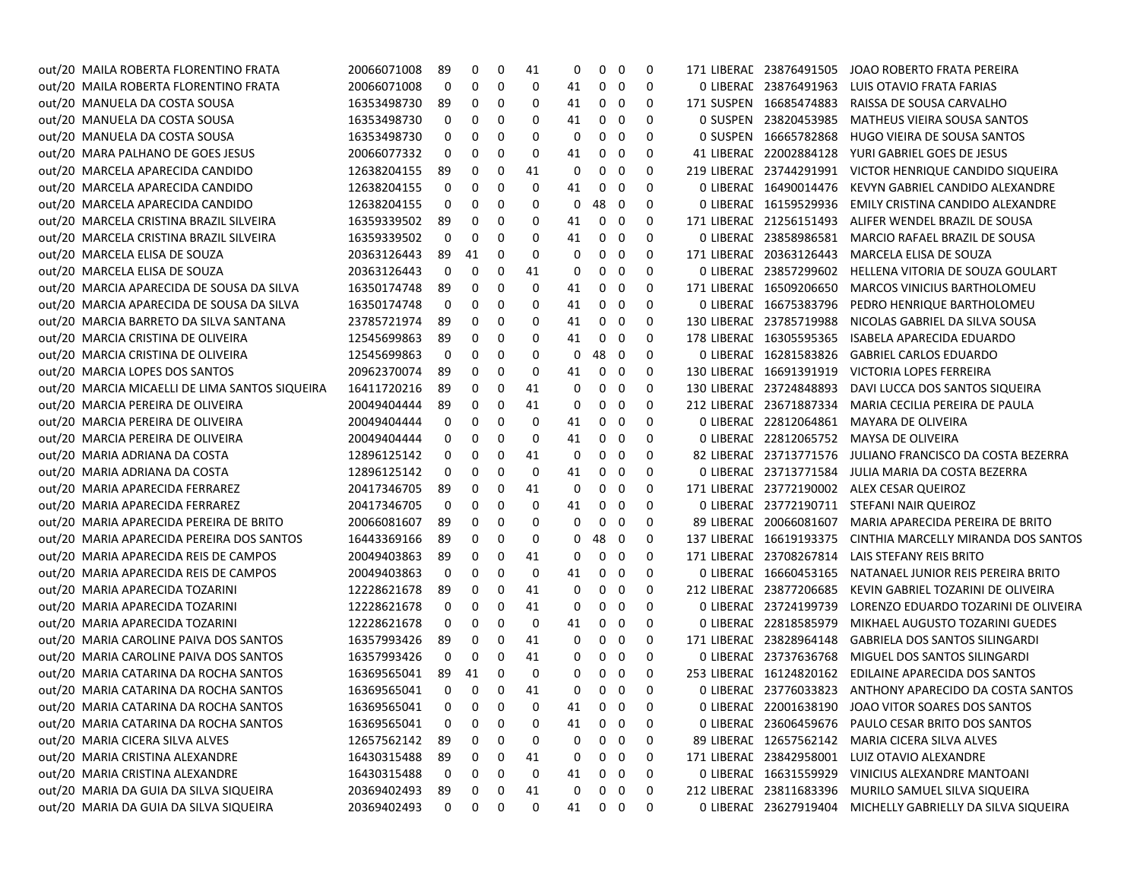| out/20 MAILA ROBERTA FLORENTINO FRATA          | 20066071008 | 89 | 0                 | 0                       | 41 | 0  | 0            | 0            | 0 | 171 LIBERAC 23876491505 | JOAO ROBERTO FRATA PEREIRA                                 |
|------------------------------------------------|-------------|----|-------------------|-------------------------|----|----|--------------|--------------|---|-------------------------|------------------------------------------------------------|
| out/20 MAILA ROBERTA FLORENTINO FRATA          | 20066071008 | 0  | 0                 | 0                       | 0  | 41 | 0            | 0            | 0 | 0 LIBERAE 23876491963   | LUIS OTAVIO FRATA FARIAS                                   |
| out/20 MANUELA DA COSTA SOUSA                  | 16353498730 | 89 | 0                 | 0                       | 0  | 41 | 0            | 0            | 0 | 171 SUSPEN 16685474883  | RAISSA DE SOUSA CARVALHO                                   |
| out/20 MANUELA DA COSTA SOUSA                  | 16353498730 | 0  | 0                 | 0                       | 0  | 41 | 0            | 0            | 0 | 0 SUSPEN 23820453985    | MATHEUS VIEIRA SOUSA SANTOS                                |
| out/20 MANUELA DA COSTA SOUSA                  | 16353498730 | 0  | 0                 | 0                       | 0  | 0  | 0            | 0            | 0 | 0 SUSPEN 16665782868    | HUGO VIEIRA DE SOUSA SANTOS                                |
| out/20 MARA PALHANO DE GOES JESUS              | 20066077332 | 0  | 0                 | 0                       | 0  | 41 | 0            | 0            | 0 | 41 LIBERAL 22002884128  | YURI GABRIEL GOES DE JESUS                                 |
| out/20 MARCELA APARECIDA CANDIDO               | 12638204155 | 89 | 0                 | 0                       | 41 | 0  | 0            | 0            | 0 | 219 LIBERAL 23744291991 | VICTOR HENRIQUE CANDIDO SIQUEIRA                           |
| out/20 MARCELA APARECIDA CANDIDO               | 12638204155 | 0  | 0                 | 0                       | 0  | 41 | 0            | 0            | 0 | 0 LIBERAL 16490014476   | KEVYN GABRIEL CANDIDO ALEXANDRE                            |
| out/20 MARCELA APARECIDA CANDIDO               | 12638204155 | 0  | 0                 | 0                       | 0  | 0  | 48           | - 0          | 0 | 0 LIBERAE 16159529936   | EMILY CRISTINA CANDIDO ALEXANDRE                           |
| out/20 MARCELA CRISTINA BRAZIL SILVEIRA        | 16359339502 | 89 | 0                 | 0                       | 0  | 41 | 0            | 0            | 0 | 171 LIBERAL 21256151493 | ALIFER WENDEL BRAZIL DE SOUSA                              |
| out/20 MARCELA CRISTINA BRAZIL SILVEIRA        | 16359339502 | 0  | 0                 | 0                       | 0  | 41 | 0            | 0            | 0 |                         | 0 LIBERAE 23858986581 MARCIO RAFAEL BRAZIL DE SOUSA        |
| out/20 MARCELA ELISA DE SOUZA                  | 20363126443 | 89 | 41                | 0                       | 0  | 0  | 0            | 0            | 0 | 171 LIBERAL 20363126443 | MARCELA ELISA DE SOUZA                                     |
| out/20 MARCELA ELISA DE SOUZA                  | 20363126443 | 0  | 0                 | 0                       | 41 | 0  | 0            | 0            | 0 | 0 LIBERAL 23857299602   | HELLENA VITORIA DE SOUZA GOULART                           |
| out/20 MARCIA APARECIDA DE SOUSA DA SILVA      | 16350174748 | 89 | 0                 | 0                       | 0  | 41 | 0            | 0            | 0 | 171 LIBERAL 16509206650 | MARCOS VINICIUS BARTHOLOMEU                                |
| out/20 MARCIA APARECIDA DE SOUSA DA SILVA      | 16350174748 | 0  | 0                 | 0                       | 0  | 41 | 0            | 0            | 0 | 0 LIBERAE 16675383796   | PEDRO HENRIQUE BARTHOLOMEU                                 |
| out/20 MARCIA BARRETO DA SILVA SANTANA         | 23785721974 | 89 | 0                 | 0                       | 0  | 41 | 0            | 0            | 0 | 130 LIBERAL 23785719988 | NICOLAS GABRIEL DA SILVA SOUSA                             |
| out/20 MARCIA CRISTINA DE OLIVEIRA             | 12545699863 | 89 | 0                 | 0                       | 0  | 41 | 0            | 0            | 0 | 178 LIBERAL 16305595365 | ISABELA APARECIDA EDUARDO                                  |
| out/20 MARCIA CRISTINA DE OLIVEIRA             | 12545699863 | 0  | 0                 | 0                       | 0  | 0  | 48           | - 0          | 0 | 0 LIBERAL 16281583826   | <b>GABRIEL CARLOS EDUARDO</b>                              |
| out/20 MARCIA LOPES DOS SANTOS                 | 20962370074 | 89 | 0                 | 0                       | 0  | 41 | 0            | 0            | 0 | 130 LIBERAL 16691391919 | VICTORIA LOPES FERREIRA                                    |
| out/20 MARCIA MICAELLI DE LIMA SANTOS SIQUEIRA | 16411720216 | 89 | 0                 | 0                       | 41 | 0  | 0            | 0            | 0 | 130 LIBERAL 23724848893 | DAVI LUCCA DOS SANTOS SIQUEIRA                             |
| out/20 MARCIA PEREIRA DE OLIVEIRA              | 20049404444 | 89 | 0                 | 0                       | 41 | 0  | 0            | 0            | 0 | 212 LIBERAL 23671887334 | MARIA CECILIA PEREIRA DE PAULA                             |
| out/20 MARCIA PEREIRA DE OLIVEIRA              | 20049404444 | 0  | 0                 | 0                       | 0  | 41 | 0            | 0            | 0 | 0 LIBERAL 22812064861   | MAYARA DE OLIVEIRA                                         |
| out/20 MARCIA PEREIRA DE OLIVEIRA              | 20049404444 | 0  | 0                 | 0                       | 0  | 41 | 0            | 0            | 0 | 0 LIBERAL 22812065752   | MAYSA DE OLIVEIRA                                          |
| out/20 MARIA ADRIANA DA COSTA                  | 12896125142 | 0  | 0                 | 0                       | 41 | 0  | 0            | 0            | 0 | 82 LIBERAL 23713771576  | JULIANO FRANCISCO DA COSTA BEZERRA                         |
| out/20 MARIA ADRIANA DA COSTA                  | 12896125142 | 0  | 0                 | 0                       | 0  | 41 | 0            | 0            | 0 | 0 LIBERAL 23713771584   | JULIA MARIA DA COSTA BEZERRA                               |
| out/20 MARIA APARECIDA FERRAREZ                | 20417346705 | 89 | 0                 | 0                       | 41 | 0  | 0            | 0            | 0 |                         | 171 LIBERAC 23772190002 ALEX CESAR QUEIROZ                 |
| out/20 MARIA APARECIDA FERRAREZ                | 20417346705 | 0  | 0                 | 0                       | 0  | 41 | 0            | 0            | 0 |                         | 0 LIBERAL 23772190711 STEFANI NAIR QUEIROZ                 |
| out/20 MARIA APARECIDA PEREIRA DE BRITO        | 20066081607 | 89 | 0                 | 0                       | 0  | 0  | 0            | 0            | 0 | 89 LIBERAL 20066081607  | MARIA APARECIDA PEREIRA DE BRITO                           |
| out/20 MARIA APARECIDA PEREIRA DOS SANTOS      | 16443369166 | 89 | 0                 | 0                       | 0  | 0  | 48           | - 0          | 0 | 137 LIBERAL 16619193375 | CINTHIA MARCELLY MIRANDA DOS SANTOS                        |
| out/20 MARIA APARECIDA REIS DE CAMPOS          | 20049403863 | 89 | 0                 | 0                       | 41 | 0  | 0            | 0            | 0 | 171 LIBERAL 23708267814 | LAIS STEFANY REIS BRITO                                    |
| out/20 MARIA APARECIDA REIS DE CAMPOS          | 20049403863 | 0  | 0                 | 0                       | 0  | 41 | 0            | 0            | 0 | 0 LIBERAL 16660453165   | NATANAEL JUNIOR REIS PEREIRA BRITO                         |
| out/20 MARIA APARECIDA TOZARINI                | 12228621678 | 89 | 0                 | 0                       | 41 | 0  | 0            | 0            | 0 | 212 LIBERAL 23877206685 | KEVIN GABRIEL TOZARINI DE OLIVEIRA                         |
| out/20 MARIA APARECIDA TOZARINI                | 12228621678 | 0  | 0                 | 0                       | 41 | 0  | 0            | 0            | 0 | 0 LIBERAC 23724199739   | LORENZO EDUARDO TOZARINI DE OLIVEIRA                       |
| out/20 MARIA APARECIDA TOZARINI                | 12228621678 | 0  | 0                 | 0                       | 0  | 41 | 0            | 0            | 0 | 0 LIBERAL 22818585979   | MIKHAEL AUGUSTO TOZARINI GUEDES                            |
| out/20 MARIA CAROLINE PAIVA DOS SANTOS         | 16357993426 | 89 | 0                 | 0                       | 41 | 0  | 0            | 0            | 0 | 171 LIBERAL 23828964148 | <b>GABRIELA DOS SANTOS SILINGARDI</b>                      |
| out/20 MARIA CAROLINE PAIVA DOS SANTOS         | 16357993426 | 0  | 0                 | 0                       | 41 | 0  | 0            | 0            | 0 | 0 LIBERAL 23737636768   | MIGUEL DOS SANTOS SILINGARDI                               |
| out/20 MARIA CATARINA DA ROCHA SANTOS          | 16369565041 | 89 | 41                | 0                       | 0  | 0  | 0            | 0            | 0 | 253 LIBERAL 16124820162 | EDILAINE APARECIDA DOS SANTOS                              |
| out/20 MARIA CATARINA DA ROCHA SANTOS          | 16369565041 | 0  | $\mathbf 0$       | 0                       | 41 | 0  | $\mathbf{0}$ | 0            | 0 |                         | 0 LIBERAL 23776033823 ANTHONY APARECIDO DA COSTA SANTOS    |
| out/20 MARIA CATARINA DA ROCHA SANTOS          | 16369565041 |    | $0\quad 0\quad 0$ |                         | 0  | 41 | $0\quad 0$   |              | 0 |                         | 0 LIBERAL 22001638190 JOAO VITOR SOARES DOS SANTOS         |
| out/20 MARIA CATARINA DA ROCHA SANTOS          | 16369565041 | 0  | 0                 | 0                       | 0  | 41 | 0            | 0            | 0 |                         | 0 LIBERAL 23606459676 PAULO CESAR BRITO DOS SANTOS         |
| out/20 MARIA CICERA SILVA ALVES                | 12657562142 | 89 | 0                 | 0                       | 0  | 0  | 0            | 0            | 0 |                         | 89 LIBERAE 12657562142 MARIA CICERA SILVA ALVES            |
| out/20 MARIA CRISTINA ALEXANDRE                | 16430315488 | 89 | 0                 | 0                       | 41 | 0  | 0            | $\mathbf{0}$ | 0 |                         | 171 LIBERAE 23842958001 LUIZ OTAVIO ALEXANDRE              |
| out/20 MARIA CRISTINA ALEXANDRE                | 16430315488 | 0  | 0                 | 0                       | 0  | 41 | 0            | 0            | 0 |                         | 0 LIBERAE 16631559929 VINICIUS ALEXANDRE MANTOANI          |
| out/20 MARIA DA GUIA DA SILVA SIQUEIRA         | 20369402493 | 89 | 0                 | 0                       | 41 | 0  | 0            | - 0          | 0 |                         | 212 LIBERAE 23811683396 MURILO SAMUEL SILVA SIQUEIRA       |
| out/20 MARIA DA GUIA DA SILVA SIQUEIRA         | 20369402493 | 0  | $\mathbf{0}$      | $\overline{\mathbf{0}}$ | 0  |    | 41 0 0       |              | 0 |                         | 0 LIBERAL 23627919404 MICHELLY GABRIELLY DA SILVA SIQUEIRA |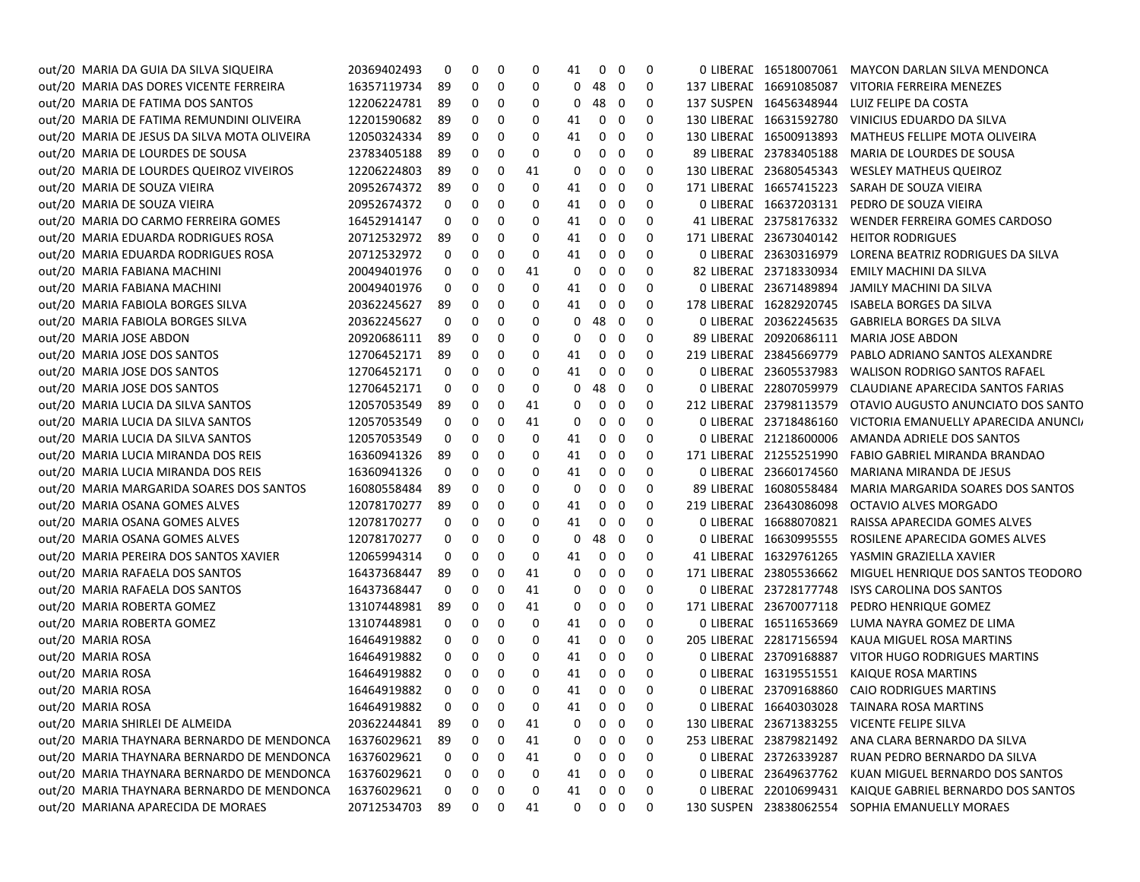| out/20 MARIA DA GUIA DA SILVA SIQUEIRA       | 20369402493 | 0                 | 0 | 0 | 0        | 41 | $\mathbf{0}$ | - 0            | 0                       |                         | 0 LIBERAL 16518007061 MAYCON DARLAN SILVA MENDONCA       |
|----------------------------------------------|-------------|-------------------|---|---|----------|----|--------------|----------------|-------------------------|-------------------------|----------------------------------------------------------|
| out/20 MARIA DAS DORES VICENTE FERREIRA      | 16357119734 | -89               | 0 | 0 | 0        | 0  | 48           | $\mathbf 0$    | 0                       |                         | 137 LIBERAC 16691085087 VITORIA FERREIRA MENEZES         |
| out/20 MARIA DE FATIMA DOS SANTOS            | 12206224781 | -89               | 0 | 0 | 0        | 0  | 48           | $\mathbf{0}$   | 0                       |                         | 137 SUSPEN 16456348944 LUIZ FELIPE DA COSTA              |
| out/20 MARIA DE FATIMA REMUNDINI OLIVEIRA    | 12201590682 | -89               | 0 | 0 | 0        | 41 | 0            | 0              | 0                       |                         | 130 LIBERAE 16631592780 VINICIUS EDUARDO DA SILVA        |
| out/20 MARIA DE JESUS DA SILVA MOTA OLIVEIRA | 12050324334 | -89               | 0 | 0 | 0        | 41 | 0            | $\mathbf 0$    | 0                       |                         | 130 LIBERAL 16500913893 MATHEUS FELLIPE MOTA OLIVEIRA    |
| out/20 MARIA DE LOURDES DE SOUSA             | 23783405188 | -89               | 0 | 0 | 0        | 0  | 0            | $\mathbf 0$    | 0                       | 89 LIBERAL 23783405188  | MARIA DE LOURDES DE SOUSA                                |
| out/20 MARIA DE LOURDES QUEIROZ VIVEIROS     | 12206224803 | -89               | 0 | 0 | 41       | 0  | 0            | $\mathbf 0$    | 0                       | 130 LIBERAL 23680545343 | WESLEY MATHEUS QUEIROZ                                   |
| out/20 MARIA DE SOUZA VIEIRA                 | 20952674372 | -89               | 0 | 0 | 0        | 41 | 0            | $\mathbf 0$    | 0                       | 171 LIBERAL 16657415223 | SARAH DE SOUZA VIEIRA                                    |
| out/20 MARIA DE SOUZA VIEIRA                 | 20952674372 | 0                 | 0 | 0 | 0        | 41 | 0            | 0              | 0                       |                         | 0 LIBERAL 16637203131 PEDRO DE SOUZA VIEIRA              |
| out/20 MARIA DO CARMO FERREIRA GOMES         | 16452914147 | 0                 | 0 | 0 | 0        | 41 | 0            | $\mathbf 0$    | 0                       | 41 LIBERAL 23758176332  | WENDER FERREIRA GOMES CARDOSO                            |
| out/20 MARIA EDUARDA RODRIGUES ROSA          | 20712532972 | -89               | 0 | 0 | 0        | 41 | 0            | 0              | 0                       |                         | 171 LIBERAC 23673040142 HEITOR RODRIGUES                 |
| out/20 MARIA EDUARDA RODRIGUES ROSA          | 20712532972 | 0                 | 0 | 0 | 0        | 41 | 0            | 0              | 0                       | 0 LIBERAL 23630316979   | LORENA BEATRIZ RODRIGUES DA SILVA                        |
| out/20 MARIA FABIANA MACHINI                 | 20049401976 | 0                 | 0 | 0 | 41       | 0  | 0            | 0              | 0                       | 82 LIBERAL 23718330934  | EMILY MACHINI DA SILVA                                   |
| out/20 MARIA FABIANA MACHINI                 | 20049401976 | 0                 | 0 | 0 | 0        | 41 | 0            | 0              | 0                       | 0 LIBERAL 23671489894   | JAMILY MACHINI DA SILVA                                  |
| out/20 MARIA FABIOLA BORGES SILVA            | 20362245627 | 89                | 0 | 0 | 0        | 41 | 0            | 0              | 0                       | 178 LIBERAL 16282920745 | ISABELA BORGES DA SILVA                                  |
| out/20 MARIA FABIOLA BORGES SILVA            | 20362245627 | 0                 | 0 | 0 | 0        | 0  | 48           | $\mathbf 0$    | 0                       | 0 LIBERAL 20362245635   | GABRIELA BORGES DA SILVA                                 |
| out/20 MARIA JOSE ABDON                      | 20920686111 | -89               | 0 | 0 | 0        | 0  | 0            | $\mathbf 0$    | 0                       | 89 LIBERAL 20920686111  | MARIA JOSE ABDON                                         |
| out/20 MARIA JOSE DOS SANTOS                 | 12706452171 | -89               | 0 | 0 | 0        | 41 | 0            | 0              | 0                       | 219 LIBERAL 23845669779 | PABLO ADRIANO SANTOS ALEXANDRE                           |
| out/20 MARIA JOSE DOS SANTOS                 | 12706452171 | 0                 | 0 | 0 | 0        | 41 | 0            | $\mathbf 0$    | 0                       | 0 LIBERAL 23605537983   | WALISON RODRIGO SANTOS RAFAEL                            |
| out/20 MARIA JOSE DOS SANTOS                 | 12706452171 | 0                 | 0 | 0 | 0        | 0  | 48           | $\mathbf 0$    | 0                       | 0 LIBERAL 22807059979   | CLAUDIANE APARECIDA SANTOS FARIAS                        |
| out/20 MARIA LUCIA DA SILVA SANTOS           | 12057053549 | 89                | 0 | 0 | 41       | 0  | 0            | $\mathbf 0$    | 0                       | 212 LIBERAL 23798113579 | OTAVIO AUGUSTO ANUNCIATO DOS SANTO                       |
| out/20 MARIA LUCIA DA SILVA SANTOS           | 12057053549 | 0                 | 0 | 0 | 41       | 0  | 0            | $\mathbf 0$    | 0                       | 0 LIBERAL 23718486160   | VICTORIA EMANUELLY APARECIDA ANUNCI                      |
| out/20 MARIA LUCIA DA SILVA SANTOS           | 12057053549 | 0                 | 0 | 0 | 0        | 41 | 0            | $\mathbf 0$    | 0                       | 0 LIBERAL 21218600006   | AMANDA ADRIELE DOS SANTOS                                |
| out/20 MARIA LUCIA MIRANDA DOS REIS          | 16360941326 | 89                | 0 | 0 | 0        | 41 | 0            | $\mathbf 0$    | 0                       | 171 LIBERAL 21255251990 | FABIO GABRIEL MIRANDA BRANDAO                            |
| out/20 MARIA LUCIA MIRANDA DOS REIS          | 16360941326 | 0                 | 0 | 0 | 0        | 41 | 0            | $\mathbf 0$    | 0                       | 0 LIBERAL 23660174560   | MARIANA MIRANDA DE JESUS                                 |
| out/20 MARIA MARGARIDA SOARES DOS SANTOS     | 16080558484 | 89                | 0 | 0 | 0        | 0  | 0            | $\mathbf 0$    | 0                       | 89 LIBERAL 16080558484  | MARIA MARGARIDA SOARES DOS SANTOS                        |
| out/20 MARIA OSANA GOMES ALVES               | 12078170277 | 89                | 0 | 0 | 0        | 41 | 0            | 0              | 0                       | 219 LIBERAL 23643086098 | OCTAVIO ALVES MORGADO                                    |
| out/20 MARIA OSANA GOMES ALVES               | 12078170277 | 0                 | 0 | 0 | 0        | 41 | 0            | 0              | 0                       | 0 LIBERAL 16688070821   | RAISSA APARECIDA GOMES ALVES                             |
| out/20 MARIA OSANA GOMES ALVES               | 12078170277 | 0                 | 0 | 0 | 0        | 0  | 48           | 0              | 0                       | 0 LIBERAL 16630995555   | ROSILENE APARECIDA GOMES ALVES                           |
| out/20 MARIA PEREIRA DOS SANTOS XAVIER       | 12065994314 | 0                 | 0 | 0 | 0        | 41 | 0            | 0              | 0                       | 41 LIBERAL 16329761265  | YASMIN GRAZIELLA XAVIER                                  |
| out/20 MARIA RAFAELA DOS SANTOS              | 16437368447 | -89               | 0 | 0 | 41       | 0  | 0            | 0              | 0                       | 171 LIBERAL 23805536662 | MIGUEL HENRIQUE DOS SANTOS TEODORO                       |
| out/20 MARIA RAFAELA DOS SANTOS              | 16437368447 | 0                 | 0 | 0 | 41       | 0  | 0            | $\mathbf 0$    | 0                       | 0 LIBERAL 23728177748   | ISYS CAROLINA DOS SANTOS                                 |
| out/20 MARIA ROBERTA GOMEZ                   | 13107448981 | 89                | 0 | 0 | 41       | 0  | 0            | 0              | 0                       | 171 LIBERAL 23670077118 | PEDRO HENRIQUE GOMEZ                                     |
| out/20 MARIA ROBERTA GOMEZ                   | 13107448981 | 0                 | 0 | 0 | 0        | 41 | 0            | 0              | 0                       | 0 LIBERAL 16511653669   | LUMA NAYRA GOMEZ DE LIMA                                 |
| out/20 MARIA ROSA                            | 16464919882 | 0                 | 0 | 0 | 0        | 41 | 0            | 0              | 0                       |                         | 205 LIBERAE 22817156594 KAUA MIGUEL ROSA MARTINS         |
| out/20 MARIA ROSA                            | 16464919882 | 0                 | 0 | 0 | 0        | 41 | 0            | 0              | 0                       |                         | 0 LIBERAL 23709168887 VITOR HUGO RODRIGUES MARTINS       |
| out/20 MARIA ROSA                            | 16464919882 | 0                 | 0 | 0 | 0        | 41 | 0            | 0              | 0                       |                         | 0 LIBERAE 16319551551 KAIQUE ROSA MARTINS                |
| out/20 MARIA ROSA                            | 16464919882 | 0                 | 0 | 0 | 0        | 41 | $0\quad 0$   |                | 0                       |                         | 0 LIBERAL 23709168860 CAIO RODRIGUES MARTINS             |
| out/20 MARIA ROSA                            | 16464919882 | $0\quad 0\quad 0$ |   |   | $\Omega$ |    |              | 41 0 0 0       |                         |                         | 0 LIBERAL 16640303028 TAINARA ROSA MARTINS               |
| out/20 MARIA SHIRLEI DE ALMEIDA              | 20362244841 | -89               | 0 | 0 | 41       | 0  |              | $0\quad 0$     | 0                       |                         | 130 LIBERAC 23671383255 VICENTE FELIPE SILVA             |
| out/20 MARIA THAYNARA BERNARDO DE MENDONCA   | 16376029621 | 89                | 0 | 0 | 41       | 0  |              | $0\quad 0$     | 0                       |                         | 253 LIBERAE 23879821492 ANA CLARA BERNARDO DA SILVA      |
| out/20 MARIA THAYNARA BERNARDO DE MENDONCA   | 16376029621 | 0                 | 0 | 0 | 41       | 0  |              | $0\quad 0$     | 0                       |                         | 0 LIBERAL 23726339287 RUAN PEDRO BERNARDO DA SILVA       |
| out/20 MARIA THAYNARA BERNARDO DE MENDONCA   | 16376029621 | 0                 | 0 | 0 | 0        | 41 | 0            | $\overline{0}$ | 0                       |                         | 0 LIBERAL 23649637762 KUAN MIGUEL BERNARDO DOS SANTOS    |
| out/20 MARIA THAYNARA BERNARDO DE MENDONCA   | 16376029621 | 0                 | 0 | 0 | 0        | 41 |              | $0\quad 0$     | 0                       |                         | 0 LIBERAL 22010699431 KAIQUE GABRIEL BERNARDO DOS SANTOS |
| out/20 MARIANA APARECIDA DE MORAES           | 20712534703 | 89                | 0 | 0 | 41       | 0  |              | $0\quad 0$     | $\overline{\mathbf{0}}$ |                         | 130 SUSPEN 23838062554 SOPHIA EMANUELLY MORAES           |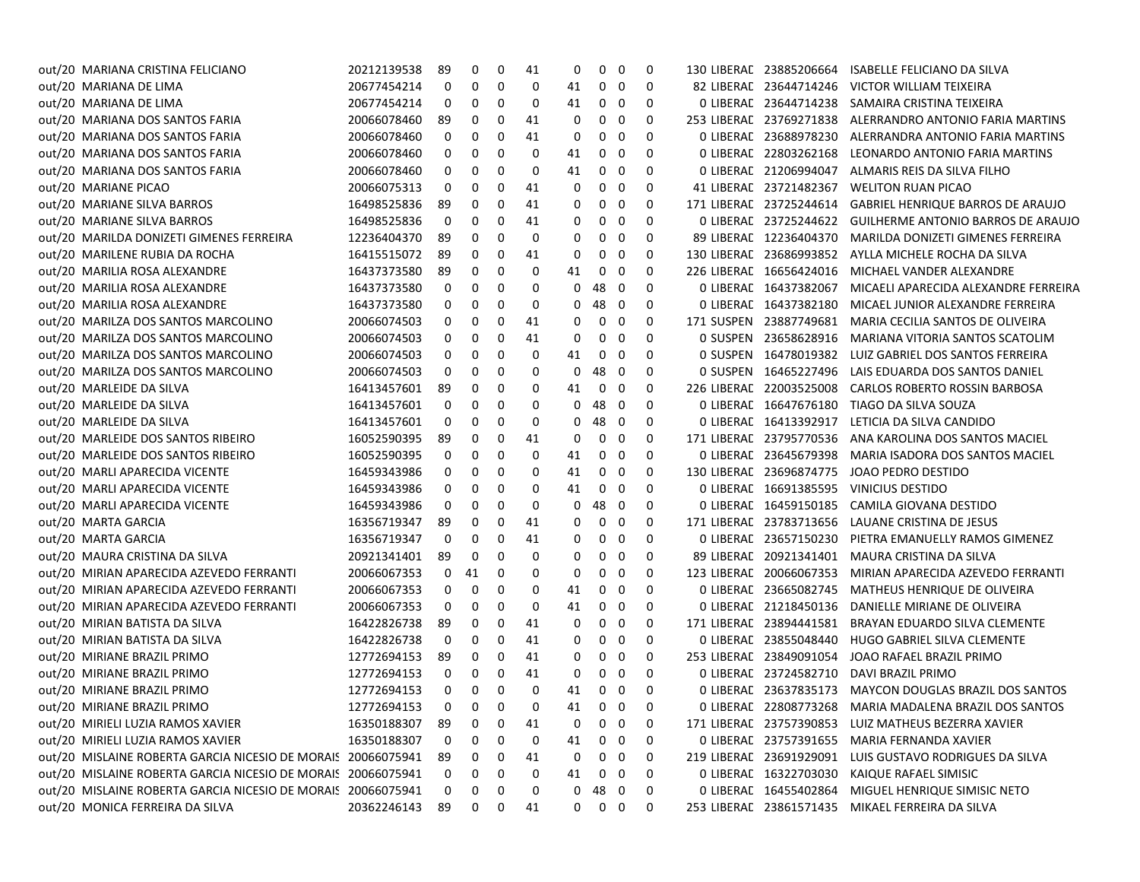| out/20 MARIANA CRISTINA FELICIANO                            | 20212139538 | 89           | 0        | 0 | 41 | 0            | 0          | - 0                     | 0           | 130 LIBERAL 23885206664 | ISABELLE FELICIANO DA SILVA                             |
|--------------------------------------------------------------|-------------|--------------|----------|---|----|--------------|------------|-------------------------|-------------|-------------------------|---------------------------------------------------------|
| out/20 MARIANA DE LIMA                                       | 20677454214 | 0            | 0        | 0 | 0  | 41           | 0          | 0                       | 0           | 82 LIBERAL 23644714246  | VICTOR WILLIAM TEIXEIRA                                 |
| out/20 MARIANA DE LIMA                                       | 20677454214 | 0            | 0        | 0 | 0  | 41           | 0          | 0                       | 0           | 0 LIBERAL 23644714238   | SAMAIRA CRISTINA TEIXEIRA                               |
| out/20 MARIANA DOS SANTOS FARIA                              | 20066078460 | 89           | 0        | 0 | 41 | 0            | 0          | 0                       | 0           | 253 LIBERAL 23769271838 | ALERRANDRO ANTONIO FARIA MARTINS                        |
| out/20 MARIANA DOS SANTOS FARIA                              | 20066078460 | 0            | 0        | 0 | 41 | 0            | 0          | 0                       | 0           | 0 LIBERAL 23688978230   | ALERRANDRA ANTONIO FARIA MARTINS                        |
| out/20 MARIANA DOS SANTOS FARIA                              | 20066078460 | 0            | 0        | 0 | 0  | 41           | 0          | 0                       | 0           | 0 LIBERAL 22803262168   | LEONARDO ANTONIO FARIA MARTINS                          |
| out/20 MARIANA DOS SANTOS FARIA                              | 20066078460 | 0            | 0        | 0 | 0  | 41           | 0          | 0                       | 0           | 0 LIBERAL 21206994047   | ALMARIS REIS DA SILVA FILHO                             |
| out/20 MARIANE PICAO                                         | 20066075313 | 0            | 0        | 0 | 41 | 0            | 0          | 0                       | 0           | 41 LIBERAL 23721482367  | <b>WELITON RUAN PICAO</b>                               |
| out/20 MARIANE SILVA BARROS                                  | 16498525836 | 89           | 0        | 0 | 41 | 0            | 0          | 0                       | 0           | 171 LIBERAL 23725244614 | GABRIEL HENRIQUE BARROS DE ARAUJO                       |
| out/20 MARIANE SILVA BARROS                                  | 16498525836 | 0            | 0        | 0 | 41 | 0            | 0          | 0                       | 0           | 0 LIBERAL 23725244622   | <b>GUILHERME ANTONIO BARROS DE ARAUJO</b>               |
| out/20 MARILDA DONIZETI GIMENES FERREIRA                     | 12236404370 | 89           | 0        | 0 | 0  | 0            | 0          | 0                       | 0           | 89 LIBERAL 12236404370  | MARILDA DONIZETI GIMENES FERREIRA                       |
| out/20 MARILENE RUBIA DA ROCHA                               | 16415515072 | 89           | 0        | 0 | 41 | 0            | 0          | 0                       | 0           | 130 LIBERAL 23686993852 | AYLLA MICHELE ROCHA DA SILVA                            |
| out/20 MARILIA ROSA ALEXANDRE                                | 16437373580 | 89           | 0        | 0 | 0  | 41           | 0          | 0                       | 0           | 226 LIBERAL 16656424016 | MICHAEL VANDER ALEXANDRE                                |
| out/20 MARILIA ROSA ALEXANDRE                                | 16437373580 | 0            | 0        | 0 | 0  | 0            | 48         | - 0                     | 0           | 0 LIBERAL 16437382067   | MICAELI APARECIDA ALEXANDRE FERREIRA                    |
| out/20 MARILIA ROSA ALEXANDRE                                | 16437373580 | 0            | 0        | 0 | 0  | 0            | 48         | - 0                     | 0           | 0 LIBERAL 16437382180   | MICAEL JUNIOR ALEXANDRE FERREIRA                        |
| out/20 MARILZA DOS SANTOS MARCOLINO                          | 20066074503 | 0            | 0        | 0 | 41 | 0            | 0          | 0                       | 0           | 171 SUSPEN 23887749681  | MARIA CECILIA SANTOS DE OLIVEIRA                        |
| out/20 MARILZA DOS SANTOS MARCOLINO                          | 20066074503 | 0            | 0        | 0 | 41 | 0            | 0          | 0                       | 0           | 0 SUSPEN 23658628916    | MARIANA VITORIA SANTOS SCATOLIM                         |
| out/20 MARILZA DOS SANTOS MARCOLINO                          | 20066074503 | 0            | 0        | 0 | 0  | 41           | 0          | - 0                     | 0           | 0 SUSPEN 16478019382    | LUIZ GABRIEL DOS SANTOS FERREIRA                        |
| out/20 MARILZA DOS SANTOS MARCOLINO                          | 20066074503 | 0            | 0        | 0 | 0  | 0            | 48         | - 0                     | 0           | 0 SUSPEN 16465227496    | LAIS EDUARDA DOS SANTOS DANIEL                          |
| out/20 MARLEIDE DA SILVA                                     | 16413457601 | 89           | 0        | 0 | 0  | 41           | 0          | 0                       | 0           | 226 LIBERAL 22003525008 | <b>CARLOS ROBERTO ROSSIN BARBOSA</b>                    |
| out/20 MARLEIDE DA SILVA                                     | 16413457601 | 0            | 0        | 0 | 0  | 0            | 48         | - 0                     | 0           | 0 LIBERAL 16647676180   | TIAGO DA SILVA SOUZA                                    |
| out/20 MARLEIDE DA SILVA                                     | 16413457601 | 0            | 0        | 0 | 0  | 0            | 48         | - 0                     | 0           | 0 LIBERAL 16413392917   | LETICIA DA SILVA CANDIDO                                |
| out/20 MARLEIDE DOS SANTOS RIBEIRO                           | 16052590395 | 89           | 0        | 0 | 41 | 0            | 0          | 0                       | 0           | 171 LIBERAL 23795770536 | ANA KAROLINA DOS SANTOS MACIEL                          |
| out/20 MARLEIDE DOS SANTOS RIBEIRO                           | 16052590395 | 0            | 0        | 0 | 0  | 41           | 0          | 0                       | 0           | 0 LIBERAL 23645679398   | MARIA ISADORA DOS SANTOS MACIEL                         |
| out/20 MARLI APARECIDA VICENTE                               | 16459343986 | 0            | 0        | 0 | 0  | 41           | 0          | 0                       | 0           | 130 LIBERAL 23696874775 | JOAO PEDRO DESTIDO                                      |
| out/20 MARLI APARECIDA VICENTE                               | 16459343986 | 0            | 0        | 0 | 0  | 41           | 0          | 0                       | 0           | 0 LIBERAL 16691385595   | VINICIUS DESTIDO                                        |
| out/20 MARLI APARECIDA VICENTE                               | 16459343986 | 0            | 0        | 0 | 0  | 0            | 48         | - 0                     | 0           | 0 LIBERAL 16459150185   | CAMILA GIOVANA DESTIDO                                  |
| out/20 MARTA GARCIA                                          | 16356719347 | 89           | 0        | 0 | 41 | 0            | 0          | 0                       | 0           | 171 LIBERAL 23783713656 | LAUANE CRISTINA DE JESUS                                |
| out/20 MARTA GARCIA                                          | 16356719347 | 0            | 0        | 0 | 41 | 0            | 0          | 0                       | 0           | 0 LIBERAL 23657150230   | PIETRA EMANUELLY RAMOS GIMENEZ                          |
| out/20 MAURA CRISTINA DA SILVA                               | 20921341401 | 89           | 0        | 0 | 0  | 0            | 0          | 0                       | 0           | 89 LIBERAL 20921341401  | MAURA CRISTINA DA SILVA                                 |
| out/20 MIRIAN APARECIDA AZEVEDO FERRANTI                     | 20066067353 | 0            | 41       | 0 | 0  | 0            | 0          | 0                       | 0           | 123 LIBERAL 20066067353 | MIRIAN APARECIDA AZEVEDO FERRANTI                       |
| out/20 MIRIAN APARECIDA AZEVEDO FERRANTI                     | 20066067353 | 0            | 0        | 0 | 0  | 41           | 0          | 0                       | 0           | 0 LIBERAL 23665082745   | MATHEUS HENRIQUE DE OLIVEIRA                            |
| out/20 MIRIAN APARECIDA AZEVEDO FERRANTI                     | 20066067353 | 0            | 0        | 0 | 0  | 41           | 0          | 0                       | 0           | 0 LIBERAC 21218450136   | DANIELLE MIRIANE DE OLIVEIRA                            |
| out/20 MIRIAN BATISTA DA SILVA                               | 16422826738 | 89           | 0        | 0 | 41 | 0            | 0          | 0                       | 0           | 171 LIBERAL 23894441581 | BRAYAN EDUARDO SILVA CLEMENTE                           |
| out/20 MIRIAN BATISTA DA SILVA                               | 16422826738 | 0            | 0        | 0 | 41 | 0            | 0          | - 0                     | 0           | 0 LIBERAL 23855048440   | HUGO GABRIEL SILVA CLEMENTE                             |
| out/20 MIRIANE BRAZIL PRIMO                                  | 12772694153 | 89           | 0        | 0 | 41 | 0            | 0          | - 0                     | 0           | 253 LIBERAL 23849091054 | JOAO RAFAEL BRAZIL PRIMO                                |
| out/20 MIRIANE BRAZIL PRIMO                                  | 12772694153 | 0            | 0        | 0 | 41 | 0            | 0          | 0                       | 0           | 0 LIBERAL 23724582710   | DAVI BRAZIL PRIMO                                       |
| out/20 MIRIANE BRAZIL PRIMO                                  | 12772694153 | 0            | 0        | 0 | 0  | 41           | $0\quad 0$ |                         | 0           |                         | 0 LIBERAL 23637835173 MAYCON DOUGLAS BRAZIL DOS SANTOS  |
| out/20 MIRIANE BRAZIL PRIMO                                  | 12772694153 | $\mathbf{0}$ | $\Omega$ | 0 | 0  | 41           |            | $0\quad 0$              | $\mathbf 0$ |                         | 0 LIBERAE 22808773268 MARIA MADALENA BRAZIL DOS SANTOS  |
| out/20 MIRIELI LUZIA RAMOS XAVIER                            | 16350188307 | 89           | 0        | 0 | 41 | 0            | 0          | - 0                     | 0           |                         | 171 LIBERAC 23757390853 LUIZ MATHEUS BEZERRA XAVIER     |
| out/20 MIRIELI LUZIA RAMOS XAVIER                            | 16350188307 | 0            | 0        | 0 | 0  | 41           | 0          | 0                       | 0           |                         | 0 LIBERAL 23757391655 MARIA FERNANDA XAVIER             |
| out/20 MISLAINE ROBERTA GARCIA NICESIO DE MORAIS 20066075941 |             | 89           | 0        | 0 | 41 | 0            | 0          | $\overline{\mathbf{0}}$ | 0           |                         | 219 LIBERAE 23691929091 LUIS GUSTAVO RODRIGUES DA SILVA |
| out/20 MISLAINE ROBERTA GARCIA NICESIO DE MORAIS 20066075941 |             | 0            | 0        | 0 | 0  | 41           |            | $0\quad 0$              | 0           |                         | 0 LIBERAE 16322703030 KAIQUE RAFAEL SIMISIC             |
| out/20 MISLAINE ROBERTA GARCIA NICESIO DE MORAIS 20066075941 |             | 0            | 0        | 0 | 0  | 0            | 48 0       |                         | 0           |                         | 0 LIBERAE 16455402864 MIGUEL HENRIQUE SIMISIC NETO      |
| out/20 MONICA FERREIRA DA SILVA                              | 20362246143 | 89           | 0        | 0 | 41 | $\mathbf{0}$ | $0\quad 0$ |                         | $\mathbf 0$ |                         | 253 LIBERAL 23861571435 MIKAEL FERREIRA DA SILVA        |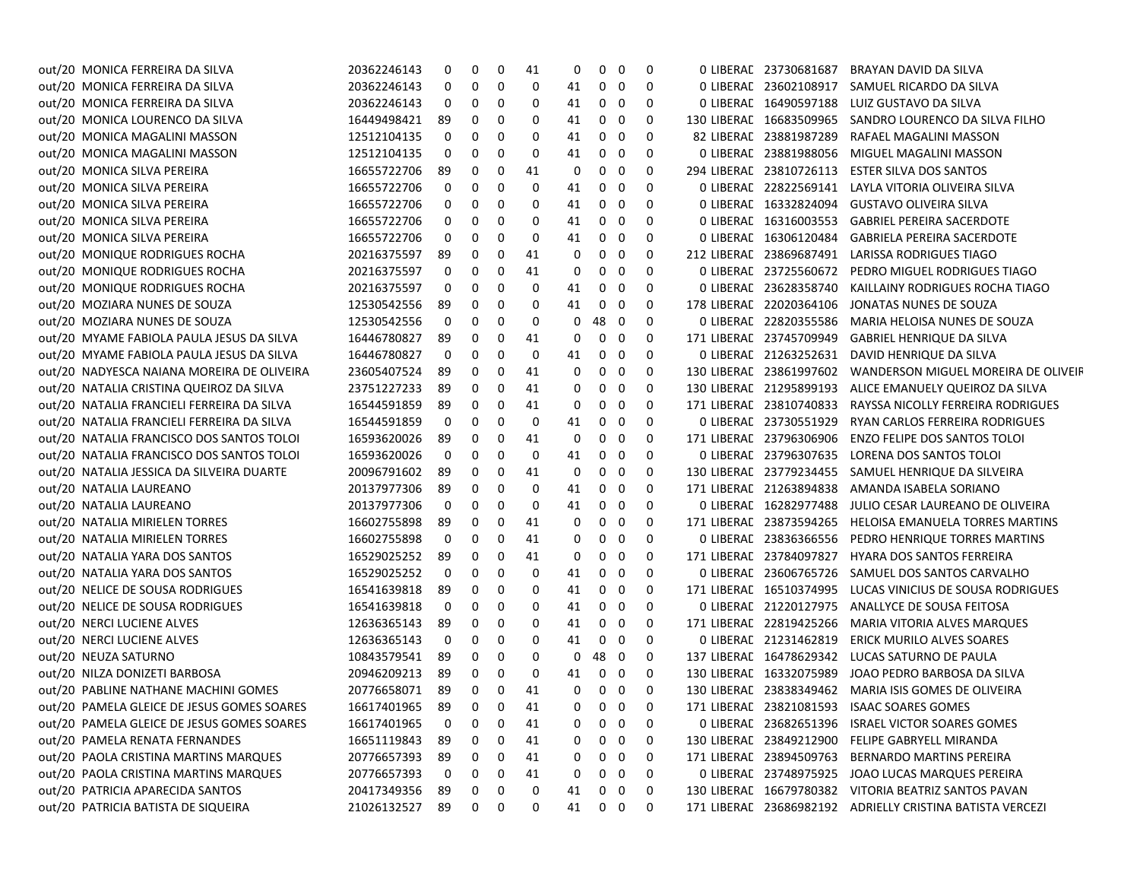| out/20 MONICA FERREIRA DA SILVA            | 20362246143        | 0    | 0           | 0 | 41 | 0  | 0          | 0                 | 0 | 0 LIBERAL 23730681687   | BRAYAN DAVID DA SILVA                                     |
|--------------------------------------------|--------------------|------|-------------|---|----|----|------------|-------------------|---|-------------------------|-----------------------------------------------------------|
| out/20 MONICA FERREIRA DA SILVA            | 20362246143        | 0    | 0           | 0 | 0  | 41 | 0          | 0                 | 0 |                         | 0 LIBERAE 23602108917 SAMUEL RICARDO DA SILVA             |
| out/20 MONICA FERREIRA DA SILVA            | 20362246143        | 0    | 0           | 0 | 0  | 41 | 0          | 0                 | 0 |                         | 0 LIBERAL 16490597188 LUIZ GUSTAVO DA SILVA               |
| out/20 MONICA LOURENCO DA SILVA            | 16449498421        | 89   | 0           | 0 | 0  | 41 | 0          | 0                 | 0 |                         | 130 LIBERAL 16683509965 SANDRO LOURENCO DA SILVA FILHO    |
| out/20 MONICA MAGALINI MASSON              | 12512104135        | 0    | 0           | 0 | 0  | 41 | 0          | 0                 | 0 | 82 LIBERAL 23881987289  | RAFAEL MAGALINI MASSON                                    |
| out/20 MONICA MAGALINI MASSON              | 12512104135        | 0    | 0           | 0 | 0  | 41 | 0          | 0                 | 0 |                         | 0 LIBERAL 23881988056 MIGUEL MAGALINI MASSON              |
| out/20 MONICA SILVA PEREIRA                | 16655722706        | 89   | 0           | 0 | 41 | 0  | 0          | 0                 | 0 | 294 LIBERAL 23810726113 | <b>ESTER SILVA DOS SANTOS</b>                             |
| out/20 MONICA SILVA PEREIRA                | 16655722706        | 0    | 0           | 0 | 0  | 41 | 0          | 0                 | 0 | 0 LIBERAL 22822569141   | LAYLA VITORIA OLIVEIRA SILVA                              |
| out/20 MONICA SILVA PEREIRA                | 16655722706        | 0    | 0           | 0 | 0  | 41 | 0          | 0                 | 0 |                         | 0 LIBERAE 16332824094 GUSTAVO OLIVEIRA SILVA              |
| out/20 MONICA SILVA PEREIRA                | 16655722706        | 0    | 0           | 0 | 0  | 41 | 0          | 0                 | 0 | 0 LIBERAL 16316003553   | <b>GABRIEL PEREIRA SACERDOTE</b>                          |
| out/20 MONICA SILVA PEREIRA                | 16655722706        | 0    | 0           | 0 | 0  | 41 | 0          | 0                 | 0 | 0 LIBERAL 16306120484   | <b>GABRIELA PEREIRA SACERDOTE</b>                         |
| out/20 MONIQUE RODRIGUES ROCHA             | 20216375597        | 89   | 0           | 0 | 41 | 0  | 0          | 0                 | 0 | 212 LIBERAL 23869687491 | LARISSA RODRIGUES TIAGO                                   |
| out/20 MONIQUE RODRIGUES ROCHA             | 20216375597        | 0    | 0           | 0 | 41 | 0  | 0          | 0                 | 0 | 0 LIBERAL 23725560672   | PEDRO MIGUEL RODRIGUES TIAGO                              |
| out/20 MONIQUE RODRIGUES ROCHA             | 20216375597        | 0    | 0           | 0 | 0  | 41 | 0          | 0                 | 0 | 0 LIBERAL 23628358740   | KAILLAINY RODRIGUES ROCHA TIAGO                           |
| out/20 MOZIARA NUNES DE SOUZA              | 12530542556        | 89   | 0           | 0 | 0  | 41 | 0          | 0                 | 0 | 178 LIBERAL 22020364106 | JONATAS NUNES DE SOUZA                                    |
| out/20 MOZIARA NUNES DE SOUZA              | 12530542556        | 0    | 0           | 0 | 0  | 0  | 48         | 0                 | 0 | 0 LIBERAL 22820355586   | MARIA HELOISA NUNES DE SOUZA                              |
| out/20 MYAME FABIOLA PAULA JESUS DA SILVA  | 16446780827        | 89   | 0           | 0 | 41 | 0  | 0          | 0                 | 0 | 171 LIBERAL 23745709949 | GABRIEL HENRIQUE DA SILVA                                 |
| out/20 MYAME FABIOLA PAULA JESUS DA SILVA  | 16446780827        | 0    | 0           | 0 | 0  | 41 | 0          | 0                 | 0 | 0 LIBERAL 21263252631   | DAVID HENRIQUE DA SILVA                                   |
| out/20 NADYESCA NAIANA MOREIRA DE OLIVEIRA | 23605407524        | 89   | 0           | 0 | 41 | 0  | 0          | 0                 | 0 | 130 LIBERAL 23861997602 | WANDERSON MIGUEL MOREIRA DE OLIVEIF                       |
| out/20 NATALIA CRISTINA QUEIROZ DA SILVA   | 23751227233        | 89   | 0           | 0 | 41 | 0  | 0          | 0                 | 0 |                         | 130 LIBERAE 21295899193 ALICE EMANUELY QUEIROZ DA SILVA   |
| out/20 NATALIA FRANCIELI FERREIRA DA SILVA | 16544591859        | 89   | 0           | 0 | 41 | 0  | 0          | 0                 | 0 | 171 LIBERAL 23810740833 | RAYSSA NICOLLY FERREIRA RODRIGUES                         |
| out/20 NATALIA FRANCIELI FERREIRA DA SILVA | 16544591859        | 0    | 0           | 0 | 0  | 41 | 0          | 0                 | 0 | 0 LIBERAL 23730551929   | RYAN CARLOS FERREIRA RODRIGUES                            |
| out/20 NATALIA FRANCISCO DOS SANTOS TOLOI  | 16593620026        | 89   | 0           | 0 | 41 | 0  | 0          | 0                 | 0 | 171 LIBERAL 23796306906 | <b>ENZO FELIPE DOS SANTOS TOLOI</b>                       |
| out/20 NATALIA FRANCISCO DOS SANTOS TOLOI  | 16593620026        | 0    | 0           | 0 | 0  | 41 | 0          | 0                 | 0 | 0 LIBERAL 23796307635   | LORENA DOS SANTOS TOLOI                                   |
| out/20 NATALIA JESSICA DA SILVEIRA DUARTE  | 20096791602        | 89   | 0           | 0 | 41 | 0  | 0          | 0                 | 0 |                         | 130 LIBERAL 23779234455 SAMUEL HENRIQUE DA SILVEIRA       |
| out/20 NATALIA LAUREANO                    | 20137977306        | 89   | 0           | 0 | 0  | 41 | 0          | 0                 | 0 | 171 LIBERAL 21263894838 | AMANDA ISABELA SORIANO                                    |
| out/20 NATALIA LAUREANO                    | 20137977306        | 0    | 0           | 0 | 0  | 41 | 0          | 0                 | 0 | 0 LIBERAL 16282977488   | JULIO CESAR LAUREANO DE OLIVEIRA                          |
| out/20 NATALIA MIRIELEN TORRES             | 16602755898        | 89   | 0           | 0 | 41 | 0  | 0          | 0                 | 0 | 171 LIBERAL 23873594265 | HELOISA EMANUELA TORRES MARTINS                           |
| out/20 NATALIA MIRIELEN TORRES             | 16602755898        | 0    | 0           | 0 | 41 | 0  | 0          | 0                 | 0 | 0 LIBERAL 23836366556   | PEDRO HENRIQUE TORRES MARTINS                             |
| out/20 NATALIA YARA DOS SANTOS             | 16529025252        | 89   | 0           | 0 | 41 | 0  | 0          | 0                 | 0 | 171 LIBERAE 23784097827 | HYARA DOS SANTOS FERREIRA                                 |
| out/20 NATALIA YARA DOS SANTOS             | 16529025252        | 0    | 0           | 0 | 0  | 41 | 0          | 0                 | 0 |                         | 0 LIBERAL 23606765726 SAMUEL DOS SANTOS CARVALHO          |
| out/20 NELICE DE SOUSA RODRIGUES           | 16541639818        | 89   | 0           | 0 | 0  | 41 | 0          | 0                 | 0 |                         | 171 LIBERAL 16510374995 LUCAS VINICIUS DE SOUSA RODRIGUES |
| out/20 NELICE DE SOUSA RODRIGUES           | 16541639818        | 0    | 0           | 0 | 0  | 41 | 0          | 0                 | 0 |                         | 0 LIBERAE 21220127975 ANALLYCE DE SOUSA FEITOSA           |
| out/20 NERCI LUCIENE ALVES                 | 12636365143        | 89   | 0           | 0 | 0  | 41 | 0          | 0                 | 0 |                         | 171 LIBERAL 22819425266 MARIA VITORIA ALVES MARQUES       |
| out/20 NERCI LUCIENE ALVES                 | 12636365143        | 0    | 0           | 0 | 0  | 41 | 0          | 0                 | 0 | 0 LIBERAL 21231462819   | ERICK MURILO ALVES SOARES                                 |
| out/20 NEUZA SATURNO                       | 10843579541        | 89   | 0           | 0 | 0  | 0  | 48         | $\mathbf 0$       | 0 |                         | 137 LIBERAL 16478629342 LUCAS SATURNO DE PAULA            |
| out/20 NILZA DONIZETI BARBOSA              | 20946209213        | 89   | 0           | 0 | 0  | 41 | 0          | 0                 | 0 |                         | 130 LIBERAE 16332075989 JOAO PEDRO BARBOSA DA SILVA       |
| out/20 PABLINE NATHANE MACHINI GOMES       | 20776658071        | - 89 | 0           | 0 | 41 | 0  | 0          | 0                 | 0 |                         | 130 LIBERAL 23838349462 MARIA ISIS GOMES DE OLIVEIRA      |
| out/20 PAMELA GLEICE DE JESUS GOMES SOARES | 16617401965 89 0 0 |      |             |   | 41 |    |            | $0\quad 0\quad 0$ |   |                         | 171 LIBERAE 23821081593 ISAAC SOARES GOMES                |
| out/20 PAMELA GLEICE DE JESUS GOMES SOARES | 16617401965        | 0    | 0           | 0 | 41 | 0  | 0          | 0                 | 0 |                         | 0 LIBERAL 23682651396 ISRAEL VICTOR SOARES GOMES          |
| out/20 PAMELA RENATA FERNANDES             | 16651119843        | 89   | 0           | 0 | 41 | 0  | 0          | 0                 | 0 |                         | 130 LIBERAE 23849212900 FELIPE GABRYELL MIRANDA           |
| out/20 PAOLA CRISTINA MARTINS MARQUES      | 20776657393        | 89   | 0           | 0 | 41 | 0  | 0          | $\mathbf 0$       | 0 | 171 LIBERAL 23894509763 | BERNARDO MARTINS PEREIRA                                  |
| out/20 PAOLA CRISTINA MARTINS MARQUES      | 20776657393        | 0    | 0           | 0 | 41 | 0  | 0          | $\mathbf 0$       | 0 | 0 LIBERAL 23748975925   | JOAO LUCAS MARQUES PEREIRA                                |
| out/20 PATRICIA APARECIDA SANTOS           | 20417349356        | 89   | 0           | 0 | 0  | 41 | 0          | 0                 | 0 |                         | 130 LIBERAE 16679780382 VITORIA BEATRIZ SANTOS PAVAN      |
| out/20 PATRICIA BATISTA DE SIQUEIRA        | 21026132527 89     |      | $\mathbf 0$ | 0 | 0  | 41 | $0\quad 0$ |                   | 0 |                         | 171 LIBERAE 23686982192 ADRIELLY CRISTINA BATISTA VERCEZI |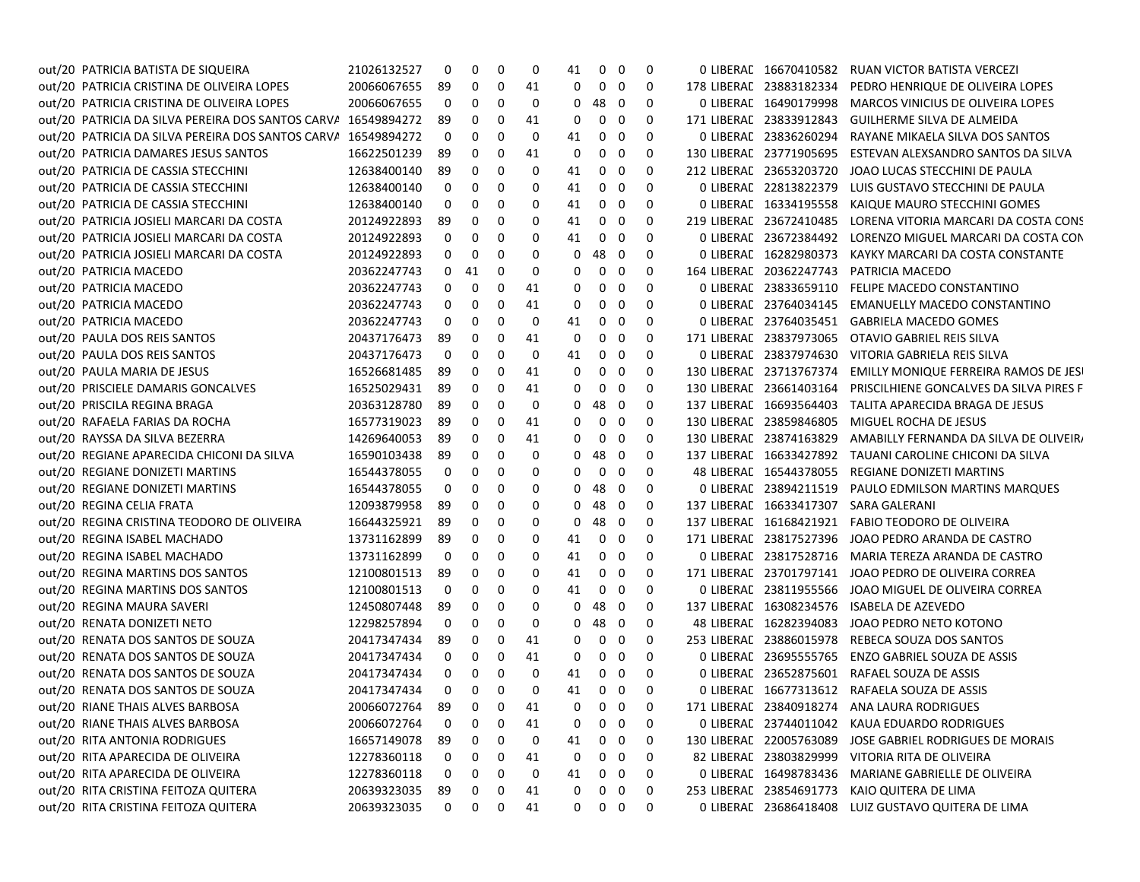| out/20 PATRICIA BATISTA DE SIQUEIRA                           | 21026132527 | 0  | 0        | 0        | 0  | 41       | 0              | 0   | 0 |                         | 0 LIBERAE 16670410582 RUAN VICTOR BATISTA VERCEZI   |
|---------------------------------------------------------------|-------------|----|----------|----------|----|----------|----------------|-----|---|-------------------------|-----------------------------------------------------|
| out/20 PATRICIA CRISTINA DE OLIVEIRA LOPES                    | 20066067655 | 89 | 0        | 0        | 41 | 0        | $\mathbf{0}$   | 0   | 0 | 178 LIBERAL 23883182334 | PEDRO HENRIQUE DE OLIVEIRA LOPES                    |
| out/20 PATRICIA CRISTINA DE OLIVEIRA LOPES                    | 20066067655 | 0  | 0        | 0        | 0  | 0        | 48             | 0   | 0 | 0 LIBERAL 16490179998   | MARCOS VINICIUS DE OLIVEIRA LOPES                   |
| out/20 PATRICIA DA SILVA PEREIRA DOS SANTOS CARVA 16549894272 |             | 89 | 0        | 0        | 41 | 0        | 0              | 0   | 0 | 171 LIBERAL 23833912843 | GUILHERME SILVA DE ALMEIDA                          |
| out/20 PATRICIA DA SILVA PEREIRA DOS SANTOS CARVA 16549894272 |             | 0  | 0        | 0        | 0  | 41       | 0              | 0   | 0 | 0 LIBERAL 23836260294   | RAYANE MIKAELA SILVA DOS SANTOS                     |
| out/20 PATRICIA DAMARES JESUS SANTOS                          | 16622501239 | 89 | 0        | 0        | 41 | 0        | 0              | 0   | 0 | 130 LIBERAL 23771905695 | ESTEVAN ALEXSANDRO SANTOS DA SILVA                  |
| out/20 PATRICIA DE CASSIA STECCHINI                           | 12638400140 | 89 | 0        | 0        | 0  | 41       | 0              | 0   | 0 | 212 LIBERAL 23653203720 | JOAO LUCAS STECCHINI DE PAULA                       |
| out/20 PATRICIA DE CASSIA STECCHINI                           | 12638400140 | 0  | 0        | 0        | 0  | 41       | 0              | 0   | 0 | 0 LIBERAC 22813822379   | LUIS GUSTAVO STECCHINI DE PAULA                     |
| out/20 PATRICIA DE CASSIA STECCHINI                           | 12638400140 | 0  | 0        | 0        | 0  | 41       | 0              | 0   | 0 | 0 LIBERAL 16334195558   | KAIQUE MAURO STECCHINI GOMES                        |
| out/20 PATRICIA JOSIELI MARCARI DA COSTA                      | 20124922893 | 89 | 0        | 0        | 0  | 41       | 0              | 0   | 0 | 219 LIBERAL 23672410485 | LORENA VITORIA MARCARI DA COSTA CONS                |
| out/20 PATRICIA JOSIELI MARCARI DA COSTA                      | 20124922893 | 0  | 0        | 0        | 0  | 41       | 0              | 0   | 0 | 0 LIBERAL 23672384492   | LORENZO MIGUEL MARCARI DA COSTA CON                 |
| out/20 PATRICIA JOSIELI MARCARI DA COSTA                      | 20124922893 | 0  | 0        | 0        | 0  | 0        | 48             | 0   | 0 | 0 LIBERAL 16282980373   | KAYKY MARCARI DA COSTA CONSTANTE                    |
| out/20 PATRICIA MACEDO                                        | 20362247743 | 0  | 41       | 0        | 0  | 0        | 0              | 0   | 0 | 164 LIBERAL 20362247743 | PATRICIA MACEDO                                     |
| out/20 PATRICIA MACEDO                                        | 20362247743 | 0  | 0        | 0        | 41 | 0        | 0              | 0   | 0 | 0 LIBERAL 23833659110   | FELIPE MACEDO CONSTANTINO                           |
| out/20 PATRICIA MACEDO                                        | 20362247743 | 0  | 0        | 0        | 41 | 0        | 0              | 0   | 0 | 0 LIBERAL 23764034145   | EMANUELLY MACEDO CONSTANTINO                        |
| out/20 PATRICIA MACEDO                                        | 20362247743 | 0  | 0        | 0        | 0  | 41       | 0              | 0   | 0 | 0 LIBERAC 23764035451   | <b>GABRIELA MACEDO GOMES</b>                        |
| out/20 PAULA DOS REIS SANTOS                                  | 20437176473 | 89 | 0        | 0        | 41 | 0        | 0              | 0   | 0 | 171 LIBERAL 23837973065 | OTAVIO GABRIEL REIS SILVA                           |
| out/20 PAULA DOS REIS SANTOS                                  | 20437176473 | 0  | 0        | 0        | 0  | 41       | 0              | 0   | 0 | 0 LIBERAL 23837974630   | VITORIA GABRIELA REIS SILVA                         |
| out/20 PAULA MARIA DE JESUS                                   | 16526681485 | 89 | 0        | 0        | 41 | 0        | 0              | 0   | 0 | 130 LIBERAL 23713767374 | EMILLY MONIQUE FERREIRA RAMOS DE JESI               |
| out/20 PRISCIELE DAMARIS GONCALVES                            | 16525029431 | 89 | 0        | 0        | 41 | 0        | 0              | 0   | 0 | 130 LIBERAL 23661403164 | PRISCILHIENE GONCALVES DA SILVA PIRES F             |
| out/20 PRISCILA REGINA BRAGA                                  | 20363128780 | 89 | 0        | 0        | 0  | 0        | 48             | 0   | 0 | 137 LIBERAL 16693564403 | TALITA APARECIDA BRAGA DE JESUS                     |
| out/20 RAFAELA FARIAS DA ROCHA                                | 16577319023 | 89 | 0        | 0        | 41 | 0        | 0              | 0   | 0 | 130 LIBERAL 23859846805 | MIGUEL ROCHA DE JESUS                               |
| out/20 RAYSSA DA SILVA BEZERRA                                | 14269640053 | 89 | 0        | 0        | 41 | 0        | 0              | 0   | 0 | 130 LIBERAL 23874163829 | AMABILLY FERNANDA DA SILVA DE OLIVEIR               |
| out/20 REGIANE APARECIDA CHICONI DA SILVA                     | 16590103438 | 89 | 0        | 0        | 0  | 0        | 48             | 0   | 0 | 137 LIBERAL 16633427892 | TAUANI CAROLINE CHICONI DA SILVA                    |
| out/20 REGIANE DONIZETI MARTINS                               | 16544378055 | 0  | 0        | 0        | 0  | 0        | 0              | 0   | 0 | 48 LIBERAL 16544378055  | REGIANE DONIZETI MARTINS                            |
| out/20 REGIANE DONIZETI MARTINS                               | 16544378055 | 0  | 0        | 0        | 0  | 0        | 48             | 0   | 0 | 0 LIBERAL 23894211519   | PAULO EDMILSON MARTINS MARQUES                      |
| out/20 REGINA CELIA FRATA                                     | 12093879958 | 89 | 0        | 0        | 0  | 0        | 48             | 0   | 0 | 137 LIBERAL 16633417307 | SARA GALERANI                                       |
| out/20 REGINA CRISTINA TEODORO DE OLIVEIRA                    | 16644325921 | 89 | 0        | 0        | 0  | 0        | 48             | 0   | 0 | 137 LIBERAL 16168421921 | FABIO TEODORO DE OLIVEIRA                           |
| out/20 REGINA ISABEL MACHADO                                  | 13731162899 | 89 | 0        | 0        | 0  | 41       | 0              | 0   | 0 | 171 LIBERAL 23817527396 | JOAO PEDRO ARANDA DE CASTRO                         |
| out/20 REGINA ISABEL MACHADO                                  | 13731162899 | 0  | 0        | 0        | 0  | 41       | 0              | 0   | 0 | 0 LIBERAL 23817528716   | MARIA TEREZA ARANDA DE CASTRO                       |
| out/20 REGINA MARTINS DOS SANTOS                              | 12100801513 | 89 | 0        | 0        | 0  | 41       | 0              | 0   | 0 | 171 LIBERAL 23701797141 | JOAO PEDRO DE OLIVEIRA CORREA                       |
| out/20 REGINA MARTINS DOS SANTOS                              | 12100801513 | 0  | 0        | 0        | 0  | 41       | 0              | 0   | 0 | 0 LIBERAL 23811955566   | JOAO MIGUEL DE OLIVEIRA CORREA                      |
| out/20 REGINA MAURA SAVERI                                    | 12450807448 | 89 | 0        | 0        | 0  | 0        | 48             | 0   | 0 | 137 LIBERAL 16308234576 | ISABELA DE AZEVEDO                                  |
| out/20 RENATA DONIZETI NETO                                   | 12298257894 | 0  | 0        | 0        | 0  | 0        | 48             | 0   | 0 | 48 LIBERAL 16282394083  | JOAO PEDRO NETO KOTONO                              |
| out/20 RENATA DOS SANTOS DE SOUZA                             | 20417347434 | 89 | 0        | 0        | 41 | 0        | 0              | 0   | 0 | 253 LIBERAL 23886015978 | REBECA SOUZA DOS SANTOS                             |
| out/20 RENATA DOS SANTOS DE SOUZA                             | 20417347434 | 0  | 0        | 0        | 41 | 0        | 0              | 0   | 0 | 0 LIBERAL 23695555765   | ENZO GABRIEL SOUZA DE ASSIS                         |
| out/20 RENATA DOS SANTOS DE SOUZA                             | 20417347434 | 0  | 0        | 0        | 0  | 41       | 0              | 0   | 0 | 0 LIBERAL 23652875601   | RAFAEL SOUZA DE ASSIS                               |
| out/20 RENATA DOS SANTOS DE SOUZA                             | 20417347434 | 0  | 0        | 0        | 0  | 41       | $\mathbf 0$    | 0   | 0 |                         | 0 LIBERAE 16677313612 RAFAELA SOUZA DE ASSIS        |
| out/20 RIANE THAIS ALVES BARBOSA                              | 20066072764 | 89 | $\Omega$ | $\Omega$ | 41 | $\Omega$ |                | 000 |   |                         | 171 LIBERAE 23840918274 ANA LAURA RODRIGUES         |
| out/20 RIANE THAIS ALVES BARBOSA                              | 20066072764 | 0  | 0        | 0        | 41 | 0        | $\mathbf{0}$   | 0   | 0 |                         | 0 LIBERAE 23744011042 KAUA EDUARDO RODRIGUES        |
| out/20 RITA ANTONIA RODRIGUES                                 | 16657149078 | 89 | 0        | 0        | 0  | 41       | 0              | 0   | 0 | 130 LIBERAL 22005763089 | JOSE GABRIEL RODRIGUES DE MORAIS                    |
| out/20 RITA APARECIDA DE OLIVEIRA                             | 12278360118 | 0  | 0        | 0        | 41 | 0        | 0              | 0   | 0 | 82 LIBERAL 23803829999  | VITORIA RITA DE OLIVEIRA                            |
| out/20 RITA APARECIDA DE OLIVEIRA                             | 12278360118 | 0  | 0        | 0        | 0  | 41       | 0              | 0   | 0 |                         | O LIBERAE 16498783436 MARIANE GABRIELLE DE OLIVEIRA |
| out/20 RITA CRISTINA FEITOZA QUITERA                          | 20639323035 | 89 | 0        | 0        | 41 | 0        | 0              | 0   | 0 |                         | 253 LIBERAL 23854691773 KAIO QUITERA DE LIMA        |
| out/20 RITA CRISTINA FEITOZA QUITERA                          | 20639323035 | 0  | 0        | 0        | 41 | 0        | $\overline{0}$ | 0   | 0 |                         | 0 LIBERAE 23686418408 LUIZ GUSTAVO QUITERA DE LIMA  |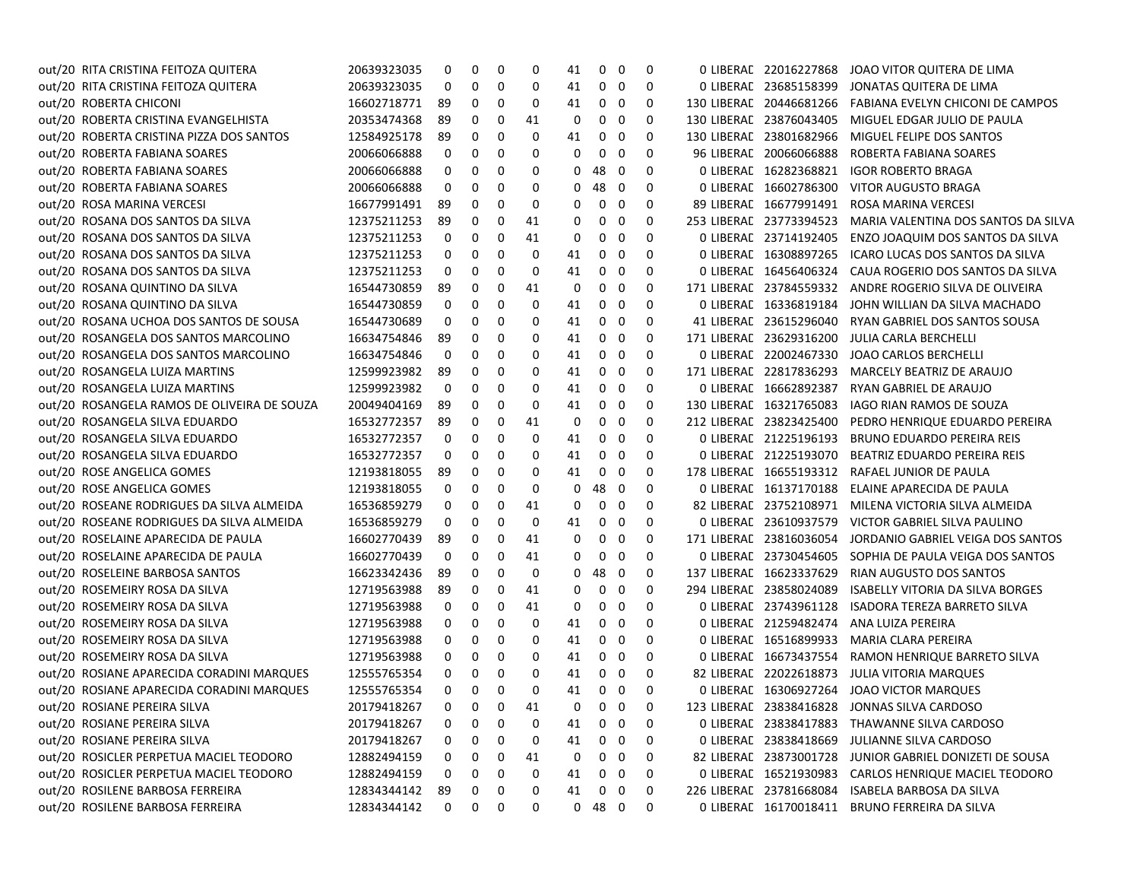| out/20 RITA CRISTINA FEITOZA QUITERA        | 20639323035 | 0  | 0        | 0 | 0  | 41       | 0          | 0            | 0   | 0 LIBERAL 22016227868   | JOAO VITOR QUITERA DE LIMA                              |
|---------------------------------------------|-------------|----|----------|---|----|----------|------------|--------------|-----|-------------------------|---------------------------------------------------------|
| out/20 RITA CRISTINA FEITOZA QUITERA        | 20639323035 | 0  | 0        | 0 | 0  | 41       | 0          | 0            | 0   | 0 LIBERAL 23685158399   | JONATAS QUITERA DE LIMA                                 |
| out/20 ROBERTA CHICONI                      | 16602718771 | 89 | 0        | 0 | 0  | 41       | 0          | 0            | 0   | 130 LIBERAL 20446681266 | FABIANA EVELYN CHICONI DE CAMPOS                        |
| out/20 ROBERTA CRISTINA EVANGELHISTA        | 20353474368 | 89 | 0        | 0 | 41 | 0        | 0          | 0            | 0   | 130 LIBERAL 23876043405 | MIGUEL EDGAR JULIO DE PAULA                             |
| out/20 ROBERTA CRISTINA PIZZA DOS SANTOS    | 12584925178 | 89 | 0        | 0 | 0  | 41       | 0          | 0            | 0   | 130 LIBERAL 23801682966 | MIGUEL FELIPE DOS SANTOS                                |
| out/20 ROBERTA FABIANA SOARES               | 20066066888 | 0  | 0        | 0 | 0  | 0        | 0          | 0            | 0   | 96 LIBERAL 20066066888  | ROBERTA FABIANA SOARES                                  |
| out/20 ROBERTA FABIANA SOARES               | 20066066888 | 0  | 0        | 0 | 0  | 0        | 48         | 0            | 0   | 0 LIBERAL 16282368821   | <b>IGOR ROBERTO BRAGA</b>                               |
| out/20 ROBERTA FABIANA SOARES               | 20066066888 | 0  | 0        | 0 | 0  | 0        | 48         | 0            | 0   | 0 LIBERAL 16602786300   | VITOR AUGUSTO BRAGA                                     |
| out/20 ROSA MARINA VERCESI                  | 16677991491 | 89 | 0        | 0 | 0  | 0        | 0          | 0            | 0   | 89 LIBERAL 16677991491  | ROSA MARINA VERCESI                                     |
| out/20 ROSANA DOS SANTOS DA SILVA           | 12375211253 | 89 | 0        | 0 | 41 | 0        | 0          | 0            | 0   | 253 LIBERAL 23773394523 | MARIA VALENTINA DOS SANTOS DA SILVA                     |
| out/20 ROSANA DOS SANTOS DA SILVA           | 12375211253 | 0  | 0        | 0 | 41 | 0        | 0          | 0            | 0   | 0 LIBERAL 23714192405   | ENZO JOAQUIM DOS SANTOS DA SILVA                        |
| out/20 ROSANA DOS SANTOS DA SILVA           | 12375211253 | 0  | 0        | 0 | 0  | 41       | 0          | 0            | 0   | 0 LIBERAL 16308897265   | ICARO LUCAS DOS SANTOS DA SILVA                         |
| out/20 ROSANA DOS SANTOS DA SILVA           | 12375211253 | 0  | 0        | 0 | 0  | 41       | 0          | 0            | 0   | 0 LIBERAL 16456406324   | CAUA ROGERIO DOS SANTOS DA SILVA                        |
| out/20 ROSANA QUINTINO DA SILVA             | 16544730859 | 89 | 0        | 0 | 41 | 0        | 0          | 0            | 0   | 171 LIBERAL 23784559332 | ANDRE ROGERIO SILVA DE OLIVEIRA                         |
| out/20 ROSANA QUINTINO DA SILVA             | 16544730859 | 0  | 0        | 0 | 0  | 41       | 0          | 0            | 0   | 0 LIBERAL 16336819184   | JOHN WILLIAN DA SILVA MACHADO                           |
| out/20 ROSANA UCHOA DOS SANTOS DE SOUSA     | 16544730689 | 0  | 0        | 0 | 0  | 41       | 0          | 0            | 0   | 41 LIBERAL 23615296040  | RYAN GABRIEL DOS SANTOS SOUSA                           |
| out/20 ROSANGELA DOS SANTOS MARCOLINO       | 16634754846 | 89 | 0        | 0 | 0  | 41       | 0          | 0            | 0   | 171 LIBERAL 23629316200 | <b>JULIA CARLA BERCHELLI</b>                            |
| out/20 ROSANGELA DOS SANTOS MARCOLINO       | 16634754846 | 0  | 0        | 0 | 0  | 41       | 0          | 0            | 0   | 0 LIBERAL 22002467330   | JOAO CARLOS BERCHELLI                                   |
| out/20 ROSANGELA LUIZA MARTINS              | 12599923982 | 89 | 0        | 0 | 0  | 41       | 0          | 0            | 0   | 171 LIBERAL 22817836293 | MARCELY BEATRIZ DE ARAUJO                               |
| out/20 ROSANGELA LUIZA MARTINS              | 12599923982 | 0  | 0        | 0 | 0  | 41       | 0          | 0            | 0   | 0 LIBERAL 16662892387   | RYAN GABRIEL DE ARAUJO                                  |
| out/20 ROSANGELA RAMOS DE OLIVEIRA DE SOUZA | 20049404169 | 89 | 0        | 0 | 0  | 41       | 0          | 0            | 0   | 130 LIBERAL 16321765083 | <b>IAGO RIAN RAMOS DE SOUZA</b>                         |
| out/20 ROSANGELA SILVA EDUARDO              | 16532772357 | 89 | 0        | 0 | 41 | 0        | 0          | 0            | 0   | 212 LIBERAL 23823425400 | PEDRO HENRIQUE EDUARDO PEREIRA                          |
| out/20 ROSANGELA SILVA EDUARDO              | 16532772357 | 0  | 0        | 0 | 0  | 41       | 0          | 0            | 0   | 0 LIBERAC 21225196193   | <b>BRUNO EDUARDO PEREIRA REIS</b>                       |
| out/20 ROSANGELA SILVA EDUARDO              | 16532772357 | 0  | 0        | 0 | 0  | 41       | 0          | 0            | 0   | 0 LIBERAL 21225193070   | BEATRIZ EDUARDO PEREIRA REIS                            |
| out/20 ROSE ANGELICA GOMES                  | 12193818055 | 89 | 0        | 0 | 0  | 41       | 0          | 0            | 0   | 178 LIBERAL 16655193312 | RAFAEL JUNIOR DE PAULA                                  |
| out/20 ROSE ANGELICA GOMES                  | 12193818055 | 0  | 0        | 0 | 0  | 0        | 48         | 0            | 0   | 0 LIBERAL 16137170188   | ELAINE APARECIDA DE PAULA                               |
| out/20 ROSEANE RODRIGUES DA SILVA ALMEIDA   | 16536859279 | 0  | 0        | 0 | 41 | 0        | 0          | 0            | 0   | 82 LIBERAL 23752108971  | MILENA VICTORIA SILVA ALMEIDA                           |
| out/20 ROSEANE RODRIGUES DA SILVA ALMEIDA   | 16536859279 | 0  | 0        | 0 | 0  | 41       | 0          | 0            | 0   | 0 LIBERAL 23610937579   | VICTOR GABRIEL SILVA PAULINO                            |
| out/20 ROSELAINE APARECIDA DE PAULA         | 16602770439 | 89 | 0        | 0 | 41 | 0        | 0          | 0            | 0   | 171 LIBERAL 23816036054 | JORDANIO GABRIEL VEIGA DOS SANTOS                       |
| out/20 ROSELAINE APARECIDA DE PAULA         | 16602770439 | 0  | 0        | 0 | 41 | 0        | 0          | 0            | 0   | 0 LIBERAL 23730454605   | SOPHIA DE PAULA VEIGA DOS SANTOS                        |
| out/20 ROSELEINE BARBOSA SANTOS             | 16623342436 | 89 | 0        | 0 | 0  | 0        | 48         | 0            | 0   | 137 LIBERAL 16623337629 | RIAN AUGUSTO DOS SANTOS                                 |
| out/20 ROSEMEIRY ROSA DA SILVA              | 12719563988 | 89 | 0        | 0 | 41 | 0        | 0          | 0            | 0   | 294 LIBERAL 23858024089 | <b>ISABELLY VITORIA DA SILVA BORGES</b>                 |
| out/20 ROSEMEIRY ROSA DA SILVA              | 12719563988 | 0  | 0        | 0 | 41 | 0        | 0          | 0            | 0   | 0 LIBERAL 23743961128   | <b>ISADORA TEREZA BARRETO SILVA</b>                     |
| out/20 ROSEMEIRY ROSA DA SILVA              | 12719563988 | 0  | 0        | 0 | 0  | 41       | 0          | 0            | 0   | 0 LIBERAC 21259482474   | ANA LUIZA PEREIRA                                       |
| out/20 ROSEMEIRY ROSA DA SILVA              | 12719563988 | 0  | 0        | 0 | 0  | 41       | 0          | 0            | 0   | 0 LIBERAL 16516899933   | MARIA CLARA PEREIRA                                     |
| out/20 ROSEMEIRY ROSA DA SILVA              | 12719563988 | 0  | 0        | 0 | 0  | 41       | 0          | 0            | 0   | 0 LIBERAL 16673437554   | RAMON HENRIQUE BARRETO SILVA                            |
| out/20 ROSIANE APARECIDA CORADINI MARQUES   | 12555765354 | 0  | 0        | 0 | 0  | 41       | 0          | 0            | 0   | 82 LIBERAL 22022618873  | JULIA VITORIA MARQUES                                   |
| out/20 ROSIANE APARECIDA CORADINI MARQUES   | 12555765354 | 0  | 0        | 0 | 0  | 41       | 0          | 0            | 0   |                         | 0 LIBERAL 16306927264 JOAO VICTOR MARQUES               |
| out/20 ROSIANE PEREIRA SILVA                | 20179418267 | 0  | $\Omega$ | 0 | 41 | $\Omega$ |            | $0\quad 0$   | - റ |                         | 123 LIBERAE 23838416828 JONNAS SILVA CARDOSO            |
| out/20 ROSIANE PEREIRA SILVA                | 20179418267 | 0  | 0        | 0 | 0  | 41       | 0          | $\mathbf{0}$ | 0   |                         | 0 LIBERAE 23838417883 THAWANNE SILVA CARDOSO            |
| out/20 ROSIANE PEREIRA SILVA                | 20179418267 | 0  | 0        | 0 | 0  | 41       | 0          | 0            | 0   |                         | 0 LIBERAE 23838418669 JULIANNE SILVA CARDOSO            |
| out/20 ROSICLER PERPETUA MACIEL TEODORO     | 12882494159 | 0  | 0        | 0 | 41 | 0        | 0          | 0            | 0   |                         | 82 LIBERAE 23873001728 JUNIOR GABRIEL DONIZETI DE SOUSA |
| out/20 ROSICLER PERPETUA MACIEL TEODORO     | 12882494159 | 0  | 0        | 0 | 0  | 41       | 0          | 0            | 0   |                         | 0 LIBERAE 16521930983 CARLOS HENRIQUE MACIEL TEODORO    |
| out/20 ROSILENE BARBOSA FERREIRA            | 12834344142 | 89 | 0        | 0 | 0  | 41       | 0          | 0            | 0   |                         | 226 LIBERAE 23781668084 ISABELA BARBOSA DA SILVA        |
| out/20 ROSILENE BARBOSA FERREIRA            | 12834344142 | 0  | 0        | 0 | 0  |          | $0$ 48 $0$ |              | 0   |                         | 0 LIBERAE 16170018411 BRUNO FERREIRA DA SILVA           |
|                                             |             |    |          |   |    |          |            |              |     |                         |                                                         |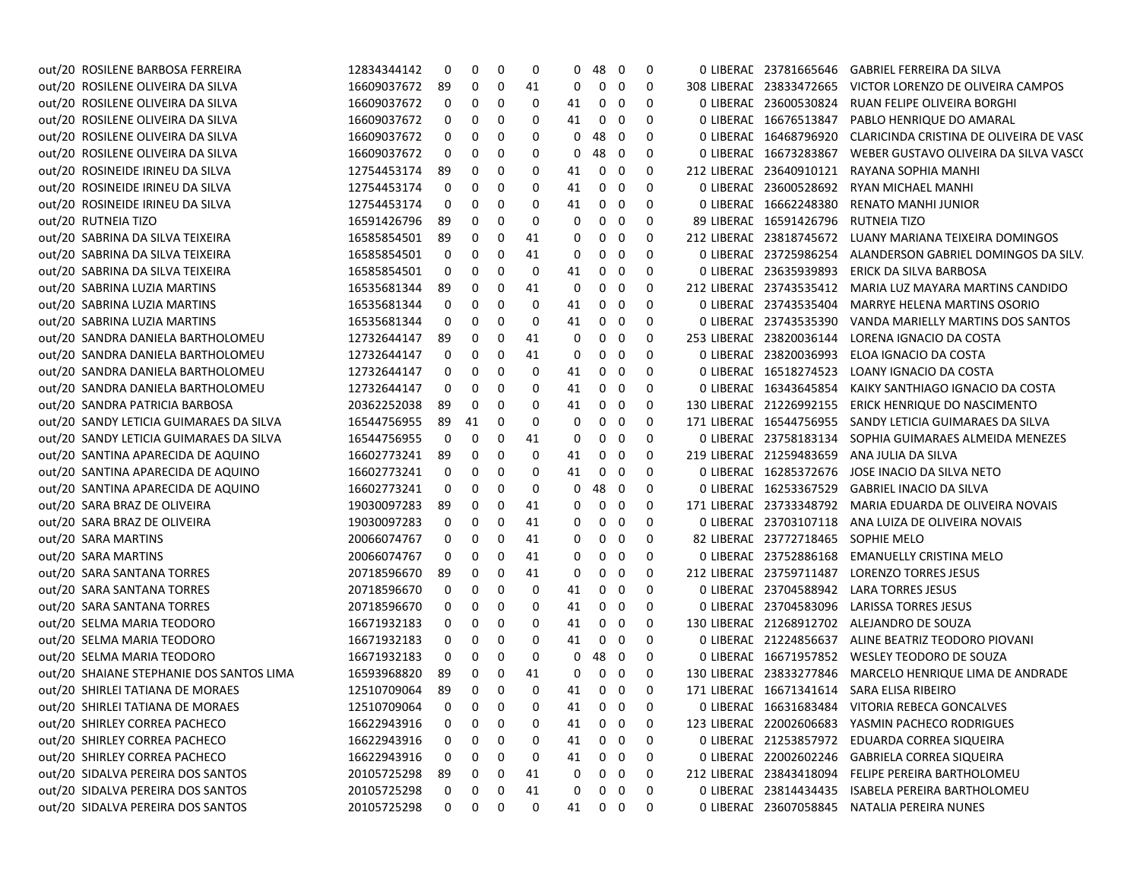| out/20 ROSILENE BARBOSA FERREIRA         | 12834344142 | 0            | 0           | 0 | 0  | 0  | 48           | - 0                     | 0 |                                    | 0 LIBERAE 23781665646    GABRIEL FERREIRA DA SILVA       |
|------------------------------------------|-------------|--------------|-------------|---|----|----|--------------|-------------------------|---|------------------------------------|----------------------------------------------------------|
| out/20 ROSILENE OLIVEIRA DA SILVA        | 16609037672 | 89           | 0           | 0 | 41 | 0  | 0            | 0                       | 0 | 308 LIBERAL 23833472665            | VICTOR LORENZO DE OLIVEIRA CAMPOS                        |
| out/20 ROSILENE OLIVEIRA DA SILVA        | 16609037672 | 0            | 0           | 0 | 0  | 41 | 0            | 0                       | 0 | 0 LIBERAL 23600530824              | RUAN FELIPE OLIVEIRA BORGHI                              |
| out/20 ROSILENE OLIVEIRA DA SILVA        | 16609037672 | 0            | 0           | 0 | 0  | 41 |              | $0\quad 0$              | 0 | 0 LIBERAL 16676513847              | PABLO HENRIQUE DO AMARAL                                 |
| out/20 ROSILENE OLIVEIRA DA SILVA        | 16609037672 | 0            | 0           | 0 | 0  | 0  | 48 0         |                         | 0 | 0 LIBERAL 16468796920              | CLARICINDA CRISTINA DE OLIVEIRA DE VASC                  |
| out/20 ROSILENE OLIVEIRA DA SILVA        | 16609037672 | 0            | 0           | 0 | 0  | 0  | 48 0         |                         | 0 | 0 LIBERAL 16673283867              | WEBER GUSTAVO OLIVEIRA DA SILVA VASCO                    |
| out/20 ROSINEIDE IRINEU DA SILVA         | 12754453174 | 89           | 0           | 0 | 0  | 41 |              | $0\quad 0$              | 0 | 212 LIBERAC 23640910121            | RAYANA SOPHIA MANHI                                      |
| out/20 ROSINEIDE IRINEU DA SILVA         | 12754453174 | 0            | 0           | 0 | 0  | 41 | 0            | 0                       | 0 | 0 LIBERAL 23600528692              | RYAN MICHAEL MANHI                                       |
| out/20 ROSINEIDE IRINEU DA SILVA         | 12754453174 | 0            | 0           | 0 | 0  | 41 | $\mathbf{0}$ | $\mathbf 0$             | 0 | 0 LIBERAL 16662248380              | RENATO MANHI JUNIOR                                      |
| out/20 RUTNEIA TIZO                      | 16591426796 | 89           | 0           | 0 | 0  | 0  | 0            | 0                       | 0 | 89 LIBERAL 16591426796             | RUTNEIA TIZO                                             |
| out/20 SABRINA DA SILVA TEIXEIRA         | 16585854501 | 89           | 0           | 0 | 41 | 0  | $\mathbf{0}$ | $\overline{\mathbf{0}}$ | 0 |                                    | 212 LIBERAL 23818745672 LUANY MARIANA TEIXEIRA DOMINGOS  |
| out/20 SABRINA DA SILVA TEIXEIRA         | 16585854501 | 0            | 0           | 0 | 41 | 0  | 0            | $\mathbf 0$             | 0 | 0 LIBERAL 23725986254              | ALANDERSON GABRIEL DOMINGOS DA SILV.                     |
| out/20 SABRINA DA SILVA TEIXEIRA         | 16585854501 | 0            | 0           | 0 | 0  | 41 |              | $0\quad 0$              | 0 | 0 LIBERAL 23635939893              | ERICK DA SILVA BARBOSA                                   |
| out/20 SABRINA LUZIA MARTINS             | 16535681344 | 89           | 0           | 0 | 41 | 0  | 0            | 0                       | 0 | 212 LIBERAL 23743535412            | MARIA LUZ MAYARA MARTINS CANDIDO                         |
| out/20 SABRINA LUZIA MARTINS             | 16535681344 | 0            | 0           | 0 | 0  | 41 | 0            | 0                       | 0 | 0 LIBERAL 23743535404              | <b>MARRYE HELENA MARTINS OSORIO</b>                      |
| out/20 SABRINA LUZIA MARTINS             | 16535681344 | 0            | 0           | 0 | 0  | 41 | 0            | 0                       | 0 | 0 LIBERAL 23743535390              | VANDA MARIELLY MARTINS DOS SANTOS                        |
| out/20 SANDRA DANIELA BARTHOLOMEU        | 12732644147 | 89           | 0           | 0 | 41 | 0  | 0            | 0                       | 0 | 253 LIBERAL 23820036144            | LORENA IGNACIO DA COSTA                                  |
| out/20 SANDRA DANIELA BARTHOLOMEU        | 12732644147 | 0            | 0           | 0 | 41 | 0  | 0            | 0                       | 0 | 0 LIBERAL 23820036993              | ELOA IGNACIO DA COSTA                                    |
| out/20 SANDRA DANIELA BARTHOLOMEU        | 12732644147 | 0            | 0           | 0 | 0  | 41 | $\mathbf 0$  | $\overline{\mathbf{0}}$ | 0 | 0 LIBERAL 16518274523              | LOANY IGNACIO DA COSTA                                   |
| out/20 SANDRA DANIELA BARTHOLOMEU        | 12732644147 | 0            | 0           | 0 | 0  | 41 |              | $0\quad 0$              | 0 | 0 LIBERAL 16343645854              | KAIKY SANTHIAGO IGNACIO DA COSTA                         |
| out/20 SANDRA PATRICIA BARBOSA           | 20362252038 | 89           | 0           | 0 | 0  | 41 |              | $0\quad 0$              | 0 | 130 LIBERAL 21226992155            | ERICK HENRIQUE DO NASCIMENTO                             |
| out/20 SANDY LETICIA GUIMARAES DA SILVA  | 16544756955 | 89           | 41          | 0 | 0  | 0  |              | $0\quad 0$              | 0 | 171 LIBERAL 16544756955            | SANDY LETICIA GUIMARAES DA SILVA                         |
| out/20 SANDY LETICIA GUIMARAES DA SILVA  | 16544756955 | 0            | 0           | 0 | 41 | 0  | $\mathbf{0}$ | $\overline{\mathbf{0}}$ | 0 | 0 LIBERAL 23758183134              | SOPHIA GUIMARAES ALMEIDA MENEZES                         |
| out/20 SANTINA APARECIDA DE AQUINO       | 16602773241 | 89           | 0           | 0 | 0  | 41 |              | $0\quad 0$              | 0 | 219 LIBERAL 21259483659            | ANA JULIA DA SILVA                                       |
| out/20 SANTINA APARECIDA DE AQUINO       | 16602773241 | 0            | 0           | 0 | 0  | 41 | $\mathbf{0}$ | 0                       | 0 | 0 LIBERAL 16285372676              | JOSE INACIO DA SILVA NETO                                |
| out/20 SANTINA APARECIDA DE AQUINO       | 16602773241 | 0            | 0           | 0 | 0  | 0  | 48           | $\overline{\mathbf{0}}$ | 0 | 0 LIBERAL 16253367529              | GABRIEL INACIO DA SILVA                                  |
| out/20 SARA BRAZ DE OLIVEIRA             | 19030097283 | 89           | 0           | 0 | 41 | 0  | $\mathbf{0}$ | 0                       | 0 | 171 LIBERAL 23733348792            | MARIA EDUARDA DE OLIVEIRA NOVAIS                         |
| out/20 SARA BRAZ DE OLIVEIRA             | 19030097283 | 0            | 0           | 0 | 41 | 0  | $\mathbf{0}$ | $\mathbf 0$             | 0 |                                    | 0 LIBERAL 23703107118 ANA LUIZA DE OLIVEIRA NOVAIS       |
| out/20 SARA MARTINS                      | 20066074767 | 0            | 0           | 0 | 41 | 0  |              | $0\quad 0$              | 0 | 82 LIBERAL 23772718465 SOPHIE MELO |                                                          |
| out/20 SARA MARTINS                      | 20066074767 | 0            | 0           | 0 | 41 | 0  |              | $0\quad 0$              | 0 |                                    | 0 LIBERAL 23752886168 EMANUELLY CRISTINA MELO            |
| out/20 SARA SANTANA TORRES               | 20718596670 | 89           | 0           | 0 | 41 | 0  | 0            | - 0                     | 0 | 212 LIBERAL 23759711487            | LORENZO TORRES JESUS                                     |
| out/20 SARA SANTANA TORRES               | 20718596670 | 0            | 0           | 0 | 0  | 41 | 0            | 0                       | 0 | 0 LIBERAL 23704588942              | LARA TORRES JESUS                                        |
| out/20 SARA SANTANA TORRES               | 20718596670 | 0            | 0           | 0 | 0  | 41 | 0            | 0                       | 0 | 0 LIBERAL 23704583096              | LARISSA TORRES JESUS                                     |
| out/20 SELMA MARIA TEODORO               | 16671932183 | 0            | 0           | 0 | 0  | 41 | 0            | 0                       | 0 | 130 LIBERAL 21268912702            | ALEJANDRO DE SOUZA                                       |
| out/20 SELMA MARIA TEODORO               | 16671932183 | 0            | 0           | 0 | 0  | 41 | 0            | 0                       | 0 |                                    | 0 LIBERAE 21224856637 ALINE BEATRIZ TEODORO PIOVANI      |
| out/20 SELMA MARIA TEODORO               | 16671932183 | 0            | 0           | 0 | 0  | 0  | 48           | $\overline{\mathbf{0}}$ | 0 |                                    | 0 LIBERAL 16671957852 WESLEY TEODORO DE SOUZA            |
| out/20 SHAIANE STEPHANIE DOS SANTOS LIMA | 16593968820 | 89           | 0           | 0 | 41 | 0  |              | $0\quad 0$              | 0 |                                    | 130 LIBERAL 23833277846 MARCELO HENRIQUE LIMA DE ANDRADE |
| out/20 SHIRLEI TATIANA DE MORAES         | 12510709064 | 89           | 0           | 0 | 0  | 41 |              | $0\quad 0$              | 0 |                                    | 171 LIBERAC 16671341614 SARA ELISA RIBEIRO               |
| out/20 SHIRLEI TATIANA DE MORAES         | 12510709064 | $0\quad 0$   |             | 0 | 0  | 41 |              | $0\quad 0$              | 0 |                                    | 0 LIBERAE 16631683484 VITORIA REBECA GONCALVES           |
| out/20 SHIRLEY CORREA PACHECO            | 16622943916 | 0            | 0           | 0 | 0  | 41 |              | $0\quad 0$              | 0 |                                    | 123 LIBERAL 22002606683 YASMIN PACHECO RODRIGUES         |
| out/20 SHIRLEY CORREA PACHECO            | 16622943916 | 0            | 0           | 0 | 0  | 41 | 0            | 0                       | 0 |                                    | 0 LIBERAE 21253857972 EDUARDA CORREA SIQUEIRA            |
| out/20 SHIRLEY CORREA PACHECO            | 16622943916 | 0            | 0           | 0 | 0  | 41 |              | $0\quad 0$              | 0 |                                    | 0 LIBERAE 22002602246 GABRIELA CORREA SIQUEIRA           |
| out/20 SIDALVA PEREIRA DOS SANTOS        | 20105725298 | 89           | 0           | 0 | 41 | 0  | 0            | $\overline{\mathbf{0}}$ | 0 |                                    | 212 LIBERAC 23843418094 FELIPE PEREIRA BARTHOLOMEU       |
| out/20 SIDALVA PEREIRA DOS SANTOS        | 20105725298 | 0            | 0           | 0 | 41 | 0  |              | $0\quad 0$              | 0 |                                    | 0 LIBERAL 23814434435 ISABELA PEREIRA BARTHOLOMEU        |
| out/20 SIDALVA PEREIRA DOS SANTOS        | 20105725298 | $\mathbf{0}$ | $\mathbf 0$ | 0 | 0  | 41 |              | $0\quad 0$              | 0 |                                    | 0 LIBERAE 23607058845 NATALIA PEREIRA NUNES              |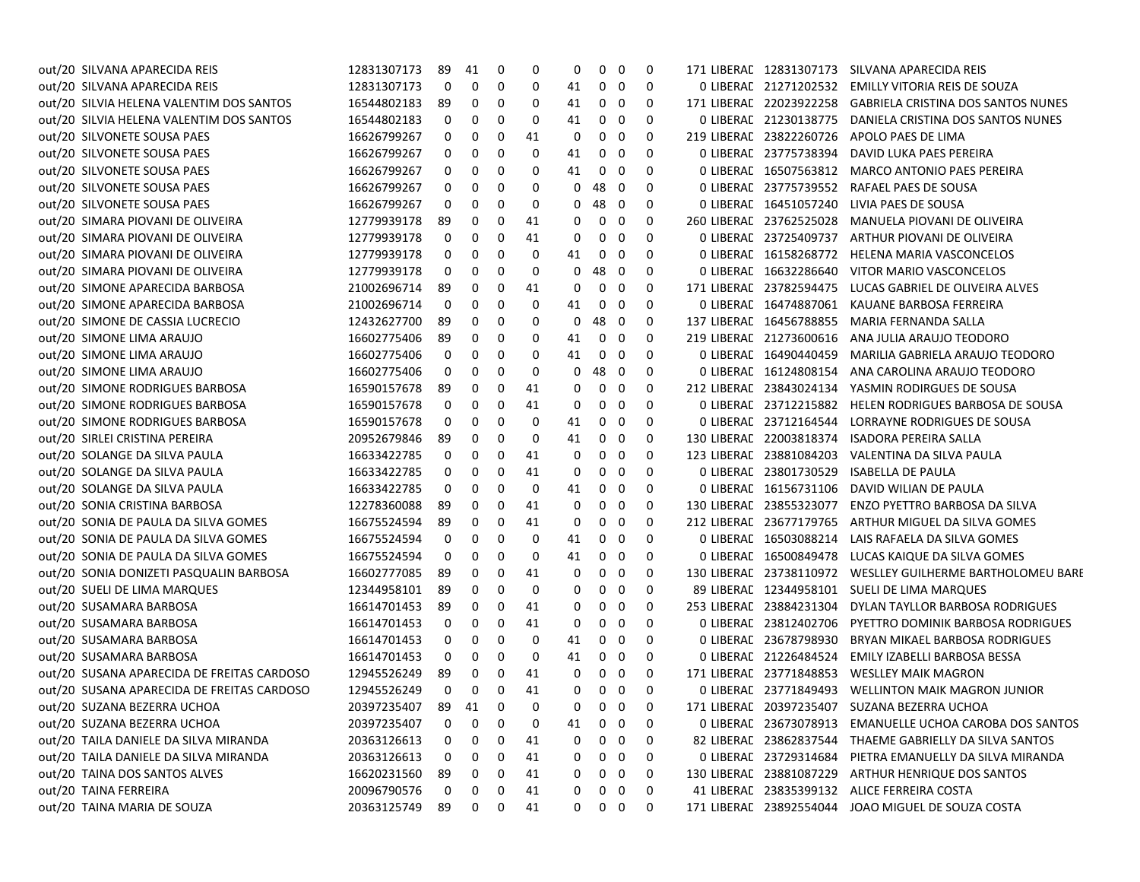| out/20 SILVANA APARECIDA REIS              | 12831307173    | 89 | 41      | 0 | 0        | 0           | $\mathbf{0}$   | 0                       | 0           |                         | 171 LIBERAE 12831307173 SILVANA APARECIDA REIS          |
|--------------------------------------------|----------------|----|---------|---|----------|-------------|----------------|-------------------------|-------------|-------------------------|---------------------------------------------------------|
| out/20 SILVANA APARECIDA REIS              | 12831307173    | 0  | 0       | 0 | 0        | 41          | 0              | $\mathbf 0$             | 0           | 0 LIBERAL 21271202532   | EMILLY VITORIA REIS DE SOUZA                            |
| out/20 SILVIA HELENA VALENTIM DOS SANTOS   | 16544802183    | 89 | 0       | 0 | 0        | 41          | 0              | 0                       | 0           | 171 LIBERAL 22023922258 | <b>GABRIELA CRISTINA DOS SANTOS NUNES</b>               |
| out/20 SILVIA HELENA VALENTIM DOS SANTOS   | 16544802183    | 0  | 0       | 0 | 0        | 41          | 0              | 0                       | 0           | 0 LIBERAL 21230138775   | DANIELA CRISTINA DOS SANTOS NUNES                       |
| out/20 SILVONETE SOUSA PAES                | 16626799267    | 0  | 0       | 0 | 41       | 0           | 0              | 0                       | 0           | 219 LIBERAL 23822260726 | APOLO PAES DE LIMA                                      |
| out/20 SILVONETE SOUSA PAES                | 16626799267    | 0  | 0       | 0 | 0        | 41          | 0              | 0                       | 0           | 0 LIBERAL 23775738394   | DAVID LUKA PAES PEREIRA                                 |
| out/20 SILVONETE SOUSA PAES                | 16626799267    | 0  | 0       | 0 | 0        | 41          | 0              | 0                       | 0           | 0 LIBERAL 16507563812   | <b>MARCO ANTONIO PAES PEREIRA</b>                       |
| out/20 SILVONETE SOUSA PAES                | 16626799267    | 0  | 0       | 0 | 0        | 0           | 48             | 0                       | 0           | 0 LIBERAL 23775739552   | RAFAEL PAES DE SOUSA                                    |
| out/20 SILVONETE SOUSA PAES                | 16626799267    | 0  | 0       | 0 | 0        | 0           | 48 0           |                         | 0           | 0 LIBERAL 16451057240   | LIVIA PAES DE SOUSA                                     |
| out/20 SIMARA PIOVANI DE OLIVEIRA          | 12779939178    | 89 | 0       | 0 | 41       | 0           | 0              | - 0                     | 0           | 260 LIBERAL 23762525028 | MANUELA PIOVANI DE OLIVEIRA                             |
| out/20 SIMARA PIOVANI DE OLIVEIRA          | 12779939178    | 0  | 0       | 0 | 41       | 0           | 0              | 0                       | 0           | 0 LIBERAL 23725409737   | ARTHUR PIOVANI DE OLIVEIRA                              |
| out/20 SIMARA PIOVANI DE OLIVEIRA          | 12779939178    | 0  | 0       | 0 | 0        | 41          | 0              | 0                       | 0           | 0 LIBERAL 16158268772   | <b>HELENA MARIA VASCONCELOS</b>                         |
| out/20 SIMARA PIOVANI DE OLIVEIRA          | 12779939178    | 0  | 0       | 0 | 0        | 0           | 48             | $\overline{\mathbf{0}}$ | 0           | 0 LIBERAL 16632286640   | VITOR MARIO VASCONCELOS                                 |
| out/20 SIMONE APARECIDA BARBOSA            | 21002696714    | 89 | 0       | 0 | 41       | 0           | 0              | 0                       | 0           | 171 LIBERAL 23782594475 | LUCAS GABRIEL DE OLIVEIRA ALVES                         |
| out/20 SIMONE APARECIDA BARBOSA            | 21002696714    | 0  | 0       | 0 | 0        | 41          | 0              | 0                       | 0           | 0 LIBERAL 16474887061   | KAUANE BARBOSA FERREIRA                                 |
| out/20 SIMONE DE CASSIA LUCRECIO           | 12432627700    | 89 | 0       | 0 | 0        | 0           | 48             | 0                       | 0           | 137 LIBERAL 16456788855 | MARIA FERNANDA SALLA                                    |
| out/20 SIMONE LIMA ARAUJO                  | 16602775406    | 89 | 0       | 0 | 0        | 41          | $\mathbf{0}$   | $\mathbf 0$             | 0           | 219 LIBERAL 21273600616 | ANA JULIA ARAUJO TEODORO                                |
| out/20 SIMONE LIMA ARAUJO                  | 16602775406    | 0  | 0       | 0 | 0        | 41          | 0              | $\mathbf 0$             | 0           | 0 LIBERAL 16490440459   | MARILIA GABRIELA ARAUJO TEODORO                         |
| out/20 SIMONE LIMA ARAUJO                  | 16602775406    | 0  | 0       | 0 | 0        | 0           | 48             | $\overline{\mathbf{0}}$ | 0           | 0 LIBERAL 16124808154   | ANA CAROLINA ARAUJO TEODORO                             |
| out/20 SIMONE RODRIGUES BARBOSA            | 16590157678    | 89 | 0       | 0 | 41       | 0           | 0              | 0                       | 0           | 212 LIBERAL 23843024134 | YASMIN RODIRGUES DE SOUSA                               |
| out/20 SIMONE RODRIGUES BARBOSA            | 16590157678    | 0  | 0       | 0 | 41       | 0           | 0              | 0                       | 0           | 0 LIBERAL 23712215882   | HELEN RODRIGUES BARBOSA DE SOUSA                        |
| out/20 SIMONE RODRIGUES BARBOSA            | 16590157678    | 0  | 0       | 0 | 0        | 41          | 0              | 0                       | 0           | 0 LIBERAC 23712164544   | LORRAYNE RODRIGUES DE SOUSA                             |
| out/20 SIRLEI CRISTINA PEREIRA             | 20952679846    | 89 | 0       | 0 | 0        | 41          | 0              | 0                       | 0           | 130 LIBERAL 22003818374 | <b>ISADORA PEREIRA SALLA</b>                            |
| out/20 SOLANGE DA SILVA PAULA              | 16633422785    | 0  | 0       | 0 | 41       | 0           | 0              | 0                       | 0           | 123 LIBERAL 23881084203 | VALENTINA DA SILVA PAULA                                |
| out/20 SOLANGE DA SILVA PAULA              | 16633422785    | 0  | 0       | 0 | 41       | 0           | 0              | 0                       | 0           | 0 LIBERAL 23801730529   | <b>ISABELLA DE PAULA</b>                                |
| out/20 SOLANGE DA SILVA PAULA              | 16633422785    | 0  | 0       | 0 | 0        | 41          | 0              | 0                       | 0           | 0 LIBERAL 16156731106   | DAVID WILIAN DE PAULA                                   |
| out/20 SONIA CRISTINA BARBOSA              | 12278360088    | 89 | 0       | 0 | 41       | 0           | 0              | 0                       | 0           | 130 LIBERAL 23855323077 | ENZO PYETTRO BARBOSA DA SILVA                           |
| out/20 SONIA DE PAULA DA SILVA GOMES       | 16675524594    | 89 | 0       | 0 | 41       | 0           | 0              | 0                       | 0           | 212 LIBERAL 23677179765 | ARTHUR MIGUEL DA SILVA GOMES                            |
| out/20 SONIA DE PAULA DA SILVA GOMES       | 16675524594    | 0  | 0       | 0 | 0        | 41          | 0              | 0                       | 0           | 0 LIBERAL 16503088214   | LAIS RAFAELA DA SILVA GOMES                             |
| out/20 SONIA DE PAULA DA SILVA GOMES       | 16675524594    | 0  | 0       | 0 | 0        | 41          | 0              | 0                       | 0           | 0 LIBERAL 16500849478   | LUCAS KAIQUE DA SILVA GOMES                             |
| out/20 SONIA DONIZETI PASQUALIN BARBOSA    | 16602777085    | 89 | 0       | 0 | 41       | 0           | 0              | 0                       | 0           | 130 LIBERAL 23738110972 | WESLLEY GUILHERME BARTHOLOMEU BARE                      |
| out/20 SUELI DE LIMA MARQUES               | 12344958101    | 89 | 0       | 0 | 0        | 0           | 0              | 0                       | 0           | 89 LIBERAL 12344958101  | SUELI DE LIMA MARQUES                                   |
| out/20 SUSAMARA BARBOSA                    | 16614701453    | 89 | 0       | 0 | 41       | 0           | 0              | 0                       | 0           | 253 LIBERAL 23884231304 | DYLAN TAYLLOR BARBOSA RODRIGUES                         |
| out/20 SUSAMARA BARBOSA                    | 16614701453    | 0  | 0       | 0 | 41       | 0           | 0              | 0                       | 0           | 0 LIBERAL 23812402706   | PYETTRO DOMINIK BARBOSA RODRIGUES                       |
| out/20 SUSAMARA BARBOSA                    | 16614701453    | 0  | 0       | 0 | 0        | 41          | 0              | 0                       | 0           | 0 LIBERAL 23678798930   | BRYAN MIKAEL BARBOSA RODRIGUES                          |
| out/20 SUSAMARA BARBOSA                    | 16614701453    | 0  | 0       | 0 | 0        | 41          | 0              | 0                       | 0           | 0 LIBERAC 21226484524   | EMILY IZABELLI BARBOSA BESSA                            |
| out/20 SUSANA APARECIDA DE FREITAS CARDOSO | 12945526249    | 89 | 0       | 0 | 41       | 0           | $\mathbf{0}$   | 0                       | 0           | 171 LIBERAL 23771848853 | <b>WESLLEY MAIK MAGRON</b>                              |
| out/20 SUSANA APARECIDA DE FREITAS CARDOSO | 12945526249    | 0  | 0       | 0 | 41       | 0           | $\mathbf{0}$   | $\mathbf 0$             | 0           |                         | O LIBERAL 23771849493 WELLINTON MAIK MAGRON JUNIOR      |
| out/20 SUZANA BEZERRA UCHOA                | 20397235407    |    | 89 41 0 |   | $\Omega$ | $\mathbf 0$ |                | $0\quad 0$              | $\mathbf 0$ |                         | 171 LIBERAL 20397235407 SUZANA BEZERRA UCHOA            |
| out/20 SUZANA BEZERRA UCHOA                | 20397235407    | 0  | 0       | 0 | 0        | 41          | 0              | $\mathbf{0}$            | 0           |                         | 0 LIBERAL 23673078913 EMANUELLE UCHOA CAROBA DOS SANTOS |
| out/20 TAILA DANIELE DA SILVA MIRANDA      | 20363126613    | 0  | 0       | 0 | 41       | 0           | $\overline{0}$ | 0                       | 0           |                         | 82 LIBERAC 23862837544 THAEME GABRIELLY DA SILVA SANTOS |
| out/20 TAILA DANIELE DA SILVA MIRANDA      | 20363126613    | 0  | 0       | 0 | 41       | 0           |                | $0\quad 0$              | 0           |                         | 0 LIBERAL 23729314684 PIETRA EMANUELLY DA SILVA MIRANDA |
| out/20 TAINA DOS SANTOS ALVES              | 16620231560    | 89 | 0       | 0 | 41       | 0           |                | $0\quad 0$              | 0           |                         | 130 LIBERAL 23881087229 ARTHUR HENRIQUE DOS SANTOS      |
| out/20 TAINA FERREIRA                      | 20096790576    | 0  | 0       | 0 | 41       | 0           |                | $0\quad 0$              | 0           |                         | 41 LIBERAL 23835399132 ALICE FERREIRA COSTA             |
| out/20 TAINA MARIA DE SOUZA                | 20363125749 89 |    | 0       | 0 | 41       | 0           | $0\quad 0$     |                         | 0           |                         | 171 LIBERAE 23892554044 JOAO MIGUEL DE SOUZA COSTA      |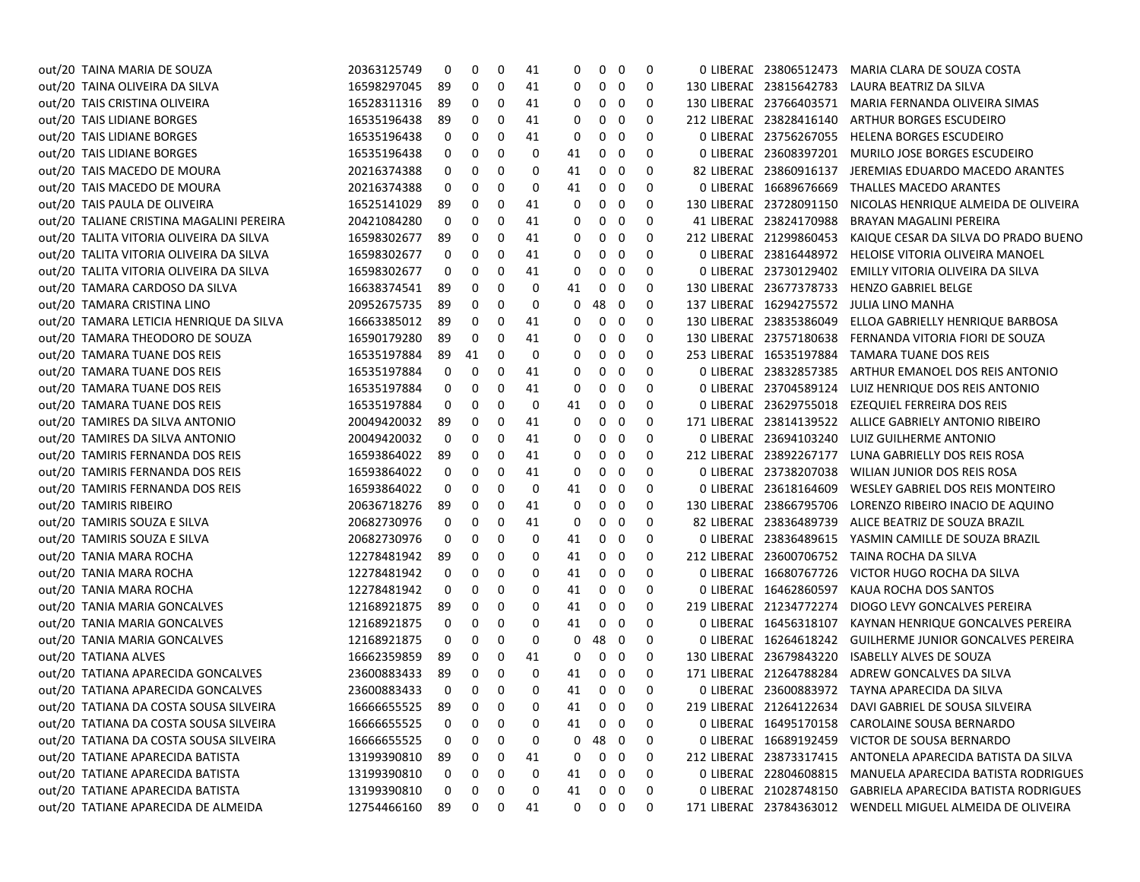| out/20 TAINA MARIA DE SOUZA              | 20363125749 | 0  | 0  | 0           | 41          | 0        | 0           | $\mathbf 0$             | $\mathbf 0$ |                         | 0 LIBERAE 23806512473 MARIA CLARA DE SOUZA COSTA           |
|------------------------------------------|-------------|----|----|-------------|-------------|----------|-------------|-------------------------|-------------|-------------------------|------------------------------------------------------------|
| out/20 TAINA OLIVEIRA DA SILVA           | 16598297045 | 89 | 0  | 0           | 41          | 0        | 0           | 0                       | 0           | 130 LIBERAL 23815642783 | LAURA BEATRIZ DA SILVA                                     |
| out/20 TAIS CRISTINA OLIVEIRA            | 16528311316 | 89 | 0  | 0           | 41          | 0        | 0           | 0                       | 0           | 130 LIBERAL 23766403571 | MARIA FERNANDA OLIVEIRA SIMAS                              |
| out/20 TAIS LIDIANE BORGES               | 16535196438 | 89 | 0  | $\mathbf 0$ | 41          | 0        | 0           | 0                       | $\mathbf 0$ | 212 LIBERAL 23828416140 | ARTHUR BORGES ESCUDEIRO                                    |
| out/20 TAIS LIDIANE BORGES               | 16535196438 | 0  | 0  | 0           | 41          | 0        | 0           | 0                       | 0           | 0 LIBERAL 23756267055   | <b>HELENA BORGES ESCUDEIRO</b>                             |
| out/20 TAIS LIDIANE BORGES               | 16535196438 | 0  | 0  | 0           | 0           | 41       | 0           | $\mathbf 0$             | $\Omega$    | 0 LIBERAL 23608397201   | MURILO JOSE BORGES ESCUDEIRO                               |
| out/20 TAIS MACEDO DE MOURA              | 20216374388 | 0  | 0  | 0           | $\Omega$    | 41       | 0           | 0                       | 0           | 82 LIBERAL 23860916137  | JEREMIAS EDUARDO MACEDO ARANTES                            |
| out/20 TAIS MACEDO DE MOURA              | 20216374388 | 0  | 0  | 0           | $\mathbf 0$ | 41       | 0           | $\mathbf 0$             | $\Omega$    | 0 LIBERAL 16689676669   | THALLES MACEDO ARANTES                                     |
| out/20 TAIS PAULA DE OLIVEIRA            | 16525141029 | 89 | 0  | 0           | 41          | 0        | 0           | 0                       | $\mathbf 0$ | 130 LIBERAL 23728091150 | NICOLAS HENRIQUE ALMEIDA DE OLIVEIRA                       |
| out/20 TALIANE CRISTINA MAGALINI PEREIRA | 20421084280 | 0  | 0  | 0           | 41          | 0        | 0           | $\mathbf 0$             | $\Omega$    | 41 LIBERAL 23824170988  | BRAYAN MAGALINI PEREIRA                                    |
| out/20 TALITA VITORIA OLIVEIRA DA SILVA  | 16598302677 | 89 | 0  | 0           | 41          | 0        | 0           | 0                       | $\mathbf 0$ | 212 LIBERAL 21299860453 | KAIQUE CESAR DA SILVA DO PRADO BUENO                       |
| out/20 TALITA VITORIA OLIVEIRA DA SILVA  | 16598302677 | 0  | 0  | $\pmb{0}$   | 41          | 0        | 0           | 0                       | $\Omega$    | 0 LIBERAL 23816448972   | HELOISE VITORIA OLIVEIRA MANOEL                            |
| out/20 TALITA VITORIA OLIVEIRA DA SILVA  | 16598302677 | 0  | 0  | 0           | 41          | 0        | 0           | $\mathbf 0$             | $\Omega$    | 0 LIBERAL 23730129402   | EMILLY VITORIA OLIVEIRA DA SILVA                           |
| out/20 TAMARA CARDOSO DA SILVA           | 16638374541 | 89 | 0  | $\mathbf 0$ | 0           | 41       | 0           | 0                       | 0           | 130 LIBERAL 23677378733 | HENZO GABRIEL BELGE                                        |
| out/20 TAMARA CRISTINA LINO              | 20952675735 | 89 | 0  | 0           | 0           | 0        | 48          | 0                       | $\mathbf 0$ |                         | 137 LIBERAE 16294275572 JULIA LINO MANHA                   |
| out/20 TAMARA LETICIA HENRIQUE DA SILVA  | 16663385012 | 89 | 0  | 0           | 41          | 0        | 0           | $\mathbf 0$             | $\mathbf 0$ | 130 LIBERAL 23835386049 | ELLOA GABRIELLY HENRIQUE BARBOSA                           |
| out/20 TAMARA THEODORO DE SOUZA          | 16590179280 | 89 | 0  | 0           | 41          | 0        | 0           | 0                       | $\Omega$    | 130 LIBERAL 23757180638 | FERNANDA VITORIA FIORI DE SOUZA                            |
| out/20 TAMARA TUANE DOS REIS             | 16535197884 | 89 | 41 | 0           | 0           | 0        | 0           | $\mathbf 0$             | $\mathbf 0$ | 253 LIBERAL 16535197884 | TAMARA TUANE DOS REIS                                      |
| out/20 TAMARA TUANE DOS REIS             | 16535197884 | 0  | 0  | 0           | 41          | 0        | 0           | $\mathbf 0$             | $\mathbf 0$ | 0 LIBERAL 23832857385   | ARTHUR EMANOEL DOS REIS ANTONIO                            |
| out/20 TAMARA TUANE DOS REIS             | 16535197884 | 0  | 0  | 0           | 41          | 0        | 0           | $\mathbf 0$             | $\Omega$    | 0 LIBERAL 23704589124   | LUIZ HENRIQUE DOS REIS ANTONIO                             |
| out/20 TAMARA TUANE DOS REIS             | 16535197884 | 0  | 0  | $\mathbf 0$ | 0           | 41       | 0           | $\mathbf 0$             | 0           | 0 LIBERAL 23629755018   | EZEQUIEL FERREIRA DOS REIS                                 |
| out/20 TAMIRES DA SILVA ANTONIO          | 20049420032 | 89 | 0  | 0           | 41          | 0        | 0           | $\mathbf 0$             | $\Omega$    | 171 LIBERAC 23814139522 | ALLICE GABRIELY ANTONIO RIBEIRO                            |
| out/20 TAMIRES DA SILVA ANTONIO          | 20049420032 | 0  | 0  | $\mathbf 0$ | 41          | 0        | 0           | $\mathbf 0$             | $\mathbf 0$ | 0 LIBERAL 23694103240   | LUIZ GUILHERME ANTONIO                                     |
| out/20 TAMIRIS FERNANDA DOS REIS         | 16593864022 | 89 | 0  | $\mathbf 0$ | 41          | 0        | 0           | $\mathbf 0$             | $\Omega$    | 212 LIBERAL 23892267177 | LUNA GABRIELLY DOS REIS ROSA                               |
| out/20 TAMIRIS FERNANDA DOS REIS         | 16593864022 | 0  | 0  | 0           | 41          | 0        | 0           | $\mathbf 0$             | $\mathbf 0$ | 0 LIBERAL 23738207038   | WILIAN JUNIOR DOS REIS ROSA                                |
| out/20 TAMIRIS FERNANDA DOS REIS         | 16593864022 | 0  | 0  | 0           | $\mathbf 0$ | 41       | 0           | 0                       | $\Omega$    | 0 LIBERAL 23618164609   | WESLEY GABRIEL DOS REIS MONTEIRO                           |
| out/20 TAMIRIS RIBEIRO                   | 20636718276 | 89 | 0  | $\mathbf 0$ | 41          | 0        | 0           | $\mathbf 0$             | $\mathbf 0$ | 130 LIBERAL 23866795706 | LORENZO RIBEIRO INACIO DE AQUINO                           |
| out/20 TAMIRIS SOUZA E SILVA             | 20682730976 | 0  | 0  | 0           | 41          | 0        | 0           | $\mathbf 0$             | 0           | 82 LIBERAL 23836489739  | ALICE BEATRIZ DE SOUZA BRAZIL                              |
| out/20 TAMIRIS SOUZA E SILVA             | 20682730976 | 0  | 0  | 0           | $\Omega$    | 41       | 0           | $\mathbf 0$             | $\Omega$    | 0 LIBERAL 23836489615   | YASMIN CAMILLE DE SOUZA BRAZIL                             |
| out/20 TANIA MARA ROCHA                  | 12278481942 | 89 | 0  | $\mathbf 0$ | 0           | 41       | $\mathbf 0$ | $\mathbf 0$             | 0           |                         | 212 LIBERAE 23600706752 TAINA ROCHA DA SILVA               |
| out/20 TANIA MARA ROCHA                  | 12278481942 | 0  | 0  | 0           | 0           | 41       | 0           | $\mathbf 0$             | $\mathbf 0$ | 0 LIBERAL 16680767726   | VICTOR HUGO ROCHA DA SILVA                                 |
| out/20 TANIA MARA ROCHA                  | 12278481942 | 0  | 0  | 0           | $\Omega$    | 41       | 0           | $\mathbf 0$             | $\Omega$    | 0 LIBERAL 16462860597   | KAUA ROCHA DOS SANTOS                                      |
| out/20 TANIA MARIA GONCALVES             | 12168921875 | 89 | 0  | 0           | 0           | 41       | 0           | $\mathbf 0$             | 0           | 219 LIBERAL 21234772274 | DIOGO LEVY GONCALVES PEREIRA                               |
| out/20 TANIA MARIA GONCALVES             | 12168921875 | 0  | 0  | 0           | 0           | 41       | 0           | 0                       | $\mathbf 0$ | 0 LIBERAL 16456318107   | KAYNAN HENRIQUE GONCALVES PEREIRA                          |
| out/20 TANIA MARIA GONCALVES             | 12168921875 | 0  | 0  | 0           | $\mathbf 0$ | 0        | 48 0        |                         | $\Omega$    | 0 LIBERAL 16264618242   | <b>GUILHERME JUNIOR GONCALVES PEREIRA</b>                  |
| out/20 TATIANA ALVES                     | 16662359859 | 89 | 0  | 0           | 41          | 0        | 0           | $\overline{\mathbf{0}}$ | 0           | 130 LIBERAL 23679843220 | <b>ISABELLY ALVES DE SOUZA</b>                             |
| out/20 TATIANA APARECIDA GONCALVES       | 23600883433 | 89 | 0  | 0           | 0           | 41       | 0           | 0                       | 0           | 171 LIBERAL 21264788284 | ADREW GONCALVES DA SILVA                                   |
| out/20 TATIANA APARECIDA GONCALVES       | 23600883433 | 0  | 0  | $\mathbf 0$ | $\Omega$    | 41       | 0           | $\mathbf 0$             | $\Omega$    | 0 LIBERAL 23600883972   | TAYNA APARECIDA DA SILVA                                   |
| out/20 TATIANA DA COSTA SOUSA SILVEIRA   | 16666655525 | 89 | 0  | 0           | 0           | 41       | 0           | $\mathbf 0$             | 0           | 219 LIBERAL 21264122634 | DAVI GABRIEL DE SOUSA SILVEIRA                             |
| out/20 TATIANA DA COSTA SOUSA SILVEIRA   | 16666655525 | 0  | 0  | 0           | 0           | 41       | 0           | $\overline{\mathbf{0}}$ | 0           | 0 LIBERAL 16495170158   | CAROLAINE SOUSA BERNARDO                                   |
| out/20 TATIANA DA COSTA SOUSA SILVEIRA   | 16666655525 | 0  | 0  | $\mathbf 0$ | 0           | 0        | 48 0        |                         | $\mathbf 0$ | 0 LIBERAL 16689192459   | VICTOR DE SOUSA BERNARDO                                   |
| out/20 TATIANE APARECIDA BATISTA         | 13199390810 | 89 | 0  | 0           | 41          | 0        | $\mathbf 0$ | $\overline{\mathbf{0}}$ | 0           | 212 LIBERAL 23873317415 | ANTONELA APARECIDA BATISTA DA SILVA                        |
| out/20 TATIANE APARECIDA BATISTA         | 13199390810 | 0  | 0  | 0           | 0           | 41       | 0           | 0                       | $\Omega$    | 0 LIBERAL 22804608815   | MANUELA APARECIDA BATISTA RODRIGUES                        |
| out/20 TATIANE APARECIDA BATISTA         | 13199390810 | 0  | 0  | $\mathbf 0$ | $\mathbf 0$ | 41       | 0           | 0                       | 0           | 0 LIBERAL 21028748150   | <b>GABRIELA APARECIDA BATISTA RODRIGUES</b>                |
| out/20 TATIANE APARECIDA DE ALMEIDA      | 12754466160 | 89 | 0  | $\Omega$    | 41          | $\Omega$ | $\Omega$    | $\overline{0}$          | $\Omega$    |                         | 171 LIBERAL 23784363012 WENDELL MIGUEL ALMEIDA DE OLIVEIRA |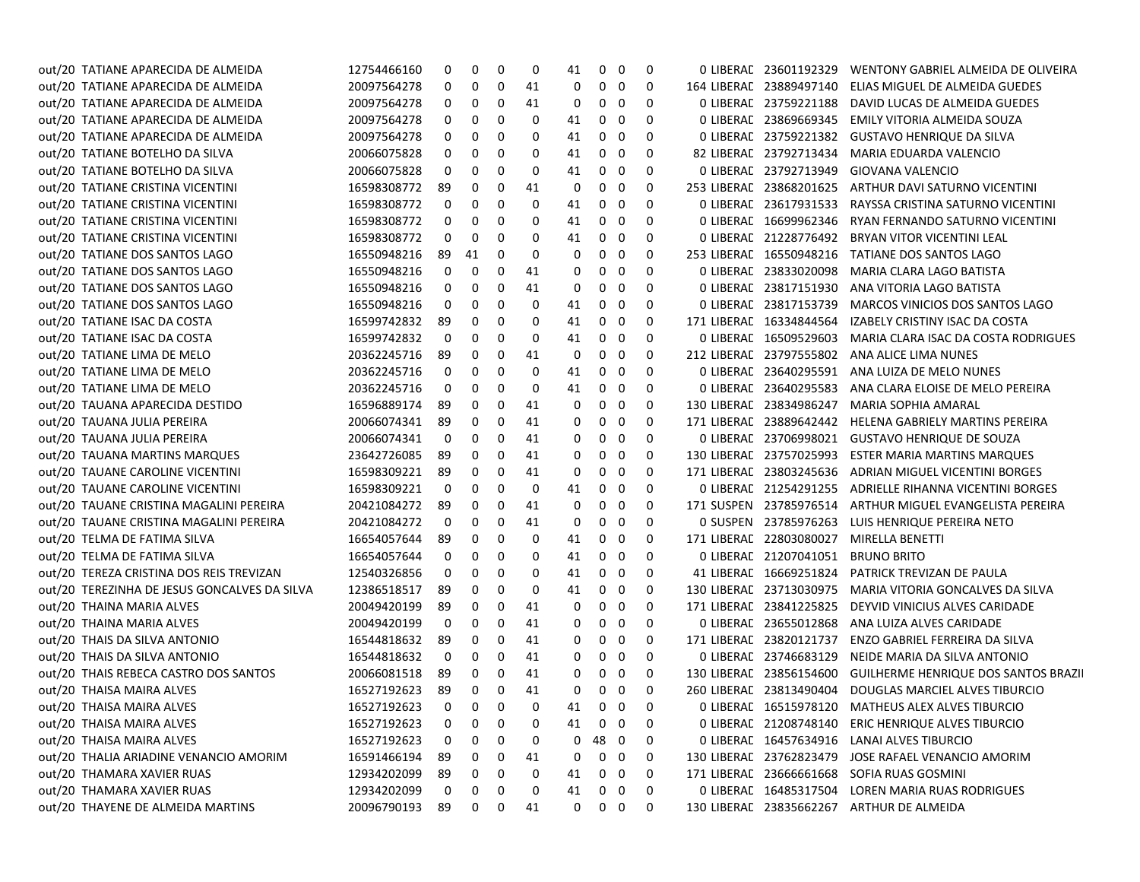| out/20 TATIANE APARECIDA DE ALMEIDA          | 12754466160 | 0  | 0                 | 0 | 0  | 41 | 0                 | 0                       | 0        | 0 LIBERAL 23601192329   | WENTONY GABRIEL ALMEIDA DE OLIVEIRA                    |
|----------------------------------------------|-------------|----|-------------------|---|----|----|-------------------|-------------------------|----------|-------------------------|--------------------------------------------------------|
| out/20 TATIANE APARECIDA DE ALMEIDA          | 20097564278 | 0  | 0                 | 0 | 41 | 0  | 0                 | 0                       | 0        | 164 LIBERAL 23889497140 | ELIAS MIGUEL DE ALMEIDA GUEDES                         |
| out/20 TATIANE APARECIDA DE ALMEIDA          | 20097564278 | 0  | 0                 | 0 | 41 | 0  | 0                 | 0                       | 0        | 0 LIBERAL 23759221188   | DAVID LUCAS DE ALMEIDA GUEDES                          |
| out/20 TATIANE APARECIDA DE ALMEIDA          | 20097564278 | 0  | 0                 | 0 | 0  | 41 | 0                 | 0                       | 0        | 0 LIBERAL 23869669345   | EMILY VITORIA ALMEIDA SOUZA                            |
| out/20 TATIANE APARECIDA DE ALMEIDA          | 20097564278 | 0  | 0                 | 0 | 0  | 41 | 0                 | - 0                     | 0        | 0 LIBERAL 23759221382   | <b>GUSTAVO HENRIQUE DA SILVA</b>                       |
| out/20 TATIANE BOTELHO DA SILVA              | 20066075828 | 0  | 0                 | 0 | 0  | 41 | 0                 | 0                       | 0        | 82 LIBERAL 23792713434  | MARIA EDUARDA VALENCIO                                 |
| out/20 TATIANE BOTELHO DA SILVA              | 20066075828 | 0  | 0                 | 0 | 0  | 41 | 0                 | 0                       | 0        | 0 LIBERAL 23792713949   | GIOVANA VALENCIO                                       |
| out/20 TATIANE CRISTINA VICENTINI            | 16598308772 | 89 | 0                 | 0 | 41 | 0  | 0                 | 0                       | 0        | 253 LIBERAL 23868201625 | ARTHUR DAVI SATURNO VICENTINI                          |
| out/20 TATIANE CRISTINA VICENTINI            | 16598308772 | 0  | 0                 | 0 | 0  | 41 | 0                 | 0                       | 0        | 0 LIBERAL 23617931533   | RAYSSA CRISTINA SATURNO VICENTINI                      |
| out/20 TATIANE CRISTINA VICENTINI            | 16598308772 | 0  | 0                 | 0 | 0  | 41 | 0                 | 0                       | 0        | 0 LIBERAL 16699962346   | RYAN FERNANDO SATURNO VICENTINI                        |
| out/20 TATIANE CRISTINA VICENTINI            | 16598308772 | 0  | 0                 | 0 | 0  | 41 | 0                 | 0                       | 0        | 0 LIBERAL 21228776492   | BRYAN VITOR VICENTINI LEAL                             |
| out/20 TATIANE DOS SANTOS LAGO               | 16550948216 | 89 | 41                | 0 | 0  | 0  | 0                 | 0                       | 0        | 253 LIBERAL 16550948216 | TATIANE DOS SANTOS LAGO                                |
| out/20 TATIANE DOS SANTOS LAGO               | 16550948216 | 0  | 0                 | 0 | 41 | 0  | 0                 | 0                       | 0        | 0 LIBERAL 23833020098   | MARIA CLARA LAGO BATISTA                               |
| out/20 TATIANE DOS SANTOS LAGO               | 16550948216 | 0  | 0                 | 0 | 41 | 0  | 0                 | 0                       | O        | 0 LIBERAL 23817151930   | ANA VITORIA LAGO BATISTA                               |
| out/20 TATIANE DOS SANTOS LAGO               | 16550948216 | 0  | 0                 | 0 | 0  | 41 | 0                 | 0                       | 0        | 0 LIBERAL 23817153739   | MARCOS VINICIOS DOS SANTOS LAGO                        |
| out/20 TATIANE ISAC DA COSTA                 | 16599742832 | 89 | 0                 | 0 | 0  | 41 | 0                 | 0                       | 0        | 171 LIBERAL 16334844564 | IZABELY CRISTINY ISAC DA COSTA                         |
| out/20 TATIANE ISAC DA COSTA                 | 16599742832 | 0  | 0                 | 0 | 0  | 41 | 0                 | 0                       | 0        | 0 LIBERAL 16509529603   | MARIA CLARA ISAC DA COSTA RODRIGUES                    |
| out/20 TATIANE LIMA DE MELO                  | 20362245716 | 89 | 0                 | 0 | 41 | 0  | 0                 | 0                       | 0        | 212 LIBERAL 23797555802 | ANA ALICE LIMA NUNES                                   |
| out/20 TATIANE LIMA DE MELO                  | 20362245716 | 0  | 0                 | 0 | 0  | 41 | 0                 | 0                       | 0        | 0 LIBERAL 23640295591   | ANA LUIZA DE MELO NUNES                                |
| out/20 TATIANE LIMA DE MELO                  | 20362245716 | 0  | 0                 | 0 | 0  | 41 | 0                 | - 0                     | 0        | 0 LIBERAL 23640295583   | ANA CLARA ELOISE DE MELO PEREIRA                       |
| out/20 TAUANA APARECIDA DESTIDO              | 16596889174 | 89 | 0                 | 0 | 41 | 0  | 0                 | 0                       | 0        | 130 LIBERAL 23834986247 | MARIA SOPHIA AMARAL                                    |
| out/20 TAUANA JULIA PEREIRA                  | 20066074341 | 89 | 0                 | 0 | 41 | 0  | 0                 | 0                       | 0        | 171 LIBERAL 23889642442 | HELENA GABRIELY MARTINS PEREIRA                        |
| out/20 TAUANA JULIA PEREIRA                  | 20066074341 | 0  | 0                 | 0 | 41 | 0  | 0                 | 0                       | 0        | 0 LIBERAL 23706998021   | <b>GUSTAVO HENRIQUE DE SOUZA</b>                       |
| out/20 TAUANA MARTINS MARQUES                | 23642726085 | 89 | 0                 | 0 | 41 | 0  | 0                 | 0                       | 0        | 130 LIBERAL 23757025993 | ESTER MARIA MARTINS MARQUES                            |
| out/20 TAUANE CAROLINE VICENTINI             | 16598309221 | 89 | 0                 | 0 | 41 | 0  | 0                 | 0                       | 0        | 171 LIBERAL 23803245636 | ADRIAN MIGUEL VICENTINI BORGES                         |
| out/20 TAUANE CAROLINE VICENTINI             | 16598309221 | 0  | 0                 | 0 | 0  | 41 | 0                 | 0                       | 0        | 0 LIBERAC 21254291255   | ADRIELLE RIHANNA VICENTINI BORGES                      |
| out/20 TAUANE CRISTINA MAGALINI PEREIRA      | 20421084272 | 89 | 0                 | 0 | 41 | 0  | 0                 | 0                       | 0        | 171 SUSPEN 23785976514  | ARTHUR MIGUEL EVANGELISTA PEREIRA                      |
| out/20 TAUANE CRISTINA MAGALINI PEREIRA      | 20421084272 | 0  | 0                 | 0 | 41 | 0  | 0                 | 0                       | 0        | 0 SUSPEN 23785976263    | LUIS HENRIQUE PEREIRA NETO                             |
| out/20 TELMA DE FATIMA SILVA                 | 16654057644 | 89 | 0                 | 0 | 0  | 41 | 0                 | 0                       | 0        | 171 LIBERAL 22803080027 | MIRELLA BENETTI                                        |
| out/20 TELMA DE FATIMA SILVA                 | 16654057644 | 0  | 0                 | 0 | 0  | 41 | 0                 | - 0                     | 0        | 0 LIBERAL 21207041051   | <b>BRUNO BRITO</b>                                     |
| out/20 TEREZA CRISTINA DOS REIS TREVIZAN     | 12540326856 | 0  | 0                 | 0 | 0  | 41 | 0                 | 0                       | 0        | 41 LIBERAL 16669251824  | PATRICK TREVIZAN DE PAULA                              |
| out/20 TEREZINHA DE JESUS GONCALVES DA SILVA | 12386518517 | 89 | 0                 | 0 | 0  | 41 | 0                 | 0                       | 0        | 130 LIBERAL 23713030975 | MARIA VITORIA GONCALVES DA SILVA                       |
| out/20 THAINA MARIA ALVES                    | 20049420199 | 89 | 0                 | 0 | 41 | 0  | 0                 | 0                       | 0        | 171 LIBERAL 23841225825 | DEYVID VINICIUS ALVES CARIDADE                         |
| out/20 THAINA MARIA ALVES                    | 20049420199 | 0  | 0                 | 0 | 41 | 0  | 0                 | 0                       | 0        | 0 LIBERAL 23655012868   | ANA LUIZA ALVES CARIDADE                               |
| out/20 THAIS DA SILVA ANTONIO                | 16544818632 | 89 | 0                 | 0 | 41 | 0  | 0                 | 0                       | 0        | 171 LIBERAL 23820121737 | ENZO GABRIEL FERREIRA DA SILVA                         |
| out/20 THAIS DA SILVA ANTONIO                | 16544818632 | 0  | 0                 | 0 | 41 | 0  | 0                 | 0                       | 0        | 0 LIBERAL 23746683129   | NEIDE MARIA DA SILVA ANTONIO                           |
| out/20 THAIS REBECA CASTRO DOS SANTOS        | 20066081518 | 89 | 0                 | 0 | 41 | 0  | 0                 | 0                       | 0        | 130 LIBERAL 23856154600 | GUILHERME HENRIQUE DOS SANTOS BRAZII                   |
| out/20 THAISA MAIRA ALVES                    | 16527192623 | 89 | 0                 | 0 | 41 | 0  | 0                 | - 0                     | $\Omega$ |                         | 260 LIBERAL 23813490404 DOUGLAS MARCIEL ALVES TIBURCIO |
| out/20 THAISA MAIRA ALVES                    | 16527192623 |    | $0\quad 0\quad 0$ |   | 0  |    | 41 0 0            |                         | 0        |                         | 0 LIBERAL 16515978120 MATHEUS ALEX ALVES TIBURCIO      |
| out/20 THAISA MAIRA ALVES                    | 16527192623 | 0  | 0                 | 0 | 0  | 41 | 0                 | 0                       | 0        |                         | 0 LIBERAL 21208748140 ERIC HENRIQUE ALVES TIBURCIO     |
| out/20 THAISA MAIRA ALVES                    | 16527192623 | 0  | 0                 | 0 | 0  | 0  | 48                | $\overline{\mathbf{0}}$ | 0        | 0 LIBERAL 16457634916   | LANAI ALVES TIBURCIO                                   |
| out/20 THALIA ARIADINE VENANCIO AMORIM       | 16591466194 | 89 | 0                 | 0 | 41 | 0  | 0                 | $\overline{\mathbf{0}}$ | 0        | 130 LIBERAL 23762823479 | JOSE RAFAEL VENANCIO AMORIM                            |
| out/20 THAMARA XAVIER RUAS                   | 12934202099 | 89 | 0                 | 0 | 0  | 41 | 0                 | $\mathbf 0$             | 0        | 171 LIBERAL 23666661668 | SOFIA RUAS GOSMINI                                     |
| out/20 THAMARA XAVIER RUAS                   | 12934202099 | 0  | 0                 | 0 | 0  | 41 | 0                 | 0                       | 0        |                         | 0 LIBERAL 16485317504 LOREN MARIA RUAS RODRIGUES       |
| out/20 THAYENE DE ALMEIDA MARTINS            | 20096790193 | 89 | $\mathbf{0}$      | 0 | 41 |    | $0\quad 0\quad 0$ |                         | 0        |                         | 130 LIBERAL 23835662267 ARTHUR DE ALMEIDA              |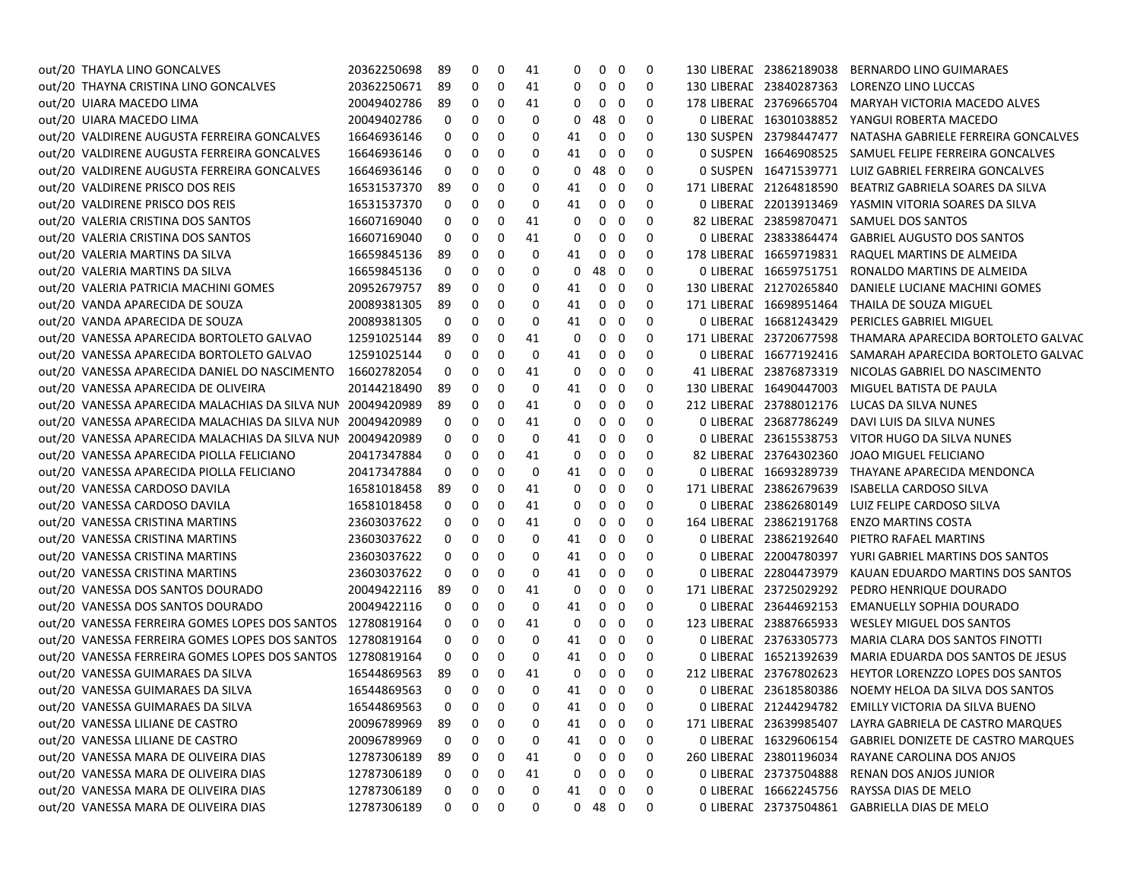| out/20 THAYLA LINO GONCALVES                                | 20362250698 | 89 | 0                 | 0 | 41 | 0  | 0          | - 0                     | 0        | 130 LIBERAL 23862189038 | BERNARDO LINO GUIMARAES                                  |
|-------------------------------------------------------------|-------------|----|-------------------|---|----|----|------------|-------------------------|----------|-------------------------|----------------------------------------------------------|
| out/20 THAYNA CRISTINA LINO GONCALVES                       | 20362250671 | 89 | 0                 | 0 | 41 | 0  | 0          | - 0                     | 0        | 130 LIBERAL 23840287363 | LORENZO LINO LUCCAS                                      |
| out/20 UIARA MACEDO LIMA                                    | 20049402786 | 89 | 0                 | 0 | 41 | 0  | 0          | - 0                     | 0        | 178 LIBERAL 23769665704 | MARYAH VICTORIA MACEDO ALVES                             |
| out/20 UIARA MACEDO LIMA                                    | 20049402786 | 0  | 0                 | 0 | 0  | 0  | 48         | 0                       | 0        | 0 LIBERAL 16301038852   | YANGUI ROBERTA MACEDO                                    |
| out/20 VALDIRENE AUGUSTA FERREIRA GONCALVES                 | 16646936146 | 0  | 0                 | 0 | 0  | 41 | 0          | - 0                     | 0        | 130 SUSPEN 23798447477  | NATASHA GABRIELE FERREIRA GONCALVES                      |
| out/20 VALDIRENE AUGUSTA FERREIRA GONCALVES                 | 16646936146 | 0  | 0                 | 0 | 0  | 41 | 0          | - 0                     | 0        | 0 SUSPEN 16646908525    | SAMUEL FELIPE FERREIRA GONCALVES                         |
| out/20 VALDIRENE AUGUSTA FERREIRA GONCALVES                 | 16646936146 | 0  | 0                 | 0 | 0  | 0  | 48         | - 0                     | 0        | 0 SUSPEN 16471539771    | LUIZ GABRIEL FERREIRA GONCALVES                          |
| out/20 VALDIRENE PRISCO DOS REIS                            | 16531537370 | 89 | 0                 | 0 | 0  | 41 | 0          | - 0                     | 0        | 171 LIBERAL 21264818590 | BEATRIZ GABRIELA SOARES DA SILVA                         |
| out/20 VALDIRENE PRISCO DOS REIS                            | 16531537370 | 0  | 0                 | 0 | 0  | 41 | 0          | 0                       | 0        | 0 LIBERAL 22013913469   | YASMIN VITORIA SOARES DA SILVA                           |
| out/20 VALERIA CRISTINA DOS SANTOS                          | 16607169040 | 0  | 0                 | 0 | 41 | 0  | 0          | - 0                     | 0        | 82 LIBERAL 23859870471  | SAMUEL DOS SANTOS                                        |
| out/20 VALERIA CRISTINA DOS SANTOS                          | 16607169040 | 0  | 0                 | 0 | 41 | 0  | 0          | - 0                     | 0        | 0 LIBERAL 23833864474   | <b>GABRIEL AUGUSTO DOS SANTOS</b>                        |
| out/20 VALERIA MARTINS DA SILVA                             | 16659845136 | 89 | 0                 | 0 | 0  | 41 | 0          | - 0                     | 0        | 178 LIBERAL 16659719831 | RAQUEL MARTINS DE ALMEIDA                                |
| out/20 VALERIA MARTINS DA SILVA                             | 16659845136 | 0  | 0                 | 0 | 0  | 0  | 48         | - 0                     | 0        | 0 LIBERAL 16659751751   | RONALDO MARTINS DE ALMEIDA                               |
| out/20 VALERIA PATRICIA MACHINI GOMES                       | 20952679757 | 89 | 0                 | 0 | 0  | 41 | 0          | - 0                     | 0        | 130 LIBERAL 21270265840 | DANIELE LUCIANE MACHINI GOMES                            |
| out/20 VANDA APARECIDA DE SOUZA                             | 20089381305 | 89 | 0                 | 0 | 0  | 41 | 0          | - 0                     | 0        | 171 LIBERAL 16698951464 | THAILA DE SOUZA MIGUEL                                   |
| out/20 VANDA APARECIDA DE SOUZA                             | 20089381305 | 0  | 0                 | 0 | 0  | 41 | 0          | 0                       | 0        | 0 LIBERAL 16681243429   | PERICLES GABRIEL MIGUEL                                  |
| out/20 VANESSA APARECIDA BORTOLETO GALVAO                   | 12591025144 | 89 | 0                 | 0 | 41 | 0  | 0          | - 0                     | 0        | 171 LIBERAL 23720677598 | THAMARA APARECIDA BORTOLETO GALVAC                       |
| out/20 VANESSA APARECIDA BORTOLETO GALVAO                   | 12591025144 | 0  | 0                 | 0 | 0  | 41 | 0          | - 0                     | 0        | 0 LIBERAL 16677192416   | SAMARAH APARECIDA BORTOLETO GALVAC                       |
| out/20 VANESSA APARECIDA DANIEL DO NASCIMENTO               | 16602782054 | 0  | 0                 | 0 | 41 | 0  | 0          | - 0                     | 0        | 41 LIBERAL 23876873319  | NICOLAS GABRIEL DO NASCIMENTO                            |
| out/20 VANESSA APARECIDA DE OLIVEIRA                        | 20144218490 | 89 | 0                 | 0 | 0  | 41 | 0          | - 0                     | 0        | 130 LIBERAL 16490447003 | MIGUEL BATISTA DE PAULA                                  |
| out/20 VANESSA APARECIDA MALACHIAS DA SILVA NUN 20049420989 |             | 89 | 0                 | 0 | 41 | 0  | 0          | - 0                     | $\Omega$ | 212 LIBERAL 23788012176 | LUCAS DA SILVA NUNES                                     |
| out/20 VANESSA APARECIDA MALACHIAS DA SILVA NUN             | 20049420989 | 0  | 0                 | 0 | 41 | 0  | 0          | - 0                     | 0        | 0 LIBERAL 23687786249   | DAVI LUIS DA SILVA NUNES                                 |
| out/20 VANESSA APARECIDA MALACHIAS DA SILVA NUN             | 20049420989 | 0  | 0                 | 0 | 0  | 41 | 0          | - 0                     | 0        | 0 LIBERAL 23615538753   | VITOR HUGO DA SILVA NUNES                                |
| out/20 VANESSA APARECIDA PIOLLA FELICIANO                   | 20417347884 | 0  | 0                 | 0 | 41 | 0  | 0          | - 0                     | 0        | 82 LIBERAL 23764302360  | JOAO MIGUEL FELICIANO                                    |
| out/20 VANESSA APARECIDA PIOLLA FELICIANO                   | 20417347884 | 0  | 0                 | 0 | 0  | 41 | 0          | -0                      | 0        | 0 LIBERAL 16693289739   | THAYANE APARECIDA MENDONCA                               |
| out/20 VANESSA CARDOSO DAVILA                               | 16581018458 | 89 | 0                 | 0 | 41 | 0  | 0          | - 0                     | 0        | 171 LIBERAL 23862679639 | ISABELLA CARDOSO SILVA                                   |
| out/20 VANESSA CARDOSO DAVILA                               | 16581018458 | 0  | 0                 | 0 | 41 | 0  | 0          | - 0                     | 0        | 0 LIBERAL 23862680149   | LUIZ FELIPE CARDOSO SILVA                                |
| out/20 VANESSA CRISTINA MARTINS                             | 23603037622 | 0  | 0                 | 0 | 41 | 0  | 0          | - 0                     | 0        | 164 LIBERAL 23862191768 | <b>ENZO MARTINS COSTA</b>                                |
| out/20 VANESSA CRISTINA MARTINS                             | 23603037622 | 0  | 0                 | 0 | 0  | 41 | 0          | - 0                     | 0        | 0 LIBERAL 23862192640   | PIETRO RAFAEL MARTINS                                    |
| out/20 VANESSA CRISTINA MARTINS                             | 23603037622 | 0  | 0                 | 0 | 0  | 41 | 0          | - 0                     | 0        | 0 LIBERAL 22004780397   | YURI GABRIEL MARTINS DOS SANTOS                          |
| out/20 VANESSA CRISTINA MARTINS                             | 23603037622 | 0  | 0                 | 0 | 0  | 41 | 0          | - 0                     | 0        | 0 LIBERAL 22804473979   | KAUAN EDUARDO MARTINS DOS SANTOS                         |
| out/20 VANESSA DOS SANTOS DOURADO                           | 20049422116 | 89 | 0                 | 0 | 41 | 0  | 0          | 0                       | 0        | 171 LIBERAL 23725029292 | PEDRO HENRIQUE DOURADO                                   |
| out/20 VANESSA DOS SANTOS DOURADO                           | 20049422116 | 0  | 0                 | 0 | 0  | 41 | 0          | - 0                     | 0        | 0 LIBERAL 23644692153   | EMANUELLY SOPHIA DOURADO                                 |
| out/20 VANESSA FERREIRA GOMES LOPES DOS SANTOS 12780819164  |             | 0  | 0                 | 0 | 41 | 0  | 0          | - 0                     | 0        | 123 LIBERAL 23887665933 | <b>WESLEY MIGUEL DOS SANTOS</b>                          |
| out/20 VANESSA FERREIRA GOMES LOPES DOS SANTOS 12780819164  |             | 0  | 0                 | 0 | 0  | 41 | 0          | - 0                     | 0        | 0 LIBERAL 23763305773   | MARIA CLARA DOS SANTOS FINOTTI                           |
| out/20 VANESSA FERREIRA GOMES LOPES DOS SANTOS 12780819164  |             | 0  | 0                 | 0 | 0  | 41 | 0          | - 0                     | 0        | 0 LIBERAL 16521392639   | MARIA EDUARDA DOS SANTOS DE JESUS                        |
| out/20 VANESSA GUIMARAES DA SILVA                           | 16544869563 | 89 | 0                 | 0 | 41 | 0  | 0          | - 0                     | $\Omega$ | 212 LIBERAL 23767802623 | <b>HEYTOR LORENZZO LOPES DOS SANTOS</b>                  |
| out/20 VANESSA GUIMARAES DA SILVA                           | 16544869563 | 0  | 0                 | 0 | 0  | 41 |            | $0\quad 0$              | 0        | 0 LIBERAL 23618580386   | NOEMY HELOA DA SILVA DOS SANTOS                          |
| out/20 VANESSA GUIMARAES DA SILVA                           | 16544869563 |    | $0\quad 0\quad 0$ |   | 0  |    | 41 0 0     |                         | 0        |                         | 0 LIBERAE 21244294782 EMILLY VICTORIA DA SILVA BUENO     |
| out/20 VANESSA LILIANE DE CASTRO                            | 20096789969 | 89 | 0                 | 0 | 0  | 41 |            | $0\quad 0$              | 0        |                         | 171 LIBERAL 23639985407 LAYRA GABRIELA DE CASTRO MARQUES |
| out/20 VANESSA LILIANE DE CASTRO                            | 20096789969 | 0  | 0                 | 0 | 0  | 41 | 0          | $\mathbf{0}$            | 0        |                         | 0 LIBERAL 16329606154 GABRIEL DONIZETE DE CASTRO MARQUES |
| out/20 VANESSA MARA DE OLIVEIRA DIAS                        | 12787306189 | 89 | 0                 | 0 | 41 | 0  |            | $0\quad 0$              | 0        | 260 LIBERAL 23801196034 | RAYANE CAROLINA DOS ANJOS                                |
| out/20 VANESSA MARA DE OLIVEIRA DIAS                        | 12787306189 | 0  | 0                 | 0 | 41 | 0  | 0          | $\overline{\mathbf{0}}$ | 0        | 0 LIBERAL 23737504888   | RENAN DOS ANJOS JUNIOR                                   |
| out/20 VANESSA MARA DE OLIVEIRA DIAS                        | 12787306189 | 0  | 0                 | 0 | 0  | 41 |            | $0\quad 0$              | 0        | 0 LIBERAL 16662245756   | RAYSSA DIAS DE MELO                                      |
| out/20 VANESSA MARA DE OLIVEIRA DIAS                        | 12787306189 | 0  | 0                 | 0 | 0  |    | $0$ 48 $0$ |                         | 0        |                         | 0 LIBERAE 23737504861 GABRIELLA DIAS DE MELO             |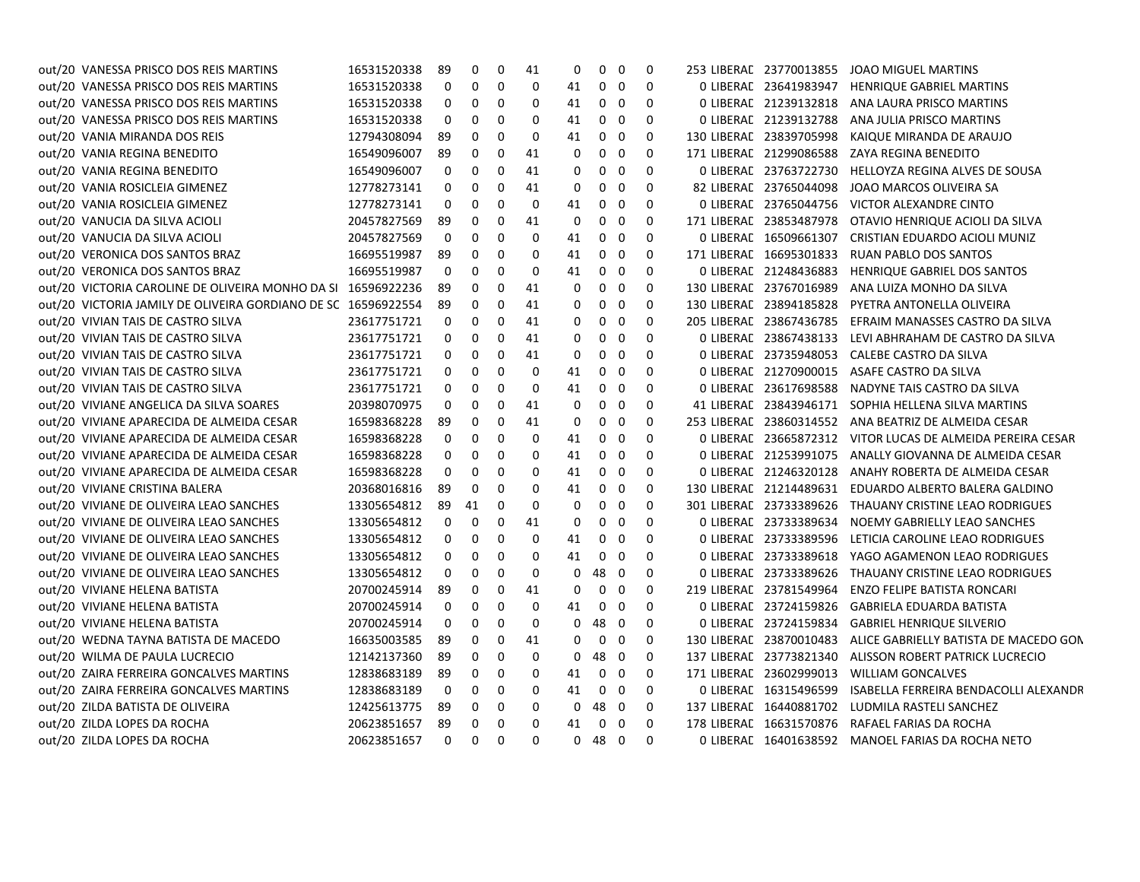| out/20 VANESSA PRISCO DOS REIS MARTINS                        | 16531520338 | 89       | $\mathbf 0$ | 0        | 41 | 0        | 0           | $\mathbf 0$    | $\Omega$     | 253 LIBERAL 23770013855 | JOAO MIGUEL MARTINS                                        |
|---------------------------------------------------------------|-------------|----------|-------------|----------|----|----------|-------------|----------------|--------------|-------------------------|------------------------------------------------------------|
| out/20 VANESSA PRISCO DOS REIS MARTINS                        | 16531520338 | 0        | $\mathbf 0$ | 0        | 0  | 41       | 0           | $\mathbf 0$    | $\Omega$     | 0 LIBERAL 23641983947   | <b>HENRIQUE GABRIEL MARTINS</b>                            |
| out/20 VANESSA PRISCO DOS REIS MARTINS                        | 16531520338 | 0        | 0           | 0        | 0  | 41       | 0           | 0              | 0            | 0 LIBERAL 21239132818   | ANA LAURA PRISCO MARTINS                                   |
| out/20 VANESSA PRISCO DOS REIS MARTINS                        | 16531520338 | 0        | 0           | 0        | 0  | 41       | 0           | 0              | 0            | 0 LIBERAL 21239132788   | ANA JULIA PRISCO MARTINS                                   |
| out/20 VANIA MIRANDA DOS REIS                                 | 12794308094 | 89       | 0           | $\Omega$ | 0  | 41       | 0           | 0              | 0            | 130 LIBERAL 23839705998 | KAIQUE MIRANDA DE ARAUJO                                   |
| out/20 VANIA REGINA BENEDITO                                  | 16549096007 | 89       | $\mathbf 0$ | 0        | 41 | $\Omega$ | 0           | 0              | $\Omega$     | 171 LIBERAL 21299086588 | ZAYA REGINA BENEDITO                                       |
| out/20 VANIA REGINA BENEDITO                                  | 16549096007 | 0        | $\mathbf 0$ | 0        | 41 | 0        | 0           | 0              | $\Omega$     | 0 LIBERAL 23763722730   | HELLOYZA REGINA ALVES DE SOUSA                             |
| out/20 VANIA ROSICLEIA GIMENEZ                                | 12778273141 | 0        | 0           | 0        | 41 | 0        | 0           | $\mathbf 0$    | $\Omega$     | 82 LIBERAL 23765044098  | JOAO MARCOS OLIVEIRA SA                                    |
| out/20 VANIA ROSICLEIA GIMENEZ                                | 12778273141 | 0        | 0           | 0        | 0  | 41       | 0           | 0              | 0            | 0 LIBERAL 23765044756   | VICTOR ALEXANDRE CINTO                                     |
| out/20 VANUCIA DA SILVA ACIOLI                                | 20457827569 | 89       | 0           | 0        | 41 | 0        | 0           | 0              | 0            | 171 LIBERAL 23853487978 | OTAVIO HENRIQUE ACIOLI DA SILVA                            |
| out/20 VANUCIA DA SILVA ACIOLI                                | 20457827569 | 0        | $\mathbf 0$ | $\Omega$ | 0  | 41       | 0           | 0              | $\Omega$     | 0 LIBERAL 16509661307   | CRISTIAN EDUARDO ACIOLI MUNIZ                              |
| out/20 VERONICA DOS SANTOS BRAZ                               | 16695519987 | 89       | $\mathbf 0$ | 0        | 0  | 41       | 0           | $\mathbf 0$    | 0            | 171 LIBERAL 16695301833 | <b>RUAN PABLO DOS SANTOS</b>                               |
| out/20 VERONICA DOS SANTOS BRAZ                               | 16695519987 | 0        | $\mathbf 0$ | 0        | 0  | 41       | 0           | 0              | 0            | 0 LIBERAL 21248436883   | HENRIQUE GABRIEL DOS SANTOS                                |
| out/20 VICTORIA CAROLINE DE OLIVEIRA MONHO DA SI 16596922236  |             | 89       | 0           | 0        | 41 | 0        | 0           | 0              | 0            | 130 LIBERAL 23767016989 | ANA LUIZA MONHO DA SILVA                                   |
| out/20 VICTORIA JAMILY DE OLIVEIRA GORDIANO DE SC 16596922554 |             | 89       | 0           | 0        | 41 | 0        | 0           | 0              | 0            | 130 LIBERAL 23894185828 | PYETRA ANTONELLA OLIVEIRA                                  |
| out/20 VIVIAN TAIS DE CASTRO SILVA                            | 23617751721 | 0        | 0           | 0        | 41 | 0        | 0           | 0              | 0            | 205 LIBERAL 23867436785 | EFRAIM MANASSES CASTRO DA SILVA                            |
| out/20 VIVIAN TAIS DE CASTRO SILVA                            | 23617751721 | 0        | $\mathbf 0$ | $\Omega$ | 41 | 0        | 0           | 0              | $\Omega$     | 0 LIBERAL 23867438133   | LEVI ABHRAHAM DE CASTRO DA SILVA                           |
| out/20 VIVIAN TAIS DE CASTRO SILVA                            | 23617751721 | 0        | $\mathbf 0$ | 0        | 41 | $\Omega$ | 0           | 0              | $\Omega$     | 0 LIBERAL 23735948053   | CALEBE CASTRO DA SILVA                                     |
| out/20 VIVIAN TAIS DE CASTRO SILVA                            | 23617751721 | $\Omega$ | 0           | 0        | 0  | 41       | 0           | 0              | $\Omega$     | 0 LIBERAL 21270900015   | ASAFE CASTRO DA SILVA                                      |
| out/20 VIVIAN TAIS DE CASTRO SILVA                            | 23617751721 | 0        | 0           | 0        | 0  | 41       | 0           | 0              | 0            | 0 LIBERAL 23617698588   | NADYNE TAIS CASTRO DA SILVA                                |
| out/20 VIVIANE ANGELICA DA SILVA SOARES                       | 20398070975 | 0        | 0           | 0        | 41 | 0        | 0           | 0              | 0            | 41 LIBERAL 23843946171  | SOPHIA HELLENA SILVA MARTINS                               |
| out/20 VIVIANE APARECIDA DE ALMEIDA CESAR                     | 16598368228 | 89       | 0           | $\Omega$ | 41 | 0        | 0           | 0              | $\mathbf{0}$ |                         | 253 LIBERAE 23860314552 ANA BEATRIZ DE ALMEIDA CESAR       |
| out/20 VIVIANE APARECIDA DE ALMEIDA CESAR                     | 16598368228 | 0        | $\mathbf 0$ | 0        | 0  | 41       | 0           | 0              | 0            |                         | 0 LIBERAE 23665872312 VITOR LUCAS DE ALMEIDA PEREIRA CESAR |
| out/20 VIVIANE APARECIDA DE ALMEIDA CESAR                     | 16598368228 | 0        | $\mathbf 0$ | 0        | 0  | 41       | 0           | 0              | $\Omega$     | 0 LIBERAL 21253991075   | ANALLY GIOVANNA DE ALMEIDA CESAR                           |
| out/20 VIVIANE APARECIDA DE ALMEIDA CESAR                     | 16598368228 | 0        | 0           | 0        | 0  | 41       | 0           | 0              | $\Omega$     | 0 LIBERAL 21246320128   | ANAHY ROBERTA DE ALMEIDA CESAR                             |
| out/20 VIVIANE CRISTINA BALERA                                | 20368016816 | 89       | 0           | 0        | 0  | 41       | 0           | 0              | 0            | 130 LIBERAL 21214489631 | EDUARDO ALBERTO BALERA GALDINO                             |
| out/20 VIVIANE DE OLIVEIRA LEAO SANCHES                       | 13305654812 | 89       | 41          | 0        | 0  | 0        | 0           | 0              | 0            | 301 LIBERAL 23733389626 | THAUANY CRISTINE LEAO RODRIGUES                            |
| out/20 VIVIANE DE OLIVEIRA LEAO SANCHES                       | 13305654812 | 0        | 0           | 0        | 41 | $\Omega$ | 0           | 0              | $\Omega$     | 0 LIBERAL 23733389634   | NOEMY GABRIELLY LEAO SANCHES                               |
| out/20 VIVIANE DE OLIVEIRA LEAO SANCHES                       | 13305654812 | 0        | 0           | 0        | 0  | 41       | 0           | 0              | 0            | 0 LIBERAL 23733389596   | LETICIA CAROLINE LEAO RODRIGUES                            |
| out/20 VIVIANE DE OLIVEIRA LEAO SANCHES                       | 13305654812 | 0        | 0           | 0        | 0  | 41       | 0           | 0              | 0            | 0 LIBERAL 23733389618   | YAGO AGAMENON LEAO RODRIGUES                               |
| out/20 VIVIANE DE OLIVEIRA LEAO SANCHES                       | 13305654812 | 0        | 0           | 0        | 0  | 0        | 48          | $\overline{0}$ | 0            | 0 LIBERAL 23733389626   | THAUANY CRISTINE LEAO RODRIGUES                            |
| out/20 VIVIANE HELENA BATISTA                                 | 20700245914 | 89       | 0           | 0        | 41 | 0        | 0           | 0              | 0            | 219 LIBERAL 23781549964 | <b>ENZO FELIPE BATISTA RONCARI</b>                         |
| out/20 VIVIANE HELENA BATISTA                                 | 20700245914 | 0        | 0           | 0        | 0  | 41       | 0           | 0              | 0            | 0 LIBERAL 23724159826   | <b>GABRIELA EDUARDA BATISTA</b>                            |
| out/20 VIVIANE HELENA BATISTA                                 | 20700245914 | 0        | $\Omega$    | $\Omega$ | 0  | 0        | 48          | $\mathbf 0$    | $\Omega$     | 0 LIBERAL 23724159834   | <b>GABRIEL HENRIQUE SILVERIO</b>                           |
| out/20 WEDNA TAYNA BATISTA DE MACEDO                          | 16635003585 | 89       | 0           | 0        | 41 | $\Omega$ | 0           | 0              | 0            | 130 LIBERAL 23870010483 | ALICE GABRIELLY BATISTA DE MACEDO GON                      |
| out/20 WILMA DE PAULA LUCRECIO                                | 12142137360 | 89       | 0           | 0        | 0  | 0        | 48          | $\mathbf 0$    | 0            | 137 LIBERAL 23773821340 | ALISSON ROBERT PATRICK LUCRECIO                            |
| out/20 ZAIRA FERREIRA GONCALVES MARTINS                       | 12838683189 | 89       | 0           | 0        | 0  | 41       | 0           | 0              | 0            | 171 LIBERAL 23602999013 | WILLIAM GONCALVES                                          |
| out/20 ZAIRA FERREIRA GONCALVES MARTINS                       | 12838683189 | 0        | 0           | 0        | 0  | 41       | 0           | 0              | 0            | 0 LIBERAL 16315496599   | ISABELLA FERREIRA BENDACOLLI ALEXANDR                      |
| out/20 ZILDA BATISTA DE OLIVEIRA                              | 12425613775 | 89       | 0           | 0        | 0  | 0        | 48          | 0              | 0            | 137 LIBERAL 16440881702 | LUDMILA RASTELI SANCHEZ                                    |
| out/20 ZILDA LOPES DA ROCHA                                   | 20623851657 | 89       | $\Omega$    | $\Omega$ | 0  | 41       | $\mathbf 0$ | 0              | $\Omega$     | 178 LIBERAL 16631570876 | RAFAEL FARIAS DA ROCHA                                     |
| out/20 ZILDA LOPES DA ROCHA                                   | 20623851657 | $\Omega$ | $\Omega$    | $\Omega$ | 0  | $\Omega$ | 48          | $\Omega$       | $\Omega$     |                         | 0 LIBERAL 16401638592 MANOEL FARIAS DA ROCHA NETO          |